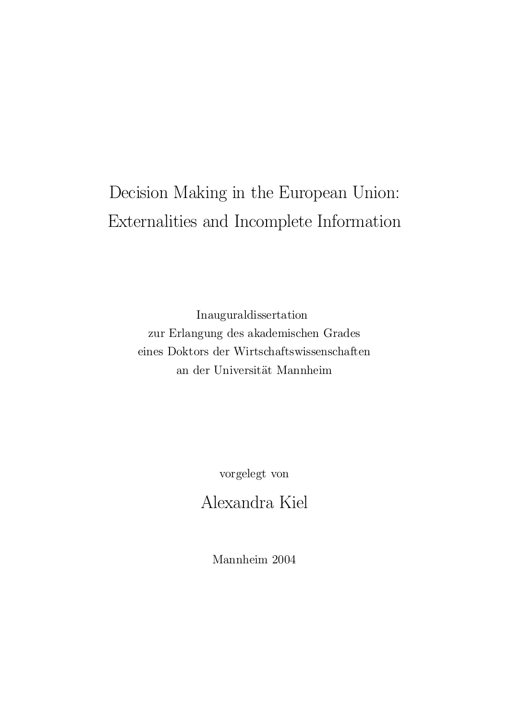## Decision Making in the European Union: Externalities and Incomplete Information

Inauguraldissertation zur Erlangung des akademischen Grades eines Doktors der Wirtschaftswissenschaften an der UniversitÄat Mannheim

vorgelegt von

Alexandra Kiel

Mannheim 2004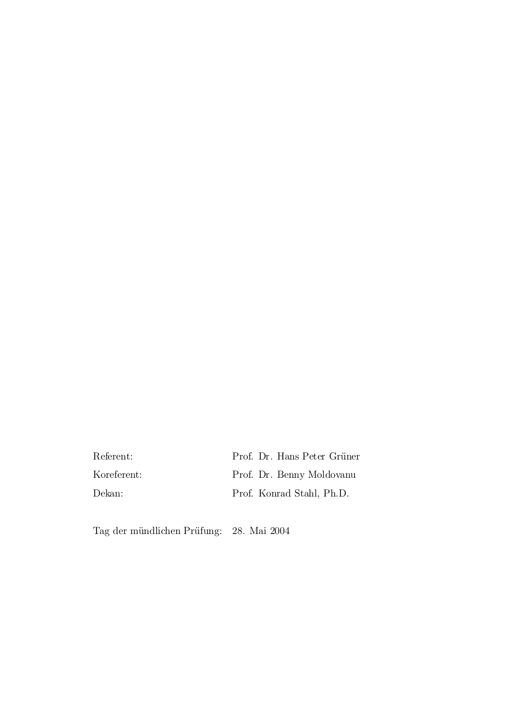Referent: Prof. Dr. Hans Peter Grüner Koreferent: Prof. Dr. Benny Moldovanu Dekan: Prof. Konrad Stahl, Ph.D.

Tag der mündlichen Prüfung: 28. Mai 2004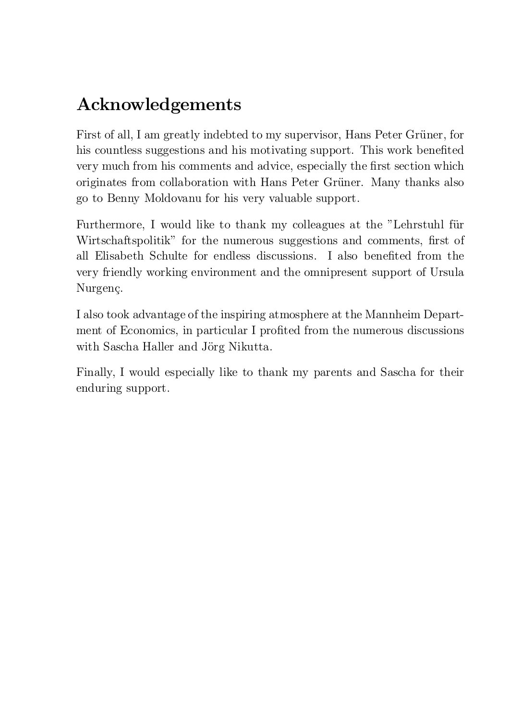## Acknowledgements

First of all, I am greatly indebted to my supervisor, Hans Peter Grüner, for his countless suggestions and his motivating support. This work benefited very much from his comments and advice, especially the first section which originates from collaboration with Hans Peter Grüner. Many thanks also go to Benny Moldovanu for his very valuable support.

Furthermore, I would like to thank my colleagues at the "Lehrstuhl für Wirtschaftspolitik" for the numerous suggestions and comments, first of all Elisabeth Schulte for endless discussions. I also benefited from the very friendly working environment and the omnipresent support of Ursula Nurgenç.

I also took advantage of the inspiring atmosphere at the Mannheim Department of Economics, in particular I profited from the numerous discussions with Sascha Haller and Jörg Nikutta.

Finally, I would especially like to thank my parents and Sascha for their enduring support.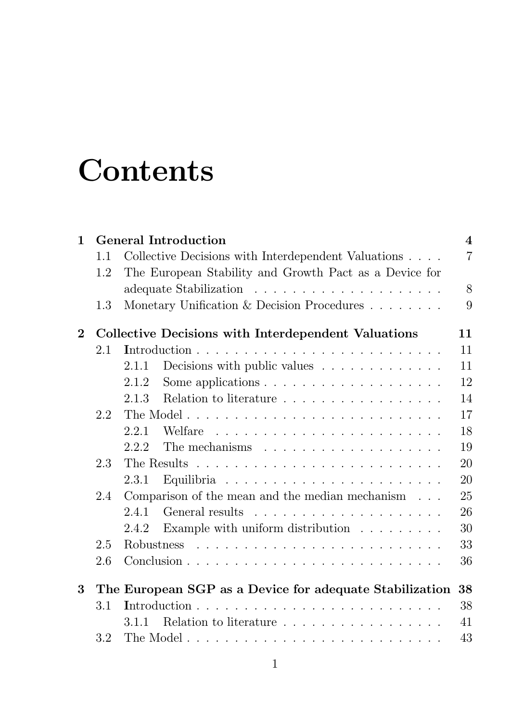# Contents

| $\mathbf{1}$ | <b>General Introduction</b>                                      |                                                                                                                                                                                                                                              |                |  |  |  |  |
|--------------|------------------------------------------------------------------|----------------------------------------------------------------------------------------------------------------------------------------------------------------------------------------------------------------------------------------------|----------------|--|--|--|--|
|              | 1.1                                                              | Collective Decisions with Interdependent Valuations                                                                                                                                                                                          | $\overline{7}$ |  |  |  |  |
|              | 1.2                                                              | The European Stability and Growth Pact as a Device for                                                                                                                                                                                       |                |  |  |  |  |
|              |                                                                  |                                                                                                                                                                                                                                              | 8              |  |  |  |  |
|              | 1.3                                                              | Monetary Unification & Decision Procedures $\ldots \ldots$                                                                                                                                                                                   | 9              |  |  |  |  |
| $\mathbf{2}$ | <b>Collective Decisions with Interdependent Valuations</b><br>11 |                                                                                                                                                                                                                                              |                |  |  |  |  |
|              | 2.1                                                              |                                                                                                                                                                                                                                              | 11             |  |  |  |  |
|              |                                                                  | Decisions with public values $\dots \dots \dots \dots$<br>2.1.1                                                                                                                                                                              | 11             |  |  |  |  |
|              |                                                                  | Some applications $\ldots \ldots \ldots \ldots \ldots \ldots$<br>2.1.2                                                                                                                                                                       | 12             |  |  |  |  |
|              |                                                                  | Relation to literature $\ldots \ldots \ldots \ldots \ldots \ldots$<br>2.1.3                                                                                                                                                                  | 14             |  |  |  |  |
|              | 2.2                                                              |                                                                                                                                                                                                                                              | 17             |  |  |  |  |
|              |                                                                  | 2.2.1                                                                                                                                                                                                                                        | 18             |  |  |  |  |
|              |                                                                  | 2.2.2<br>The mechanisms $\ldots \ldots \ldots \ldots \ldots \ldots$                                                                                                                                                                          | 19             |  |  |  |  |
|              | 2.3                                                              |                                                                                                                                                                                                                                              | 20             |  |  |  |  |
|              |                                                                  | 2.3.1                                                                                                                                                                                                                                        | 20             |  |  |  |  |
|              | 2.4                                                              | Comparison of the mean and the median mechanism $\ldots$                                                                                                                                                                                     | 25             |  |  |  |  |
|              |                                                                  | 2.4.1                                                                                                                                                                                                                                        | 26             |  |  |  |  |
|              |                                                                  | Example with uniform distribution $\ldots \ldots \ldots$<br>2.4.2                                                                                                                                                                            | 30             |  |  |  |  |
|              | 2.5                                                              | Robustness<br>and the contract of the contract of the contract of the contract of the contract of the contract of the contract of the contract of the contract of the contract of the contract of the contract of the contract of the contra | 33             |  |  |  |  |
|              | 2.6                                                              |                                                                                                                                                                                                                                              | 36             |  |  |  |  |
| $\bf{3}$     |                                                                  | The European SGP as a Device for adequate Stabilization                                                                                                                                                                                      | 38             |  |  |  |  |
|              | 3.1                                                              |                                                                                                                                                                                                                                              | 38             |  |  |  |  |
|              |                                                                  | Relation to literature<br>3.1.1                                                                                                                                                                                                              | 41             |  |  |  |  |
|              | 3.2                                                              |                                                                                                                                                                                                                                              | 43             |  |  |  |  |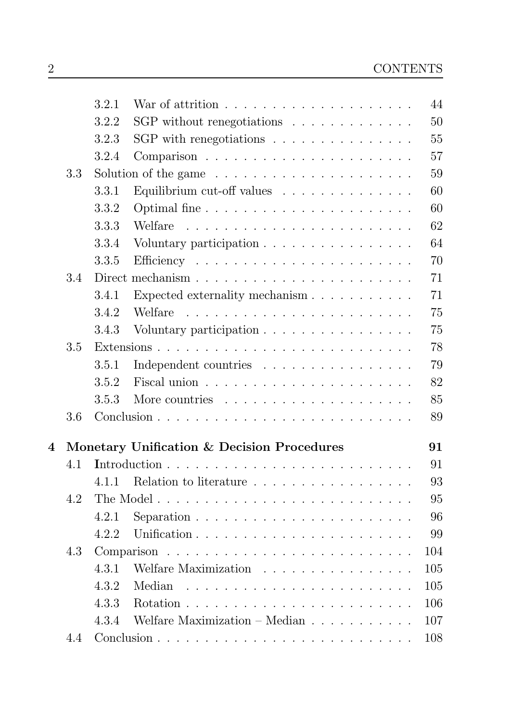|     | 3.2.1 | War of attrition $\ldots \ldots \ldots \ldots \ldots \ldots \ldots$ | 44                                                                                                                                                                                                                                                                                                                                                                                                                                                                                                                                                          |
|-----|-------|---------------------------------------------------------------------|-------------------------------------------------------------------------------------------------------------------------------------------------------------------------------------------------------------------------------------------------------------------------------------------------------------------------------------------------------------------------------------------------------------------------------------------------------------------------------------------------------------------------------------------------------------|
|     | 3.2.2 |                                                                     | 50                                                                                                                                                                                                                                                                                                                                                                                                                                                                                                                                                          |
|     | 3.2.3 | SGP with renegotiations $\ldots \ldots \ldots \ldots \ldots$        | 55                                                                                                                                                                                                                                                                                                                                                                                                                                                                                                                                                          |
|     | 3.2.4 |                                                                     | 57                                                                                                                                                                                                                                                                                                                                                                                                                                                                                                                                                          |
| 3.3 |       |                                                                     | 59                                                                                                                                                                                                                                                                                                                                                                                                                                                                                                                                                          |
|     | 3.3.1 | Equilibrium cut-off values $\ldots \ldots \ldots \ldots$            | 60                                                                                                                                                                                                                                                                                                                                                                                                                                                                                                                                                          |
|     | 3.3.2 |                                                                     | 60                                                                                                                                                                                                                                                                                                                                                                                                                                                                                                                                                          |
|     | 3.3.3 |                                                                     | 62                                                                                                                                                                                                                                                                                                                                                                                                                                                                                                                                                          |
|     | 3.3.4 |                                                                     | 64                                                                                                                                                                                                                                                                                                                                                                                                                                                                                                                                                          |
|     | 3.3.5 |                                                                     | 70                                                                                                                                                                                                                                                                                                                                                                                                                                                                                                                                                          |
| 3.4 |       |                                                                     | 71                                                                                                                                                                                                                                                                                                                                                                                                                                                                                                                                                          |
|     | 3.4.1 |                                                                     | 71                                                                                                                                                                                                                                                                                                                                                                                                                                                                                                                                                          |
|     | 3.4.2 | Welfare                                                             | 75                                                                                                                                                                                                                                                                                                                                                                                                                                                                                                                                                          |
|     | 3.4.3 |                                                                     | 75                                                                                                                                                                                                                                                                                                                                                                                                                                                                                                                                                          |
| 3.5 |       |                                                                     | 78                                                                                                                                                                                                                                                                                                                                                                                                                                                                                                                                                          |
|     | 3.5.1 |                                                                     | 79                                                                                                                                                                                                                                                                                                                                                                                                                                                                                                                                                          |
|     | 3.5.2 |                                                                     | 82                                                                                                                                                                                                                                                                                                                                                                                                                                                                                                                                                          |
|     | 3.5.3 |                                                                     | 85                                                                                                                                                                                                                                                                                                                                                                                                                                                                                                                                                          |
| 3.6 |       |                                                                     | 89                                                                                                                                                                                                                                                                                                                                                                                                                                                                                                                                                          |
|     |       |                                                                     | 91                                                                                                                                                                                                                                                                                                                                                                                                                                                                                                                                                          |
| 4.1 |       |                                                                     | 91                                                                                                                                                                                                                                                                                                                                                                                                                                                                                                                                                          |
|     |       |                                                                     | 93                                                                                                                                                                                                                                                                                                                                                                                                                                                                                                                                                          |
| 4.2 |       |                                                                     | 95                                                                                                                                                                                                                                                                                                                                                                                                                                                                                                                                                          |
|     |       |                                                                     | 96                                                                                                                                                                                                                                                                                                                                                                                                                                                                                                                                                          |
|     | 4.2.2 |                                                                     | 99                                                                                                                                                                                                                                                                                                                                                                                                                                                                                                                                                          |
| 4.3 |       |                                                                     | 104                                                                                                                                                                                                                                                                                                                                                                                                                                                                                                                                                         |
|     |       |                                                                     | 105                                                                                                                                                                                                                                                                                                                                                                                                                                                                                                                                                         |
|     |       |                                                                     | 105                                                                                                                                                                                                                                                                                                                                                                                                                                                                                                                                                         |
|     |       |                                                                     | 106                                                                                                                                                                                                                                                                                                                                                                                                                                                                                                                                                         |
|     |       |                                                                     | 107                                                                                                                                                                                                                                                                                                                                                                                                                                                                                                                                                         |
| 4.4 |       |                                                                     | 108                                                                                                                                                                                                                                                                                                                                                                                                                                                                                                                                                         |
|     |       | 4.2.1<br>4.3.1<br>4.3.2<br>4.3.3<br>4.3.4                           | SGP without renegotiations $\ldots \ldots \ldots \ldots$<br>Solution of the game $\dots \dots \dots \dots \dots \dots \dots \dots$<br>Voluntary participation<br>Expected externality mechanism $\ldots \ldots \ldots$<br>and a series of the contract of the contract of the contract of the contract of the contract of the contract of<br>Voluntary participation<br>Independent countries<br>Monetary Unification & Decision Procedures<br>4.1.1 Relation to literature<br>Welfare Maximization<br>Welfare Maximization – Median $\ldots \ldots \ldots$ |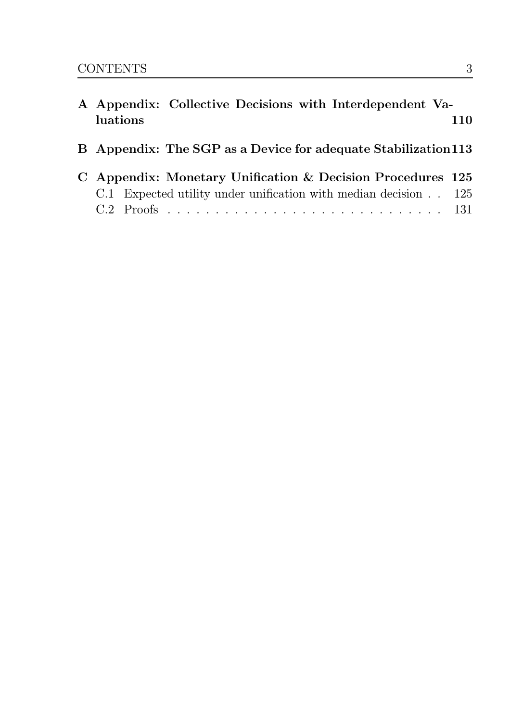| A Appendix: Collective Decisions with Interdependent Va-        |     |
|-----------------------------------------------------------------|-----|
| luations                                                        | 110 |
| B Appendix: The SGP as a Device for adequate Stabilization 113  |     |
| C Appendix: Monetary Unification & Decision Procedures 125      |     |
| C.1 Expected utility under unification with median decision 125 |     |
|                                                                 |     |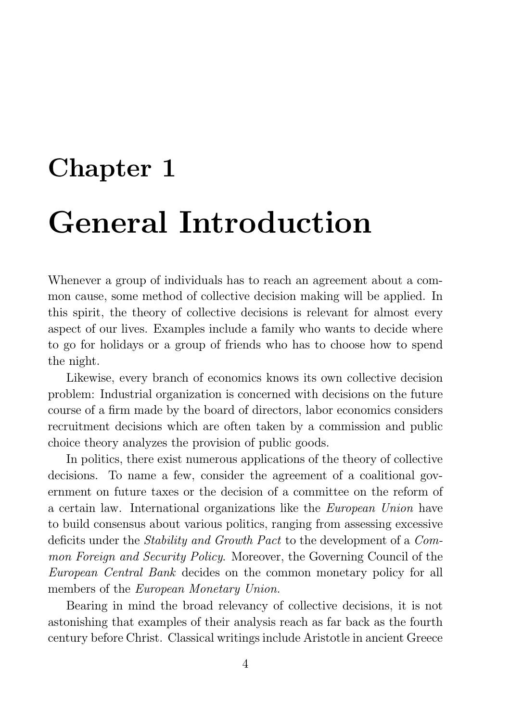# Chapter 1 **General Introduction**

Whenever a group of individuals has to reach an agreement about a common cause, some method of collective decision making will be applied. In this spirit, the theory of collective decisions is relevant for almost every aspect of our lives. Examples include a family who wants to decide where to go for holidays or a group of friends who has to choose how to spend the night.

Likewise, every branch of economics knows its own collective decision problem: Industrial organization is concerned with decisions on the future course of a firm made by the board of directors, labor economics considers recruitment decisions which are often taken by a commission and public choice theory analyzes the provision of public goods.

In politics, there exist numerous applications of the theory of collective decisions. To name a few, consider the agreement of a coalitional government on future taxes or the decision of a committee on the reform of a certain law. International organizations like the *European Union* have to build consensus about various politics, ranging from assessing excessive deficits under the *Stability and Growth Pact* to the development of a Com*mon Foreign and Security Policy.* Moreover, the Governing Council of the *European Central Bank* decides on the common monetary policy for all members of the *European Monetary Union*.

Bearing in mind the broad relevancy of collective decisions, it is not astonishing that examples of their analysis reach as far back as the fourth century before Christ. Classical writings include Aristotle in ancient Greece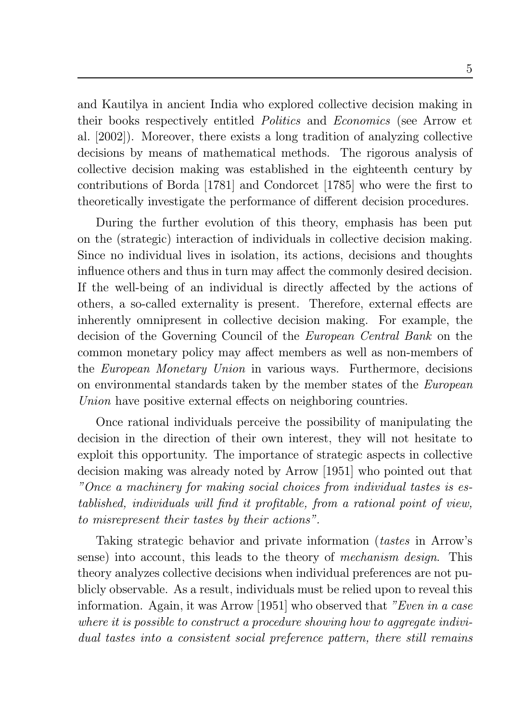and Kautilya in ancient India who explored collective decision making in their books respectively entitled *Politics* and *Economics* (see Arrow et al. [2002]). Moreover, there exists a long tradition of analyzing collective decisions by means of mathematical methods. The rigorous analysis of collective decision making was established in the eighteenth century by contributions of Borda [1781] and Condorcet [1785] who were the first to theoretically investigate the performance of different decision procedures.

During the further evolution of this theory, emphasis has been put on the (strategic) interaction of individuals in collective decision making. Since no individual lives in isolation, its actions, decisions and thoughts influence others and thus in turn may affect the commonly desired decision. If the well-being of an individual is directly affected by the actions of others, a so-called externality is present. Therefore, external effects are inherently omnipresent in collective decision making. For example, the decision of the Governing Council of the *European Central Bank* on the common monetary policy may affect members as well as non-members of the *European Monetary Union* in various ways. Furthermore, decisions on environmental standards taken by the member states of the *European* Union have positive external effects on neighboring countries.

Once rational individuals perceive the possibility of manipulating the decision in the direction of their own interest, they will not hesitate to exploit this opportunity. The importance of strategic aspects in collective decision making was already noted by Arrow [1951] who pointed out that "Once a machinery for making social choices from individual tastes is established, individuals will find it profitable, from a rational point of view, to misrepresent their tastes by their actions".

Taking strategic behavior and private information *(tastes* in Arrow's sense) into account, this leads to the theory of *mechanism design*. This theory analyzes collective decisions when individual preferences are not publicly observable. As a result, individuals must be relied upon to reveal this information. Again, it was Arrow [1951] who observed that "Even in a case" where it is possible to construct a procedure showing how to aggregate individual tastes into a consistent social preference pattern, there still remains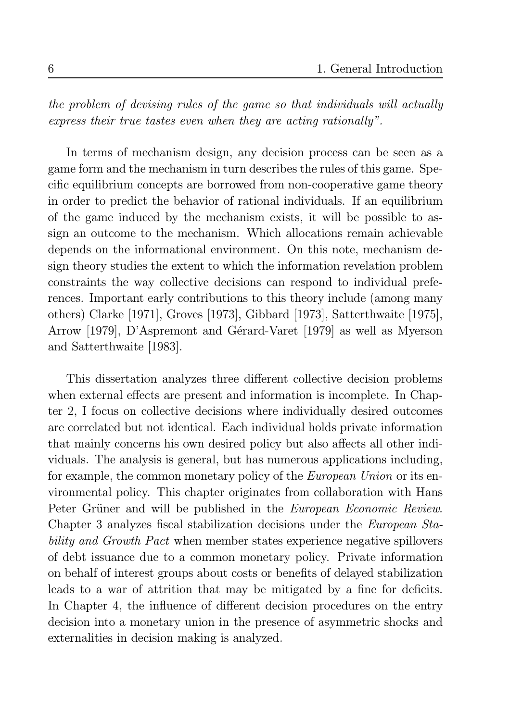the problem of devising rules of the game so that individuals will actually express their true tastes even when they are acting rationally".

In terms of mechanism design, any decision process can be seen as a game form and the mechanism in turn describes the rules of this game. Specific equilibrium concepts are borrowed from non-cooperative game theory in order to predict the behavior of rational individuals. If an equilibrium of the game induced by the mechanism exists, it will be possible to assign an outcome to the mechanism. Which allocations remain achievable depends on the informational environment. On this note, mechanism design theory studies the extent to which the information revelation problem constraints the way collective decisions can respond to individual preferences. Important early contributions to this theory include (among many others) Clarke [1971], Groves [1973], Gibbard [1973], Satterthwaite [1975], Arrow [1979], D'Aspremont and Gérard-Varet [1979] as well as Myerson and Satterthwaite [1983].

This dissertation analyzes three different collective decision problems when external effects are present and information is incomplete. In Chapter 2, I focus on collective decisions where individually desired outcomes are correlated but not identical. Each individual holds private information that mainly concerns his own desired policy but also affects all other individuals. The analysis is general, but has numerous applications including, for example, the common monetary policy of the *European Union* or its environmental policy. This chapter originates from collaboration with Hans Peter Grüner and will be published in the *European Economic Review*. Chapter 3 analyzes fiscal stabilization decisions under the *European Sta*bility and Growth Pact when member states experience negative spillovers of debt issuance due to a common monetary policy. Private information on behalf of interest groups about costs or benefits of delayed stabilization leads to a war of attrition that may be mitigated by a fine for deficits. In Chapter 4, the influence of different decision procedures on the entry decision into a monetary union in the presence of asymmetric shocks and externalities in decision making is analyzed.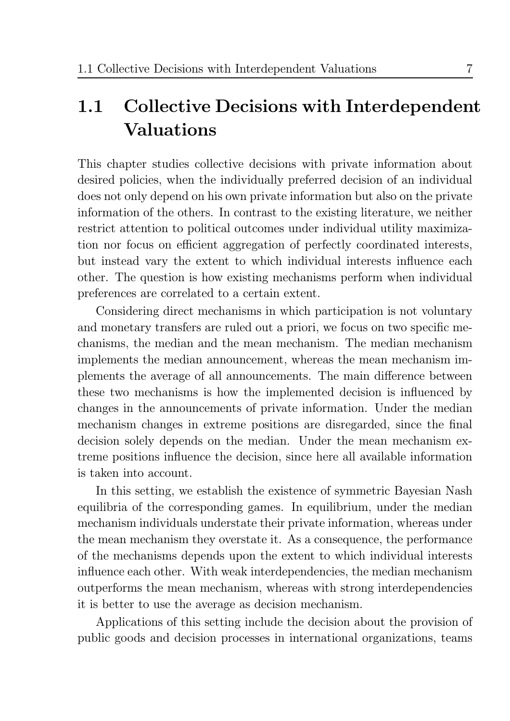## **Collective Decisions with Interdependent**  $1.1$ **Valuations**

This chapter studies collective decisions with private information about desired policies, when the individually preferred decision of an individual does not only depend on his own private information but also on the private information of the others. In contrast to the existing literature, we neither restrict attention to political outcomes under individual utility maximization nor focus on efficient aggregation of perfectly coordinated interests, but instead vary the extent to which individual interests influence each other. The question is how existing mechanisms perform when individual preferences are correlated to a certain extent.

Considering direct mechanisms in which participation is not voluntary and monetary transfers are ruled out a priori, we focus on two specific mechanisms, the median and the mean mechanism. The median mechanism implements the median announcement, whereas the mean mechanism implements the average of all announcements. The main difference between these two mechanisms is how the implemented decision is influenced by changes in the announcements of private information. Under the median mechanism changes in extreme positions are disregarded, since the final decision solely depends on the median. Under the mean mechanism extreme positions influence the decision, since here all available information is taken into account.

In this setting, we establish the existence of symmetric Bayesian Nash equilibria of the corresponding games. In equilibrium, under the median mechanism individuals understate their private information, whereas under the mean mechanism they overstate it. As a consequence, the performance of the mechanisms depends upon the extent to which individual interests influence each other. With weak interdependencies, the median mechanism outperforms the mean mechanism, whereas with strong interdependencies it is better to use the average as decision mechanism.

Applications of this setting include the decision about the provision of public goods and decision processes in international organizations, teams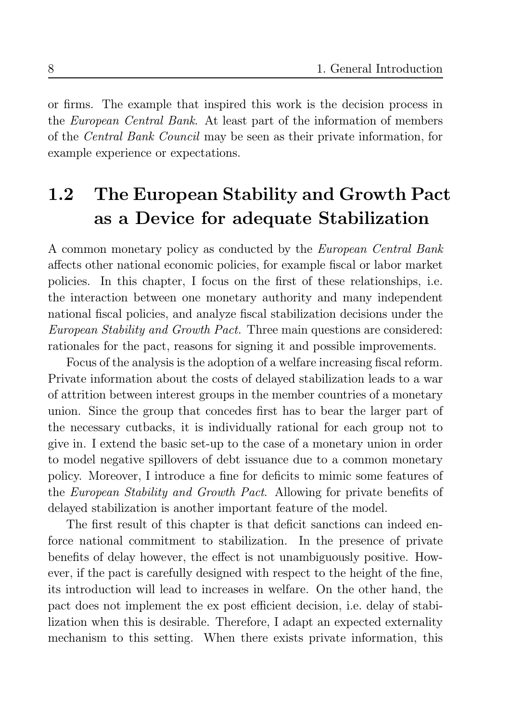or firms. The example that inspired this work is the decision process in the *European Central Bank*. At least part of the information of members of the *Central Bank Council* may be seen as their private information, for example experience or expectations.

### The European Stability and Growth Pact 1.2 as a Device for adequate Stabilization

A common monetary policy as conducted by the *European Central Bank* affects other national economic policies, for example fiscal or labor market policies. In this chapter, I focus on the first of these relationships, i.e. the interaction between one monetary authority and many independent national fiscal policies, and analyze fiscal stabilization decisions under the *European Stability and Growth Pact.* Three main questions are considered: rationales for the pact, reasons for signing it and possible improvements.

Focus of the analysis is the adoption of a welfare increasing fiscal reform. Private information about the costs of delayed stabilization leads to a war of attrition between interest groups in the member countries of a monetary union. Since the group that concedes first has to bear the larger part of the necessary cutbacks, it is individually rational for each group not to give in. I extend the basic set-up to the case of a monetary union in order to model negative spillovers of debt issuance due to a common monetary policy. Moreover, I introduce a fine for deficits to mimic some features of the *European Stability and Growth Pact.* Allowing for private benefits of delayed stabilization is another important feature of the model.

The first result of this chapter is that deficit sanctions can indeed enforce national commitment to stabilization. In the presence of private benefits of delay however, the effect is not unambiguously positive. However, if the pact is carefully designed with respect to the height of the fine, its introduction will lead to increases in welfare. On the other hand, the pact does not implement the ex post efficient decision, i.e. delay of stabilization when this is desirable. Therefore, I adapt an expected externality mechanism to this setting. When there exists private information, this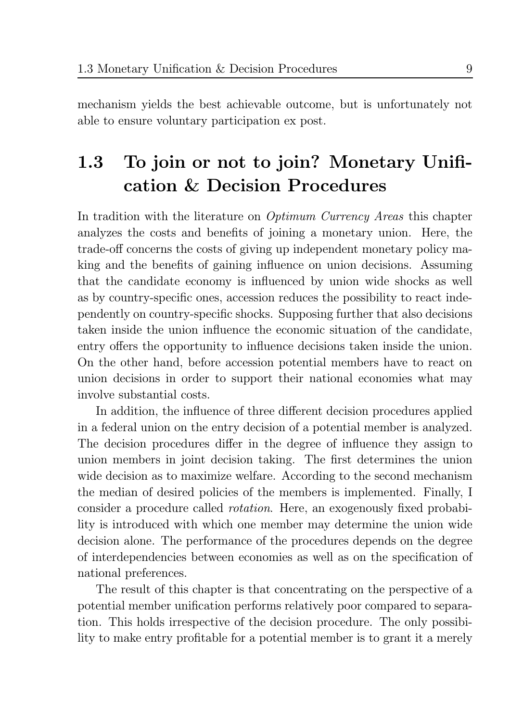mechanism yields the best achievable outcome, but is unfortunately not able to ensure voluntary participation ex post.

## To join or not to join? Monetary Unifi-1.3 cation & Decision Procedures

In tradition with the literature on *Optimum Currency Areas* this chapter analyzes the costs and benefits of joining a monetary union. Here, the trade-off concerns the costs of giving up independent monetary policy making and the benefits of gaining influence on union decisions. Assuming that the candidate economy is influenced by union wide shocks as well as by country-specific ones, accession reduces the possibility to react independently on country-specific shocks. Supposing further that also decisions taken inside the union influence the economic situation of the candidate, entry offers the opportunity to influence decisions taken inside the union. On the other hand, before accession potential members have to react on union decisions in order to support their national economies what may involve substantial costs.

In addition, the influence of three different decision procedures applied in a federal union on the entry decision of a potential member is analyzed. The decision procedures differ in the degree of influence they assign to union members in joint decision taking. The first determines the union wide decision as to maximize welfare. According to the second mechanism the median of desired policies of the members is implemented. Finally, I consider a procedure called *rotation*. Here, an exogenously fixed probability is introduced with which one member may determine the union wide decision alone. The performance of the procedures depends on the degree of interdependencies between economies as well as on the specification of national preferences.

The result of this chapter is that concentrating on the perspective of a potential member unification performs relatively poor compared to separation. This holds irrespective of the decision procedure. The only possibility to make entry profitable for a potential member is to grant it a merely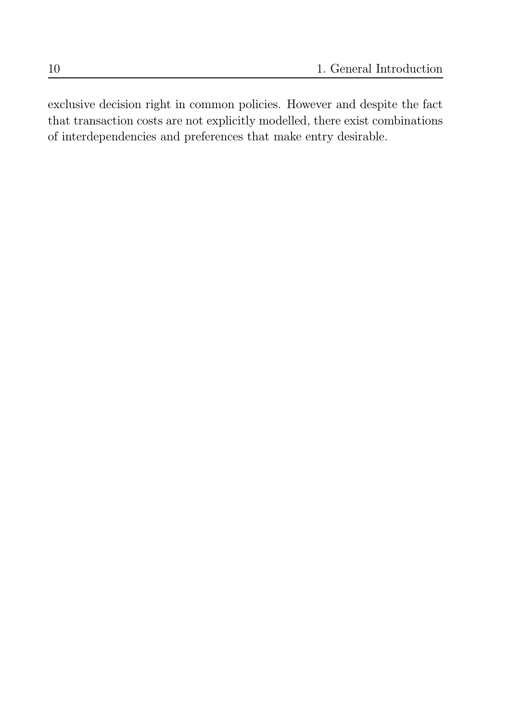exclusive decision right in common policies. However and despite the fact that transaction costs are not explicitly modelled, there exist combinations of interdependencies and preferences that make entry desirable.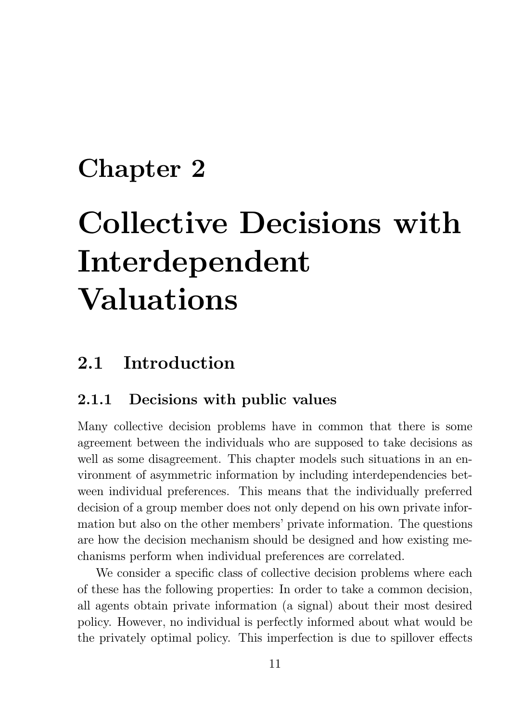# **Chapter 2**

# **Collective Decisions with** Interdependent **Valuations**

#### Introduction 2.1

#### 2.1.1 Decisions with public values

Many collective decision problems have in common that there is some agreement between the individuals who are supposed to take decisions as well as some disagreement. This chapter models such situations in an environment of asymmetric information by including interdependencies between individual preferences. This means that the individually preferred decision of a group member does not only depend on his own private information but also on the other members' private information. The questions are how the decision mechanism should be designed and how existing mechanisms perform when individual preferences are correlated.

We consider a specific class of collective decision problems where each of these has the following properties: In order to take a common decision, all agents obtain private information (a signal) about their most desired policy. However, no individual is perfectly informed about what would be the privately optimal policy. This imperfection is due to spillover effects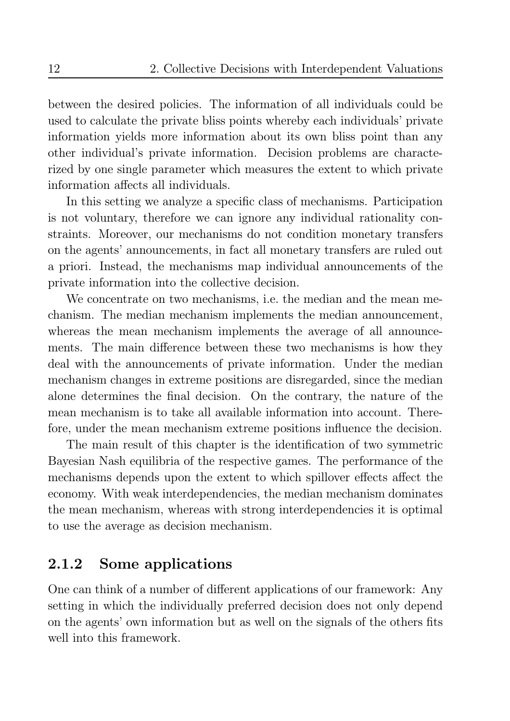between the desired policies. The information of all individuals could be used to calculate the private bliss points whereby each individuals' private information yields more information about its own bliss point than any other individual's private information. Decision problems are characterized by one single parameter which measures the extent to which private information affects all individuals.

In this setting we analyze a specific class of mechanisms. Participation is not voluntary, therefore we can ignore any individual rationality constraints. Moreover, our mechanisms do not condition monetary transfers on the agents' announcements, in fact all monetary transfers are ruled out a priori. Instead, the mechanisms map individual announcements of the private information into the collective decision.

We concentrate on two mechanisms, i.e. the median and the mean mechanism. The median mechanism implements the median announcement, whereas the mean mechanism implements the average of all announcements. The main difference between these two mechanisms is how they deal with the announcements of private information. Under the median mechanism changes in extreme positions are disregarded, since the median alone determines the final decision. On the contrary, the nature of the mean mechanism is to take all available information into account. Therefore, under the mean mechanism extreme positions influence the decision.

The main result of this chapter is the identification of two symmetric Bayesian Nash equilibria of the respective games. The performance of the mechanisms depends upon the extent to which spillover effects affect the economy. With weak interdependencies, the median mechanism dominates the mean mechanism, whereas with strong interdependencies it is optimal to use the average as decision mechanism.

#### Some applications 2.1.2

One can think of a number of different applications of our framework: Any setting in which the individually preferred decision does not only depend on the agents' own information but as well on the signals of the others fits well into this framework.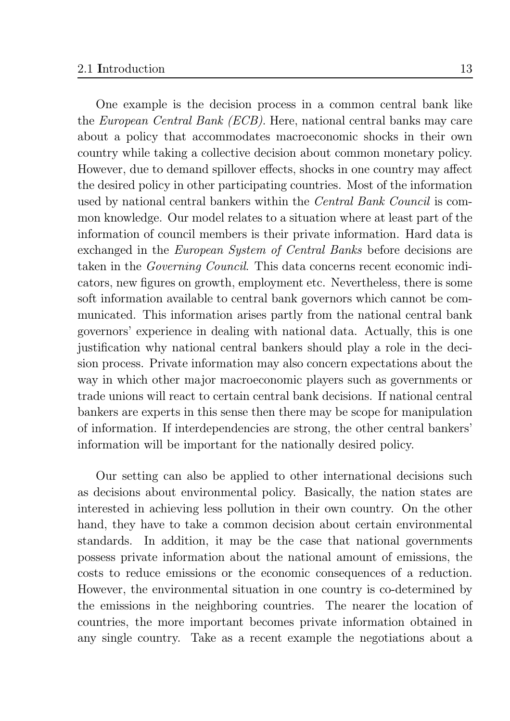13

One example is the decision process in a common central bank like the *European Central Bank (ECB)*. Here, national central banks may care about a policy that accommodates macroeconomic shocks in their own country while taking a collective decision about common monetary policy. However, due to demand spillover effects, shocks in one country may affect the desired policy in other participating countries. Most of the information used by national central bankers within the *Central Bank Council* is common knowledge. Our model relates to a situation where at least part of the information of council members is their private information. Hard data is exchanged in the *European System of Central Banks* before decisions are taken in the *Governing Council*. This data concerns recent economic indicators, new figures on growth, employment etc. Nevertheless, there is some soft information available to central bank governors which cannot be communicated. This information arises partly from the national central bank governors' experience in dealing with national data. Actually, this is one justification why national central bankers should play a role in the decision process. Private information may also concern expectations about the way in which other major macroeconomic players such as governments or trade unions will react to certain central bank decisions. If national central bankers are experts in this sense then there may be scope for manipulation of information. If interdependencies are strong, the other central bankers' information will be important for the nationally desired policy.

Our setting can also be applied to other international decisions such as decisions about environmental policy. Basically, the nation states are interested in achieving less pollution in their own country. On the other hand, they have to take a common decision about certain environmental standards. In addition, it may be the case that national governments possess private information about the national amount of emissions, the costs to reduce emissions or the economic consequences of a reduction. However, the environmental situation in one country is co-determined by the emissions in the neighboring countries. The nearer the location of countries, the more important becomes private information obtained in any single country. Take as a recent example the negotiations about a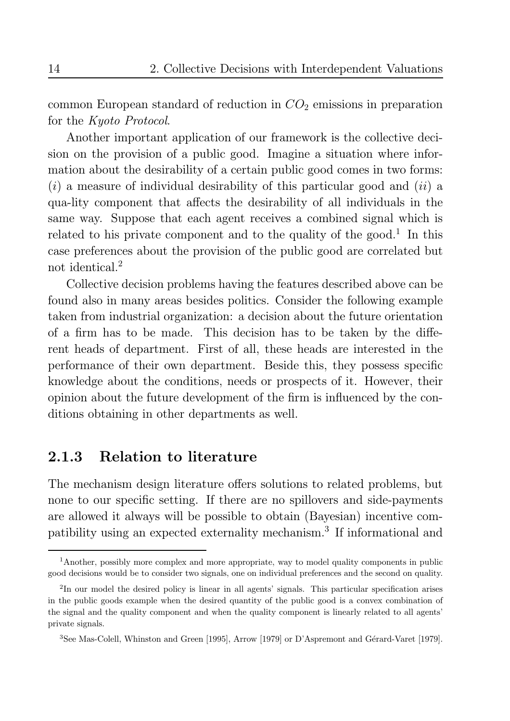common European standard of reduction in  $CO<sub>2</sub>$  emissions in preparation for the Kyoto Protocol.

Another important application of our framework is the collective decision on the provision of a public good. Imagine a situation where information about the desirability of a certain public good comes in two forms:  $(i)$  a measure of individual desirability of this particular good and  $(ii)$  a qua-lity component that affects the desirability of all individuals in the same way. Suppose that each agent receives a combined signal which is related to his private component and to the quality of the good.<sup>1</sup> In this case preferences about the provision of the public good are correlated but not identical.<sup>2</sup>

Collective decision problems having the features described above can be found also in many areas besides politics. Consider the following example taken from industrial organization: a decision about the future orientation of a firm has to be made. This decision has to be taken by the different heads of department. First of all, these heads are interested in the performance of their own department. Beside this, they possess specific knowledge about the conditions, needs or prospects of it. However, their opinion about the future development of the firm is influenced by the conditions obtaining in other departments as well.

#### **Relation to literature** 2.1.3

The mechanism design literature offers solutions to related problems, but none to our specific setting. If there are no spillovers and side-payments are allowed it always will be possible to obtain (Bayesian) incentive compatibility using an expected externality mechanism.<sup>3</sup> If informational and

<sup>&</sup>lt;sup>1</sup>Another, possibly more complex and more appropriate, way to model quality components in public good decisions would be to consider two signals, one on individual preferences and the second on quality.

<sup>&</sup>lt;sup>2</sup>In our model the desired policy is linear in all agents' signals. This particular specification arises in the public goods example when the desired quantity of the public good is a convex combination of the signal and the quality component and when the quality component is linearly related to all agents' private signals.

<sup>&</sup>lt;sup>3</sup>See Mas-Colell, Whinston and Green [1995], Arrow [1979] or D'Aspremont and Gérard-Varet [1979].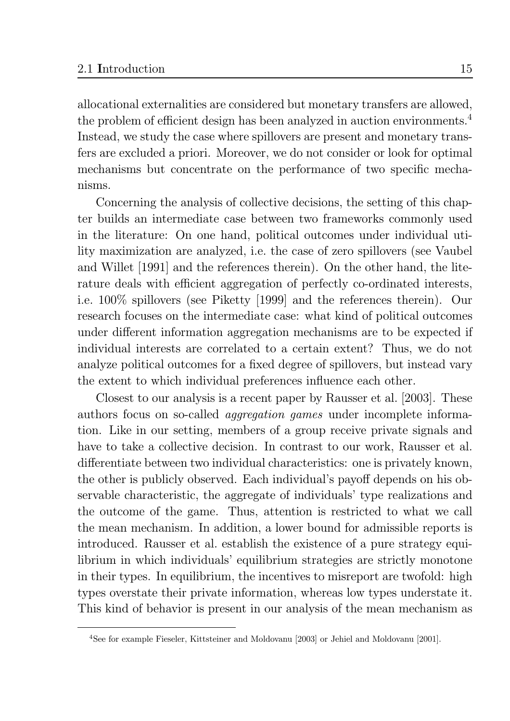allocational externalities are considered but monetary transfers are allowed, the problem of efficient design has been analyzed in auction environments.<sup>4</sup> Instead, we study the case where spillovers are present and monetary transfers are excluded a priori. Moreover, we do not consider or look for optimal mechanisms but concentrate on the performance of two specific mechanisms.

Concerning the analysis of collective decisions, the setting of this chapter builds an intermediate case between two frameworks commonly used in the literature: On one hand, political outcomes under individual utility maximization are analyzed, i.e. the case of zero spillovers (see Vaubel and Willet [1991] and the references therein). On the other hand, the literature deals with efficient aggregation of perfectly co-ordinated interests, i.e. 100% spillovers (see Piketty [1999] and the references therein). Our research focuses on the intermediate case: what kind of political outcomes under different information aggregation mechanisms are to be expected if individual interests are correlated to a certain extent? Thus, we do not analyze political outcomes for a fixed degree of spillovers, but instead vary the extent to which individual preferences influence each other.

Closest to our analysis is a recent paper by Rausser et al. [2003]. These authors focus on so-called *aggregation games* under incomplete information. Like in our setting, members of a group receive private signals and have to take a collective decision. In contrast to our work, Rausser et al. differentiate between two individual characteristics: one is privately known, the other is publicly observed. Each individual's payoff depends on his observable characteristic, the aggregate of individuals' type realizations and the outcome of the game. Thus, attention is restricted to what we call the mean mechanism. In addition, a lower bound for admissible reports is introduced. Rausser et al. establish the existence of a pure strategy equilibrium in which individuals' equilibrium strategies are strictly monotone in their types. In equilibrium, the incentives to misreport are twofold: high types overstate their private information, whereas low types understate it. This kind of behavior is present in our analysis of the mean mechanism as

<sup>&</sup>lt;sup>4</sup>See for example Fieseler, Kittsteiner and Moldovanu [2003] or Jehiel and Moldovanu [2001].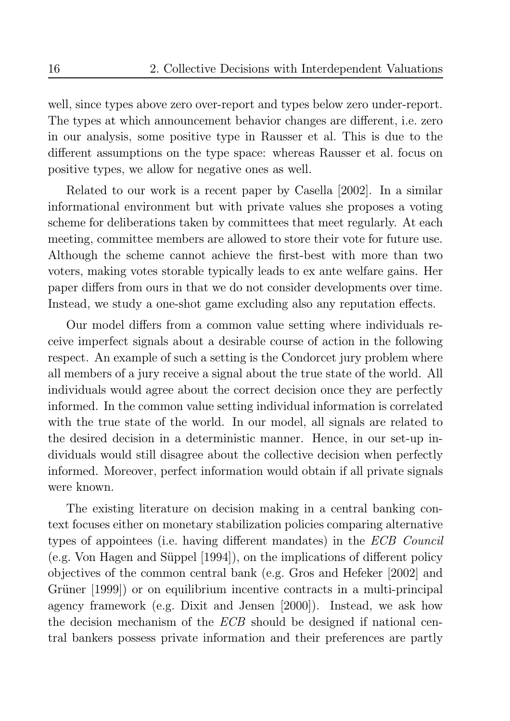well, since types above zero over-report and types below zero under-report. The types at which announcement behavior changes are different, i.e. zero in our analysis, some positive type in Rausser et al. This is due to the different assumptions on the type space: whereas Rausser et al. focus on positive types, we allow for negative ones as well.

Related to our work is a recent paper by Casella [2002]. In a similar informational environment but with private values she proposes a voting scheme for deliberations taken by committees that meet regularly. At each meeting, committee members are allowed to store their vote for future use. Although the scheme cannot achieve the first-best with more than two voters, making votes storable typically leads to ex ante welfare gains. Her paper differs from ours in that we do not consider developments over time. Instead, we study a one-shot game excluding also any reputation effects.

Our model differs from a common value setting where individuals receive imperfect signals about a desirable course of action in the following respect. An example of such a setting is the Condorcet jury problem where all members of a jury receive a signal about the true state of the world. All individuals would agree about the correct decision once they are perfectly informed. In the common value setting individual information is correlated with the true state of the world. In our model, all signals are related to the desired decision in a deterministic manner. Hence, in our set-up individuals would still disagree about the collective decision when perfectly informed. Moreover, perfect information would obtain if all private signals were known.

The existing literature on decision making in a central banking context focuses either on monetary stabilization policies comparing alternative types of appointees (i.e. having different mandates) in the ECB Council (e.g. Von Hagen and Süppel  $[1994]$ ), on the implications of different policy objectives of the common central bank (e.g. Gros and Hefeker [2002] and Grüner [1999]) or on equilibrium incentive contracts in a multi-principal agency framework (e.g. Dixit and Jensen [2000]). Instead, we ask how the decision mechanism of the *ECB* should be designed if national central bankers possess private information and their preferences are partly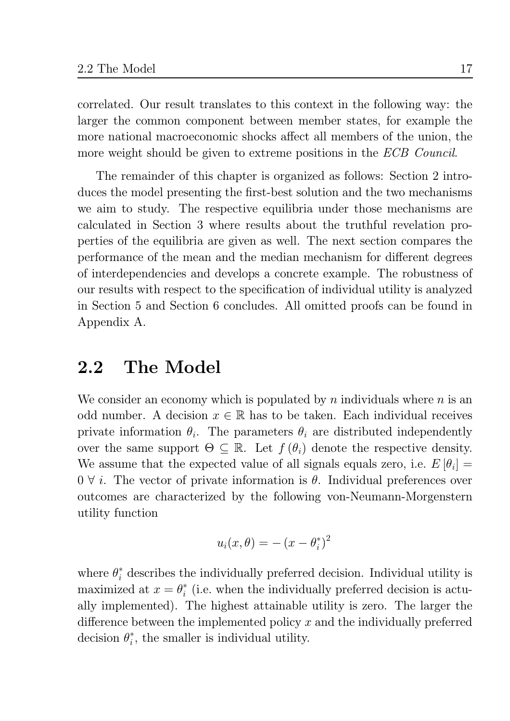correlated. Our result translates to this context in the following way: the larger the common component between member states, for example the more national macroeconomic shocks affect all members of the union, the more weight should be given to extreme positions in the *ECB Council*.

The remainder of this chapter is organized as follows: Section 2 introduces the model presenting the first-best solution and the two mechanisms we aim to study. The respective equilibria under those mechanisms are calculated in Section 3 where results about the truthful revelation properties of the equilibria are given as well. The next section compares the performance of the mean and the median mechanism for different degrees of interdependencies and develops a concrete example. The robustness of our results with respect to the specification of individual utility is analyzed in Section 5 and Section 6 concludes. All omitted proofs can be found in Appendix A.

#### The Model 2.2

We consider an economy which is populated by n individuals where  $n$  is an odd number. A decision  $x \in \mathbb{R}$  has to be taken. Each individual receives private information  $\theta_i$ . The parameters  $\theta_i$  are distributed independently over the same support  $\Theta \subseteq \mathbb{R}$ . Let  $f(\theta_i)$  denote the respective density. We assume that the expected value of all signals equals zero, i.e.  $E[\theta_i] =$  $0 \forall i$ . The vector of private information is  $\theta$ . Individual preferences over outcomes are characterized by the following von-Neumann-Morgenstern utility function

$$
u_i(x,\theta) = -(x-\theta_i^*)^2
$$

where  $\theta_i^*$  describes the individually preferred decision. Individual utility is maximized at  $x = \theta_i^*$  (i.e. when the individually preferred decision is actually implemented). The highest attainable utility is zero. The larger the difference between the implemented policy  $x$  and the individually preferred decision  $\theta_i^*$ , the smaller is individual utility.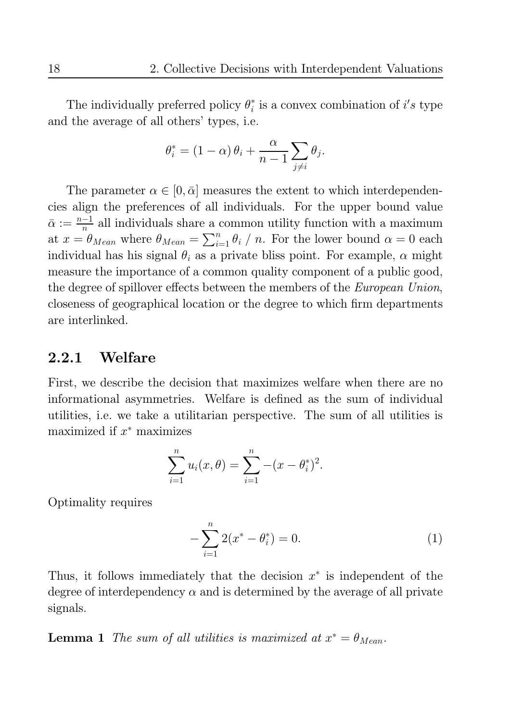The individually preferred policy  $\theta_i^*$  is a convex combination of i's type and the average of all others' types, i.e.

$$
\theta_i^* = (1 - \alpha) \theta_i + \frac{\alpha}{n-1} \sum_{j \neq i} \theta_j.
$$

The parameter  $\alpha \in [0, \bar{\alpha}]$  measures the extent to which interdependencies align the preferences of all individuals. For the upper bound value  $\bar{\alpha} := \frac{n-1}{n}$  all individuals share a common utility function with a maximum at  $x = \theta_{Mean}$  where  $\theta_{Mean} = \sum_{i=1}^{n} \theta_i / n$ . For the lower bound  $\alpha = 0$  each individual has his signal  $\theta_i$  as a private bliss point. For example,  $\alpha$  might measure the importance of a common quality component of a public good, the degree of spillover effects between the members of the *European Union*, closeness of geographical location or the degree to which firm departments are interlinked.

#### $2.2.1$ Welfare

First, we describe the decision that maximizes welfare when there are no informational asymmetries. Welfare is defined as the sum of individual utilities, i.e. we take a utilitarian perspective. The sum of all utilities is maximized if  $x^*$  maximizes

$$
\sum_{i=1}^{n} u_i(x, \theta) = \sum_{i=1}^{n} -(x - \theta_i^*)^2.
$$

Optimality requires

$$
-\sum_{i=1}^{n} 2(x^* - \theta_i^*) = 0.
$$
 (1)

Thus, it follows immediately that the decision  $x^*$  is independent of the degree of interdependency  $\alpha$  and is determined by the average of all private signals.

**Lemma 1** The sum of all utilities is maximized at  $x^* = \theta_{Mean}$ .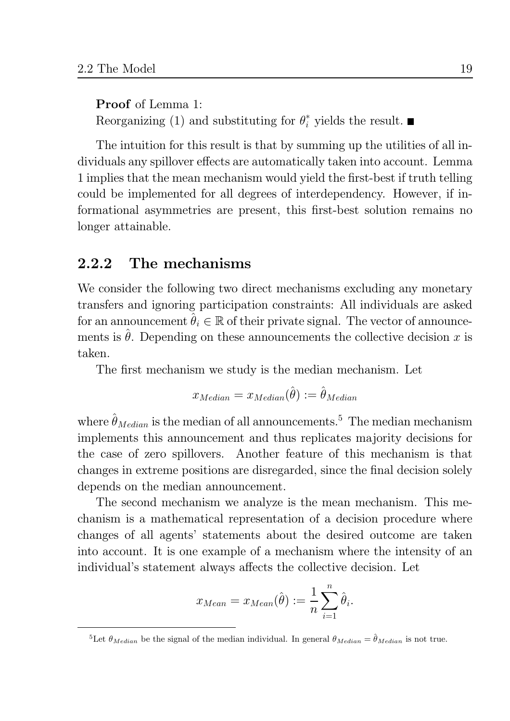**Proof** of Lemma 1: Reorganizing (1) and substituting for  $\theta_i^*$  yields the result.  $\blacksquare$ 

The intuition for this result is that by summing up the utilities of all individuals any spillover effects are automatically taken into account. Lemma 1 implies that the mean mechanism would yield the first-best if truth telling could be implemented for all degrees of interdependency. However, if informational asymmetries are present, this first-best solution remains no longer attainable.

#### 2.2.2 The mechanisms

We consider the following two direct mechanisms excluding any monetary transfers and ignoring participation constraints: All individuals are asked for an announcement  $\hat{\theta}_i \in \mathbb{R}$  of their private signal. The vector of announcements is  $\hat{\theta}$ . Depending on these announcements the collective decision x is taken.

The first mechanism we study is the median mechanism. Let

$$
x_{Median} = x_{Median}(\hat{\theta}) := \hat{\theta}_{Median}
$$

where  $\hat{\theta}_{Median}$  is the median of all announcements.<sup>5</sup> The median mechanism implements this announcement and thus replicates majority decisions for the case of zero spillovers. Another feature of this mechanism is that changes in extreme positions are disregarded, since the final decision solely depends on the median announcement.

The second mechanism we analyze is the mean mechanism. This mechanism is a mathematical representation of a decision procedure where changes of all agents' statements about the desired outcome are taken into account. It is one example of a mechanism where the intensity of an individual's statement always affects the collective decision. Let

$$
x_{Mean} = x_{Mean}(\hat{\theta}) := \frac{1}{n} \sum_{i=1}^{n} \hat{\theta}_i.
$$

<sup>&</sup>lt;sup>5</sup>Let  $\theta_{Median}$  be the signal of the median individual. In general  $\theta_{Median} = \hat{\theta}_{Median}$  is not true.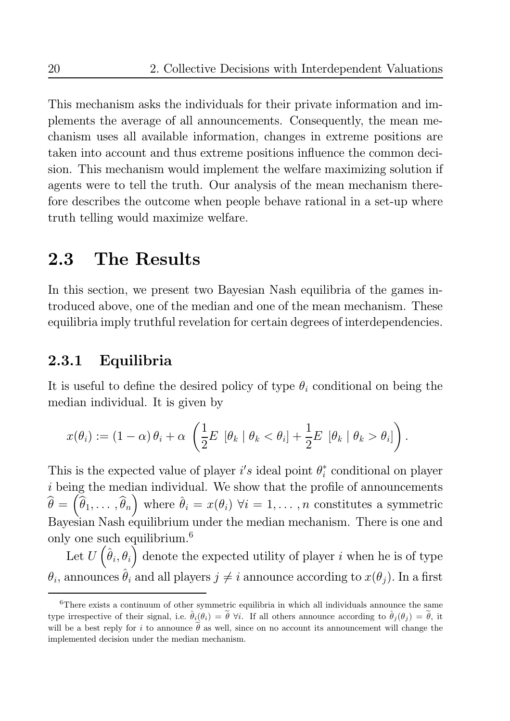This mechanism asks the individuals for their private information and implements the average of all announcements. Consequently, the mean mechanism uses all available information, changes in extreme positions are taken into account and thus extreme positions influence the common decision. This mechanism would implement the welfare maximizing solution if agents were to tell the truth. Our analysis of the mean mechanism therefore describes the outcome when people behave rational in a set-up where truth telling would maximize welfare.

#### 2.3 The Results

In this section, we present two Bayesian Nash equilibria of the games introduced above, one of the median and one of the mean mechanism. These equilibria imply truthful revelation for certain degrees of interdependencies.

#### 2.3.1 Equilibria

It is useful to define the desired policy of type  $\theta_i$  conditional on being the median individual. It is given by

$$
x(\theta_i) := (1-\alpha)\,\theta_i + \alpha\,\left(\frac{1}{2}E\,\left[\theta_k\mid \theta_k < \theta_i\right] + \frac{1}{2}E\,\left[\theta_k\mid \theta_k > \theta_i\right]\right).
$$

This is the expected value of player i's ideal point  $\theta_i^*$  conditional on player  $i$  being the median individual. We show that the profile of announcements  $\widehat{\theta} = (\widehat{\theta}_1, \dots, \widehat{\theta}_n)$  where  $\widehat{\theta}_i = x(\theta_i)$   $\forall i = 1, \dots, n$  constitutes a symmetric Bayesian Nash equilibrium under the median mechanism. There is one and only one such equilibrium.<sup>6</sup>

Let  $U\left(\hat{\theta}_i, \theta_i\right)$  denote the expected utility of player i when he is of type  $\theta_i$ , announces  $\hat{\theta}_i$  and all players  $j \neq i$  announce according to  $x(\theta_j)$ . In a first

 ${}^6$ There exists a continuum of other symmetric equilibria in which all individuals announce the same type irrespective of their signal, i.e.  $\hat{\theta}_i(\theta_i) = \tilde{\theta}$   $\forall i$ . If all others announce according to  $\hat{\theta}_i(\theta_i) = \tilde{\theta}$ , it will be a best reply for i to announce  $\tilde{\theta}$  as well, since on no account its announcement will change the implemented decision under the median mechanism.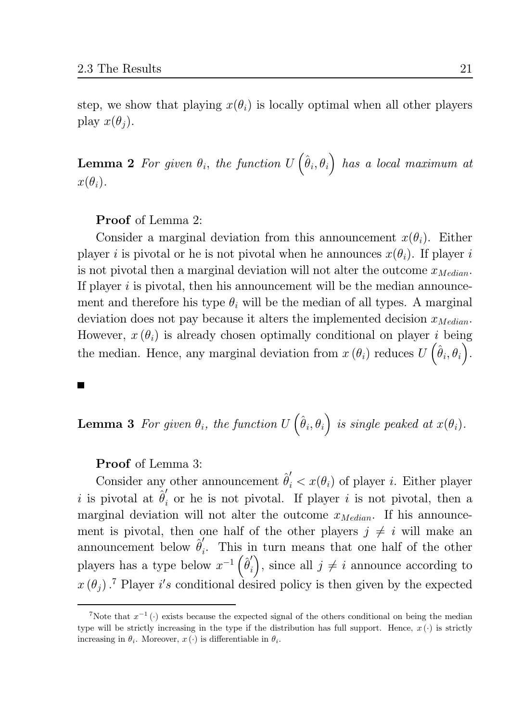step, we show that playing  $x(\theta_i)$  is locally optimal when all other players play  $x(\theta_i)$ .

**Lemma 2** For given  $\theta_i$ , the function  $U(\hat{\theta}_i, \theta_i)$  has a local maximum at  $x(\theta_i)$ .

**Proof** of Lemma 2:

Consider a marginal deviation from this announcement  $x(\theta_i)$ . Either player i is pivotal or he is not pivotal when he announces  $x(\theta_i)$ . If player i is not pivotal then a marginal deviation will not alter the outcome  $x_{Median}$ . If player  $i$  is pivotal, then his announcement will be the median announcement and therefore his type  $\theta_i$  will be the median of all types. A marginal deviation does not pay because it alters the implemented decision  $x_{Median}$ . However,  $x(\theta_i)$  is already chosen optimally conditional on player i being the median. Hence, any marginal deviation from  $x(\theta_i)$  reduces  $U(\hat{\theta}_i, \theta_i)$ .

**Lemma 3** For given  $\theta_i$ , the function  $U\left(\hat{\theta}_i, \theta_i\right)$  is single peaked at  $x(\theta_i)$ .

**Proof** of Lemma 3:

Consider any other announcement  $\hat{\theta}'_i < x(\theta_i)$  of player *i*. Either player i is pivotal at  $\hat{\theta}'_i$  or he is not pivotal. If player i is not pivotal, then a marginal deviation will not alter the outcome  $x_{Median}$ . If his announcement is pivotal, then one half of the other players  $j \neq i$  will make an announcement below  $\hat{\theta}'_i$ . This in turn means that one half of the other players has a type below  $x^{-1}(\hat{\theta}'_i)$ , since all  $j \neq i$  announce according to  $x(\theta_i)$ .<sup>7</sup> Player i's conditional desired policy is then given by the expected

<sup>&</sup>lt;sup>7</sup>Note that  $x^{-1}$  (.) exists because the expected signal of the others conditional on being the median type will be strictly increasing in the type if the distribution has full support. Hence,  $x(\cdot)$  is strictly increasing in  $\theta_i$ . Moreover,  $x(\cdot)$  is differentiable in  $\theta_i$ .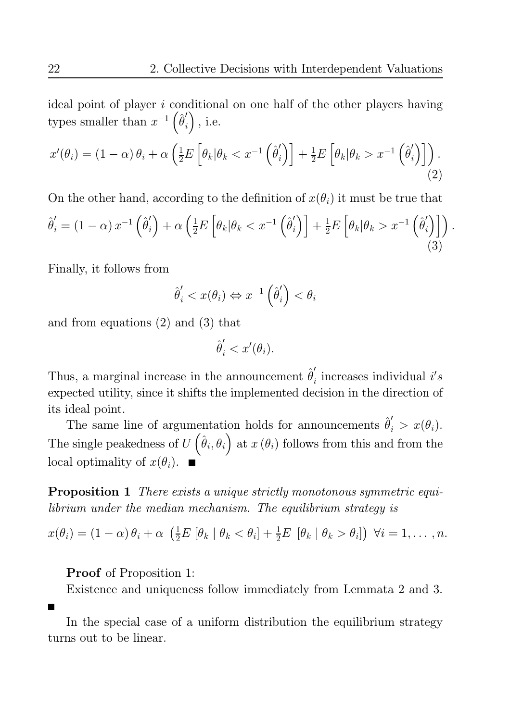ideal point of player i conditional on one half of the other players having types smaller than  $x^{-1}(\hat{\theta}'_i)$ , i.e.

$$
x'(\theta_i) = (1 - \alpha)\theta_i + \alpha \left(\frac{1}{2}E\left[\theta_k|\theta_k < x^{-1}\left(\hat{\theta}'_i\right)\right] + \frac{1}{2}E\left[\theta_k|\theta_k > x^{-1}\left(\hat{\theta}'_i\right)\right]\right). \tag{2}
$$

On the other hand, according to the definition of  $x(\theta_i)$  it must be true that  $\hat{\theta}_i' = \left(1-\alpha\right)x^{-1}\left(\hat{\theta}_i'\right) + \alpha\left(\tfrac{1}{2}E\left[\theta_k|\theta_k < x^{-1}\left(\hat{\theta}_i'\right)\right] + \tfrac{1}{2}E\left[\theta_k|\theta_k > x^{-1}\left(\hat{\theta}_i'\right)\right]\right).$ 

Finally, it follows from

$$
\hat{\theta}'_i < x(\theta_i) \Leftrightarrow x^{-1} \left( \hat{\theta}'_i \right) < \theta_i
$$

and from equations  $(2)$  and  $(3)$  that

$$
\hat{\theta}'_i < x'(\theta_i).
$$

Thus, a marginal increase in the announcement  $\hat{\theta}'_i$  increases individual i's expected utility, since it shifts the implemented decision in the direction of its ideal point.

The same line of argumentation holds for announcements  $\hat{\theta}'_i > x(\theta_i)$ . The single peakedness of  $U(\hat{\theta}_i, \theta_i)$  at  $x(\theta_i)$  follows from this and from the local optimality of  $x(\theta_i)$ .

**Proposition 1** There exists a unique strictly monotonous symmetric equilibrium under the median mechanism. The equilibrium strategy is

$$
x(\theta_i) = (1-\alpha)\theta_i + \alpha \left(\frac{1}{2}E[\theta_k \mid \theta_k < \theta_i] + \frac{1}{2}E[\theta_k \mid \theta_k > \theta_i]\right) \forall i = 1,\ldots,n.
$$

**Proof** of Proposition 1:

Existence and uniqueness follow immediately from Lemmata 2 and 3.

In the special case of a uniform distribution the equilibrium strategy turns out to be linear.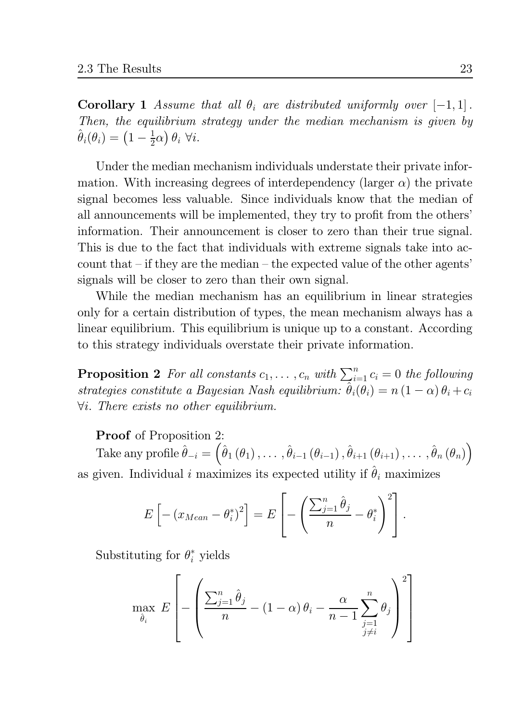**Corollary 1** Assume that all  $\theta_i$  are distributed uniformly over  $[-1, 1]$ . Then, the equilibrium strategy under the median mechanism is given by  $\hat{\theta}_i(\theta_i) = \left(1 - \frac{1}{2}\alpha\right)\theta_i \,\,\forall i.$ 

Under the median mechanism individuals understate their private information. With increasing degrees of interdependency (larger  $\alpha$ ) the private signal becomes less valuable. Since individuals know that the median of all announcements will be implemented, they try to profit from the others' information. Their announcement is closer to zero than their true signal. This is due to the fact that individuals with extreme signals take into account that  $-$  if they are the median  $-$  the expected value of the other agents' signals will be closer to zero than their own signal.

While the median mechanism has an equilibrium in linear strategies only for a certain distribution of types, the mean mechanism always has a linear equilibrium. This equilibrium is unique up to a constant. According to this strategy individuals overstate their private information.

**Proposition 2** For all constants  $c_1, \ldots, c_n$  with  $\sum_{i=1}^n c_i = 0$  the following strategies constitute a Bayesian Nash equilibrium:  $\hat{\theta}_i(\theta_i) = n(1-\alpha)\theta_i + c_i$  $\forall i$ . There exists no other equilibrium.

**Proof** of Proposition 2:

Take any profile  $\hat{\theta}_{-i} = (\hat{\theta}_1(\theta_1), \ldots, \hat{\theta}_{i-1}(\theta_{i-1}), \hat{\theta}_{i+1}(\theta_{i+1}), \ldots, \hat{\theta}_n(\theta_n))$ as given. Individual i maximizes its expected utility if  $\hat{\theta}_i$  maximizes

$$
E\left[-\left(x_{Mean} - \theta_i^*\right)^2\right] = E\left[-\left(\frac{\sum_{j=1}^n \hat{\theta}_j}{n} - \theta_i^*\right)^2\right].
$$

Substituting for  $\theta_i^*$  yields

$$
\max_{\hat{\theta}_i} E\left[-\left(\frac{\sum_{j=1}^n \hat{\theta}_j}{n} - (1-\alpha)\theta_i - \frac{\alpha}{n-1}\sum_{\substack{j=1 \ j\neq i}}^n \theta_j\right)^2\right]
$$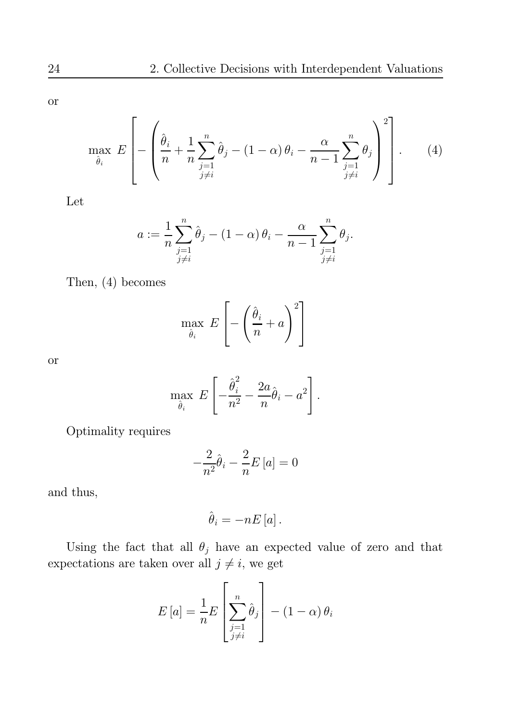$\overline{\text{or}}$ 

$$
\max_{\hat{\theta}_i} E\left[ -\left( \frac{\hat{\theta}_i}{n} + \frac{1}{n} \sum_{\substack{j=1 \ j \neq i}}^n \hat{\theta}_j - (1 - \alpha) \theta_i - \frac{\alpha}{n-1} \sum_{\substack{j=1 \ j \neq i}}^n \theta_j \right)^2 \right].
$$
 (4)

Let

$$
a := \frac{1}{n} \sum_{\substack{j=1 \ j \neq i}}^n \hat{\theta}_j - (1 - \alpha) \theta_i - \frac{\alpha}{n-1} \sum_{\substack{j=1 \ j \neq i}}^n \theta_j.
$$

Then,  $(4)$  becomes

$$
\max_{\hat{\theta}_i} \ E\left[-\left(\frac{\hat{\theta}_i}{n} + a\right)^2\right]
$$

 $\overline{\text{or}}$ 

$$
\max_{\hat{\theta}_i} E\left[-\frac{\hat{\theta}_i^2}{n^2} - \frac{2a}{n}\hat{\theta}_i - a^2\right].
$$

Optimality requires

$$
-\frac{2}{n^2}\hat{\theta}_i - \frac{2}{n}E[a] = 0
$$

and thus,

$$
\hat{\theta}_{i}=-nE\left[a\right].
$$

Using the fact that all 
$$
\theta_j
$$
 have an expected value of zero and that expectations are taken over all  $j \neq i$ , we get

$$
E\left[a\right] = \frac{1}{n}E\left[\sum_{\substack{j=1\\j\neq i}}^{n} \hat{\theta}_{j}\right] - \left(1 - \alpha\right)\theta_{i}
$$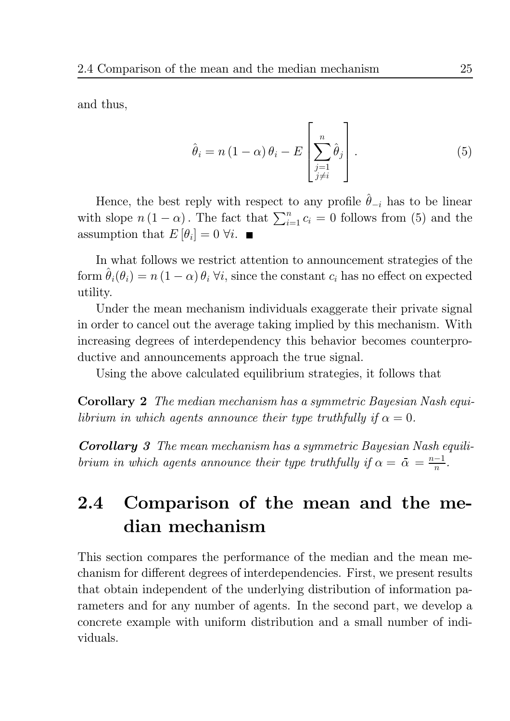and thus,

$$
\hat{\theta}_{i} = n(1-\alpha)\theta_{i} - E\left[\sum_{\substack{j=1 \ j \neq i}}^{n} \hat{\theta}_{j}\right].
$$
\n(5)

Hence, the best reply with respect to any profile  $\hat{\theta}_{-i}$  has to be linear with slope  $n(1-\alpha)$ . The fact that  $\sum_{i=1}^{n} c_i = 0$  follows from (5) and the assumption that  $E[\theta_i] = 0 \,\forall i$ .

In what follows we restrict attention to announcement strategies of the form  $\hat{\theta}_i(\theta_i) = n(1-\alpha)\theta_i$   $\forall i$ , since the constant  $c_i$  has no effect on expected utility.

Under the mean mechanism individuals exaggerate their private signal in order to cancel out the average taking implied by this mechanism. With increasing degrees of interdependency this behavior becomes counterproductive and announcements approach the true signal.

Using the above calculated equilibrium strategies, it follows that

**Corollary 2** The median mechanism has a symmetric Bayesian Nash equilibrium in which agents announce their type truthfully if  $\alpha = 0$ .

**Corollary** 3 The mean mechanism has a symmetric Bayesian Nash equilibrium in which agents announce their type truthfully if  $\alpha = \overline{\alpha} = \frac{n-1}{n}$ .

### Comparison of the mean and the me- $2.4$ dian mechanism

This section compares the performance of the median and the mean mechanism for different degrees of interdependencies. First, we present results that obtain independent of the underlying distribution of information parameters and for any number of agents. In the second part, we develop a concrete example with uniform distribution and a small number of individuals.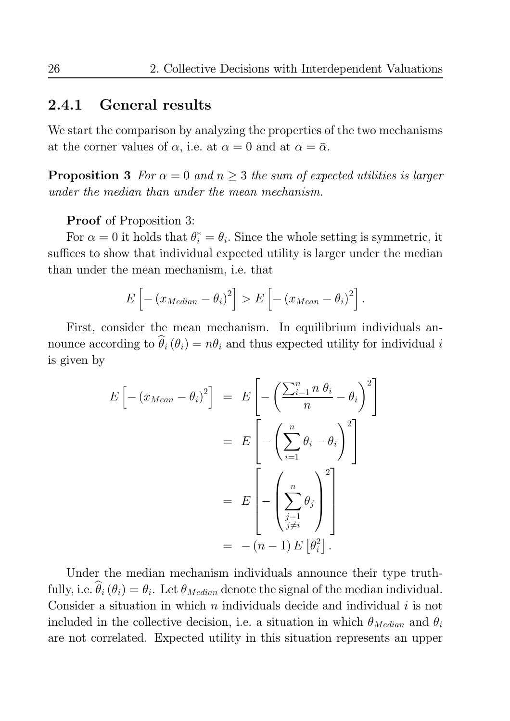#### 2.4.1 **General results**

We start the comparison by analyzing the properties of the two mechanisms at the corner values of  $\alpha$ , i.e. at  $\alpha = 0$  and at  $\alpha = \bar{\alpha}$ .

**Proposition 3** For  $\alpha = 0$  and  $n \geq 3$  the sum of expected utilities is larger under the median than under the mean mechanism.

**Proof** of Proposition 3:

For  $\alpha = 0$  it holds that  $\theta_i^* = \theta_i$ . Since the whole setting is symmetric, it suffices to show that individual expected utility is larger under the median than under the mean mechanism, i.e. that

$$
E\left[-\left(x_{Median} - \theta_i\right)^2\right] > E\left[-\left(x_{Mean} - \theta_i\right)^2\right]
$$

First, consider the mean mechanism. In equilibrium individuals announce according to  $\hat{\theta}_i(\theta_i) = n\theta_i$  and thus expected utility for individual i is given by

$$
E\left[-\left(x_{Mean} - \theta_{i}\right)^{2}\right] = E\left[-\left(\frac{\sum_{i=1}^{n} n \theta_{i}}{n} - \theta_{i}\right)^{2}\right]
$$

$$
= E\left[-\left(\sum_{i=1}^{n} \theta_{i} - \theta_{i}\right)^{2}\right]
$$

$$
= E\left[-\left(\sum_{j=1}^{n} \theta_{j}\right)^{2}\right]
$$

$$
= -\left(n - 1\right)E\left[\theta_{i}^{2}\right].
$$

Under the median mechanism individuals announce their type truthfully, i.e.  $\hat{\theta}_i(\theta_i) = \theta_i$ . Let  $\theta_{Median}$  denote the signal of the median individual. Consider a situation in which  $n$  individuals decide and individual  $i$  is not included in the collective decision, i.e. a situation in which  $\theta_{Median}$  and  $\theta_i$ are not correlated. Expected utility in this situation represents an upper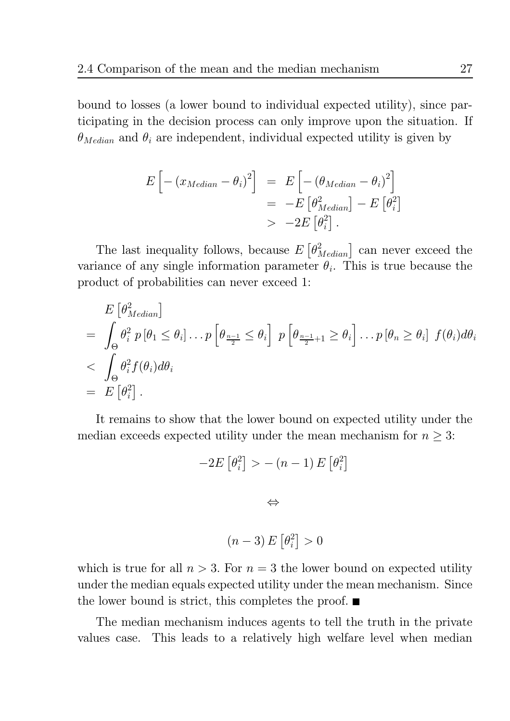bound to losses (a lower bound to individual expected utility), since participating in the decision process can only improve upon the situation. If  $\theta_{Median}$  and  $\theta_i$  are independent, individual expected utility is given by

$$
E\left[-\left(x_{Median} - \theta_{i}\right)^{2}\right] = E\left[-\left(\theta_{Median} - \theta_{i}\right)^{2}\right]
$$
  
= 
$$
-E\left[\theta_{Median}^{2}\right] - E\left[\theta_{i}^{2}\right]
$$
  

$$
-2E\left[\theta_{i}^{2}\right].
$$

The last inequality follows, because  $E\left[\theta_{Median}^2\right]$  can never exceed the variance of any single information parameter  $\theta_i$ . This is true because the product of probabilities can never exceed 1:

$$
E\left[\theta_{Median}^{2}\right]
$$
\n
$$
= \int_{\Theta} \theta_{i}^{2} p\left[\theta_{1} \leq \theta_{i}\right] \dots p\left[\theta_{\frac{n-1}{2}} \leq \theta_{i}\right] p\left[\theta_{\frac{n-1}{2}+1} \geq \theta_{i}\right] \dots p\left[\theta_{n} \geq \theta_{i}\right] f(\theta_{i}) d\theta_{i}
$$
\n
$$
< \int_{\Theta} \theta_{i}^{2} f(\theta_{i}) d\theta_{i}
$$
\n
$$
= E\left[\theta_{i}^{2}\right].
$$

It remains to show that the lower bound on expected utility under the median exceeds expected utility under the mean mechanism for  $n \geq 3$ :

$$
-2E\left[\theta_i^2\right] > -(n-1)E\left[\theta_i^2\right]
$$

$$
\Leftrightarrow
$$

$$
(n-3)E\left[\theta_i^2\right] > 0
$$

which is true for all  $n > 3$ . For  $n = 3$  the lower bound on expected utility under the median equals expected utility under the mean mechanism. Since the lower bound is strict, this completes the proof.  $\blacksquare$ 

The median mechanism induces agents to tell the truth in the private This leads to a relatively high welfare level when median values case.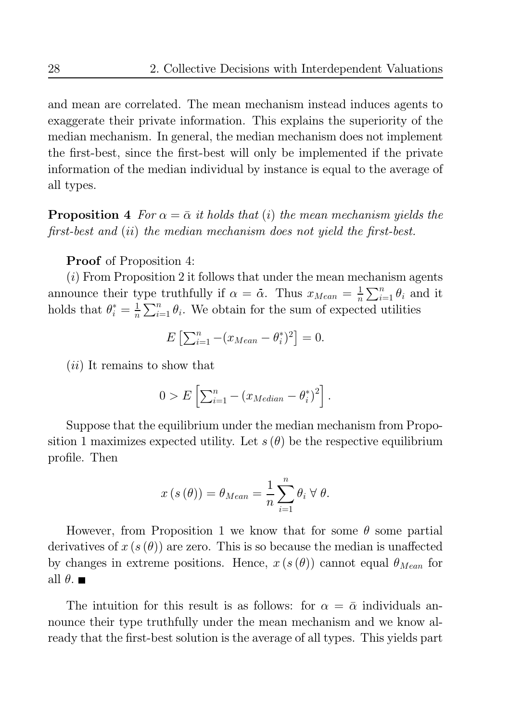and mean are correlated. The mean mechanism instead induces agents to exaggerate their private information. This explains the superiority of the median mechanism. In general, the median mechanism does not implement the first-best, since the first-best will only be implemented if the private information of the median individual by instance is equal to the average of all types.

**Proposition 4** For  $\alpha = \overline{\alpha}$  it holds that (i) the mean mechanism yields the first-best and (ii) the median mechanism does not yield the first-best.

**Proof** of Proposition 4:

 $(i)$  From Proposition 2 it follows that under the mean mechanism agents announce their type truthfully if  $\alpha = \bar{\alpha}$ . Thus  $x_{Mean} = \frac{1}{n} \sum_{i=1}^{n} \theta_i$  and it holds that  $\theta_i^* = \frac{1}{n} \sum_{i=1}^n \theta_i$ . We obtain for the sum of expected utilities

$$
E\left[\sum_{i=1}^{n}-(x_{Mean}-\theta_i^*)^2\right]=0.
$$

*(ii)* It remains to show that

$$
0 > E\left[\sum_{i=1}^n - (x_{Median} - \theta_i^*)^2\right].
$$

Suppose that the equilibrium under the median mechanism from Proposition 1 maximizes expected utility. Let  $s(\theta)$  be the respective equilibrium profile. Then

$$
x(s(\theta)) = \theta_{Mean} = \frac{1}{n} \sum_{i=1}^{n} \theta_i \,\forall \,\theta.
$$

However, from Proposition 1 we know that for some  $\theta$  some partial derivatives of  $x(s(\theta))$  are zero. This is so because the median is unaffected by changes in extreme positions. Hence,  $x(s(\theta))$  cannot equal  $\theta_{Mean}$  for all  $\theta$ .

The intuition for this result is as follows: for  $\alpha = \overline{\alpha}$  individuals announce their type truthfully under the mean mechanism and we know already that the first-best solution is the average of all types. This yields part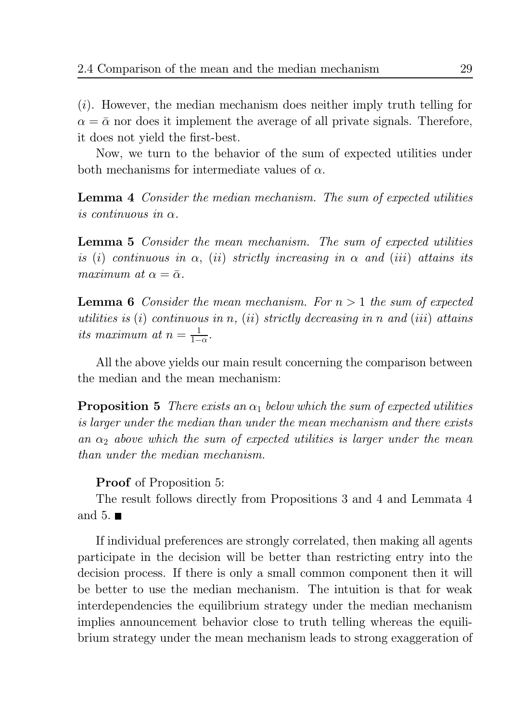$(i)$ . However, the median mechanism does neither imply truth telling for  $\alpha = \bar{\alpha}$  nor does it implement the average of all private signals. Therefore, it does not yield the first-best.

Now, we turn to the behavior of the sum of expected utilities under both mechanisms for intermediate values of  $\alpha$ .

**Lemma 4** Consider the median mechanism. The sum of expected utilities is continuous in  $\alpha$ 

**Lemma 5** Consider the mean mechanism. The sum of expected utilities is (i) continuous in  $\alpha$ , (ii) strictly increasing in  $\alpha$  and (iii) attains its maximum at  $\alpha = \bar{\alpha}$ .

**Lemma 6** Consider the mean mechanism. For  $n > 1$  the sum of expected utilities is (i) continuous in n, (ii) strictly decreasing in n and (iii) attains its maximum at  $n = \frac{1}{1-\alpha}$ .

All the above yields our main result concerning the comparison between the median and the mean mechanism:

**Proposition 5** There exists an  $\alpha_1$  below which the sum of expected utilities is larger under the median than under the mean mechanism and there exists an  $\alpha_2$  above which the sum of expected utilities is larger under the mean than under the median mechanism.

**Proof** of Proposition 5:

The result follows directly from Propositions 3 and 4 and Lemmata 4 and 5.  $\blacksquare$ 

If individual preferences are strongly correlated, then making all agents participate in the decision will be better than restricting entry into the decision process. If there is only a small common component then it will be better to use the median mechanism. The intuition is that for weak interdependencies the equilibrium strategy under the median mechanism implies announcement behavior close to truth telling whereas the equilibrium strategy under the mean mechanism leads to strong exaggeration of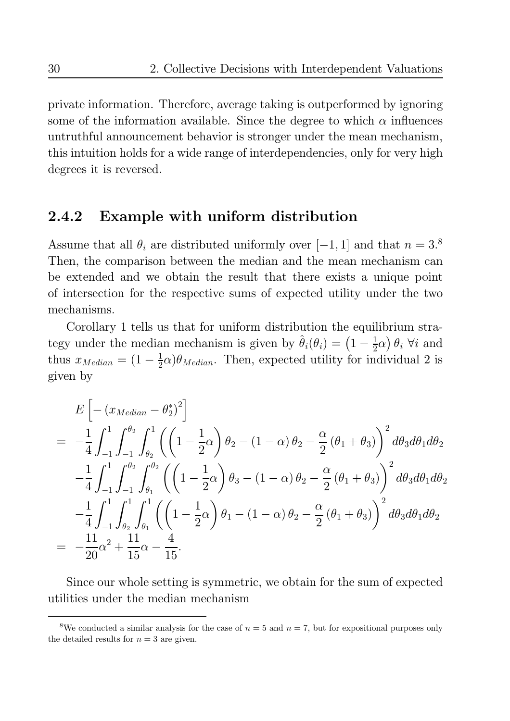private information. Therefore, average taking is outperformed by ignoring some of the information available. Since the degree to which  $\alpha$  influences untruthful announcement behavior is stronger under the mean mechanism, this intuition holds for a wide range of interdependencies, only for very high degrees it is reversed.

#### Example with uniform distribution 2.4.2

Assume that all  $\theta_i$  are distributed uniformly over [-1, 1] and that  $n = 3.8$ Then, the comparison between the median and the mean mechanism can be extended and we obtain the result that there exists a unique point of intersection for the respective sums of expected utility under the two mechanisms.

Corollary 1 tells us that for uniform distribution the equilibrium strategy under the median mechanism is given by  $\hat{\theta}_i(\theta_i) = (1 - \frac{1}{2}\alpha)\theta_i$   $\forall i$  and thus  $x_{Median} = (1 - \frac{1}{2}\alpha)\theta_{Median}$ . Then, expected utility for individual 2 is given by

$$
E\left[-\left(x_{Median}-\theta_{2}^{*}\right)^{2}\right]
$$
\n
$$
=\ -\frac{1}{4}\int_{-1}^{1}\int_{-1}^{\theta_{2}}\int_{\theta_{2}}^{1}\left(\left(1-\frac{1}{2}\alpha\right)\theta_{2}-(1-\alpha)\theta_{2}-\frac{\alpha}{2}(\theta_{1}+\theta_{3})\right)^{2}d\theta_{3}d\theta_{1}d\theta_{2}
$$
\n
$$
-\frac{1}{4}\int_{-1}^{1}\int_{-1}^{\theta_{2}}\int_{\theta_{1}}^{\theta_{2}}\left(\left(1-\frac{1}{2}\alpha\right)\theta_{3}-(1-\alpha)\theta_{2}-\frac{\alpha}{2}(\theta_{1}+\theta_{3})\right)^{2}d\theta_{3}d\theta_{1}d\theta_{2}
$$
\n
$$
-\frac{1}{4}\int_{-1}^{1}\int_{\theta_{2}}^{1}\int_{\theta_{1}}^{1}\left(\left(1-\frac{1}{2}\alpha\right)\theta_{1}-(1-\alpha)\theta_{2}-\frac{\alpha}{2}(\theta_{1}+\theta_{3})\right)^{2}d\theta_{3}d\theta_{1}d\theta_{2}
$$
\n
$$
=\ -\frac{11}{20}\alpha^{2}+\frac{11}{15}\alpha-\frac{4}{15}.
$$

Since our whole setting is symmetric, we obtain for the sum of expected utilities under the median mechanism

<sup>&</sup>lt;sup>8</sup>We conducted a similar analysis for the case of  $n = 5$  and  $n = 7$ , but for expositional purposes only the detailed results for  $n=3$  are given.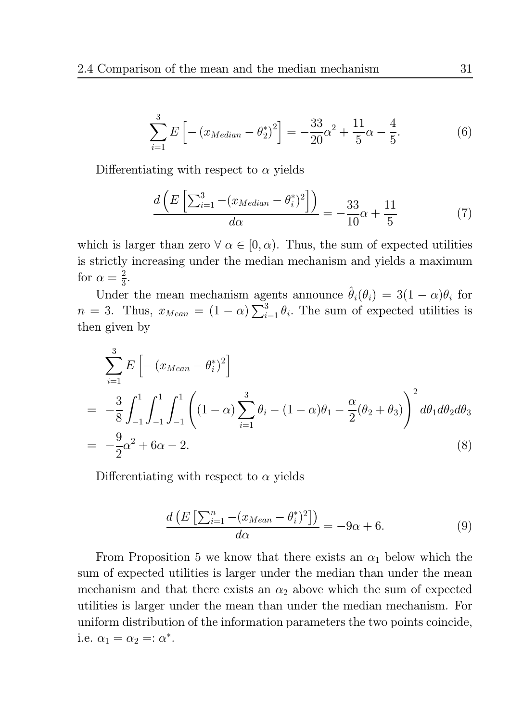$$
\sum_{i=1}^{3} E\left[ -\left( x_{Median} - \theta_2^* \right)^2 \right] = -\frac{33}{20} \alpha^2 + \frac{11}{5} \alpha - \frac{4}{5}.
$$
 (6)

Differentiating with respect to  $\alpha$  yields

$$
\frac{d\left(E\left[\sum_{i=1}^{3} -\left(x_{Median} - \theta_i^*\right)^2\right]\right)}{d\alpha} = -\frac{33}{10}\alpha + \frac{11}{5} \tag{7}
$$

which is larger than zero  $\forall \alpha \in [0, \bar{\alpha})$ . Thus, the sum of expected utilities is strictly increasing under the median mechanism and yields a maximum for  $\alpha = \frac{2}{3}$ .

Under the mean mechanism agents announce  $\hat{\theta}_i(\theta_i) = 3(1 - \alpha)\theta_i$  for  $n = 3$ . Thus,  $x_{Mean} = (1 - \alpha) \sum_{i=1}^{3} \theta_i$ . The sum of expected utilities is then given by

$$
\sum_{i=1}^{3} E\left[ -(x_{Mean} - \theta_i^*)^2 \right]
$$
\n
$$
= -\frac{3}{8} \int_{-1}^{1} \int_{-1}^{1} \int_{-1}^{1} \left( (1 - \alpha) \sum_{i=1}^{3} \theta_i - (1 - \alpha) \theta_1 - \frac{\alpha}{2} (\theta_2 + \theta_3) \right)^2 d\theta_1 d\theta_2 d\theta_3
$$
\n
$$
= -\frac{9}{2} \alpha^2 + 6\alpha - 2. \tag{8}
$$

Differentiating with respect to  $\alpha$  yields

$$
\frac{d\left(E\left[\sum_{i=1}^{n} -\left(x_{Mean} - \theta_i^*\right)^2\right]\right)}{d\alpha} = -9\alpha + 6. \tag{9}
$$

From Proposition 5 we know that there exists an  $\alpha_1$  below which the sum of expected utilities is larger under the median than under the mean mechanism and that there exists an  $\alpha_2$  above which the sum of expected utilities is larger under the mean than under the median mechanism. For uniform distribution of the information parameters the two points coincide, i.e.  $\alpha_1 = \alpha_2 =: \alpha^*$ .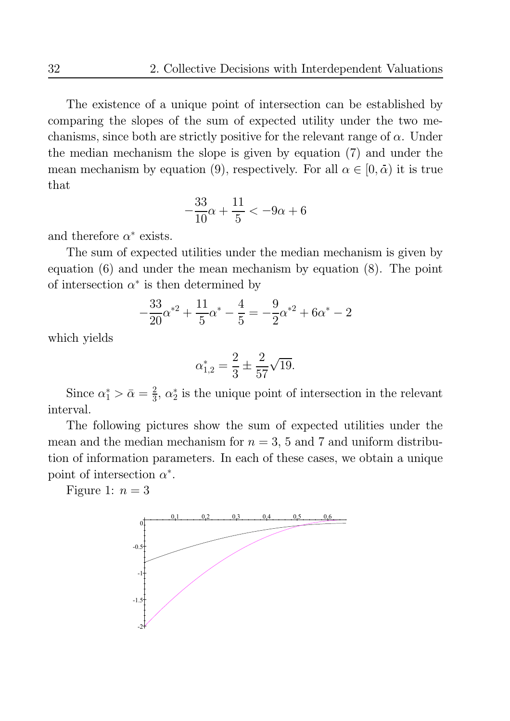The existence of a unique point of intersection can be established by comparing the slopes of the sum of expected utility under the two mechanisms, since both are strictly positive for the relevant range of  $\alpha$ . Under the median mechanism the slope is given by equation (7) and under the mean mechanism by equation (9), respectively. For all  $\alpha \in [0, \bar{\alpha})$  it is true that

$$
-\frac{33}{10}\alpha + \frac{11}{5} < -9\alpha + 6
$$

and therefore  $\alpha^*$  exists.

The sum of expected utilities under the median mechanism is given by equation  $(6)$  and under the mean mechanism by equation  $(8)$ . The point of intersection  $\alpha^*$  is then determined by

$$
-\frac{33}{20}\alpha^{*2} + \frac{11}{5}\alpha^* - \frac{4}{5} = -\frac{9}{2}\alpha^{*2} + 6\alpha^* - 2
$$

which yields

$$
\alpha_{1,2}^* = \frac{2}{3} \pm \frac{2}{57} \sqrt{19}.
$$

Since  $\alpha_1^* > \bar{\alpha} = \frac{2}{3}$ ,  $\alpha_2^*$  is the unique point of intersection in the relevant interval.

The following pictures show the sum of expected utilities under the mean and the median mechanism for  $n = 3$ , 5 and 7 and uniform distribution of information parameters. In each of these cases, we obtain a unique point of intersection  $\alpha^*$ .

Figure 1:  $n=3$ 

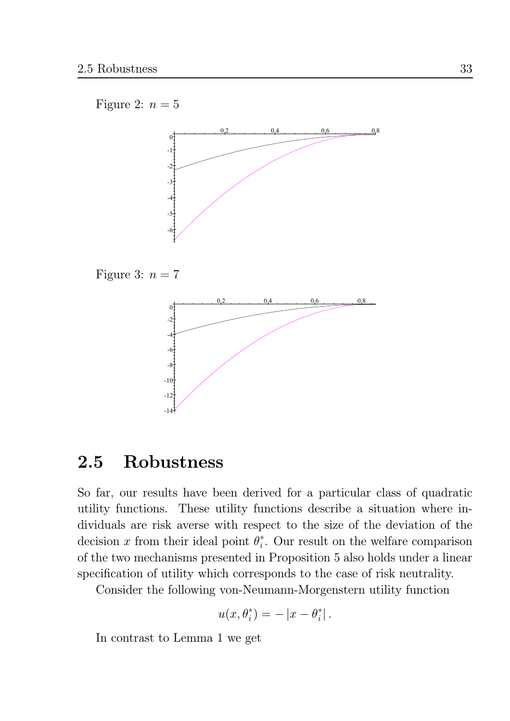## Figure 2:  $n=5$



Figure 3:  $n = 7$ 



#### Robustness 2.5

So far, our results have been derived for a particular class of quadratic utility functions. These utility functions describe a situation where individuals are risk averse with respect to the size of the deviation of the decision x from their ideal point  $\theta_i^*$ . Our result on the welfare comparison of the two mechanisms presented in Proposition 5 also holds under a linear specification of utility which corresponds to the case of risk neutrality.

Consider the following von-Neumann-Morgenstern utility function

$$
u(x, \theta_i^*) = -|x - \theta_i^*|.
$$

In contrast to Lemma 1 we get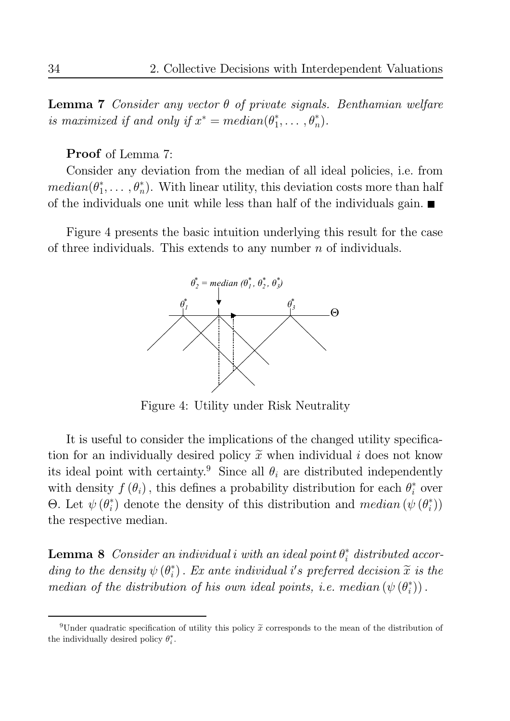**Lemma 7** Consider any vector  $\theta$  of private signals. Benthamian welfare is maximized if and only if  $x^* = median(\theta_1^*, \ldots, \theta_n^*)$ .

**Proof** of Lemma 7:

Consider any deviation from the median of all ideal policies, i.e. from  $median(\theta_1^*,\ldots,\theta_n^*)$ . With linear utility, this deviation costs more than half of the individuals one unit while less than half of the individuals gain.  $\blacksquare$ 

Figure 4 presents the basic intuition underlying this result for the case of three individuals. This extends to any number  $n$  of individuals.



Figure 4: Utility under Risk Neutrality

It is useful to consider the implications of the changed utility specification for an individually desired policy  $\tilde{x}$  when individual i does not know its ideal point with certainty.<sup>9</sup> Since all  $\theta_i$  are distributed independently with density  $f(\theta_i)$ , this defines a probability distribution for each  $\theta_i^*$  over  $\Theta$ . Let  $\psi(\theta_i^*)$  denote the density of this distribution and median  $(\psi(\theta_i^*))$ the respective median.

**Lemma 8** Consider an individual i with an ideal point  $\theta_i^*$  distributed according to the density  $\psi(\theta_i^*)$ . Ex ante individual i's preferred decision  $\tilde{x}$  is the median of the distribution of his own ideal points, i.e. median  $(\psi(\theta_i^*))$ .

<sup>&</sup>lt;sup>9</sup>Under quadratic specification of utility this policy  $\tilde{x}$  corresponds to the mean of the distribution of the individually desired policy  $\theta_i^*$ .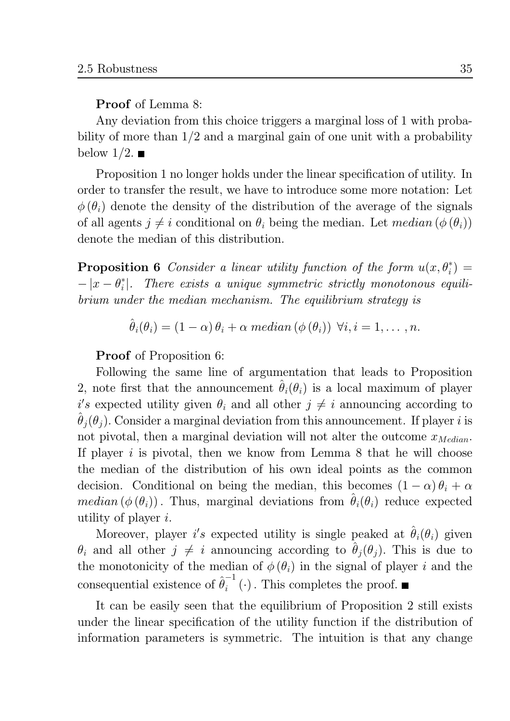**Proof** of Lemma 8:

Any deviation from this choice triggers a marginal loss of 1 with probability of more than  $1/2$  and a marginal gain of one unit with a probability below  $1/2$ .

Proposition 1 no longer holds under the linear specification of utility. In order to transfer the result, we have to introduce some more notation: Let  $\phi(\theta_i)$  denote the density of the distribution of the average of the signals of all agents  $j \neq i$  conditional on  $\theta_i$  being the median. Let median  $(\phi(\theta_i))$ denote the median of this distribution.

**Proposition 6** Consider a linear utility function of the form  $u(x, \theta_i^*)$  $-|x-\theta_i^*|$ . There exists a unique symmetric strictly monotonous equilibrium under the median mechanism. The equilibrium strategy is

$$
\theta_i(\theta_i) = (1 - \alpha) \theta_i + \alpha \ median(\phi(\theta_i)) \ \forall i, i = 1, \dots, n.
$$

**Proof** of Proposition 6:

Following the same line of argumentation that leads to Proposition 2, note first that the announcement  $\theta_i(\theta_i)$  is a local maximum of player i's expected utility given  $\theta_i$  and all other  $j \neq i$  announcing according to  $\hat{\theta}_i(\theta_i)$ . Consider a marginal deviation from this announcement. If player i is not pivotal, then a marginal deviation will not alter the outcome  $x_{Median}$ . If player i is pivotal, then we know from Lemma  $8$  that he will choose the median of the distribution of his own ideal points as the common decision. Conditional on being the median, this becomes  $(1 - \alpha) \theta_i + \alpha$ *median*  $(\phi(\theta_i))$ . Thus, marginal deviations from  $\hat{\theta}_i(\theta_i)$  reduce expected utility of player  $i$ .

Moreover, player i's expected utility is single peaked at  $\hat{\theta}_i(\theta_i)$  given  $\theta_i$  and all other  $j \neq i$  announcing according to  $\hat{\theta}_j(\theta_j)$ . This is due to the monotonicity of the median of  $\phi(\theta_i)$  in the signal of player i and the consequential existence of  $\hat{\theta}_i^{-1}(\cdot)$ . This completes the proof.

It can be easily seen that the equilibrium of Proposition 2 still exists under the linear specification of the utility function if the distribution of information parameters is symmetric. The intuition is that any change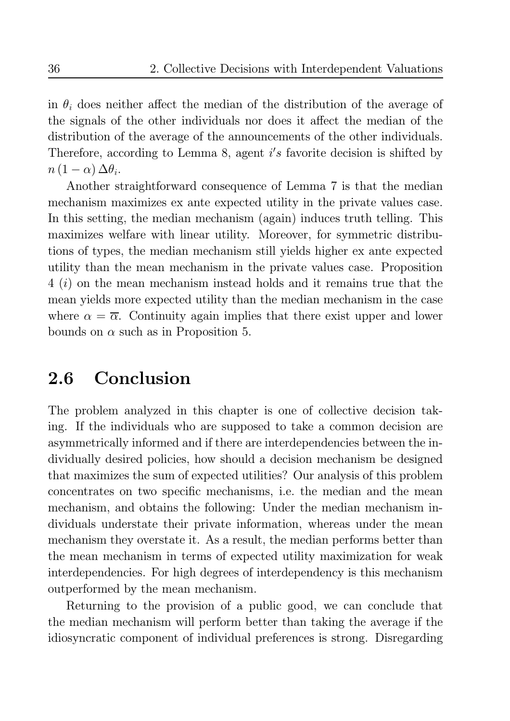in  $\theta_i$  does neither affect the median of the distribution of the average of the signals of the other individuals nor does it affect the median of the distribution of the average of the announcements of the other individuals. Therefore, according to Lemma 8, agent  $i's$  favorite decision is shifted by  $n(1-\alpha)\Delta\theta_i.$ 

Another straightforward consequence of Lemma 7 is that the median mechanism maximizes ex ante expected utility in the private values case. In this setting, the median mechanism (again) induces truth telling. This maximizes welfare with linear utility. Moreover, for symmetric distributions of types, the median mechanism still yields higher ex ante expected utility than the mean mechanism in the private values case. Proposition  $4(i)$  on the mean mechanism instead holds and it remains true that the mean yields more expected utility than the median mechanism in the case where  $\alpha = \overline{\alpha}$ . Continuity again implies that there exist upper and lower bounds on  $\alpha$  such as in Proposition 5.

#### Conclusion  $2.6\,$

The problem analyzed in this chapter is one of collective decision taking. If the individuals who are supposed to take a common decision are asymmetrically informed and if there are interdependencies between the individually desired policies, how should a decision mechanism be designed that maximizes the sum of expected utilities? Our analysis of this problem concentrates on two specific mechanisms, i.e. the median and the mean mechanism, and obtains the following: Under the median mechanism individuals understate their private information, whereas under the mean mechanism they overstate it. As a result, the median performs better than the mean mechanism in terms of expected utility maximization for weak interdependencies. For high degrees of interdependency is this mechanism outperformed by the mean mechanism.

Returning to the provision of a public good, we can conclude that the median mechanism will perform better than taking the average if the idiosyncratic component of individual preferences is strong. Disregarding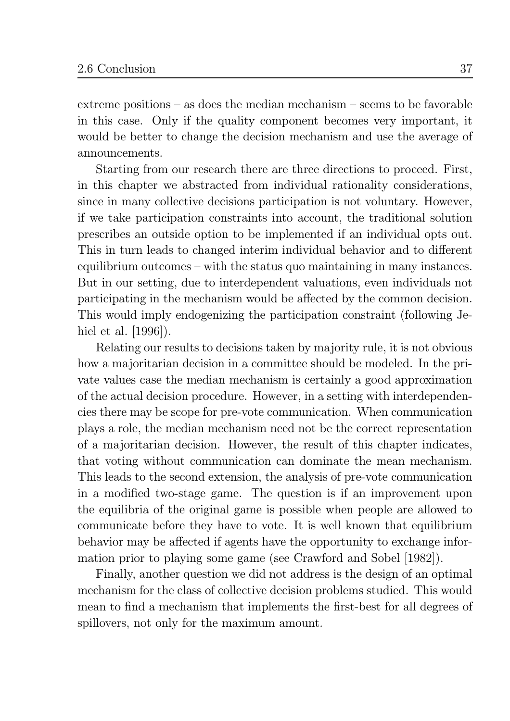extreme positions  $-$  as does the median mechanism  $-$  seems to be favorable in this case. Only if the quality component becomes very important, it would be better to change the decision mechanism and use the average of announcements.

Starting from our research there are three directions to proceed. First, in this chapter we abstracted from individual rationality considerations, since in many collective decisions participation is not voluntary. However, if we take participation constraints into account, the traditional solution prescribes an outside option to be implemented if an individual opts out. This in turn leads to changed interim individual behavior and to different equilibrium outcomes  $-\text{ with the status quo maintaining in many instances.}$ But in our setting, due to interdependent valuations, even individuals not participating in the mechanism would be affected by the common decision. This would imply endogenizing the participation constraint (following Jehiel et al.  $[1996]$ .

Relating our results to decisions taken by majority rule, it is not obvious how a majoritarian decision in a committee should be modeled. In the private values case the median mechanism is certainly a good approximation of the actual decision procedure. However, in a setting with interdependencies there may be scope for pre-vote communication. When communication plays a role, the median mechanism need not be the correct representation of a majoritarian decision. However, the result of this chapter indicates, that voting without communication can dominate the mean mechanism. This leads to the second extension, the analysis of pre-vote communication in a modified two-stage game. The question is if an improvement upon the equilibria of the original game is possible when people are allowed to communicate before they have to vote. It is well known that equilibrium behavior may be affected if agents have the opportunity to exchange information prior to playing some game (see Crawford and Sobel [1982]).

Finally, another question we did not address is the design of an optimal mechanism for the class of collective decision problems studied. This would mean to find a mechanism that implements the first-best for all degrees of spillovers, not only for the maximum amount.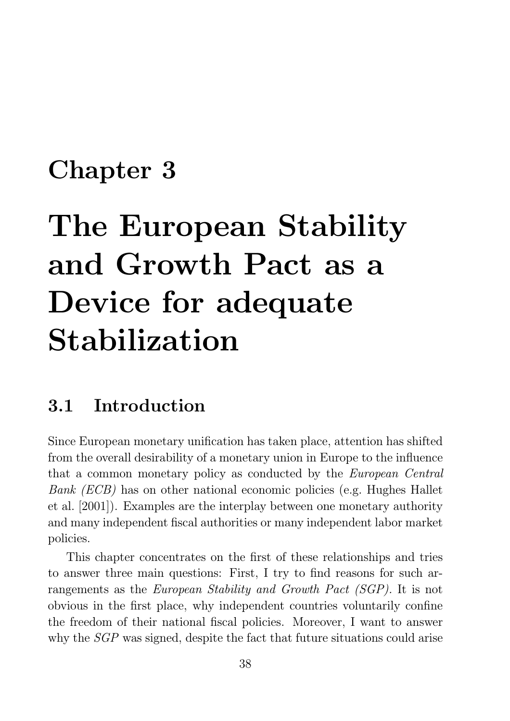## **Chapter 3**

# The European Stability and Growth Pact as a Device for adequate Stabilization

#### Introduction  $3.1$

Since European monetary unification has taken place, attention has shifted from the overall desirability of a monetary union in Europe to the influence that a common monetary policy as conducted by the *European Central Bank (ECB)* has on other national economic policies (e.g. Hughes Hallet et al. [2001]). Examples are the interplay between one monetary authority and many independent fiscal authorities or many independent labor market policies.

This chapter concentrates on the first of these relationships and tries to answer three main questions: First, I try to find reasons for such arrangements as the *European Stability and Growth Pact (SGP)*. It is not obvious in the first place, why independent countries voluntarily confine the freedom of their national fiscal policies. Moreover, I want to answer why the *SGP* was signed, despite the fact that future situations could arise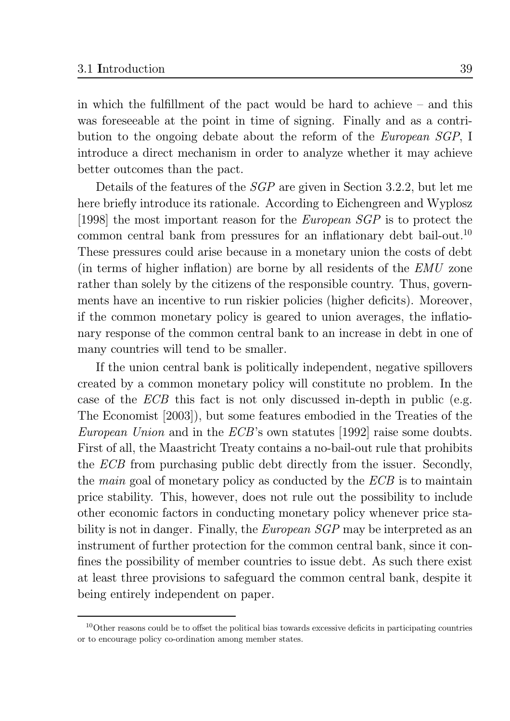in which the fulfillment of the pact would be hard to achieve  $-$  and this was foreseeable at the point in time of signing. Finally and as a contribution to the ongoing debate about the reform of the *European SGP*, I introduce a direct mechanism in order to analyze whether it may achieve better outcomes than the pact.

Details of the features of the  $SGP$  are given in Section 3.2.2, but let me here briefly introduce its rationale. According to Eichengreen and Wyplosz [1998] the most important reason for the *European SGP* is to protect the common central bank from pressures for an inflationary debt bail-out.<sup>10</sup> These pressures could arise because in a monetary union the costs of debt (in terms of higher inflation) are borne by all residents of the EMU zone rather than solely by the citizens of the responsible country. Thus, governments have an incentive to run riskier policies (higher deficits). Moreover, if the common monetary policy is geared to union averages, the inflationary response of the common central bank to an increase in debt in one of many countries will tend to be smaller.

If the union central bank is politically independent, negative spillovers created by a common monetary policy will constitute no problem. In the case of the *ECB* this fact is not only discussed in-depth in public (e.g. The Economist [2003]), but some features embodied in the Treaties of the *European Union* and in the *ECB*'s own statutes [1992] raise some doubts. First of all, the Maastricht Treaty contains a no-bail-out rule that prohibits the *ECB* from purchasing public debt directly from the issuer. Secondly, the *main* goal of monetary policy as conducted by the *ECB* is to maintain price stability. This, however, does not rule out the possibility to include other economic factors in conducting monetary policy whenever price stability is not in danger. Finally, the *European SGP* may be interpreted as an instrument of further protection for the common central bank, since it confines the possibility of member countries to issue debt. As such there exist at least three provisions to safeguard the common central bank, despite it being entirely independent on paper.

 $10$ Other reasons could be to offset the political bias towards excessive deficits in participating countries or to encourage policy co-ordination among member states.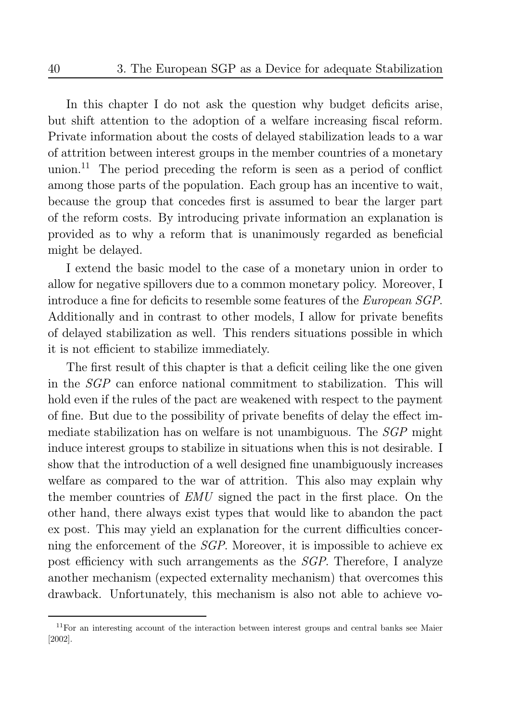In this chapter I do not ask the question why budget deficits arise, but shift attention to the adoption of a welfare increasing fiscal reform. Private information about the costs of delayed stabilization leads to a war of attrition between interest groups in the member countries of a monetary union.<sup>11</sup> The period preceding the reform is seen as a period of conflict among those parts of the population. Each group has an incentive to wait, because the group that concedes first is assumed to bear the larger part of the reform costs. By introducing private information an explanation is provided as to why a reform that is unanimously regarded as beneficial might be delayed.

I extend the basic model to the case of a monetary union in order to allow for negative spillovers due to a common monetary policy. Moreover, I introduce a fine for deficits to resemble some features of the *European SGP*. Additionally and in contrast to other models, I allow for private benefits of delayed stabilization as well. This renders situations possible in which it is not efficient to stabilize immediately.

The first result of this chapter is that a deficit ceiling like the one given in the *SGP* can enforce national commitment to stabilization. This will hold even if the rules of the pact are weakened with respect to the payment of fine. But due to the possibility of private benefits of delay the effect immediate stabilization has on welfare is not unambiguous. The *SGP* might induce interest groups to stabilize in situations when this is not desirable. I show that the introduction of a well designed fine unambiguously increases welfare as compared to the war of attrition. This also may explain why the member countries of *EMU* signed the pact in the first place. On the other hand, there always exist types that would like to abandon the pact ex post. This may yield an explanation for the current difficulties concerning the enforcement of the *SGP*. Moreover, it is impossible to achieve ex post efficiency with such arrangements as the *SGP*. Therefore, I analyze another mechanism (expected externality mechanism) that overcomes this drawback. Unfortunately, this mechanism is also not able to achieve vo-

 $11$ For an interesting account of the interaction between interest groups and central banks see Maier  $[2002]$ .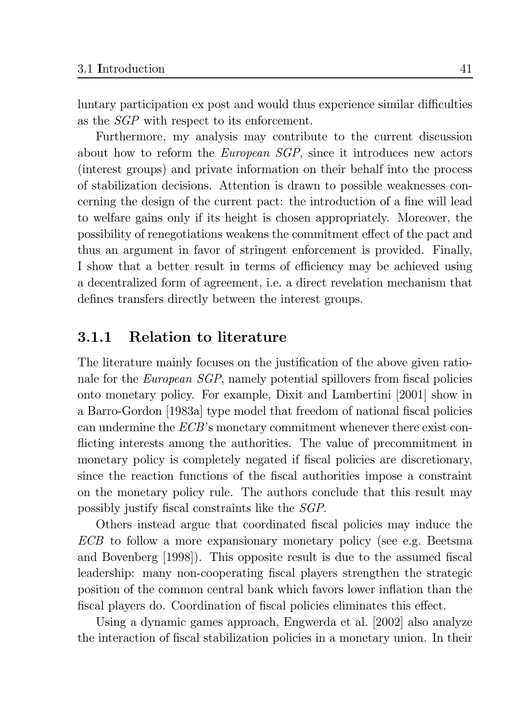luntary participation ex post and would thus experience similar difficulties as the *SGP* with respect to its enforcement.

Furthermore, my analysis may contribute to the current discussion about how to reform the *European SGP*, since it introduces new actors (interest groups) and private information on their behalf into the process of stabilization decisions. Attention is drawn to possible weaknesses concerning the design of the current pact: the introduction of a fine will lead to welfare gains only if its height is chosen appropriately. Moreover, the possibility of renegotiations weakens the commitment effect of the pact and thus an argument in favor of stringent enforcement is provided. Finally, I show that a better result in terms of efficiency may be achieved using a decentralized form of agreement, i.e. a direct revelation mechanism that defines transfers directly between the interest groups.

#### **Relation to literature**  $3.1.1$

The literature mainly focuses on the justification of the above given rationale for the *European SGP*, namely potential spillovers from fiscal policies onto monetary policy. For example, Dixit and Lambertini [2001] show in a Barro-Gordon [1983a] type model that freedom of national fiscal policies can undermine the  $ECB$ 's monetary commitment whenever there exist conflicting interests among the authorities. The value of precommitment in monetary policy is completely negated if fiscal policies are discretionary, since the reaction functions of the fiscal authorities impose a constraint on the monetary policy rule. The authors conclude that this result may possibly justify fiscal constraints like the *SGP*.

Others instead argue that coordinated fiscal policies may induce the *ECB* to follow a more expansionary monetary policy (see e.g. Beetsma and Bovenberg [1998]). This opposite result is due to the assumed fiscal leadership: many non-cooperating fiscal players strengthen the strategic position of the common central bank which favors lower inflation than the fiscal players do. Coordination of fiscal policies eliminates this effect.

Using a dynamic games approach, Engwerda et al. [2002] also analyze the interaction of fiscal stabilization policies in a monetary union. In their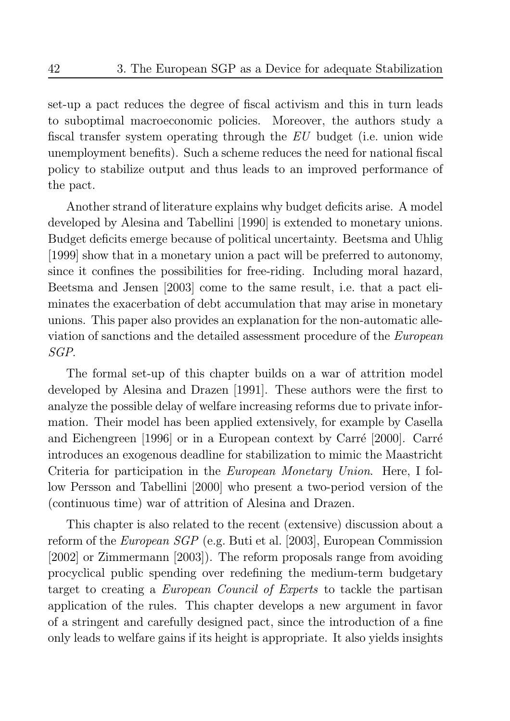set-up a pact reduces the degree of fiscal activism and this in turn leads to suboptimal macroeconomic policies. Moreover, the authors study a fiscal transfer system operating through the EU budget (i.e. union wide unemployment benefits). Such a scheme reduces the need for national fiscal policy to stabilize output and thus leads to an improved performance of the pact.

Another strand of literature explains why budget deficits arise. A model developed by Alesina and Tabellini [1990] is extended to monetary unions. Budget deficits emerge because of political uncertainty. Beetsma and Uhlig [1999] show that in a monetary union a pact will be preferred to autonomy, since it confines the possibilities for free-riding. Including moral hazard, Beetsma and Jensen [2003] come to the same result, i.e. that a pact eliminates the exacerbation of debt accumulation that may arise in monetary unions. This paper also provides an explanation for the non-automatic alleviation of sanctions and the detailed assessment procedure of the *European*  $SGP$ .

The formal set-up of this chapter builds on a war of attrition model developed by Alesina and Drazen [1991]. These authors were the first to analyze the possible delay of welfare increasing reforms due to private information. Their model has been applied extensively, for example by Casella and Eichengreen [1996] or in a European context by Carré [2000]. Carré introduces an exogenous deadline for stabilization to mimic the Maastricht Criteria for participation in the *European Monetary Union*. Here, I follow Persson and Tabellini [2000] who present a two-period version of the (continuous time) war of attrition of Alesina and Drazen.

This chapter is also related to the recent (extensive) discussion about a reform of the *European SGP* (e.g. Buti et al. [2003], European Commission [2002] or Zimmermann [2003]). The reform proposals range from avoiding procyclical public spending over redefining the medium-term budgetary target to creating a *European Council of Experts* to tackle the partisan application of the rules. This chapter develops a new argument in favor of a stringent and carefully designed pact, since the introduction of a fine only leads to welfare gains if its height is appropriate. It also yields insights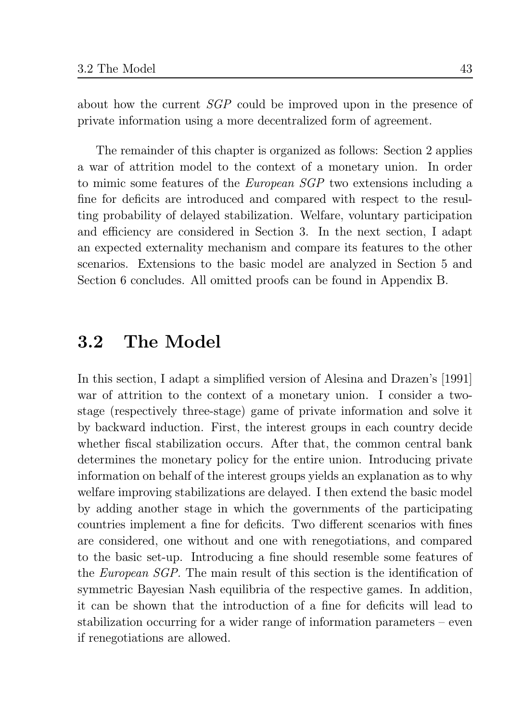about how the current *SGP* could be improved upon in the presence of private information using a more decentralized form of agreement.

The remainder of this chapter is organized as follows: Section 2 applies a war of attrition model to the context of a monetary union. In order to mimic some features of the *European SGP* two extensions including a fine for deficits are introduced and compared with respect to the resulting probability of delayed stabilization. Welfare, voluntary participation and efficiency are considered in Section 3. In the next section, I adapt an expected externality mechanism and compare its features to the other scenarios. Extensions to the basic model are analyzed in Section 5 and Section 6 concludes. All omitted proofs can be found in Appendix B.

#### The Model 3.2

In this section, I adapt a simplified version of Alesina and Drazen's [1991] war of attrition to the context of a monetary union. I consider a twostage (respectively three-stage) game of private information and solve it by backward induction. First, the interest groups in each country decide whether fiscal stabilization occurs. After that, the common central bank determines the monetary policy for the entire union. Introducing private information on behalf of the interest groups yields an explanation as to why welfare improving stabilizations are delayed. I then extend the basic model by adding another stage in which the governments of the participating countries implement a fine for deficits. Two different scenarios with fines are considered, one without and one with renegotiations, and compared to the basic set-up. Introducing a fine should resemble some features of the *European SGP*. The main result of this section is the identification of symmetric Bayesian Nash equilibria of the respective games. In addition, it can be shown that the introduction of a fine for deficits will lead to stabilization occurring for a wider range of information parameters – even if renegotiations are allowed.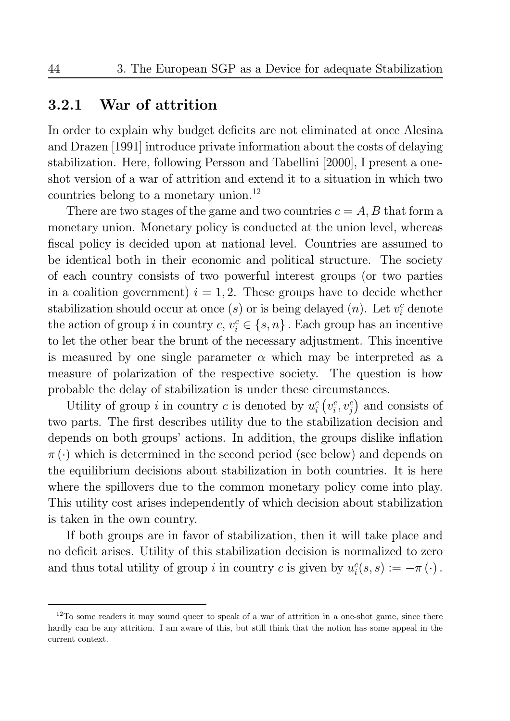#### War of attrition 3.2.1

In order to explain why budget deficits are not eliminated at once Alesina and Drazen [1991] introduce private information about the costs of delaying stabilization. Here, following Persson and Tabellini [2000], I present a oneshot version of a war of attrition and extend it to a situation in which two countries belong to a monetary union.<sup>12</sup>

There are two stages of the game and two countries  $c = A, B$  that form a monetary union. Monetary policy is conducted at the union level, whereas fiscal policy is decided upon at national level. Countries are assumed to be identical both in their economic and political structure. The society of each country consists of two powerful interest groups (or two parties in a coalition government)  $i = 1, 2$ . These groups have to decide whether stabilization should occur at once (s) or is being delayed (n). Let  $v_i^c$  denote the action of group i in country  $c, v_i^c \in \{s, n\}$ . Each group has an incentive to let the other bear the brunt of the necessary adjustment. This incentive is measured by one single parameter  $\alpha$  which may be interpreted as a measure of polarization of the respective society. The question is how probable the delay of stabilization is under these circumstances.

Utility of group *i* in country *c* is denoted by  $u_i^c(v_i^c, v_i^c)$  and consists of two parts. The first describes utility due to the stabilization decision and depends on both groups' actions. In addition, the groups dislike inflation  $\pi(\cdot)$  which is determined in the second period (see below) and depends on the equilibrium decisions about stabilization in both countries. It is here where the spillovers due to the common monetary policy come into play. This utility cost arises independently of which decision about stabilization is taken in the own country.

If both groups are in favor of stabilization, then it will take place and no deficit arises. Utility of this stabilization decision is normalized to zero and thus total utility of group *i* in country *c* is given by  $u_i^c(s, s) := -\pi(\cdot)$ .

 $12$ To some readers it may sound queer to speak of a war of attrition in a one-shot game, since there hardly can be any attrition. I am aware of this, but still think that the notion has some appeal in the current context.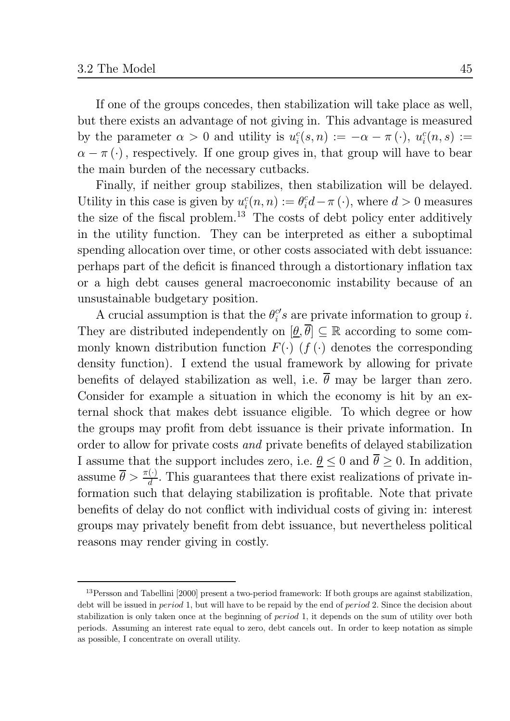If one of the groups concedes, then stabilization will take place as well, but there exists an advantage of not giving in. This advantage is measured by the parameter  $\alpha > 0$  and utility is  $u_i^c(s, n) := -\alpha - \pi(\cdot), u_i^c(n, s) :=$  $\alpha - \pi$  (.), respectively. If one group gives in, that group will have to bear the main burden of the necessary cutbacks.

Finally, if neither group stabilizes, then stabilization will be delayed. Utility in this case is given by  $u_i^c(n,n) := \theta_i^c d - \pi(\cdot)$ , where  $d > 0$  measures the size of the fiscal problem.<sup>13</sup> The costs of debt policy enter additively in the utility function. They can be interpreted as either a suboptimal spending allocation over time, or other costs associated with debt issuance: perhaps part of the deficit is financed through a distortionary inflation tax or a high debt causes general macroeconomic instability because of an unsustainable budgetary position.

A crucial assumption is that the  $\theta_i^{c'}s$  are private information to group i. They are distributed independently on  $[\underline{\theta}, \overline{\theta}] \subseteq \mathbb{R}$  according to some commonly known distribution function  $F(\cdot)$  (f(.) denotes the corresponding density function). I extend the usual framework by allowing for private benefits of delayed stabilization as well, i.e.  $\overline{\theta}$  may be larger than zero. Consider for example a situation in which the economy is hit by an external shock that makes debt issuance eligible. To which degree or how the groups may profit from debt issuance is their private information. In order to allow for private costs and private benefits of delayed stabilization I assume that the support includes zero, i.e.  $\underline{\theta} \leq 0$  and  $\overline{\theta} \geq 0$ . In addition, assume  $\bar{\theta} > \frac{\pi(\cdot)}{d}$ . This guarantees that there exist realizations of private information such that delaying stabilization is profitable. Note that private benefits of delay do not conflict with individual costs of giving in: interest groups may privately benefit from debt issuance, but nevertheless political reasons may render giving in costly.

 $13$  Persson and Tabellini [2000] present a two-period framework: If both groups are against stabilization, debt will be issued in *period* 1, but will have to be repaid by the end of *period* 2. Since the decision about stabilization is only taken once at the beginning of *period* 1, it depends on the sum of utility over both periods. Assuming an interest rate equal to zero, debt cancels out. In order to keep notation as simple as possible. I concentrate on overall utility.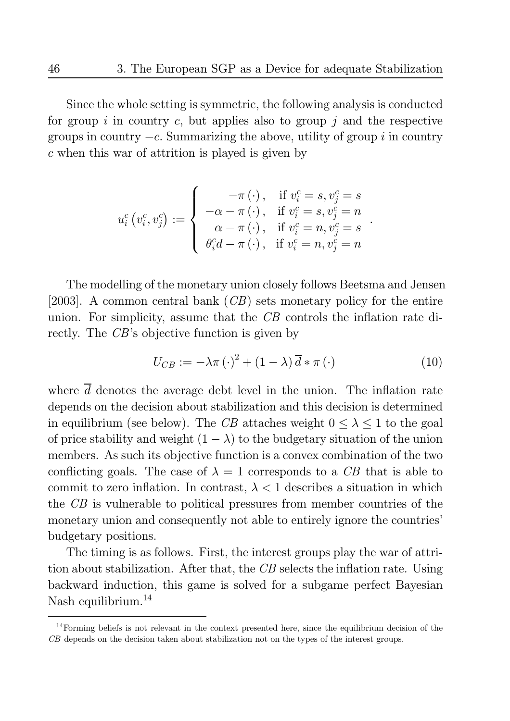Since the whole setting is symmetric, the following analysis is conducted for group i in country c, but applies also to group j and the respective groups in country  $-c$ . Summarizing the above, utility of group i in country  $c$  when this war of attrition is played is given by

$$
u^c_i\left(v^c_i,v^c_j\right):=\left\{\begin{array}{rl} -\pi\left(\cdot\right),&\text{if }v^c_i=s,v^c_j=s\\ -\alpha-\pi\left(\cdot\right),&\text{if }v^c_i=s,v^c_j=n\\ \alpha-\pi\left(\cdot\right),&\text{if }v^c_i=n,v^c_j=s\\ \theta^c_id-\pi\left(\cdot\right),&\text{if }v^c_i=n,v^c_j=n\end{array}\right.
$$

The modelling of the monetary union closely follows Beetsma and Jensen [2003]. A common central bank  $(CB)$  sets monetary policy for the entire union. For simplicity, assume that the CB controls the inflation rate directly. The CB's objective function is given by

$$
U_{CB} := -\lambda \pi \left(\cdot\right)^2 + \left(1 - \lambda\right) \overline{d} * \pi \left(\cdot\right) \tag{10}
$$

where  $\overline{d}$  denotes the average debt level in the union. The inflation rate depends on the decision about stabilization and this decision is determined in equilibrium (see below). The CB attaches weight  $0 \leq \lambda \leq 1$  to the goal of price stability and weight  $(1 - \lambda)$  to the budgetary situation of the union members. As such its objective function is a convex combination of the two conflicting goals. The case of  $\lambda = 1$  corresponds to a CB that is able to commit to zero inflation. In contrast,  $\lambda < 1$  describes a situation in which the CB is vulnerable to political pressures from member countries of the monetary union and consequently not able to entirely ignore the countries' budgetary positions.

The timing is as follows. First, the interest groups play the war of attrition about stabilization. After that, the CB selects the inflation rate. Using backward induction, this game is solved for a subgame perfect Bayesian Nash equilibrium. $^{14}$ 

 $14$ Forming beliefs is not relevant in the context presented here, since the equilibrium decision of the CB depends on the decision taken about stabilization not on the types of the interest groups.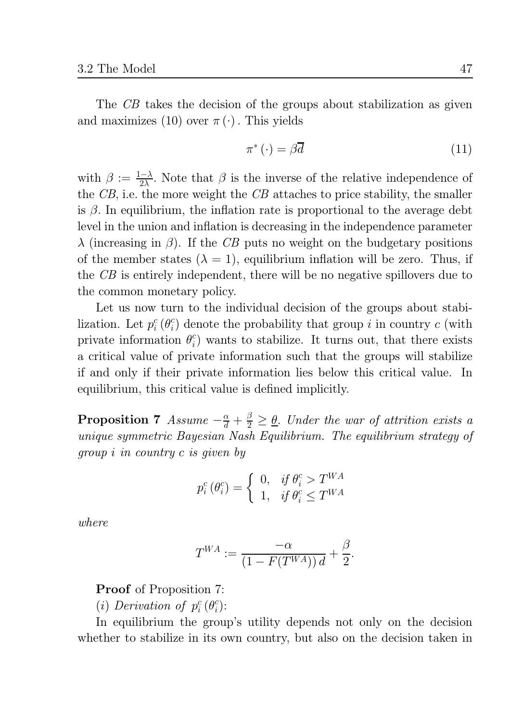The CB takes the decision of the groups about stabilization as given and maximizes (10) over  $\pi(\cdot)$ . This yields

$$
\pi^*(\cdot) = \beta \overline{d} \tag{11}
$$

with  $\beta := \frac{1-\lambda}{2\lambda}$ . Note that  $\beta$  is the inverse of the relative independence of the  $CB$ , i.e. the more weight the  $CB$  attaches to price stability, the smaller is  $\beta$ . In equilibrium, the inflation rate is proportional to the average debt level in the union and inflation is decreasing in the independence parameter  $\lambda$  (increasing in  $\beta$ ). If the CB puts no weight on the budgetary positions of the member states  $(\lambda = 1)$ , equilibrium inflation will be zero. Thus, if the CB is entirely independent, there will be no negative spillovers due to the common monetary policy.

Let us now turn to the individual decision of the groups about stabilization. Let  $p_i^c(\theta_i^c)$  denote the probability that group i in country c (with private information  $\theta_i^c$  wants to stabilize. It turns out, that there exists a critical value of private information such that the groups will stabilize if and only if their private information lies below this critical value. In equilibrium, this critical value is defined implicitly.

**Proposition 7** Assume  $-\frac{\alpha}{d} + \frac{\beta}{2} \geq \underline{\theta}$ . Under the war of attrition exists a unique symmetric Bayesian Nash Equilibrium. The equilibrium strategy of group *i* in country *c* is given by

$$
p_i^c(\theta_i^c) = \begin{cases} 0, & if \ \theta_i^c > T^{WA} \\ 1, & if \ \theta_i^c \le T^{WA} \end{cases}
$$

where

$$
T^{WA} := \frac{-\alpha}{\left(1 - F(T^{WA})\right)d} + \frac{\beta}{2}.
$$

**Proof** of Proposition 7:

(*i*) Derivation of  $p_i^c(\theta_i^c)$ :

In equilibrium the group's utility depends not only on the decision whether to stabilize in its own country, but also on the decision taken in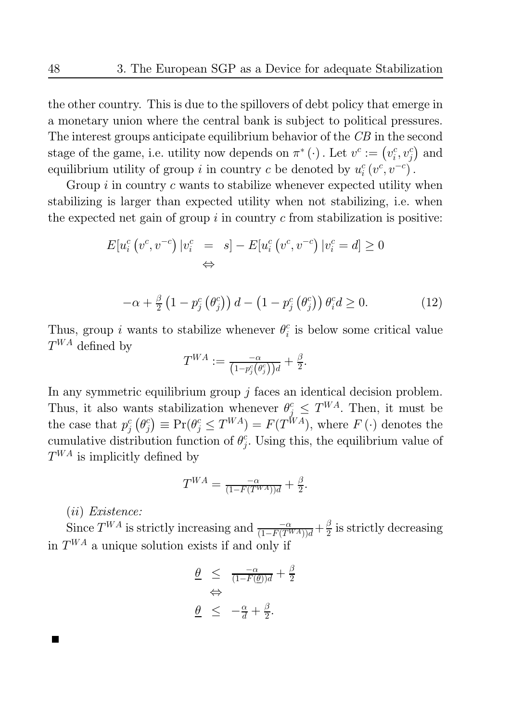the other country. This is due to the spillovers of debt policy that emerge in a monetary union where the central bank is subject to political pressures. The interest groups anticipate equilibrium behavior of the  $CB$  in the second stage of the game, i.e. utility now depends on  $\pi^*$  ( $\cdot$ ). Let  $v^c := (v_i^c, v_i^c)$  and equilibrium utility of group *i* in country *c* be denoted by  $u_i^c(v^c, v^{-c})$ .

Group  $i$  in country c wants to stabilize whenever expected utility when stabilizing is larger than expected utility when not stabilizing, i.e. when the expected net gain of group  $i$  in country  $c$  from stabilization is positive:

$$
E[u_i^c(v^c, v^{-c}) | v_i^c = s] - E[u_i^c(v^c, v^{-c}) | v_i^c = d] \ge 0
$$
  

$$
\Leftrightarrow
$$

$$
-\alpha + \frac{\beta}{2} \left(1 - p_j^c \left(\theta_j^c\right)\right) d - \left(1 - p_j^c \left(\theta_j^c\right)\right) \theta_i^c d \ge 0. \tag{12}
$$

Thus, group *i* wants to stabilize whenever  $\theta_i^c$  is below some critical value  $T^{WA}$  defined by

$$
T^{WA}:=\tfrac{-\alpha}{\left(1-p_j^c\left(\theta_j^c\right)\right)d}+\tfrac{\beta}{2}.
$$

In any symmetric equilibrium group  $j$  faces an identical decision problem. Thus, it also wants stabilization whenever  $\theta_j^c \leq T^{WA}$ . Then, it must be the case that  $p_j^c(\theta_j^c) \equiv \Pr(\theta_j^c \leq T^{WA}) = F(T^{WA})$ , where  $F(\cdot)$  denotes the cumulative distribution function of  $\theta_i^c$ . Using this, the equilibrium value of  $T^{WA}$  is implicitly defined by

$$
T^{WA} = \frac{-\alpha}{(1 - F(T^{WA}))d} + \frac{\beta}{2}.
$$

 $(ii) Existence:$ 

Since  $T^{WA}$  is strictly increasing and  $\frac{-\alpha}{(1 - F(T^{WA}))d} + \frac{\beta}{2}$  is strictly decreasing in  $T^{WA}$  a unique solution exists if and only if

$$
\frac{\theta}{\theta} \leq \frac{-\alpha}{(1 - F(\underline{\theta}))d} + \frac{\beta}{2}
$$
  

$$
\frac{\theta}{\theta} \leq -\frac{\alpha}{d} + \frac{\beta}{2}.
$$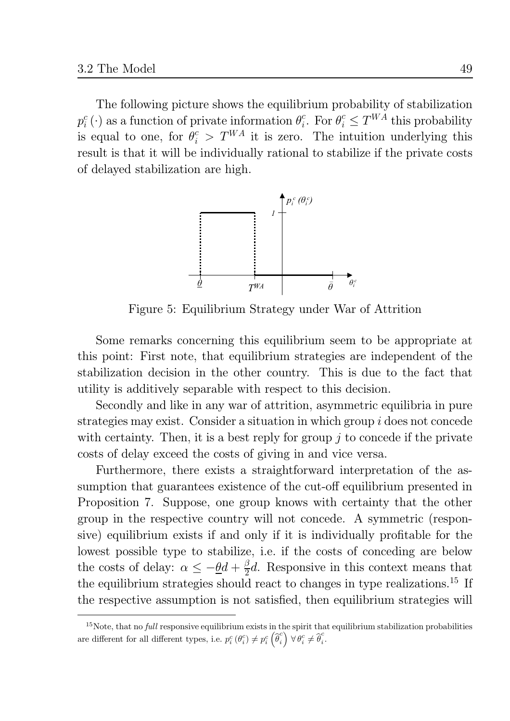The following picture shows the equilibrium probability of stabilization  $p_i^c(\cdot)$  as a function of private information  $\theta_i^c$ . For  $\theta_i^c \leq T^{WA}$  this probability is equal to one, for  $\theta_i^c > T^{WA}$  it is zero. The intuition underlying this result is that it will be individually rational to stabilize if the private costs of delayed stabilization are high.



Figure 5: Equilibrium Strategy under War of Attrition

Some remarks concerning this equilibrium seem to be appropriate at this point: First note, that equilibrium strategies are independent of the stabilization decision in the other country. This is due to the fact that utility is additively separable with respect to this decision.

Secondly and like in any war of attrition, asymmetric equilibria in pure strategies may exist. Consider a situation in which group i does not concede with certainty. Then, it is a best reply for group  $\dot{\jmath}$  to concede if the private costs of delay exceed the costs of giving in and vice versa.

Furthermore, there exists a straightforward interpretation of the assumption that guarantees existence of the cut-off equilibrium presented in Proposition 7. Suppose, one group knows with certainty that the other group in the respective country will not concede. A symmetric (responsive) equilibrium exists if and only if it is individually profitable for the lowest possible type to stabilize, i.e. if the costs of conceding are below the costs of delay:  $\alpha \leq -\underline{\theta}d + \frac{\beta}{2}d$ . Responsive in this context means that the equilibrium strategies should react to changes in type realizations.<sup>15</sup> If the respective assumption is not satisfied, then equilibrium strategies will

 $15$ Note, that no *full* responsive equilibrium exists in the spirit that equilibrium stabilization probabilities are different for all different types, i.e.  $p_i^c(\theta_i^c) \neq p_i^c(\widehat{\theta}_i^c) \,\forall \theta_i^c \neq \widehat{\theta}_i^c$ .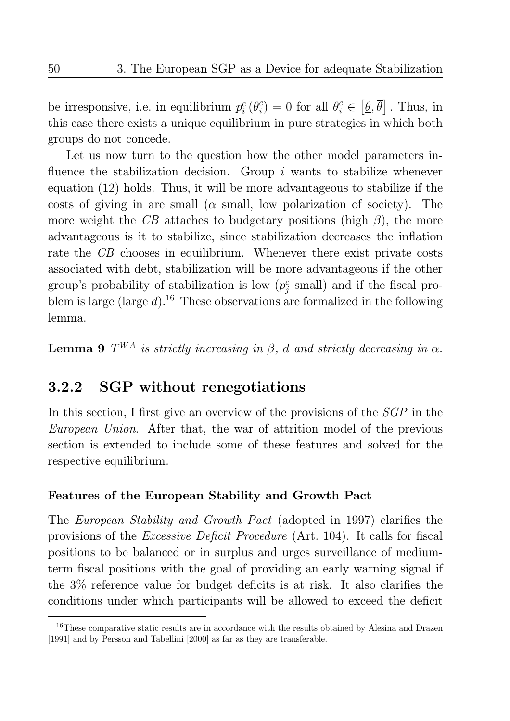be irresponsive, i.e. in equilibrium  $p_i^c(\theta_i^c) = 0$  for all  $\theta_i^c \in [\underline{\theta}, \overline{\theta}]$ . Thus, in this case there exists a unique equilibrium in pure strategies in which both groups do not concede.

Let us now turn to the question how the other model parameters influence the stabilization decision. Group  $i$  wants to stabilize whenever equation (12) holds. Thus, it will be more advantageous to stabilize if the costs of giving in are small ( $\alpha$  small, low polarization of society). The more weight the CB attaches to budgetary positions (high  $\beta$ ), the more advantageous is it to stabilize, since stabilization decreases the inflation rate the CB chooses in equilibrium. Whenever there exist private costs associated with debt, stabilization will be more advantageous if the other group's probability of stabilization is low  $(p_j^c \text{ small})$  and if the fiscal problem is large (large  $d$ ).<sup>16</sup> These observations are formalized in the following lemma.

**Lemma 9**  $T^{WA}$  is strictly increasing in  $\beta$ , d and strictly decreasing in  $\alpha$ .

#### **SGP** without renegotiations  $3.2.2$

In this section, I first give an overview of the provisions of the  $SGP$  in the *European Union.* After that, the war of attrition model of the previous section is extended to include some of these features and solved for the respective equilibrium.

## Features of the European Stability and Growth Pact

The *European Stability and Growth Pact* (adopted in 1997) clarifies the provisions of the *Excessive Deficit Procedure* (Art. 104). It calls for fiscal positions to be balanced or in surplus and urges surveillance of mediumterm fiscal positions with the goal of providing an early warning signal if the  $3\%$  reference value for budget deficits is at risk. It also clarifies the conditions under which participants will be allowed to exceed the deficit

<sup>&</sup>lt;sup>16</sup>These comparative static results are in accordance with the results obtained by Alesina and Drazen [1991] and by Persson and Tabellini [2000] as far as they are transferable.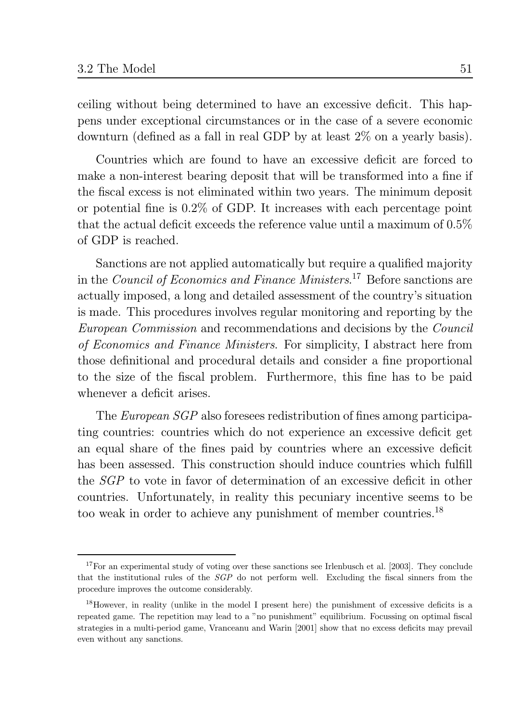ceiling without being determined to have an excessive deficit. This happens under exceptional circumstances or in the case of a severe economic downturn (defined as a fall in real GDP by at least  $2\%$  on a yearly basis).

Countries which are found to have an excessive deficit are forced to make a non-interest bearing deposit that will be transformed into a fine if the fiscal excess is not eliminated within two years. The minimum deposit or potential fine is  $0.2\%$  of GDP. It increases with each percentage point that the actual deficit exceeds the reference value until a maximum of  $0.5\%$ of GDP is reached.

Sanctions are not applied automatically but require a qualified majority in the *Council of Economics and Finance Ministers*.<sup>17</sup> Before sanctions are actually imposed, a long and detailed assessment of the country's situation is made. This procedures involves regular monitoring and reporting by the *European Commission* and recommendations and decisions by the *Council* of Economics and Finance Ministers. For simplicity, I abstract here from those definitional and procedural details and consider a fine proportional to the size of the fiscal problem. Furthermore, this fine has to be paid whenever a deficit arises.

The *European SGP* also foresees redistribution of fines among participating countries: countries which do not experience an excessive deficit get an equal share of the fines paid by countries where an excessive deficit has been assessed. This construction should induce countries which fulfill the *SGP* to vote in favor of determination of an excessive deficit in other countries. Unfortunately, in reality this pecuniary incentive seems to be too weak in order to achieve any punishment of member countries.<sup>18</sup>

<sup>&</sup>lt;sup>17</sup>For an experimental study of voting over these sanctions see Irlenbusch et al. [2003]. They conclude that the institutional rules of the *SGP* do not perform well. Excluding the fiscal sinners from the procedure improves the outcome considerably.

<sup>&</sup>lt;sup>18</sup>However, in reality (unlike in the model I present here) the punishment of excessive deficits is a repeated game. The repetition may lead to a "no punishment" equilibrium. Focussing on optimal fiscal strategies in a multi-period game, Vranceanu and Warin [2001] show that no excess deficits may prevail even without any sanctions.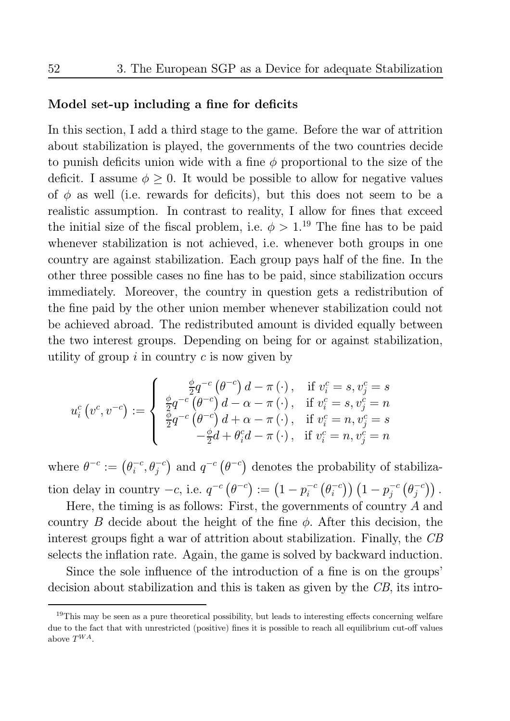## Model set-up including a fine for deficits

In this section, I add a third stage to the game. Before the war of attrition about stabilization is played, the governments of the two countries decide to punish deficits union wide with a fine  $\phi$  proportional to the size of the deficit. I assume  $\phi \geq 0$ . It would be possible to allow for negative values of  $\phi$  as well (i.e. rewards for deficits), but this does not seem to be a realistic assumption. In contrast to reality, I allow for fines that exceed the initial size of the fiscal problem, i.e.  $\phi > 1$ .<sup>19</sup> The fine has to be paid whenever stabilization is not achieved, i.e. whenever both groups in one country are against stabilization. Each group pays half of the fine. In the other three possible cases no fine has to be paid, since stabilization occurs immediately. Moreover, the country in question gets a redistribution of the fine paid by the other union member whenever stabilization could not be achieved abroad. The redistributed amount is divided equally between the two interest groups. Depending on being for or against stabilization, utility of group  $i$  in country  $c$  is now given by

$$
u_i^c\left(v^c,v^{-c}\right):=\left\{\begin{array}{ll} \frac{\phi}{2}q^{-c}\left(\theta^{-c}\right)d-\pi\left(\cdot\right),&\text{if}~v_i^c=s,v_j^c=s\\ \frac{\phi}{2}q^{-c}\left(\theta^{-c}\right)d-\alpha-\pi\left(\cdot\right),&\text{if}~v_i^c=s,v_j^c=n\\ \frac{\phi}{2}q^{-c}\left(\theta^{-c}\right)d+\alpha-\pi\left(\cdot\right),&\text{if}~v_i^c=n,v_j^c=s\\ -\frac{\phi}{2}d+\theta_i^cd-\pi\left(\cdot\right),&\text{if}~v_i^c=n,v_j^c=n\end{array}\right.
$$

where  $\theta^{-c} := (\theta_i^{-c}, \theta_i^{-c})$  and  $q^{-c}(\theta^{-c})$  denotes the probability of stabilization delay in country  $-c$ , i.e.  $q^{-c}(\theta^{-c}) := (1 - p_i^{-c}(\theta_i^{-c})) (1 - p_j^{-c}(\theta_j^{-c}))$ .

Here, the timing is as follows: First, the governments of country  $A$  and country B decide about the height of the fine  $\phi$ . After this decision, the interest groups fight a war of attrition about stabilization. Finally, the CB selects the inflation rate. Again, the game is solved by backward induction.

Since the sole influence of the introduction of a fine is on the groups' decision about stabilization and this is taken as given by the CB, its intro-

 $19$ This may be seen as a pure theoretical possibility, but leads to interesting effects concerning welfare due to the fact that with unrestricted (positive) fines it is possible to reach all equilibrium cut-off values above  $T^{WA}$ .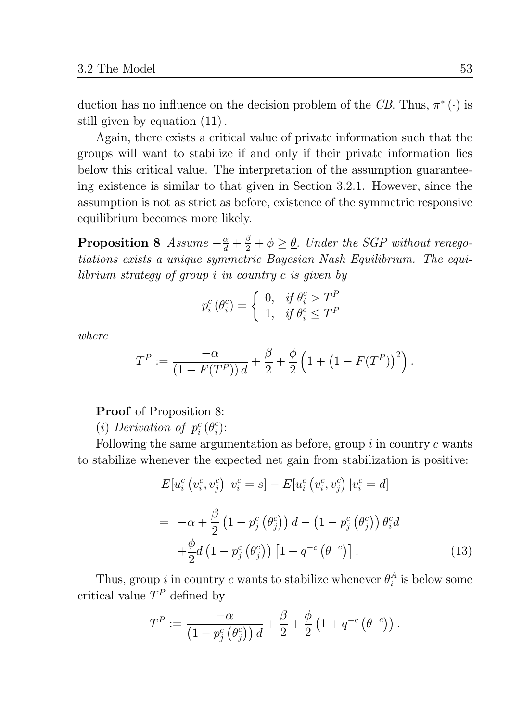duction has no influence on the decision problem of the CB. Thus,  $\pi^*$  ( $\cdot$ ) is still given by equation  $(11)$ .

Again, there exists a critical value of private information such that the groups will want to stabilize if and only if their private information lies below this critical value. The interpretation of the assumption guaranteeing existence is similar to that given in Section 3.2.1. However, since the assumption is not as strict as before, existence of the symmetric responsive equilibrium becomes more likely.

**Proposition 8** Assume  $-\frac{\alpha}{d} + \frac{\beta}{2} + \phi \geq \underline{\theta}$ . Under the SGP without renegotiations exists a unique symmetric Bayesian Nash Equilibrium. The equilibrium strategy of group i in country c is given by

$$
p_i^c(\theta_i^c) = \begin{cases} 0, & if \ \theta_i^c > T^P \\ 1, & if \ \theta_i^c \le T^P \end{cases}
$$

 $where$ 

$$
T^{P} := \frac{-\alpha}{(1 - F(T^{P})) d} + \frac{\beta}{2} + \frac{\phi}{2} \left( 1 + (1 - F(T^{P}))^{2} \right).
$$

**Proof** of Proposition 8:

(i) Derivation of  $p_i^c(\theta_i^c)$ :

Following the same argumentation as before, group  $i$  in country  $c$  wants to stabilize whenever the expected net gain from stabilization is positive:

$$
E[u_i^c(v_i^c, v_j^c) | v_i^c = s] - E[u_i^c(v_i^c, v_j^c) | v_i^c = d]
$$
  
= 
$$
-\alpha + \frac{\beta}{2} (1 - p_j^c(\theta_j^c)) d - (1 - p_j^c(\theta_j^c)) \theta_i^c d
$$
  
+ 
$$
\frac{\phi}{2} d (1 - p_j^c(\theta_j^c)) [1 + q^{-c}(\theta^{-c})].
$$
 (13)

Thus, group *i* in country *c* wants to stabilize whenever  $\theta_i^A$  is below some critical value  $T^P$  defined by

$$
T^{P} := \frac{-\alpha}{\left(1 - p_j^{c}(\theta_j^{c})\right)d} + \frac{\beta}{2} + \frac{\phi}{2}\left(1 + q^{-c}(\theta^{-c})\right).
$$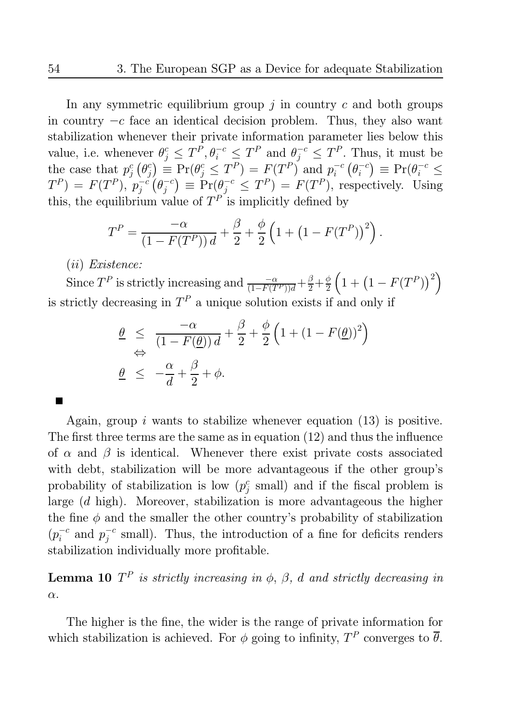In any symmetric equilibrium group  $j$  in country  $c$  and both groups in country  $-c$  face an identical decision problem. Thus, they also want stabilization whenever their private information parameter lies below this value, i.e. whenever  $\theta_j^c \leq T^P$ ,  $\theta_i^{-c} \leq T^P$  and  $\theta_j^{-c} \leq T^P$ . Thus, it must be the case that  $p_j^c(\theta_j^c) \equiv \Pr(\theta_j^c \leq T^P) = F(T^P)$  and  $p_i^{-c}(\theta_i^{-c}) \equiv \Pr(\theta_i^{-c} \leq T^P) = F(T^P)$ ,  $p_j^{-c}(\theta_j^{-c}) \equiv \Pr(\theta_j^{-c} \leq T^P) = F(T^P)$ , resp

$$
T^{P} = \frac{-\alpha}{(1 - F(T^{P})) d} + \frac{\beta}{2} + \frac{\phi}{2} \left( 1 + (1 - F(T^{P}))^{2} \right).
$$

 $(ii) Existence:$ 

Since  $T^P$  is strictly increasing and  $\frac{-\alpha}{(1-F(T^P))d} + \frac{\beta}{2} + \frac{\phi}{2} \left(1 + (1 - F(T^P))^2\right)$ is strictly decreasing in  $T<sup>P</sup>$  a unique solution exists if and only if

$$
\begin{array}{rcl}\n\theta & \leq & \frac{-\alpha}{(1 - F(\underline{\theta}))d} + \frac{\beta}{2} + \frac{\phi}{2} \left( 1 + (1 - F(\underline{\theta}))^2 \right) \\
\Rightarrow & \theta & \leq & -\frac{\alpha}{d} + \frac{\beta}{2} + \phi.\n\end{array}
$$

Again, group i wants to stabilize whenever equation  $(13)$  is positive. The first three terms are the same as in equation  $(12)$  and thus the influence of  $\alpha$  and  $\beta$  is identical. Whenever there exist private costs associated with debt, stabilization will be more advantageous if the other group's probability of stabilization is low  $(p_i^c \text{ small})$  and if the fiscal problem is large  $(d \text{ high})$ . Moreover, stabilization is more advantageous the higher the fine  $\phi$  and the smaller the other country's probability of stabilization  $(p_i^{-c}$  and  $p_i^{-c}$  small). Thus, the introduction of a fine for deficits renders stabilization individually more profitable.

**Lemma 10**  $T^P$  is strictly increasing in  $\phi$ ,  $\beta$ , d and strictly decreasing in  $\alpha$ .

The higher is the fine, the wider is the range of private information for which stabilization is achieved. For  $\phi$  going to infinity,  $T^P$  converges to  $\overline{\theta}$ .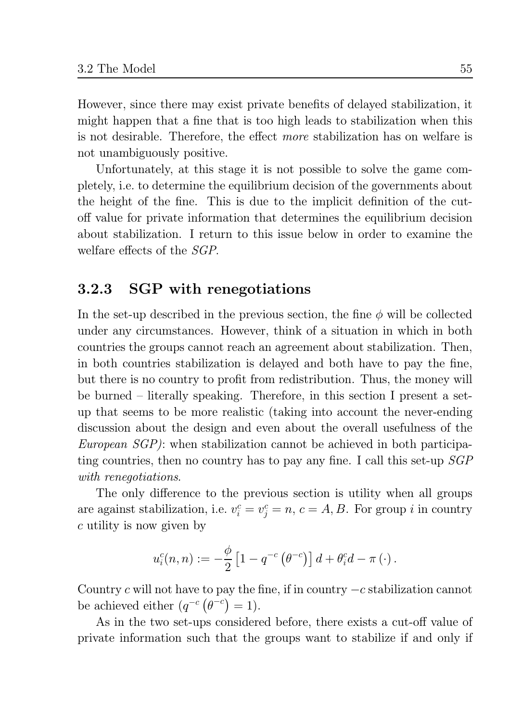However, since there may exist private benefits of delayed stabilization, it might happen that a fine that is too high leads to stabilization when this is not desirable. Therefore, the effect *more* stabilization has on welfare is not unambiguously positive.

Unfortunately, at this stage it is not possible to solve the game completely, i.e. to determine the equilibrium decision of the governments about the height of the fine. This is due to the implicit definition of the cutoff value for private information that determines the equilibrium decision about stabilization. I return to this issue below in order to examine the welfare effects of the *SGP*.

#### **SGP** with renegotiations 3.2.3

In the set-up described in the previous section, the fine  $\phi$  will be collected under any circumstances. However, think of a situation in which in both countries the groups cannot reach an agreement about stabilization. Then, in both countries stabilization is delayed and both have to pay the fine, but there is no country to profit from redistribution. Thus, the money will be burned – literally speaking. Therefore, in this section I present a setup that seems to be more realistic (taking into account the never-ending discussion about the design and even about the overall usefulness of the *European*  $SGP$ : when stabilization cannot be achieved in both participating countries, then no country has to pay any fine. I call this set-up SGP with renegotiations.

The only difference to the previous section is utility when all groups are against stabilization, i.e.  $v_i^c = v_i^c = n$ ,  $c = A, B$ . For group i in country  $c$  utility is now given by

$$
u_i^c(n,n) := -\frac{\phi}{2}\left[1-q^{-c}\left(\theta^{-c}\right)\right]d + \theta_i^c d - \pi\left(\cdot\right).
$$

Country c will not have to pay the fine, if in country  $-c$  stabilization cannot be achieved either  $(q^{-c} (\theta^{-c}) = 1)$ .

As in the two set-ups considered before, there exists a cut-off value of private information such that the groups want to stabilize if and only if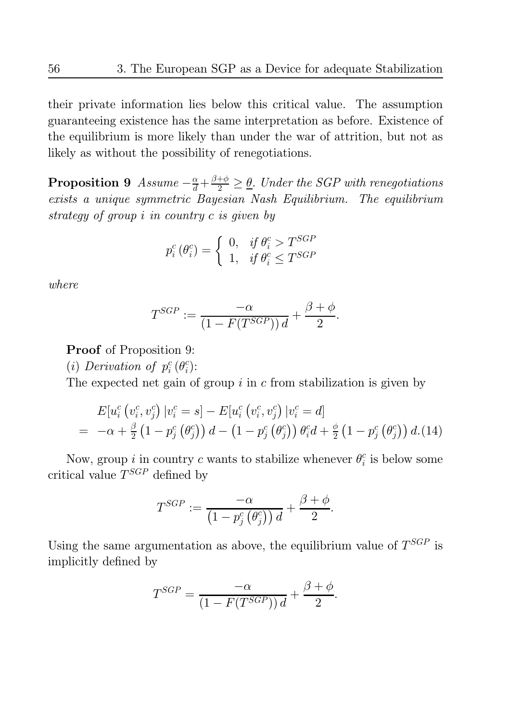their private information lies below this critical value. The assumption guaranteeing existence has the same interpretation as before. Existence of the equilibrium is more likely than under the war of attrition, but not as likely as without the possibility of renegotiations.

**Proposition 9** Assume  $-\frac{\alpha}{d} + \frac{\beta+\phi}{2} \ge \underline{\theta}$ . Under the SGP with renegotiations exists a unique symmetric Bayesian Nash Equilibrium. The equilibrium strategy of group  $i$  in country  $c$  is given by

$$
p_i^c(\theta_i^c) = \begin{cases} 0, & if \ \theta_i^c > T^{SGP} \\ 1, & if \ \theta_i^c \leq T^{SGP} \end{cases}
$$

where

$$
T^{SGP} := \frac{-\alpha}{\left(1 - F(T^{SGP})\right)d} + \frac{\beta + \phi}{2}.
$$

**Proof** of Proposition 9:

(i) Derivation of  $p_i^c(\theta_i^c)$ :

The expected net gain of group  $i$  in c from stabilization is given by

$$
E[u_i^c(v_i^c, v_j^c) | v_i^c = s] - E[u_i^c(v_i^c, v_j^c) | v_i^c = d]
$$
  
=  $-\alpha + \frac{\beta}{2} (1 - p_j^c(\theta_j^c)) d - (1 - p_j^c(\theta_j^c)) \theta_i^c d + \frac{\phi}{2} (1 - p_j^c(\theta_j^c)) d.(14)$ 

Now, group *i* in country *c* wants to stabilize whenever  $\theta_i^c$  is below some critical value  $T^{SGP}$  defined by

$$
T^{SGP}:=\frac{-\alpha}{\left(1-p_j^c\left(\theta_j^c\right)\right)d}+\frac{\beta+\phi}{2}
$$

Using the same argumentation as above, the equilibrium value of  $T^{SGP}$  is implicitly defined by

$$
T^{SGP} = \frac{-\alpha}{\left(1 - F(T^{SGP})\right)d} + \frac{\beta + \phi}{2}.
$$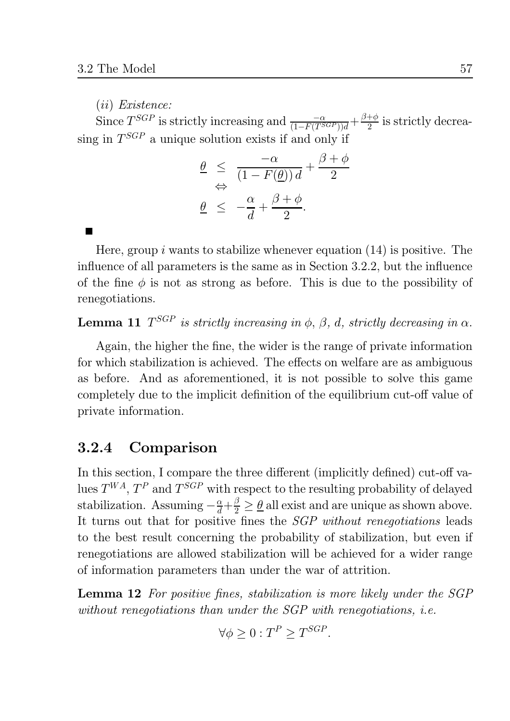$(ii) Existence:$ 

Since  $T^{SGP}$  is strictly increasing and  $\frac{-\alpha}{(1-F(T^{SGP}))d} + \frac{\beta+\phi}{2}$  is strictly decreasing in  $T^{SGP}$  a unique solution exists if and only if

$$
\begin{array}{rcl}\n\theta & \leq & \frac{-\alpha}{(1 - F(\underline{\theta}))d} + \frac{\beta + \phi}{2} \\
\Leftrightarrow & \frac{\alpha}{d} + \frac{\beta + \phi}{2}.\n\end{array}
$$

Here, group i wants to stabilize whenever equation  $(14)$  is positive. The influence of all parameters is the same as in Section 3.2.2, but the influence of the fine  $\phi$  is not as strong as before. This is due to the possibility of renegotiations.

**Lemma 11**  $T^{SGP}$  is strictly increasing in  $\phi$ ,  $\beta$ , d, strictly decreasing in  $\alpha$ .

Again, the higher the fine, the wider is the range of private information for which stabilization is achieved. The effects on welfare are as ambiguous as before. And as aforementioned, it is not possible to solve this game completely due to the implicit definition of the equilibrium cut-off value of private information.

#### Comparison  $3.2.4$

In this section, I compare the three different (implicitly defined) cut-off values  $T^{WA}$ ,  $T^{P}$  and  $T^{SGP}$  with respect to the resulting probability of delayed stabilization. Assuming  $-\frac{\alpha}{d} + \frac{\beta}{2} \ge \frac{\theta}{d}$  all exist and are unique as shown above. It turns out that for positive fines the *SGP without renegotiations* leads to the best result concerning the probability of stabilization, but even if renegotiations are allowed stabilization will be achieved for a wider range of information parameters than under the war of attrition.

**Lemma 12** For positive fines, stabilization is more likely under the SGP without renegotiations than under the SGP with renegotiations, *i.e.* 

$$
\forall \phi \ge 0 : T^P \ge T^{SGP}
$$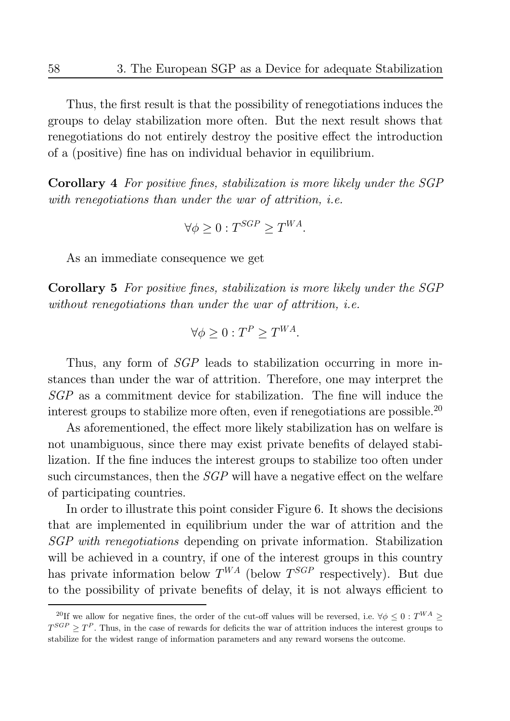Thus, the first result is that the possibility of renegotiations induces the groups to delay stabilization more often. But the next result shows that renegotiations do not entirely destroy the positive effect the introduction of a (positive) fine has on individual behavior in equilibrium.

**Corollary** 4 For positive fines, stabilization is more likely under the SGP with renegotiations than under the war of attrition, *i.e.* 

$$
\forall \phi \ge 0 : T^{SGP} \ge T^{WA}.
$$

As an immediate consequence we get

**Corollary 5** For positive fines, stabilization is more likely under the SGP without renegotiations than under the war of attrition, *i.e.* 

$$
\forall \phi \ge 0 : T^P \ge T^{WA}.
$$

Thus, any form of *SGP* leads to stabilization occurring in more instances than under the war of attrition. Therefore, one may interpret the SGP as a commitment device for stabilization. The fine will induce the interest groups to stabilize more often, even if renegotiations are possible.<sup>20</sup>

As aforementioned, the effect more likely stabilization has on welfare is not unambiguous, since there may exist private benefits of delayed stabilization. If the fine induces the interest groups to stabilize too often under such circumstances, then the  $SGP$  will have a negative effect on the welfare of participating countries.

In order to illustrate this point consider Figure 6. It shows the decisions that are implemented in equilibrium under the war of attrition and the SGP with renegotiations depending on private information. Stabilization will be achieved in a country, if one of the interest groups in this country has private information below  $T^{WA}$  (below  $T^{SGP}$  respectively). But due to the possibility of private benefits of delay, it is not always efficient to

<sup>&</sup>lt;sup>20</sup>If we allow for negative fines, the order of the cut-off values will be reversed, i.e.  $\forall \phi \leq 0 : T^{WA} > 0$  $T^{SGP} > T^P$ . Thus, in the case of rewards for deficits the war of attrition induces the interest groups to stabilize for the widest range of information parameters and any reward worsens the outcome.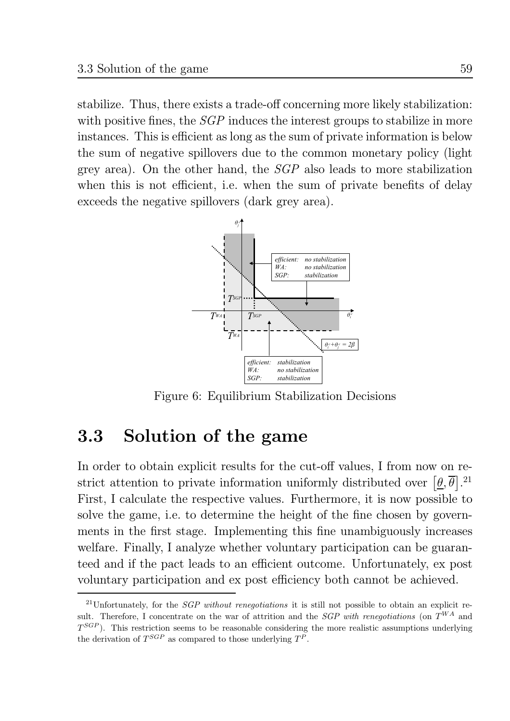stabilize. Thus, there exists a trade-off concerning more likely stabilization: with positive fines, the  $SGP$  induces the interest groups to stabilize in more instances. This is efficient as long as the sum of private information is below the sum of negative spillovers due to the common monetary policy (light) grey area). On the other hand, the  $SGP$  also leads to more stabilization when this is not efficient, i.e. when the sum of private benefits of delay exceeds the negative spillovers (dark grey area).



Figure 6: Equilibrium Stabilization Decisions

#### Solution of the game 3.3

In order to obtain explicit results for the cut-off values, I from now on restrict attention to private information uniformly distributed over  $[\theta, \overline{\theta}]$ .<sup>21</sup> First, I calculate the respective values. Furthermore, it is now possible to solve the game, i.e. to determine the height of the fine chosen by governments in the first stage. Implementing this fine unambiguously increases welfare. Finally, I analyze whether voluntary participation can be guaranteed and if the pact leads to an efficient outcome. Unfortunately, ex post voluntary participation and ex post efficiency both cannot be achieved.

<sup>&</sup>lt;sup>21</sup>Unfortunately, for the *SGP without renegotiations* it is still not possible to obtain an explicit result. Therefore, I concentrate on the war of attrition and the *SGP with renegotiations* (on  $T^{WA}$  and  $T^{SGP}$ ). This restriction seems to be reasonable considering the more realistic assumptions underlying the derivation of  $T^{SGP}$  as compared to those underlying  $T^P$ .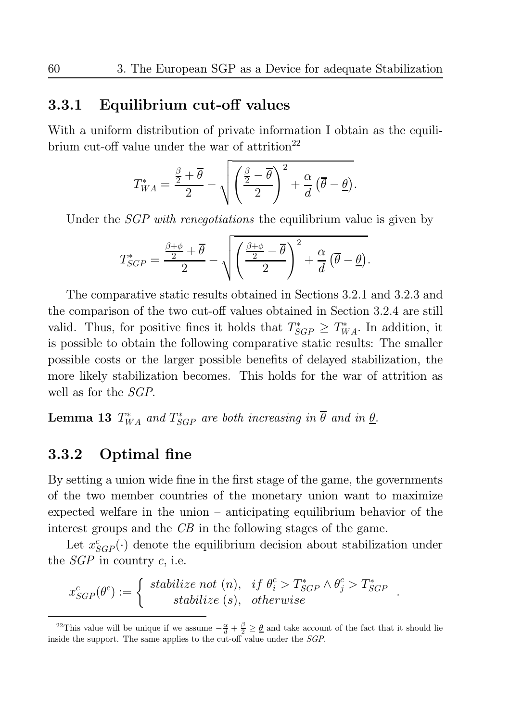#### Equilibrium cut-off values 3.3.1

With a uniform distribution of private information I obtain as the equilibrium cut-off value under the war of attrition<sup>22</sup>

$$
T_{WA}^* = \frac{\frac{\beta}{2} + \overline{\theta}}{2} - \sqrt{\left(\frac{\frac{\beta}{2} - \overline{\theta}}{2}\right)^2 + \frac{\alpha}{d}(\overline{\theta} - \underline{\theta})}.
$$

Under the *SGP with renegotiations* the equilibrium value is given by

$$
T_{SGP}^{*} = \frac{\frac{\beta+\phi}{2}+\overline{\theta}}{2} - \sqrt{\left(\frac{\frac{\beta+\phi}{2}-\overline{\theta}}{2}\right)^{2} + \frac{\alpha}{d}(\overline{\theta}-\underline{\theta})}.
$$

The comparative static results obtained in Sections 3.2.1 and 3.2.3 and the comparison of the two cut-off values obtained in Section 3.2.4 are still valid. Thus, for positive fines it holds that  $T_{SGP}^* \geq T_{WA}^*$ . In addition, it is possible to obtain the following comparative static results: The smaller possible costs or the larger possible benefits of delayed stabilization, the more likely stabilization becomes. This holds for the war of attrition as well as for the *SGP*.

**Lemma 13**  $T^*_{WA}$  and  $T^*_{SGP}$  are both increasing in  $\overline{\theta}$  and in  $\underline{\theta}$ .

#### 3.3.2 Optimal fine

By setting a union wide fine in the first stage of the game, the governments of the two member countries of the monetary union want to maximize expected welfare in the union  $-$  anticipating equilibrium behavior of the interest groups and the  $CB$  in the following stages of the game.

Let  $x^c_{SGP}(\cdot)$  denote the equilibrium decision about stabilization under the  $SGP$  in country c, i.e.

$$
x_{SGP}^{c}(\theta^{c}) := \begin{cases} \text{stabilize not } (n), & \text{if } \theta_{i}^{c} > T_{SGP}^{*} \land \theta_{j}^{c} > T_{SGP}^{*} \\ \text{stabilize } (s), & \text{otherwise} \end{cases}
$$

<sup>&</sup>lt;sup>22</sup>This value will be unique if we assume  $-\frac{\alpha}{d} + \frac{\beta}{2} \ge \underline{\theta}$  and take account of the fact that it should lie inside the support. The same applies to the cut-off value under the SGP.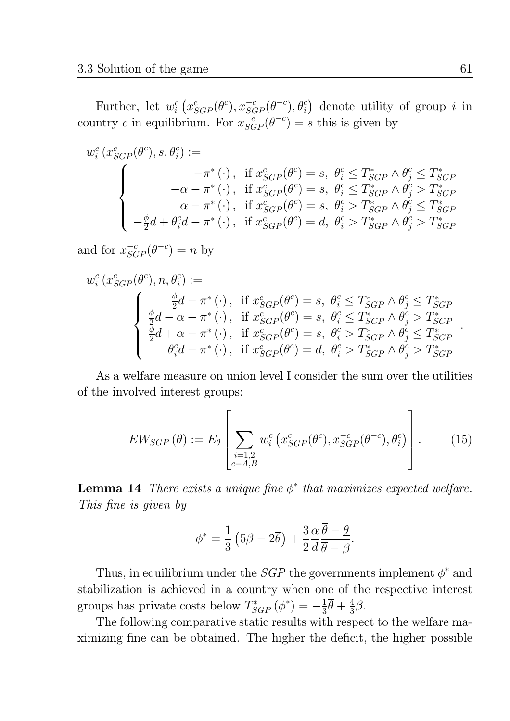Further, let  $w_i^c(x_{SGP}^c(\theta^c), x_{SGP}^{-c}(\theta^{-c}), \theta_i^c)$  denote utility of group *i* in country c in equilibrium. For  $x_{SGP}^{-c}(\theta^{-c}) = s$  this is given by

$$
w_i^c(x_{SGP}^c(\theta^c), s, \theta_i^c) :=
$$
\n
$$
\begin{cases}\n-\pi^*(\cdot), & \text{if } x_{SGP}^c(\theta^c) = s, \ \theta_i^c \le T_{SGP}^* \land \theta_j^c \le T_{SGP}^* \\
-\alpha - \pi^*(\cdot), & \text{if } x_{SGP}^c(\theta^c) = s, \ \theta_i^c \le T_{SGP}^* \land \theta_j^c > T_{SGP}^* \\
\alpha - \pi^*(\cdot), & \text{if } x_{SGP}^c(\theta^c) = s, \ \theta_i^c > T_{SGP}^* \land \theta_j^c \le T_{SGP}^* \\
-\frac{\phi}{2}d + \theta_i^c d - \pi^*(\cdot), & \text{if } x_{SGP}^c(\theta^c) = d, \ \theta_i^c > T_{SGP}^* \land \theta_j^c > T_{SGP}^* \n\end{cases}
$$

and for  $x_{SGP}^{-c}(\theta^{-c}) = n$  by

$$
w_i^c(x_{SGP}^c(\theta^c), n, \theta_i^c) :=
$$
\n
$$
\begin{cases}\n\frac{\phi}{2}d - \pi^*(\cdot), & \text{if } x_{SGP}^c(\theta^c) = s, \ \theta_i^c \le T_{SGP}^* \land \theta_j^c \le T_{SGP}^* \\
\frac{\phi}{2}d - \alpha - \pi^*(\cdot), & \text{if } x_{SGP}^c(\theta^c) = s, \ \theta_i^c \le T_{SGP}^* \land \theta_j^c > T_{SGP}^* \\
\frac{\phi}{2}d + \alpha - \pi^*(\cdot), & \text{if } x_{SGP}^c(\theta^c) = s, \ \theta_i^c > T_{SGP}^* \land \theta_j^c \le T_{SGP}^* \\
\theta_i^c d - \pi^*(\cdot), & \text{if } x_{SGP}^c(\theta^c) = d, \ \theta_i^c > T_{SGP}^* \land \theta_j^c > T_{SGP}^* \n\end{cases}
$$

As a welfare measure on union level I consider the sum over the utilities of the involved interest groups:

$$
EW_{SGP}(\theta) := E_{\theta} \left[ \sum_{\substack{i=1,2\\c=A,B}} w_i^c \left( x_{SGP}^c(\theta^c), x_{SGP}^{-c}(\theta^{-c}), \theta_i^c \right) \right]. \tag{15}
$$

**Lemma 14** There exists a unique fine  $\phi^*$  that maximizes expected welfare. This fine is given by

$$
\phi^* = \frac{1}{3} \left( 5\beta - 2\overline{\theta} \right) + \frac{3}{2} \frac{\alpha}{d} \frac{\overline{\theta} - \underline{\theta}}{\overline{\theta} - \beta}
$$

Thus, in equilibrium under the *SGP* the governments implement  $\phi^*$  and stabilization is achieved in a country when one of the respective interest groups has private costs below  $T_{SGP}^*(\phi^*) = -\frac{1}{3}\overline{\theta} + \frac{4}{3}\beta$ .

The following comparative static results with respect to the welfare maximizing fine can be obtained. The higher the deficit, the higher possible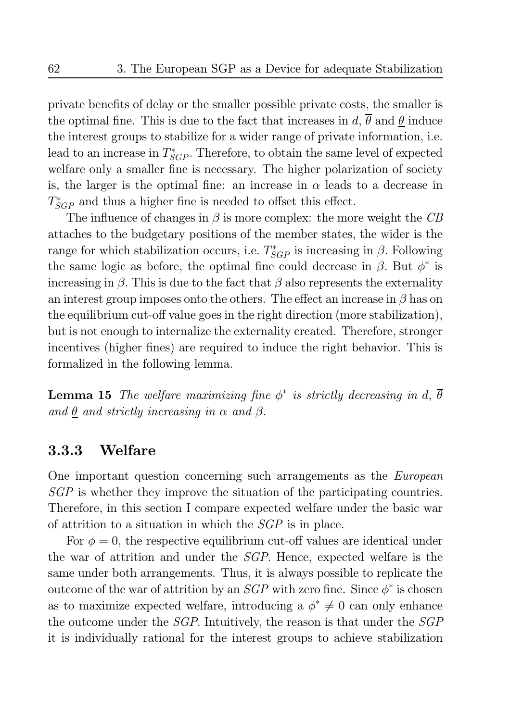private benefits of delay or the smaller possible private costs, the smaller is the optimal fine. This is due to the fact that increases in d,  $\overline{\theta}$  and  $\underline{\theta}$  induce the interest groups to stabilize for a wider range of private information, i.e. lead to an increase in  $T_{SGP}^*$ . Therefore, to obtain the same level of expected welfare only a smaller fine is necessary. The higher polarization of society is, the larger is the optimal fine: an increase in  $\alpha$  leads to a decrease in  $T_{SGP}^*$  and thus a higher fine is needed to offset this effect.

The influence of changes in  $\beta$  is more complex: the more weight the CB attaches to the budgetary positions of the member states, the wider is the range for which stabilization occurs, i.e.  $T_{SGP}^*$  is increasing in  $\beta$ . Following the same logic as before, the optimal fine could decrease in  $\beta$ . But  $\phi^*$  is increasing in  $\beta$ . This is due to the fact that  $\beta$  also represents the externality an interest group imposes onto the others. The effect an increase in  $\beta$  has on the equilibrium cut-off value goes in the right direction (more stabilization), but is not enough to internalize the externality created. Therefore, stronger incentives (higher fines) are required to induce the right behavior. This is formalized in the following lemma.

**Lemma 15** The welfare maximizing fine  $\phi^*$  is strictly decreasing in d,  $\overline{\theta}$ and  $\theta$  and strictly increasing in  $\alpha$  and  $\beta$ .

#### Welfare 3.3.3

One important question concerning such arrangements as the *European*  $SGP$  is whether they improve the situation of the participating countries. Therefore, in this section I compare expected welfare under the basic war of attrition to a situation in which the  $SGP$  is in place.

For  $\phi = 0$ , the respective equilibrium cut-off values are identical under the war of attrition and under the *SGP*. Hence, expected welfare is the same under both arrangements. Thus, it is always possible to replicate the outcome of the war of attrition by an *SGP* with zero fine. Since  $\phi^*$  is chosen as to maximize expected welfare, introducing a  $\phi^* \neq 0$  can only enhance the outcome under the *SGP*. Intuitively, the reason is that under the *SGP* it is individually rational for the interest groups to achieve stabilization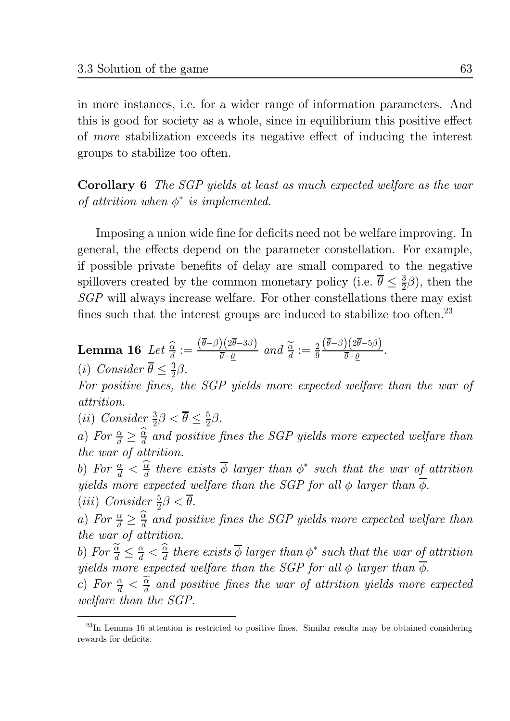in more instances, i.e. for a wider range of information parameters. And this is good for society as a whole, since in equilibrium this positive effect of more stabilization exceeds its negative effect of inducing the interest groups to stabilize too often.

**Corollary 6** The SGP yields at least as much expected welfare as the war of attrition when  $\phi^*$  is implemented.

Imposing a union wide fine for deficits need not be welfare improving. In general, the effects depend on the parameter constellation. For example, if possible private benefits of delay are small compared to the negative spillovers created by the common monetary policy (i.e.  $\bar{\theta} \leq \frac{3}{2}\beta$ ), then the  $SGP$  will always increase welfare. For other constellations there may exist fines such that the interest groups are induced to stabilize too often.<sup>23</sup>

**Lemma 16** Let 
$$
\frac{\widehat{\alpha}}{d} := \frac{(\overline{\theta} - \beta)(2\overline{\theta} - 3\beta)}{\overline{\theta} - \underline{\theta}}
$$
 and  $\frac{\widetilde{\alpha}}{d} := \frac{2}{9} \frac{(\overline{\theta} - \beta)(2\overline{\theta} - 5\beta)}{\overline{\theta} - \underline{\theta}}$ .  
(i) Consider  $\overline{\theta} \leq \frac{3}{2}\beta$ .

For positive fines, the SGP yields more expected welfare than the war of *attrition.* 

(*ii*) Consider  $\frac{3}{2}\beta < \overline{\theta} \leq \frac{5}{2}\beta$ .

a) For  $\frac{\alpha}{d} \geq \frac{\widehat{\alpha}}{d}$  and positive fines the SGP yields more expected welfare than the war of attrition.

b) For  $\frac{\alpha}{d} < \frac{\widehat{\alpha}}{d}$  there exists  $\overline{\phi}$  larger than  $\phi^*$  such that the war of attrition yields more expected welfare than the SGP for all  $\phi$  larger than  $\overline{\phi}$ . (*iii*) Consider  $\frac{5}{2}\beta < \overline{\theta}$ .

a) For  $\frac{\alpha}{d} \geq \frac{\widehat{\alpha}}{d}$  and positive fines the SGP yields more expected welfare than the war of attrition.

b) For  $\frac{\widetilde{\alpha}}{d} \leq \frac{\alpha}{d} < \frac{\widehat{\alpha}}{d}$  there exists  $\overline{\phi}$  larger than  $\phi^*$  such that the war of attrition yields more expected welfare than the SGP for all  $\phi$  larger than  $\overline{\phi}$ .

c) For  $\frac{\alpha}{d} < \frac{\alpha}{d}$  and positive fines the war of attrition yields more expected welfare than the SGP.

 $^{23}$ In Lemma 16 attention is restricted to positive fines. Similar results may be obtained considering rewards for deficits.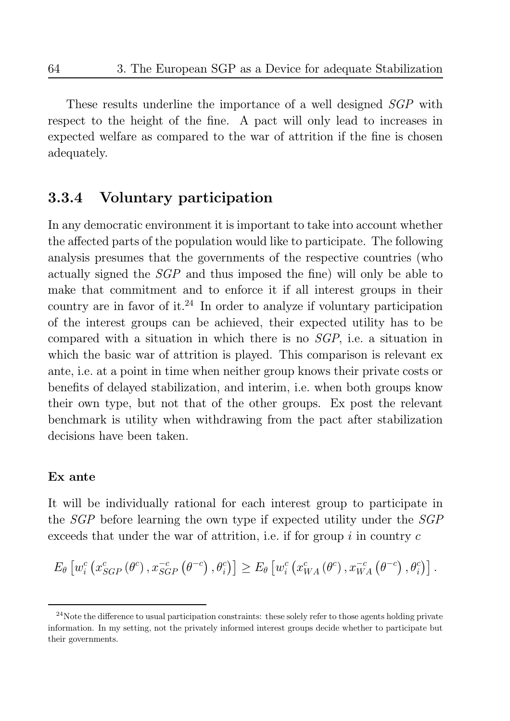These results underline the importance of a well designed SGP with respect to the height of the fine. A pact will only lead to increases in expected welfare as compared to the war of attrition if the fine is chosen adequately.

#### Voluntary participation 3.3.4

In any democratic environment it is important to take into account whether the affected parts of the population would like to participate. The following analysis presumes that the governments of the respective countries (who actually signed the *SGP* and thus imposed the fine) will only be able to make that commitment and to enforce it if all interest groups in their country are in favor of it.<sup>24</sup> In order to analyze if voluntary participation of the interest groups can be achieved, their expected utility has to be compared with a situation in which there is no  $SGP$ , i.e. a situation in which the basic war of attrition is played. This comparison is relevant ex ante, i.e. at a point in time when neither group knows their private costs or benefits of delayed stabilization, and interim, i.e. when both groups know their own type, but not that of the other groups. Ex post the relevant benchmark is utility when withdrawing from the pact after stabilization decisions have been taken.

## Ex ante

It will be individually rational for each interest group to participate in the *SGP* before learning the own type if expected utility under the *SGP* exceeds that under the war of attrition, i.e. if for group  $i$  in country  $c$ 

$$
E_{\theta}\left[w_i^c\left(x_{SGP}^c\left(\theta^c\right),x_{SGP}^{-c}\left(\theta^{-c}\right),\theta_i^c\right)\right] \geq E_{\theta}\left[w_i^c\left(x_{WA}^c\left(\theta^c\right),x_{WA}^{-c}\left(\theta^{-c}\right),\theta_i^c\right)\right].
$$

 $24$ Note the difference to usual participation constraints: these solely refer to those agents holding private information. In my setting, not the privately informed interest groups decide whether to participate but their governments.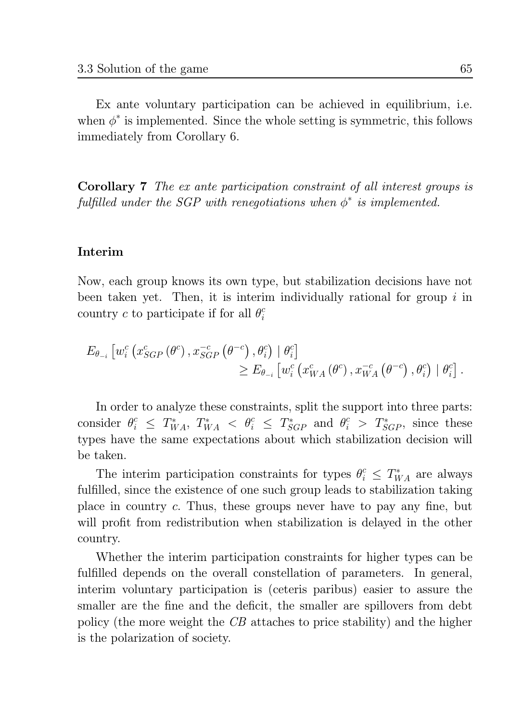Ex ante voluntary participation can be achieved in equilibrium, i.e. when  $\phi^*$  is implemented. Since the whole setting is symmetric, this follows immediately from Corollary 6.

**Corollary 7** The ex ante participation constraint of all interest groups is fulfilled under the SGP with renegotiations when  $\phi^*$  is implemented.

## Interim

Now, each group knows its own type, but stabilization decisions have not been taken yet. Then, it is interim individually rational for group  $i$  in country c to participate if for all  $\theta_i^c$ 

$$
E_{\theta_{-i}} \left[ w_i^c \left( x_{SGP}^c \left( \theta^c \right), x_{SGP}^{-c} \left( \theta^{-c} \right), \theta_i^c \right) \mid \theta_i^c \right] \geq E_{\theta_{-i}} \left[ w_i^c \left( x_{WA}^c \left( \theta^c \right), x_{WA}^{-c} \left( \theta^{-c} \right), \theta_i^c \right) \mid \theta_i^c \right].
$$

In order to analyze these constraints, split the support into three parts: consider  $\theta_i^c \leq T_{WA}^*$ ,  $T_{WA}^* < \theta_i^c \leq T_{SGP}^*$  and  $\theta_i^c > T_{SGP}^*$ , since these types have the same expectations about which stabilization decision will be taken.

The interim participation constraints for types  $\theta_i^c \leq T_{WA}^*$  are always fulfilled, since the existence of one such group leads to stabilization taking place in country c. Thus, these groups never have to pay any fine, but will profit from redistribution when stabilization is delayed in the other country.

Whether the interim participation constraints for higher types can be fulfilled depends on the overall constellation of parameters. In general, interim voluntary participation is (ceteris paribus) easier to assure the smaller are the fine and the deficit, the smaller are spillovers from debt policy (the more weight the CB attaches to price stability) and the higher is the polarization of society.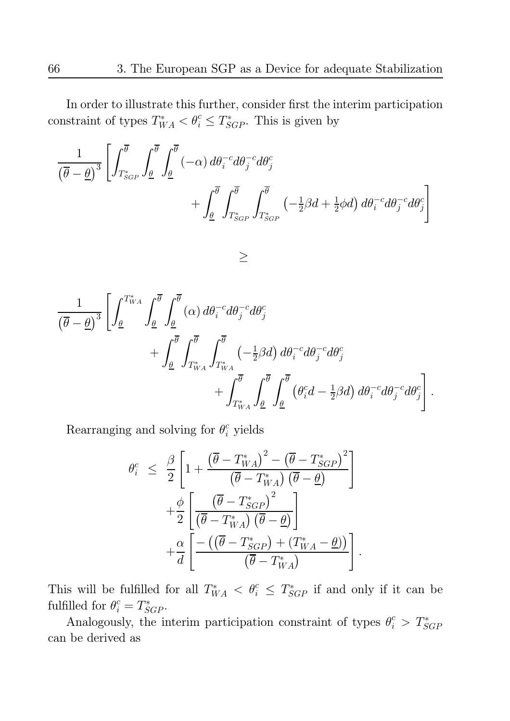In order to illustrate this further, consider first the interim participation constraint of types  $T_{WA}^* < \theta_i^c \leq T_{SGP}^*$ . This is given by

$$
\frac{1}{(\overline{\theta}-\underline{\theta})^3} \left[ \int_{T_{SGP}^*}^{\overline{\theta}} \int_{\underline{\theta}}^{\overline{\theta}} (-\alpha) d\theta_i^{-c} d\theta_j^{-c} d\theta_j^{c} \right. \\
\left. + \int_{\underline{\theta}}^{\overline{\theta}} \int_{T_{SGP}^*}^{\overline{\theta}} \int_{T_{SGP}^*}^{\overline{\theta}} (-\frac{1}{2}\beta d + \frac{1}{2}\phi d) d\theta_i^{-c} d\theta_j^{-c} d\theta_j^{c} \right]
$$

 $\geq$ 

$$
\frac{1}{(\overline{\theta}-\underline{\theta})^3} \left[ \int_{\underline{\theta}}^{T_{WA}^*} \int_{\underline{\theta}}^{\overline{\theta}} \int_{\underline{\theta}}^{\overline{\theta}} (\alpha) d\theta_i^{-c} d\theta_j^{-c} d\theta_j^{c} \right. \\ \left. + \int_{\underline{\theta}}^{\overline{\theta}} \int_{T_{WA}^*}^{\overline{\theta}} \int_{T_{WA}^*}^{\overline{\theta}} \int_{T_{WA}^*}^{\overline{\theta}} (-\frac{1}{2} \beta d) d\theta_i^{-c} d\theta_j^{-c} d\theta_j^{c} \right. \\ \left. + \int_{T_{WA}^*}^{\overline{\theta}} \int_{\underline{\theta}}^{\overline{\theta}} \int_{\underline{\theta}}^{\overline{\theta}} (\theta_i^{c} d - \frac{1}{2} \beta d) d\theta_i^{-c} d\theta_j^{-c} d\theta_j^{c} \right].
$$

Rearranging and solving for  $\theta_i^c$  yields

$$
\theta_i^c \leq \frac{\beta}{2} \left[ 1 + \frac{\left(\overline{\theta} - T_{WA}^*\right)^2 - \left(\overline{\theta} - T_{SGP}^*\right)^2}{\left(\overline{\theta} - T_{WA}^*\right)\left(\overline{\theta} - \underline{\theta}\right)} \right] + \frac{\phi}{2} \left[ \frac{\left(\overline{\theta} - T_{SGP}^*\right)^2}{\left(\overline{\theta} - T_{WA}^*\right)\left(\overline{\theta} - \underline{\theta}\right)} \right] + \frac{\alpha}{d} \left[ \frac{-\left(\left(\overline{\theta} - T_{SGP}^*\right) + \left(T_{WA}^* - \underline{\theta}\right)\right)}{\left(\overline{\theta} - T_{WA}^*\right)} \right]
$$

This will be fulfilled for all  $T^*_{WA} < \theta_i^c \leq T^*_{SGP}$  if and only if it can be fulfilled for  $\theta_i^c = T_{SGP}^*$ .

Analogously, the interim participation constraint of types  $\theta_i^c > T_{SGP}^*$ can be derived as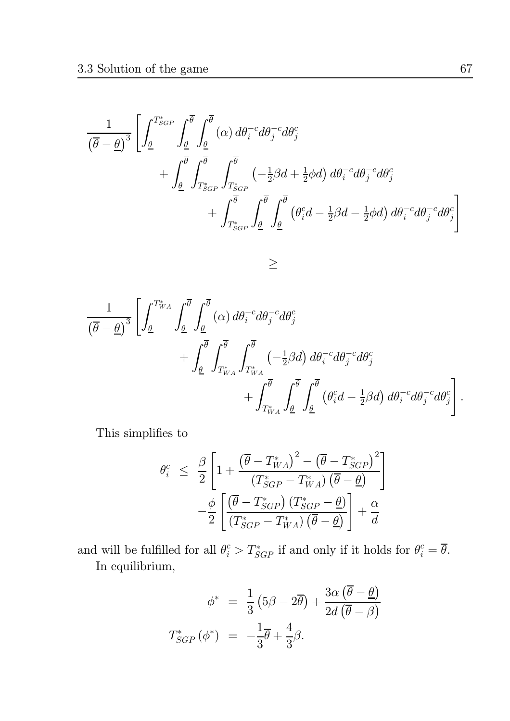$$
\frac{1}{(\overline{\theta}-\underline{\theta})^3} \left[ \int_{\underline{\theta}}^{T_{SGP}^*} \int_{\underline{\theta}}^{\overline{\theta}} \int_{\underline{\theta}}^{\overline{\theta}} (\alpha) d\theta_i^{-c} d\theta_j^{-c} d\theta_j^{c}
$$
  
+ 
$$
\int_{\underline{\theta}}^{\overline{\theta}} \int_{T_{SGP}^*}^{\overline{\theta}} \int_{T_{SGP}^*}^{\overline{\theta}} (-\frac{1}{2}\beta d + \frac{1}{2}\phi d) d\theta_i^{-c} d\theta_j^{-c} d\theta_j^{c}
$$
  
+ 
$$
\int_{T_{SGP}^*}^{\overline{\theta}} \int_{\underline{\theta}}^{\overline{\theta}} \int_{\underline{\theta}}^{\overline{\theta}} (\theta_i^{c} d - \frac{1}{2}\beta d - \frac{1}{2}\phi d) d\theta_i^{-c} d\theta_j^{-c} d\theta_j^{c}
$$

 $\geq$ 

$$
\frac{1}{(\overline{\theta}-\underline{\theta})^3} \left[ \int_{\underline{\theta}}^{T_{WA}^*} \int_{\underline{\theta}}^{\overline{\theta}} \int_{\underline{\theta}}^{\overline{\theta}} (\alpha) d\theta_i^{-c} d\theta_j^{-c} d\theta_j^{c} \n+ \int_{\underline{\theta}}^{\overline{\theta}} \int_{T_{WA}^*}^{\overline{\theta}} \int_{T_{WA}^*}^{\overline{\theta}} \left( -\frac{1}{2} \beta d \right) d\theta_i^{-c} d\theta_j^{-c} d\theta_j^{c} \n+ \int_{T_{WA}^*}^{\overline{\theta}} \int_{\underline{\theta}}^{\overline{\theta}} \int_{\underline{\theta}}^{\overline{\theta}} (\theta_i^{c} d - \frac{1}{2} \beta d) d\theta_i^{-c} d\theta_j^{-c} d\theta_j^{c} \right].
$$

This simplifies to

$$
\theta_i^c \leq \frac{\beta}{2} \left[ 1 + \frac{\left(\overline{\theta} - T_{WA}^*\right)^2 - \left(\overline{\theta} - T_{SGP}^*\right)^2}{\left(T_{SGP}^* - T_{WA}^*\right)\left(\overline{\theta} - \underline{\theta}\right)} \right] \n- \frac{\phi}{2} \left[ \frac{\left(\overline{\theta} - T_{SGP}^*\right)\left(T_{SGP}^* - \underline{\theta}\right)}{\left(T_{SGP}^* - T_{WA}^*\right)\left(\overline{\theta} - \underline{\theta}\right)} \right] + \frac{\alpha}{d}
$$

and will be fulfilled for all  $\theta_i^c > T_{SGP}^*$  if and only if it holds for  $\theta_i^c = \overline{\theta}$ . In equilibrium,

$$
\phi^* = \frac{1}{3} \left( 5\beta - 2\overline{\theta} \right) + \frac{3\alpha \left( \overline{\theta} - \underline{\theta} \right)}{2d \left( \overline{\theta} - \beta \right)}
$$

$$
T_{SGP}^* \left( \phi^* \right) = -\frac{1}{3} \overline{\theta} + \frac{4}{3} \beta.
$$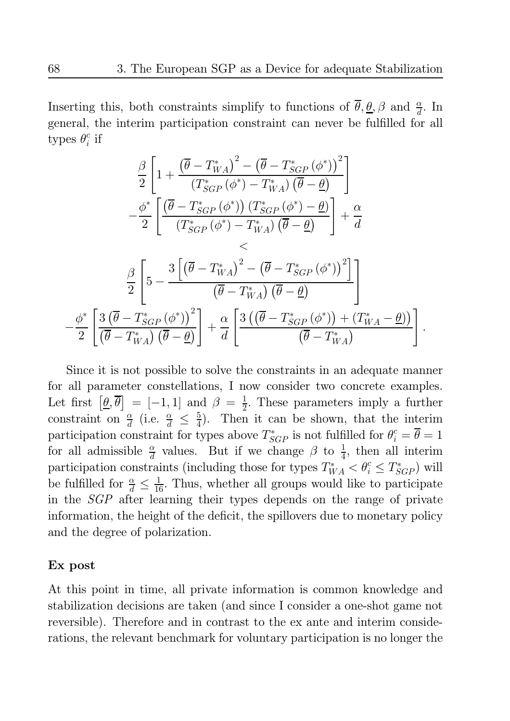Inserting this, both constraints simplify to functions of  $\overline{\theta}, \underline{\theta}, \beta$  and  $\frac{\alpha}{d}$ . In general, the interim participation constraint can never be fulfilled for all types  $\theta_i^c$  if

$$
\frac{\beta}{2} \left[ 1 + \frac{(\overline{\theta} - T_{WA}^*)^2 - (\overline{\theta} - T_{SGP}^* (\phi^*))^2}{(T_{SGP}^* (\phi^*) - T_{WA}^*) (\overline{\theta} - \underline{\theta})} \right] \n- \frac{\phi^*}{2} \left[ \frac{(\overline{\theta} - T_{SGP}^* (\phi^*)) (T_{SGP}^* (\phi^*) - \underline{\theta})}{(T_{SGP}^* (\phi^*) - T_{WA}^*) (\overline{\theta} - \underline{\theta})} \right] + \frac{\alpha}{d} \n
$$
\frac{\beta}{2} \left[ 5 - \frac{3 \left[ (\overline{\theta} - T_{WA}^*)^2 - (\overline{\theta} - T_{SGP}^* (\phi^*))^2 \right]}{(\overline{\theta} - T_{WA}^*) (\overline{\theta} - \underline{\theta})} \right]
$$
\n
$$
\frac{\phi^*}{2} \left[ \frac{3 \left( \overline{\theta} - T_{SGP}^* (\phi^*) \right)^2}{(\overline{\theta} - T_{WA}^*) (\overline{\theta} - \underline{\theta})} \right] + \frac{\alpha}{d} \left[ \frac{3 \left( (\overline{\theta} - T_{SGP}^* (\phi^*)) + (T_{WA}^* - \underline{\theta}) \right)}{(\overline{\theta} - T_{WA}^*)} \right].
$$
$$

Since it is not possible to solve the constraints in an adequate manner for all parameter constellations, I now consider two concrete examples. Let first  $[\underline{\theta}, \overline{\theta}] = [-1, 1]$  and  $\beta = \frac{1}{2}$ . These parameters imply a further constraint on  $\frac{\alpha}{d}$  (i.e.  $\frac{\alpha}{d} \leq \frac{5}{4}$ ). Then it can be shown, that the interim participation constraint for types above  $T_{SGP}^*$  is not fulfilled for  $\theta_i^c = \theta = 1$ for all admissible  $\frac{\alpha}{d}$  values. But if we change  $\beta$  to  $\frac{1}{4}$ , then all interim participation constraints (including those for types  $T^*_{WA} < \theta_i^c \leq T^*_{SGP}$ ) will be fulfilled for  $\frac{\alpha}{d} \leq \frac{1}{16}$ . Thus, whether all groups would like to participate in the *SGP* after learning their types depends on the range of private information, the height of the deficit, the spillovers due to monetary policy and the degree of polarization.

## Ex post

At this point in time, all private information is common knowledge and stabilization decisions are taken (and since I consider a one-shot game not reversible). Therefore and in contrast to the ex ante and interim considerations, the relevant benchmark for voluntary participation is no longer the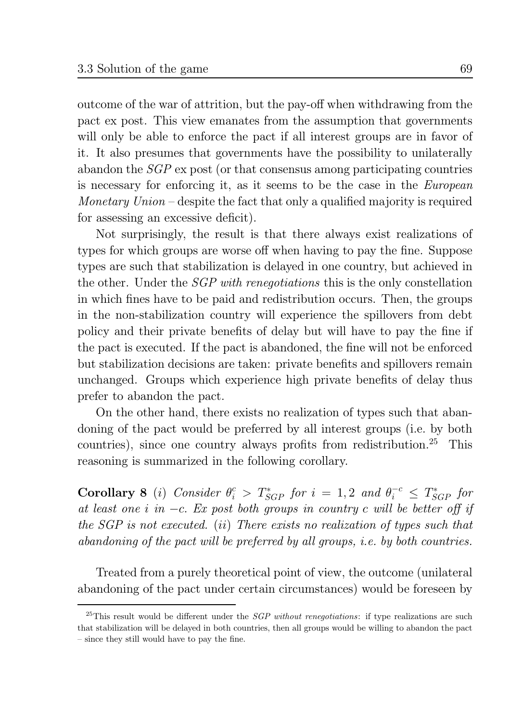outcome of the war of attrition, but the pay-off when withdrawing from the pact ex post. This view emanates from the assumption that governments will only be able to enforce the pact if all interest groups are in favor of it. It also presumes that governments have the possibility to unitaterally abandon the  $SGP$  ex post (or that consensus among participating countries is necessary for enforcing it, as it seems to be the case in the *European* Monetary  $Union$  – despite the fact that only a qualified majority is required for assessing an excessive deficit).

Not surprisingly, the result is that there always exist realizations of types for which groups are worse off when having to pay the fine. Suppose types are such that stabilization is delayed in one country, but achieved in the other. Under the *SGP with renegotiations* this is the only constellation in which fines have to be paid and redistribution occurs. Then, the groups in the non-stabilization country will experience the spillovers from debt policy and their private benefits of delay but will have to pay the fine if the pact is executed. If the pact is abandoned, the fine will not be enforced but stabilization decisions are taken: private benefits and spillovers remain unchanged. Groups which experience high private benefits of delay thus prefer to abandon the pact.

On the other hand, there exists no realization of types such that abandoning of the pact would be preferred by all interest groups (i.e. by both countries), since one country always profits from redistribution.<sup>25</sup> This reasoning is summarized in the following corollary.

**Corollary 8** (i) Consider  $\theta_i^c > T_{SGP}^*$  for  $i = 1, 2$  and  $\theta_i^{-c} \leq T_{SGP}^*$  for at least one i in  $-c$ . Ex post both groups in country c will be better off if the SGP is not executed. (ii) There exists no realization of types such that abandoning of the pact will be preferred by all groups, *i.e.* by both countries.

Treated from a purely theoretical point of view, the outcome (unilateral abandoning of the pact under certain circumstances) would be foreseen by

<sup>&</sup>lt;sup>25</sup>This result would be different under the *SGP without renegotiations*: if type realizations are such that stabilization will be delayed in both countries, then all groups would be willing to abandon the pact - since they still would have to pay the fine.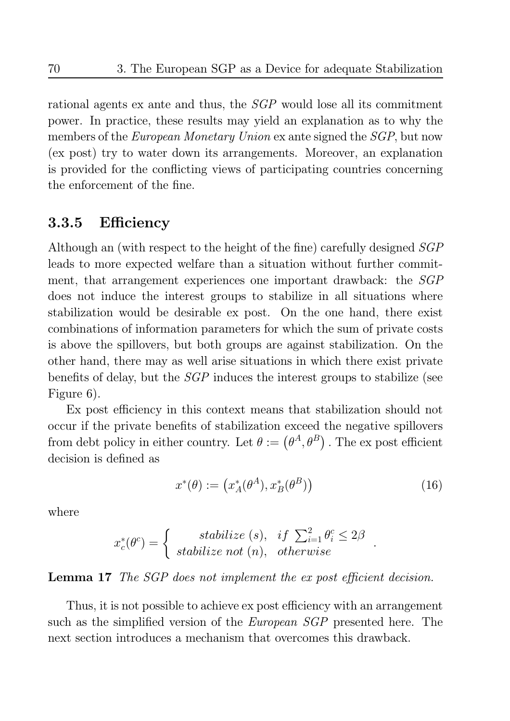rational agents ex ante and thus, the *SGP* would lose all its commitment power. In practice, these results may yield an explanation as to why the members of the *European Monetary Union* ex ante signed the *SGP*, but now (ex post) try to water down its arrangements. Moreover, an explanation is provided for the conflicting views of participating countries concerning the enforcement of the fine.

#### Efficiency 3.3.5

Although an (with respect to the height of the fine) carefully designed SGP leads to more expected welfare than a situation without further commitment, that arrangement experiences one important drawback: the SGP does not induce the interest groups to stabilize in all situations where stabilization would be desirable ex post. On the one hand, there exist combinations of information parameters for which the sum of private costs is above the spillovers, but both groups are against stabilization. On the other hand, there may as well arise situations in which there exist private benefits of delay, but the *SGP* induces the interest groups to stabilize (see Figure 6).

Ex post efficiency in this context means that stabilization should not occur if the private benefits of stabilization exceed the negative spillovers from debt policy in either country. Let  $\theta := (\theta^A, \theta^B)$ . The expost efficient decision is defined as

$$
x^*(\theta) := (x_A^*(\theta^A), x_B^*(\theta^B))
$$
\n(16)

where

$$
x_c^*(\theta^c) = \begin{cases} \text{stabilize (s),} & \text{if } \sum_{i=1}^2 \theta_i^c \le 2\beta\\ \text{stabilize not (n),} & \text{otherwise} \end{cases}
$$

## **Lemma 17** The SGP does not implement the ex post efficient decision.

Thus, it is not possible to achieve ex post efficiency with an arrangement such as the simplified version of the *European SGP* presented here. The next section introduces a mechanism that overcomes this drawback.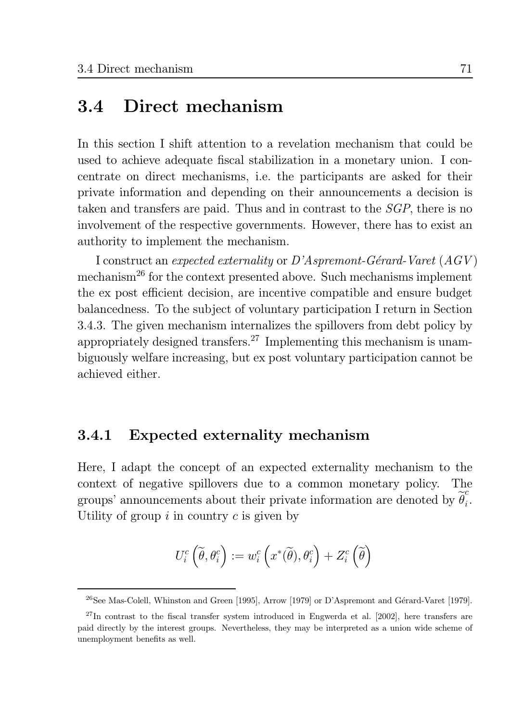#### Direct mechanism 3.4

In this section I shift attention to a revelation mechanism that could be used to achieve adequate fiscal stabilization in a monetary union. I concentrate on direct mechanisms, i.e. the participants are asked for their private information and depending on their announcements a decision is taken and transfers are paid. Thus and in contrast to the *SGP*, there is no involvement of the respective governments. However, there has to exist an authority to implement the mechanism.

I construct an expected externality or  $D'A$ spremont-Gérard-Varet  $(AGV)$ mechanism<sup>26</sup> for the context presented above. Such mechanisms implement the ex post efficient decision, are incentive compatible and ensure budget balancedness. To the subject of voluntary participation I return in Section 3.4.3. The given mechanism internalizes the spillovers from debt policy by appropriately designed transfers.<sup>27</sup> Implementing this mechanism is unambiguously welfare increasing, but ex post voluntary participation cannot be achieved either.

#### Expected externality mechanism 3.4.1

Here, I adapt the concept of an expected externality mechanism to the context of negative spillovers due to a common monetary policy. The groups' announcements about their private information are denoted by  $\theta_i^{\mathcal{C}}$ . Utility of group  $i$  in country  $c$  is given by

$$
U_i^c\left(\widetilde{\theta},\theta_i^c\right):=w_i^c\left(x^*(\widetilde{\theta}),\theta_i^c\right)+Z_i^c\left(\widetilde{\theta}\right)
$$

<sup>&</sup>lt;sup>26</sup>See Mas-Colell. Whinston and Green [1995], Arrow [1979] or D'Aspremont and Gérard-Varet [1979].

 $^{27}$ In contrast to the fiscal transfer system introduced in Engwerda et al. [2002], here transfers are paid directly by the interest groups. Nevertheless, they may be interpreted as a union wide scheme of unemployment benefits as well.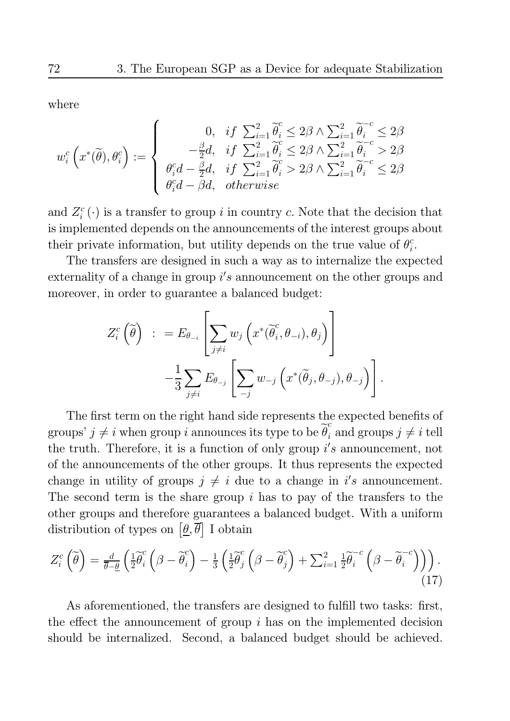where

$$
w_i^c\left(x^*(\tilde{\theta}), \theta_i^c\right) := \begin{cases} 0, & if \sum_{i=1}^2 \tilde{\theta}_i^c \le 2\beta \wedge \sum_{i=1}^2 \tilde{\theta}_i^{-c} \le 2\beta \\ -\frac{\beta}{2}d, & if \sum_{i=1}^2 \tilde{\theta}_i^c \le 2\beta \wedge \sum_{i=1}^2 \tilde{\theta}_i^{-c} > 2\beta \\ \theta_i^c d - \frac{\beta}{2}d, & if \sum_{i=1}^2 \tilde{\theta}_i^c > 2\beta \wedge \sum_{i=1}^2 \tilde{\theta}_i^{-c} \le 2\beta \\ \theta_i^c d - \beta d, & otherwise \end{cases}
$$

and  $Z_i^c(\cdot)$  is a transfer to group i in country c. Note that the decision that is implemented depends on the announcements of the interest groups about their private information, but utility depends on the true value of  $\theta_i^c$ .

The transfers are designed in such a way as to internalize the expected externality of a change in group  $i's$  announcement on the other groups and moreover, in order to guarantee a balanced budget:

$$
\begin{array}{cl} Z_i^c\left(\widetilde{\theta}\right) & := E_{\theta_{-i}}\left[\displaystyle\sum_{j\neq i}w_j\left(x^*(\widetilde{\theta}^c_i,\theta_{-i}),\theta_j\right)\right] \\ & & \displaystyle -\frac{1}{3}\displaystyle\sum_{j\neq i}E_{\theta_{-j}}\left[\displaystyle\sum_{-j}w_{-j}\left(x^*(\widetilde{\theta}_j,\theta_{-j}),\theta_{-j}\right)\right].\end{array}
$$

The first term on the right hand side represents the expected benefits of groups'  $j \neq i$  when group i announces its type to be  $\widetilde{\theta}_i^c$  and groups  $j \neq i$  tell the truth. Therefore, it is a function of only group  $i's$  announcement, not of the announcements of the other groups. It thus represents the expected change in utility of groups  $j \neq i$  due to a change in i's announcement. The second term is the share group  $i$  has to pay of the transfers to the other groups and therefore guarantees a balanced budget. With a uniform distribution of types on  $[\underline{\theta}, \overline{\theta}]$  I obtain

$$
Z_i^c\left(\tilde{\theta}\right) = \frac{d}{\theta - \underline{\theta}}\left(\frac{1}{2}\tilde{\theta}_i^c\left(\beta - \tilde{\theta}_i^c\right) - \frac{1}{3}\left(\frac{1}{2}\tilde{\theta}_j^c\left(\beta - \tilde{\theta}_j^c\right) + \sum_{i=1}^2\frac{1}{2}\tilde{\theta}_i^{-c}\left(\beta - \tilde{\theta}_i^{-c}\right)\right)\right). \tag{17}
$$

As aforementioned, the transfers are designed to fulfill two tasks: first, the effect the announcement of group  $i$  has on the implemented decision should be internalized. Second, a balanced budget should be achieved.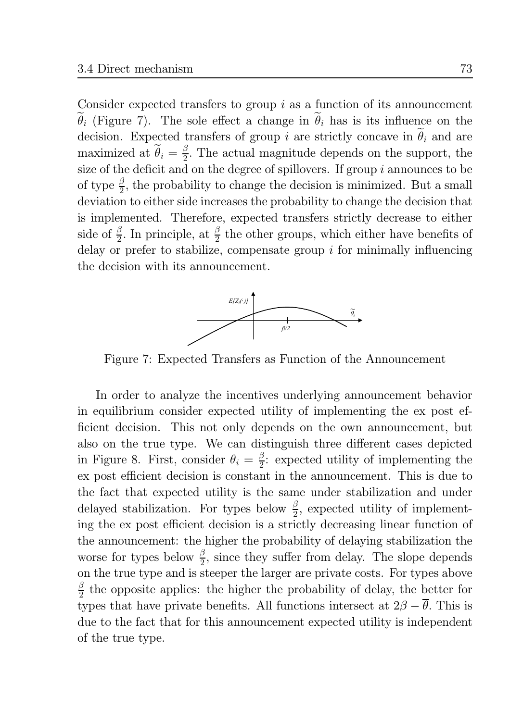Consider expected transfers to group  $i$  as a function of its announcement  $\widetilde{\theta}_i$  (Figure 7). The sole effect a change in  $\widetilde{\theta}_i$  has is its influence on the decision. Expected transfers of group i are strictly concave in  $\tilde{\theta}_i$  and are maximized at  $\tilde{\theta}_i = \frac{\beta}{2}$ . The actual magnitude depends on the support, the size of the deficit and on the degree of spillovers. If group  $i$  announces to be of type  $\frac{\beta}{2}$ , the probability to change the decision is minimized. But a small deviation to either side increases the probability to change the decision that is implemented. Therefore, expected transfers strictly decrease to either side of  $\frac{\beta}{2}$ . In principle, at  $\frac{\beta}{2}$  the other groups, which either have benefits of delay or prefer to stabilize, compensate group  $i$  for minimally influencing the decision with its announcement.



Figure 7: Expected Transfers as Function of the Announcement

In order to analyze the incentives underlying announcement behavior in equilibrium consider expected utility of implementing the ex post efficient decision. This not only depends on the own announcement, but also on the true type. We can distinguish three different cases depicted in Figure 8. First, consider  $\theta_i = \frac{\beta}{2}$ : expected utility of implementing the ex post efficient decision is constant in the announcement. This is due to the fact that expected utility is the same under stabilization and under delayed stabilization. For types below  $\frac{\beta}{2}$ , expected utility of implementing the ex post efficient decision is a strictly decreasing linear function of the announcement: the higher the probability of delaying stabilization the worse for types below  $\frac{\beta}{2}$ , since they suffer from delay. The slope depends on the true type and is steeper the larger are private costs. For types above  $\frac{\beta}{2}$  the opposite applies: the higher the probability of delay, the better for types that have private benefits. All functions intersect at  $2\beta - \overline{\theta}$ . This is due to the fact that for this announcement expected utility is independent of the true type.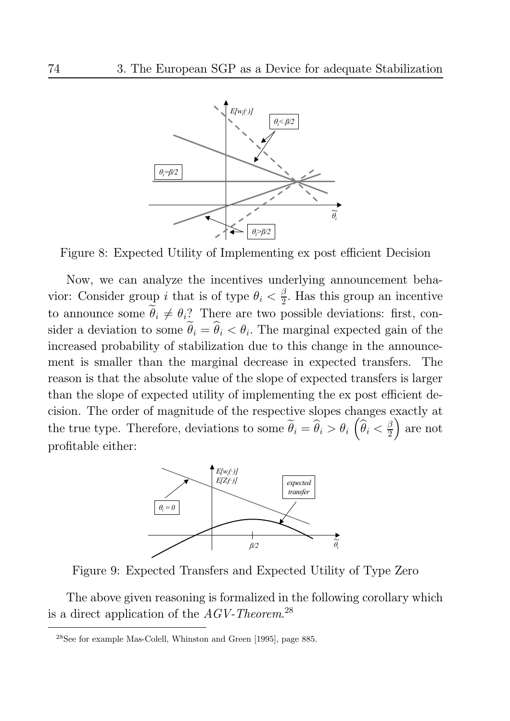

Figure 8: Expected Utility of Implementing ex post efficient Decision

Now, we can analyze the incentives underlying announcement behavior: Consider group *i* that is of type  $\theta_i < \frac{\beta}{2}$ . Has this group an incentive to announce some  $\tilde{\theta}_i \neq \theta_i$ ? There are two possible deviations: first, consider a deviation to some  $\tilde{\theta}_i = \hat{\theta}_i < \theta_i$ . The marginal expected gain of the increased probability of stabilization due to this change in the announcement is smaller than the marginal decrease in expected transfers. The reason is that the absolute value of the slope of expected transfers is larger than the slope of expected utility of implementing the expost efficient decision. The order of magnitude of the respective slopes changes exactly at the true type. Therefore, deviations to some  $\tilde{\theta}_i = \hat{\theta}_i > \theta_i$   $(\hat{\theta}_i < \frac{\beta}{2})$  are not profitable either:



Figure 9: Expected Transfers and Expected Utility of Type Zero

The above given reasoning is formalized in the following corollary which is a direct application of the  $AGV$ -Theorem.<sup>28</sup>

<sup>&</sup>lt;sup>28</sup>See for example Mas-Colell, Whinston and Green [1995], page 885.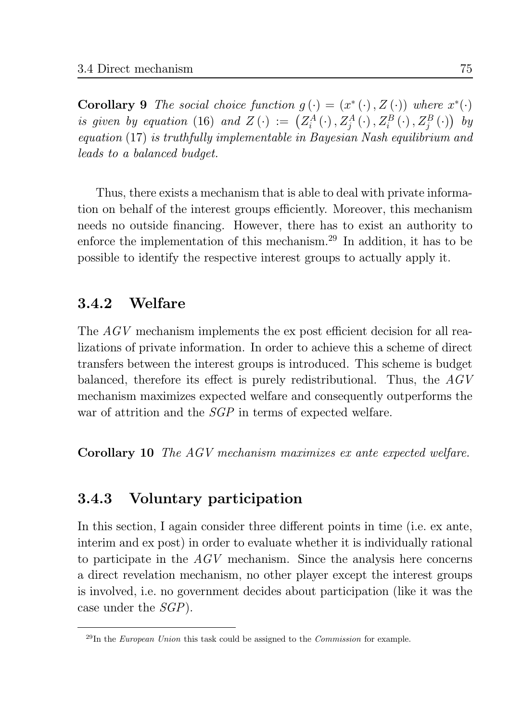**Corollary 9** The social choice function  $g(\cdot) = (x^*(\cdot), Z(\cdot))$  where  $x^*(\cdot)$ is given by equation (16) and  $Z(\cdot) := (Z_i^A(\cdot), Z_j^A(\cdot), Z_i^B(\cdot), Z_j^B(\cdot))$  by  $equation (17)$  is truthfully implementable in Bayesian Nash equilibrium and *leads to a balanced budget.* 

Thus, there exists a mechanism that is able to deal with private information on behalf of the interest groups efficiently. Moreover, this mechanism needs no outside financing. However, there has to exist an authority to enforce the implementation of this mechanism.<sup>29</sup> In addition, it has to be possible to identify the respective interest groups to actually apply it.

#### Welfare  $3.4.2$

The AGV mechanism implements the ex post efficient decision for all realizations of private information. In order to achieve this a scheme of direct transfers between the interest groups is introduced. This scheme is budget balanced, therefore its effect is purely redistributional. Thus, the  $AGV$ mechanism maximizes expected welfare and consequently outperforms the war of attrition and the  $SGP$  in terms of expected welfare.

**Corollary 10** The AGV mechanism maximizes ex ante expected welfare.

#### Voluntary participation 3.4.3

In this section, I again consider three different points in time (i.e. ex ante, interim and ex post) in order to evaluate whether it is individually rational to participate in the  $AGV$  mechanism. Since the analysis here concerns a direct revelation mechanism, no other player except the interest groups is involved, i.e. no government decides about participation (like it was the case under the  $SGP$ ).

 $^{29}$ In the *European Union* this task could be assigned to the *Commission* for example.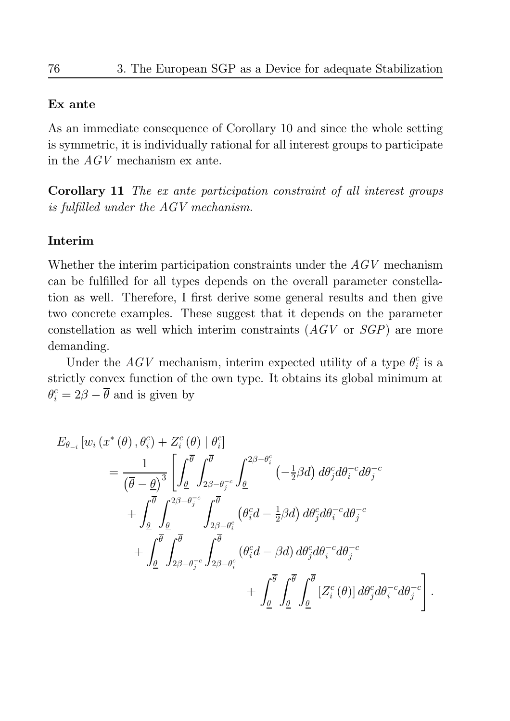## Ex ante

As an immediate consequence of Corollary 10 and since the whole setting is symmetric, it is individually rational for all interest groups to participate in the  $AGV$  mechanism ex ante.

**Corollary 11** The ex ante participation constraint of all interest groups is fulfilled under the AGV mechanism.

## Interim

Whether the interim participation constraints under the  $AGV$  mechanism can be fulfilled for all types depends on the overall parameter constellation as well. Therefore, I first derive some general results and then give two concrete examples. These suggest that it depends on the parameter constellation as well which interim constraints  $(AGV)$  or  $SGP$ ) are more demanding.

Under the  $AGV$  mechanism, interim expected utility of a type  $\theta_i^c$  is a strictly convex function of the own type. It obtains its global minimum at  $\theta_i^c = 2\beta - \overline{\theta}$  and is given by

$$
E_{\theta_{-i}}\left[w_{i}\left(x^{*}\left(\theta\right),\theta_{i}^{c}\right)+Z_{i}^{c}\left(\theta\right)\mid\theta_{i}^{c}\right]
$$
\n
$$
=\frac{1}{\left(\overline{\theta}-\underline{\theta}\right)^{3}}\left[\int_{\underline{\theta}}^{\overline{\theta}}\int_{2\beta-\theta_{j}^{-c}}^{\overline{\theta}}\int_{\underline{\theta}}^{2\beta-\theta_{i}^{c}}\left(-\frac{1}{2}\beta d\right)d\theta_{j}^{c}d\theta_{i}^{-c}d\theta_{j}^{-c}\right.\right.
$$
\n
$$
+\int_{\underline{\theta}}^{\overline{\theta}}\int_{\underline{\theta}}^{2\beta-\theta_{j}^{-c}}\int_{2\beta-\theta_{i}^{c}}^{\overline{\theta}}\left(\theta_{i}^{c}d-\frac{1}{2}\beta d\right)d\theta_{j}^{c}d\theta_{i}^{-c}d\theta_{j}^{-c}\right.
$$
\n
$$
+\int_{\underline{\theta}}^{\overline{\theta}}\int_{2\beta-\theta_{j}^{-c}}^{\overline{\theta}}\int_{2\beta-\theta_{i}^{c}}^{\overline{\theta}}\left(\theta_{i}^{c}d-\beta d\right)d\theta_{j}^{c}d\theta_{i}^{-c}d\theta_{j}^{-c}\right.
$$
\n
$$
+\int_{\underline{\theta}}^{\overline{\theta}}\int_{\underline{\theta}}^{\overline{\theta}}\int_{\underline{\theta}}^{\overline{\theta}}\left[\overline{Z_{i}^{c}\left(\theta\right)}\right]d\theta_{j}^{c}d\theta_{i}^{-c}d\theta_{j}^{-c}\right]
$$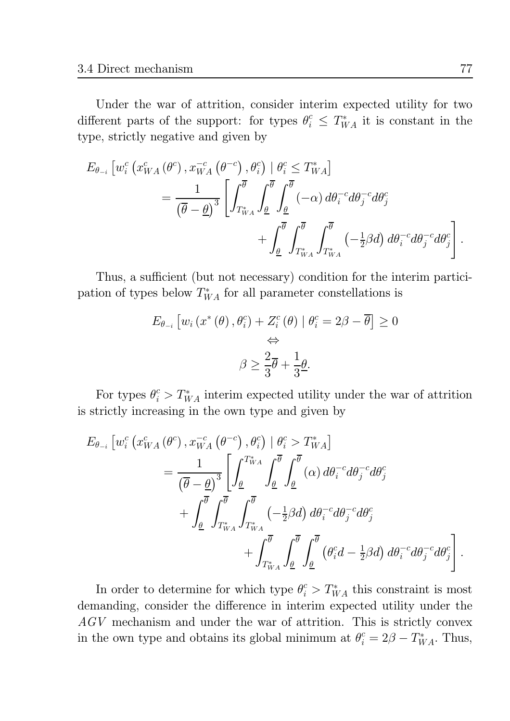Under the war of attrition, consider interim expected utility for two different parts of the support: for types  $\theta_i^c \leq T_{WA}^*$  it is constant in the type, strictly negative and given by

$$
E_{\theta_{-i}} \left[ w_i^c \left( x_{WA}^c \left( \theta^c \right), x_{WA}^{-c} \left( \theta^{-c} \right), \theta_i^c \right) \mid \theta_i^c \le T_{WA}^* \right] = \frac{1}{\left( \overline{\theta} - \underline{\theta} \right)^3} \left[ \int_{T_{WA}^*}^{\overline{\theta}} \int_{\underline{\theta}}^{\overline{\theta}} \int_{\underline{\theta}}^{\overline{\theta}} \left( -\alpha \right) d\theta_i^{-c} d\theta_j^{-c} d\theta_j^c + \int_{\underline{\theta}}^{\overline{\theta}} \int_{T_{WA}^*}^{\overline{\theta}} \int_{T_{WA}^*}^{\overline{\theta}} \left( -\frac{1}{2} \beta d \right) d\theta_i^{-c} d\theta_j^{-c} d\theta_j^c \right].
$$

Thus, a sufficient (but not necessary) condition for the interim participation of types below  $T_{WA}^*$  for all parameter constellations is

$$
E_{\theta_{-i}}\left[w_i\left(x^*(\theta), \theta_i^c\right) + Z_i^c\left(\theta\right) \mid \theta_i^c = 2\beta - \overline{\theta}\right] \ge 0
$$
  

$$
\Leftrightarrow
$$
  

$$
\beta \ge \frac{2}{3}\overline{\theta} + \frac{1}{3}\underline{\theta}.
$$

For types  $\theta_i^c > T_{WA}^*$  interim expected utility under the war of attrition is strictly increasing in the own type and given by

$$
E_{\theta_{-i}} \left[ w_i^c \left( x_{WA}^c \left( \theta^c \right), x_{WA}^{-c} \left( \theta^{-c} \right), \theta_i^c \right) \mid \theta_i^c > T_{WA}^* \right] = \frac{1}{\left( \overline{\theta} - \underline{\theta} \right)^3} \left[ \int_{\underline{\theta}}^{T_{WA}^*} \int_{\underline{\theta}}^{\overline{\theta}} \int_{\underline{\theta}}^{\overline{\theta}} (\alpha) d\theta_i^{-c} d\theta_j^{-c} d\theta_j^c + \int_{\underline{\theta}}^{\overline{\theta}} \int_{T_{WA}^*}^{\overline{\theta}} \int_{T_{WA}^*}^{\overline{\theta}} \left( -\frac{1}{2} \beta d \right) d\theta_i^{-c} d\theta_j^{-c} d\theta_j^c + \int_{T_{WA}^*}^{\overline{\theta}} \int_{\underline{\theta}}^{\overline{\theta}} \int_{\underline{\theta}}^{\overline{\theta}} \left( \theta_i^c d - \frac{1}{2} \beta d \right) d\theta_i^{-c} d\theta_j^{-c} d\theta_j^c \right].
$$

In order to determine for which type  $\theta_i^c > T_{WA}^*$  this constraint is most demanding, consider the difference in interim expected utility under the  $AGV$  mechanism and under the war of attrition. This is strictly convex in the own type and obtains its global minimum at  $\theta_i^c = 2\beta - T_{WA}^*$ . Thus,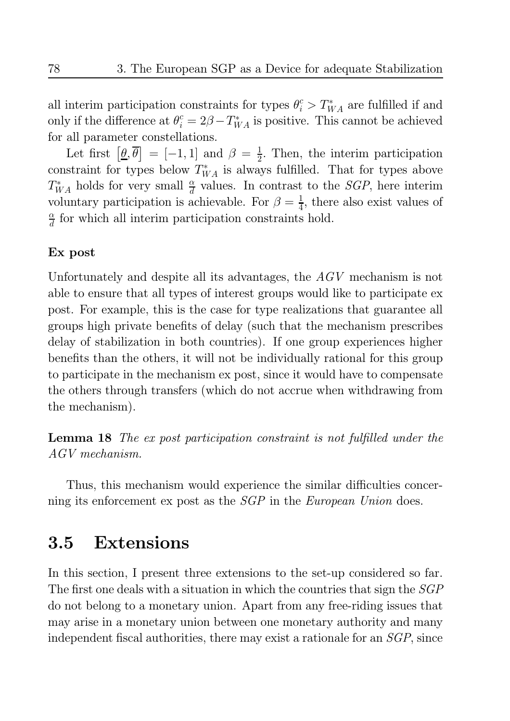all interim participation constraints for types  $\theta_i^c > T_{WA}^*$  are fulfilled if and only if the difference at  $\theta_i^c = 2\beta - T_{WA}^*$  is positive. This cannot be achieved for all parameter constellations.

Let first  $[\underline{\theta}, \overline{\theta}] = [-1, 1]$  and  $\beta = \frac{1}{2}$ . Then, the interim participation constraint for types below  $T_{WA}^*$  is always fulfilled. That for types above  $T_{WA}^*$  holds for very small  $\frac{\alpha}{d}$  values. In contrast to the *SGP*, here interim voluntary participation is achievable. For  $\beta = \frac{1}{4}$ , there also exist values of  $\frac{\alpha}{d}$  for which all interim participation constraints hold.

## Ex post

Unfortunately and despite all its advantages, the  $AGV$  mechanism is not able to ensure that all types of interest groups would like to participate ex post. For example, this is the case for type realizations that guarantee all groups high private benefits of delay (such that the mechanism prescribes delay of stabilization in both countries). If one group experiences higher benefits than the others, it will not be individually rational for this group to participate in the mechanism expost, since it would have to compensate the others through transfers (which do not accrue when withdrawing from the mechanism).

**Lemma 18** The ex post participation constraint is not fulfilled under the  $AGV$  mechanism.

Thus, this mechanism would experience the similar difficulties concerning its enforcement ex post as the *SGP* in the *European Union* does.

#### 3.5 **Extensions**

In this section, I present three extensions to the set-up considered so far. The first one deals with a situation in which the countries that sign the *SGP* do not belong to a monetary union. Apart from any free-riding issues that may arise in a monetary union between one monetary authority and many independent fiscal authorities, there may exist a rationale for an SGP, since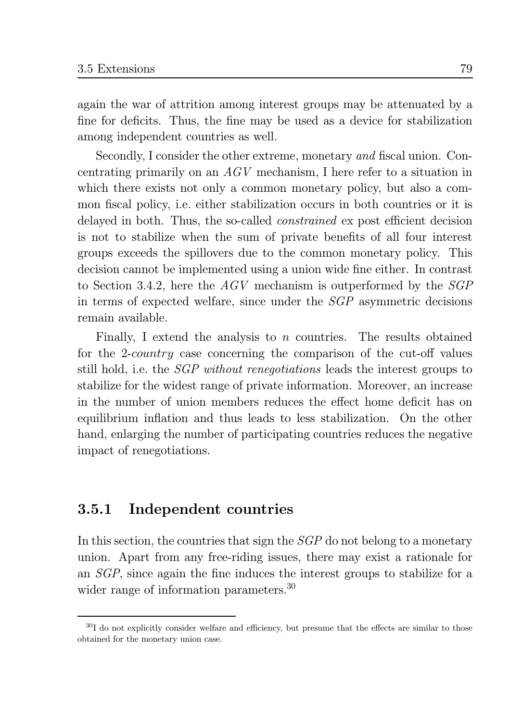again the war of attrition among interest groups may be attenuated by a fine for deficits. Thus, the fine may be used as a device for stabilization among independent countries as well.

Secondly, I consider the other extreme, monetary and fiscal union. Concentrating primarily on an  $AGV$  mechanism. I here refer to a situation in which there exists not only a common monetary policy, but also a common fiscal policy, i.e. either stabilization occurs in both countries or it is delayed in both. Thus, the so-called *constrained* ex post efficient decision is not to stabilize when the sum of private benefits of all four interest groups exceeds the spillovers due to the common monetary policy. This decision cannot be implemented using a union wide fine either. In contrast to Section 3.4.2, here the  $AGV$  mechanism is outperformed by the  $SGP$ in terms of expected welfare, since under the *SGP* asymmetric decisions remain available.

Finally, I extend the analysis to  $n$  countries. The results obtained for the 2-*country* case concerning the comparison of the cut-off values still hold, i.e. the *SGP without renegotiations* leads the interest groups to stabilize for the widest range of private information. Moreover, an increase in the number of union members reduces the effect home deficit has on equilibrium inflation and thus leads to less stabilization. On the other hand, enlarging the number of participating countries reduces the negative impact of renegotiations.

#### Independent countries 3.5.1

In this section, the countries that sign the  $SGP$  do not belong to a monetary union. Apart from any free-riding issues, there may exist a rationale for an  $SGP$ , since again the fine induces the interest groups to stabilize for a wider range of information parameters. $30$ 

 $30I$  do not explicitly consider welfare and efficiency, but presume that the effects are similar to those obtained for the monetary union case.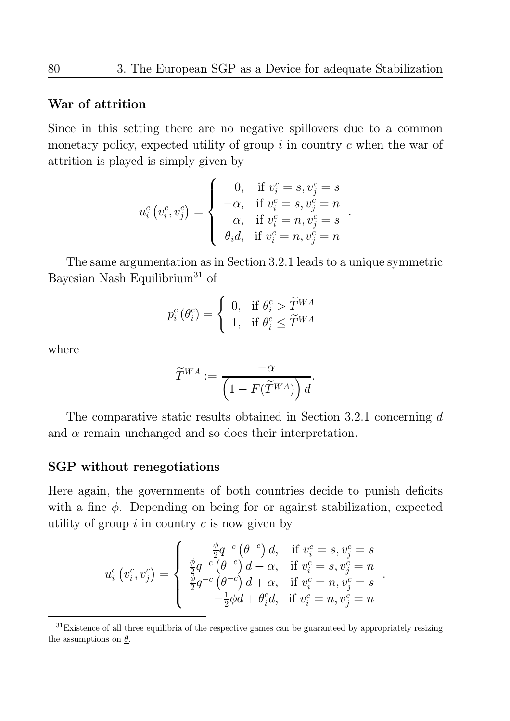## War of attrition

Since in this setting there are no negative spillovers due to a common monetary policy, expected utility of group  $i$  in country  $c$  when the war of attrition is played is simply given by

$$
u_i^c(v_i^c, v_j^c) = \begin{cases} 0, & \text{if } v_i^c = s, v_j^c = s \\ -\alpha, & \text{if } v_i^c = s, v_j^c = n \\ \alpha, & \text{if } v_i^c = n, v_j^c = s \\ \theta_i d, & \text{if } v_i^c = n, v_j^c = n \end{cases}
$$

The same argumentation as in Section 3.2.1 leads to a unique symmetric Bayesian Nash Equilibrium<sup>31</sup> of

$$
p_i^c(\theta_i^c) = \begin{cases} 0, & \text{if } \theta_i^c > \widetilde{T}^{WA} \\ 1, & \text{if } \theta_i^c \leq \widetilde{T}^{WA} \end{cases}
$$

where

$$
\widetilde{T}^{WA}:=\frac{-\alpha}{\left(1-F(\widetilde{T}^{WA})\right)d}.
$$

The comparative static results obtained in Section 3.2.1 concerning  $d$ and  $\alpha$  remain unchanged and so does their interpretation.

## **SGP** without renegotiations

Here again, the governments of both countries decide to punish deficits with a fine  $\phi$ . Depending on being for or against stabilization, expected utility of group  $i$  in country  $c$  is now given by

$$
u_i^c(v_i^c, v_j^c) = \begin{cases} \frac{\phi}{2} q^{-c} (\theta^{-c}) d, & \text{if } v_i^c = s, v_j^c = s \\ \frac{\phi}{2} q^{-c} (\theta^{-c}) d - \alpha, & \text{if } v_i^c = s, v_j^c = n \\ \frac{\phi}{2} q^{-c} (\theta^{-c}) d + \alpha, & \text{if } v_i^c = n, v_j^c = s \\ -\frac{1}{2} \phi d + \theta_i^c d, & \text{if } v_i^c = n, v_j^c = n \end{cases}
$$

 $31$ Existence of all three equilibria of the respective games can be guaranteed by appropriately resizing the assumptions on  $\theta$ .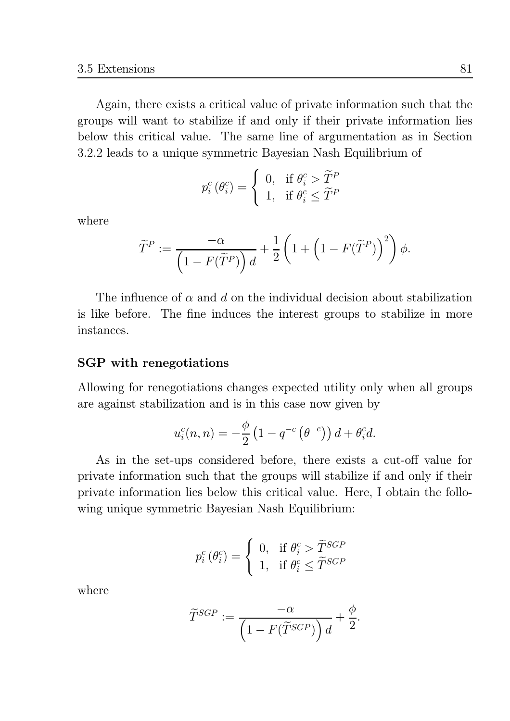Again, there exists a critical value of private information such that the groups will want to stabilize if and only if their private information lies below this critical value. The same line of argumentation as in Section 3.2.2 leads to a unique symmetric Bayesian Nash Equilibrium of

$$
p_i^c(\theta_i^c) = \begin{cases} 0, & \text{if } \theta_i^c > \widetilde{T}^P \\ 1, & \text{if } \theta_i^c \leq \widetilde{T}^P \end{cases}
$$

where

$$
\widetilde{T}^P:=\frac{-\alpha}{\left(1-F(\widetilde{T}^P)\right)d}+\frac{1}{2}\left(1+\left(1-F(\widetilde{T}^P)\right)^2\right)\phi.
$$

The influence of  $\alpha$  and d on the individual decision about stabilization is like before. The fine induces the interest groups to stabilize in more instances

## SGP with renegotiations

Allowing for renegotiations changes expected utility only when all groups are against stabilization and is in this case now given by

$$
u_i^c(n,n) = -\frac{\phi}{2} \left( 1 - q^{-c} \left( \theta^{-c} \right) \right) d + \theta_i^c d.
$$

As in the set-ups considered before, there exists a cut-off value for private information such that the groups will stabilize if and only if their private information lies below this critical value. Here, I obtain the following unique symmetric Bayesian Nash Equilibrium:

$$
p_i^c(\theta_i^c) = \begin{cases} 0, & \text{if } \theta_i^c > \widetilde{T}^{SGP} \\ 1, & \text{if } \theta_i^c \leq \widetilde{T}^{SGP} \end{cases}
$$

where

$$
\widetilde{T}^{SGP} := \frac{-\alpha}{\left(1 - F(\widetilde{T}^{SGP})\right)d} + \frac{\phi}{2}.
$$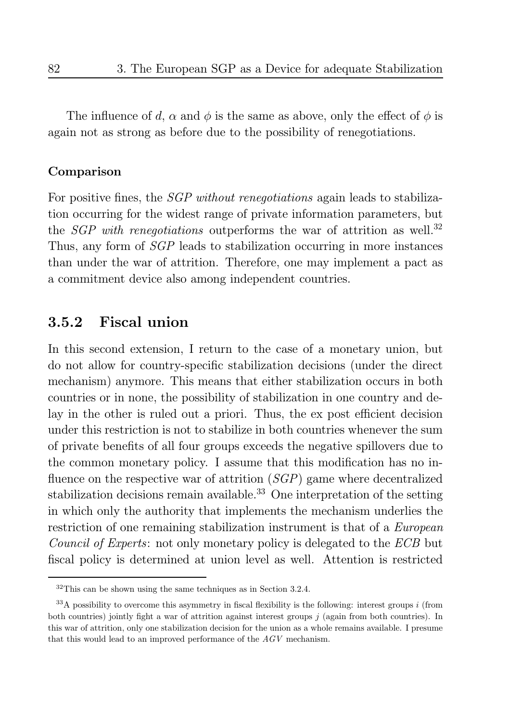The influence of d,  $\alpha$  and  $\phi$  is the same as above, only the effect of  $\phi$  is again not as strong as before due to the possibility of renegotiations.

## Comparison

For positive fines, the *SGP without renegotiations* again leads to stabilization occurring for the widest range of private information parameters, but the *SGP* with renegotiations outperforms the war of attrition as well.<sup>32</sup> Thus, any form of *SGP* leads to stabilization occurring in more instances than under the war of attrition. Therefore, one may implement a pact as a commitment device also among independent countries.

#### **Fiscal union** 3.5.2

In this second extension, I return to the case of a monetary union, but do not allow for country-specific stabilization decisions (under the direct mechanism) anymore. This means that either stabilization occurs in both countries or in none, the possibility of stabilization in one country and delay in the other is ruled out a priori. Thus, the ex post efficient decision under this restriction is not to stabilize in both countries whenever the sum of private benefits of all four groups exceeds the negative spillovers due to the common monetary policy. I assume that this modification has no influence on the respective war of attrition  $(SGP)$  game where decentralized stabilization decisions remain available.<sup>33</sup> One interpretation of the setting in which only the authority that implements the mechanism underlies the restriction of one remaining stabilization instrument is that of a European *Council of Experts:* not only monetary policy is delegated to the *ECB* but fiscal policy is determined at union level as well. Attention is restricted

 $32$ This can be shown using the same techniques as in Section 3.2.4.

 $33\text{\AA}$  possibility to overcome this asymmetry in fiscal flexibility is the following: interest groups i (from both countries) jointly fight a war of attrition against interest groups  $j$  (again from both countries). In this war of attrition, only one stabilization decision for the union as a whole remains available. I presume that this would lead to an improved performance of the  $AGV$  mechanism.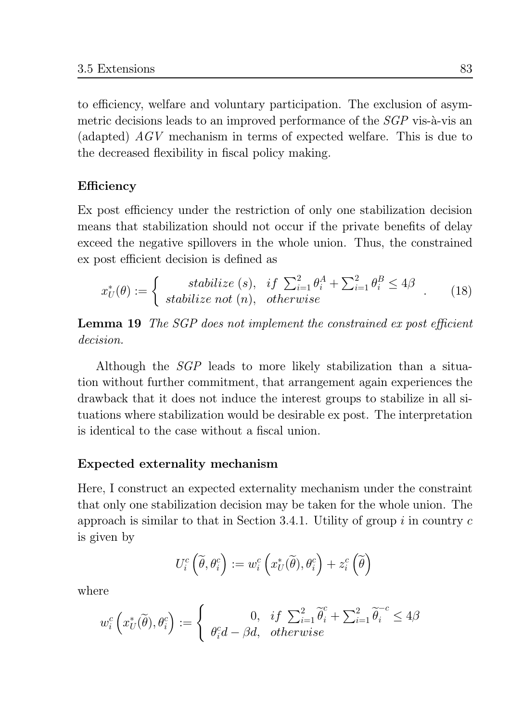to efficiency, welfare and voluntary participation. The exclusion of asymmetric decisions leads to an improved performance of the *SGP* vis-à-vis an (adapted)  $AGV$  mechanism in terms of expected welfare. This is due to the decreased flexibility in fiscal policy making.

## Efficiency

Ex post efficiency under the restriction of only one stabilization decision means that stabilization should not occur if the private benefits of delay exceed the negative spillovers in the whole union. Thus, the constrained ex post efficient decision is defined as

$$
x_U^*(\theta) := \begin{cases} \text{stabilize (s),} & \text{if } \sum_{i=1}^2 \theta_i^A + \sum_{i=1}^2 \theta_i^B \le 4\beta \\ \text{stabilize not (n),} & \text{otherwise} \end{cases} \tag{18}
$$

**Lemma 19** The SGP does not implement the constrained ex post efficient *decision.* 

Although the *SGP* leads to more likely stabilization than a situation without further commitment, that arrangement again experiences the drawback that it does not induce the interest groups to stabilize in all situations where stabilization would be desirable ex post. The interpretation is identical to the case without a fiscal union

## **Expected externality mechanism**

Here, I construct an expected externality mechanism under the constraint that only one stabilization decision may be taken for the whole union. The approach is similar to that in Section 3.4.1. Utility of group  $i$  in country  $c$ is given by

$$
U_i^c\left(\widetilde{\theta},\theta_i^c\right):=w_i^c\left(x_U^*(\widetilde{\theta}),\theta_i^c\right)+z_i^c\left(\widetilde{\theta}\right)
$$

where

$$
w_i^c\left(x_U^*(\widetilde{\theta}), \theta_i^c\right) := \begin{cases} 0, & if \sum_{i=1}^2 \widetilde{\theta}_i^c + \sum_{i=1}^2 \widetilde{\theta}_i^{-c} \le 4\beta \\ \theta_i^c d - \beta d, & otherwise \end{cases}
$$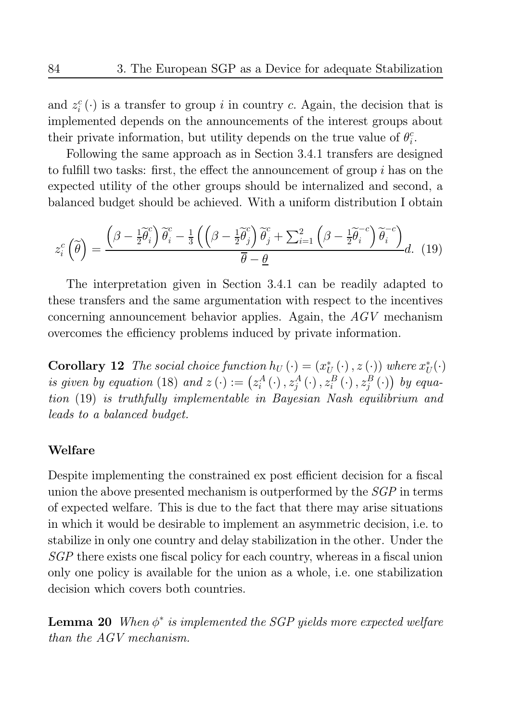and  $z_i^c(\cdot)$  is a transfer to group i in country c. Again, the decision that is implemented depends on the announcements of the interest groups about their private information, but utility depends on the true value of  $\theta_i^c$ .

Following the same approach as in Section 3.4.1 transfers are designed to fulfill two tasks: first, the effect the announcement of group  $i$  has on the expected utility of the other groups should be internalized and second, a balanced budget should be achieved. With a uniform distribution I obtain

$$
z_i^c\left(\widetilde{\theta}\right) = \frac{\left(\beta - \frac{1}{2}\widetilde{\theta}_i^c\right)\widetilde{\theta}_i^c - \frac{1}{3}\left(\left(\beta - \frac{1}{2}\widetilde{\theta}_j^c\right)\widetilde{\theta}_j^c + \sum_{i=1}^2\left(\beta - \frac{1}{2}\widetilde{\theta}_i^{-c}\right)\widetilde{\theta}_i^{-c}\right)}{\overline{\theta} - \underline{\theta}}d. \tag{19}
$$

The interpretation given in Section 3.4.1 can be readily adapted to these transfers and the same argumentation with respect to the incentives concerning announcement behavior applies. Again, the  $AGV$  mechanism overcomes the efficiency problems induced by private information.

**Corollary 12** The social choice function  $h_U(\cdot) = (x_{U}^*(\cdot), z(\cdot))$  where  $x_{U}^*(\cdot)$ is given by equation (18) and  $z(\cdot) := (z_i^A(\cdot), z_i^A(\cdot), z_i^B(\cdot), z_i^B(\cdot))$  by equation (19) is truthfully implementable in Bayesian Nash equilibrium and *leads to a balanced budget.* 

## Welfare

Despite implementing the constrained ex post efficient decision for a fiscal union the above presented mechanism is outperformed by the *SGP* in terms of expected welfare. This is due to the fact that there may arise situations in which it would be desirable to implement an asymmetric decision, i.e. to stabilize in only one country and delay stabilization in the other. Under the SGP there exists one fiscal policy for each country, whereas in a fiscal union only one policy is available for the union as a whole, i.e. one stabilization decision which covers both countries.

**Lemma 20** When  $\phi^*$  is implemented the SGP yields more expected welfare than the AGV mechanism.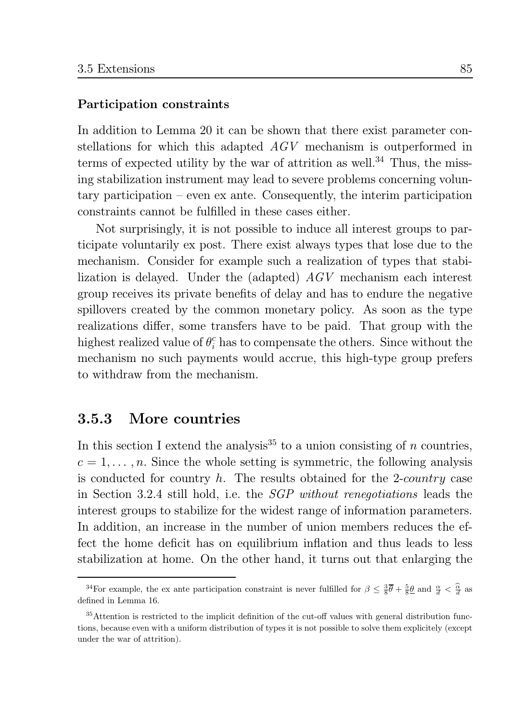## Participation constraints

In addition to Lemma 20 it can be shown that there exist parameter constellations for which this adapted AGV mechanism is outperformed in terms of expected utility by the war of attrition as well.<sup>34</sup> Thus, the missing stabilization instrument may lead to severe problems concerning voluntary participation – even ex ante. Consequently, the interim participation constraints cannot be fulfilled in these cases either.

Not surprisingly, it is not possible to induce all interest groups to participate voluntarily ex post. There exist always types that lose due to the mechanism. Consider for example such a realization of types that stabilization is delayed. Under the (adapted)  $AGV$  mechanism each interest group receives its private benefits of delay and has to endure the negative spillovers created by the common monetary policy. As soon as the type realizations differ, some transfers have to be paid. That group with the highest realized value of  $\theta_i^c$  has to compensate the others. Since without the mechanism no such payments would accrue, this high-type group prefers to withdraw from the mechanism.

#### More countries 3.5.3

In this section I extend the analysis<sup>35</sup> to a union consisting of *n* countries,  $c = 1, \ldots, n$ . Since the whole setting is symmetric, the following analysis is conducted for country  $h$ . The results obtained for the 2-country case in Section 3.2.4 still hold, i.e. the *SGP without renegotiations* leads the interest groups to stabilize for the widest range of information parameters. In addition, an increase in the number of union members reduces the effect the home deficit has on equilibrium inflation and thus leads to less stabilization at home. On the other hand, it turns out that enlarging the

<sup>&</sup>lt;sup>34</sup>For example, the ex ante participation constraint is never fulfilled for  $\beta \leq \frac{3}{8}\bar{\theta} + \frac{5}{8}\underline{\theta}$  and  $\frac{\alpha}{d} < \frac{\widehat{\alpha}}{d}$  as defined in Lemma 16.

<sup>&</sup>lt;sup>35</sup>Attention is restricted to the implicit definition of the cut-off values with general distribution functions, because even with a uniform distribution of types it is not possible to solve them explicitely (except under the war of attrition).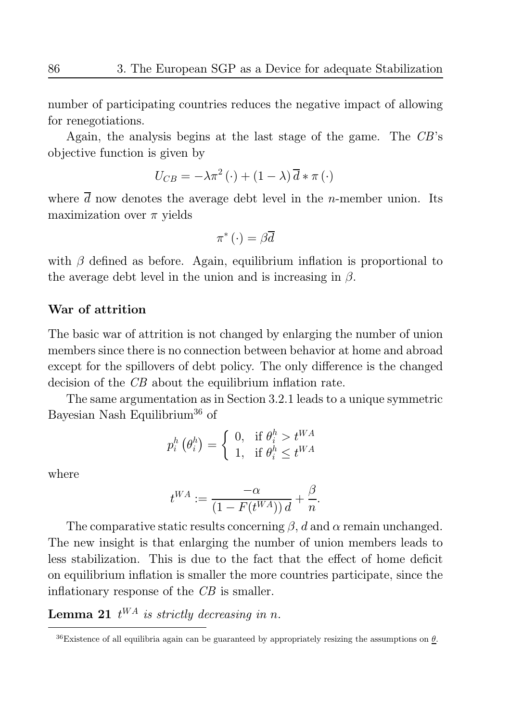number of participating countries reduces the negative impact of allowing for renegotiations.

Again, the analysis begins at the last stage of the game. The  $CB$ 's objective function is given by

$$
U_{CB} = -\lambda \pi^2 (\cdot) + (1 - \lambda) \overline{d} * \pi (\cdot)
$$

where  $\overline{d}$  now denotes the average debt level in the *n*-member union. Its maximization over  $\pi$  yields

$$
\pi^*\left(\cdot\right) = \beta \overline{d}
$$

with  $\beta$  defined as before. Again, equilibrium inflation is proportional to the average debt level in the union and is increasing in  $\beta$ .

## War of attrition

The basic war of attrition is not changed by enlarging the number of union members since there is no connection between behavior at home and abroad except for the spillovers of debt policy. The only difference is the changed decision of the CB about the equilibrium inflation rate.

The same argumentation as in Section 3.2.1 leads to a unique symmetric Bayesian Nash Equilibrium<sup>36</sup> of

$$
p_i^h\left(\theta_i^h\right) = \left\{ \begin{array}{ll} 0, & \text{if $\theta_i^h > t^{WA}$} \\ 1, & \text{if $\theta_i^h \leq t^{WA}$} \end{array} \right.
$$

where

$$
t^{WA} := \frac{-\alpha}{\left(1 - F(t^{WA})\right)d} + \frac{\beta}{n}.
$$

The comparative static results concerning  $\beta$ , d and  $\alpha$  remain unchanged. The new insight is that enlarging the number of union members leads to less stabilization. This is due to the fact that the effect of home deficit on equilibrium inflation is smaller the more countries participate, since the inflationary response of the  $CB$  is smaller.

**Lemma 21**  $t^{WA}$  is strictly decreasing in n.

<sup>&</sup>lt;sup>36</sup>Existence of all equilibria again can be guaranteed by appropriately resizing the assumptions on  $\theta$ .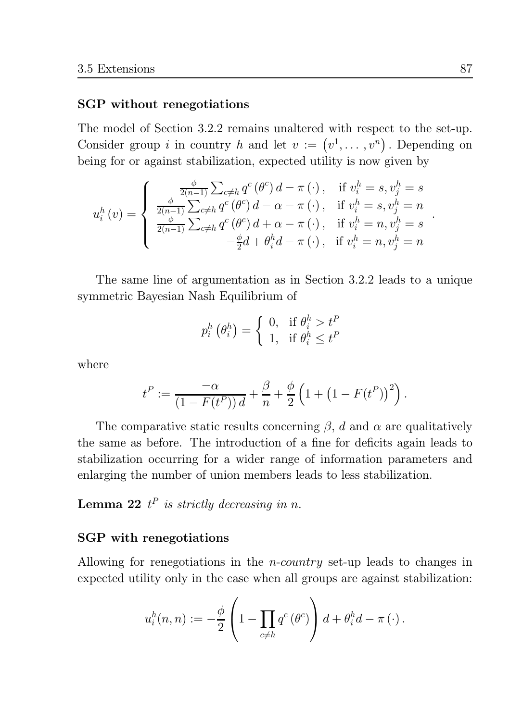## SGP without renegotiations

The model of Section 3.2.2 remains unaltered with respect to the set-up. Consider group *i* in country *h* and let  $v := (v^1, \dots, v^n)$ . Depending on being for or against stabilization, expected utility is now given by

$$
u_i^h\left(v\right)=\left\{\begin{array}{ll} \frac{\phi}{2\left(n-1\right)}\sum_{c\neq h}q^c\left(\theta^c\right)d-\pi\left(\cdot\right),&\text{if}~v_i^h=s,v_j^h=s\\ \frac{\phi}{2\left(n-1\right)}\sum_{c\neq h}q^c\left(\theta^c\right)d-\alpha-\pi\left(\cdot\right),&\text{if}~v_i^h=s,v_j^h=n\\ \frac{\phi}{2\left(n-1\right)}\sum_{c\neq h}q^c\left(\theta^c\right)d+\alpha-\pi\left(\cdot\right),&\text{if}~v_i^h=n,v_j^h=s\\ -\frac{\phi}{2}d+\theta_i^h d-\pi\left(\cdot\right),&\text{if}~v_i^h=n,v_j^h=n\end{array}\right.
$$

The same line of argumentation as in Section 3.2.2 leads to a unique symmetric Bayesian Nash Equilibrium of

$$
p_i^h(\theta_i^h) = \begin{cases} 0, & \text{if } \theta_i^h > t^P \\ 1, & \text{if } \theta_i^h \le t^P \end{cases}
$$

where

$$
t^{P} := \frac{-\alpha}{(1 - F(t^{P})) d} + \frac{\beta}{n} + \frac{\phi}{2} \left( 1 + (1 - F(t^{P}))^{2} \right).
$$

The comparative static results concerning  $\beta$ , d and  $\alpha$  are qualitatively the same as before. The introduction of a fine for deficits again leads to stabilization occurring for a wider range of information parameters and enlarging the number of union members leads to less stabilization.

## **Lemma 22**  $t^P$  is strictly decreasing in n.

## **SGP** with renegotiations

Allowing for renegotiations in the *n-country* set-up leads to changes in expected utility only in the case when all groups are against stabilization.

$$
u_i^h(n,n) := -\frac{\phi}{2}\left(1 - \prod_{c \neq h} q^c \left(\theta^c\right)\right) d + \theta_i^h d - \pi \left(\cdot\right).
$$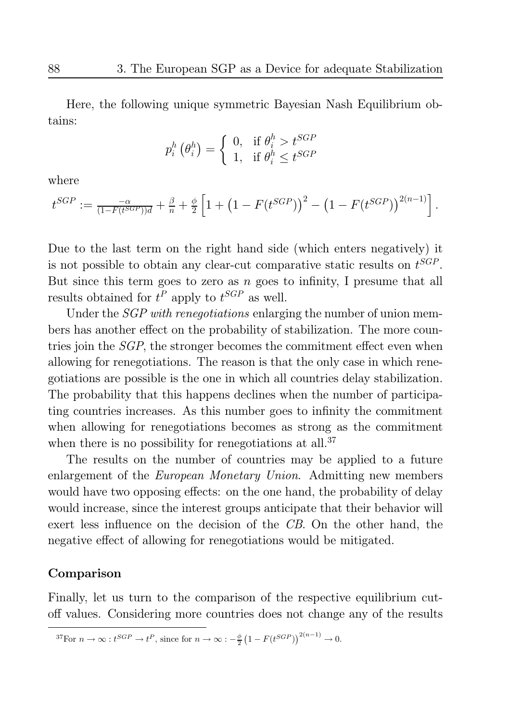Here, the following unique symmetric Bayesian Nash Equilibrium obtains:

$$
p_i^h\left(\theta_i^h\right) = \left\{ \begin{array}{ll} 0, & \text{if $\theta_i^h > t^{SGP}$} \\ 1, & \text{if $\theta_i^h \leq t^{SGP}$} \end{array} \right.
$$

where

$$
t^{SGP} := \frac{-\alpha}{(1 - F(t^{SGP}))d} + \frac{\beta}{n} + \frac{\phi}{2} \left[ 1 + \left( 1 - F(t^{SGP}) \right)^2 - \left( 1 - F(t^{SGP}) \right)^{2(n-1)} \right]
$$

Due to the last term on the right hand side (which enters negatively) it is not possible to obtain any clear-cut comparative static results on  $t^{SGP}$ . But since this term goes to zero as  $n$  goes to infinity, I presume that all results obtained for  $t^P$  apply to  $t^{SGP}$  as well.

Under the *SGP* with renegotiations enlarging the number of union members has another effect on the probability of stabilization. The more countries join the *SGP*, the stronger becomes the commitment effect even when allowing for renegotiations. The reason is that the only case in which renegotiations are possible is the one in which all countries delay stabilization. The probability that this happens declines when the number of participating countries increases. As this number goes to infinity the commitment when allowing for renegotiations becomes as strong as the commitment when there is no possibility for renegotiations at all.<sup>37</sup>

The results on the number of countries may be applied to a future enlargement of the *European Monetary Union*. Admitting new members would have two opposing effects: on the one hand, the probability of delay would increase, since the interest groups anticipate that their behavior will exert less influence on the decision of the CB. On the other hand, the negative effect of allowing for renegotiations would be mitigated.

## Comparison

Finally, let us turn to the comparison of the respective equilibrium cutoff values. Considering more countries does not change any of the results

<sup>&</sup>lt;sup>37</sup>For  $n \to \infty : t^{SGP} \to t^P$ , since for  $n \to \infty : -\frac{\phi}{2} \left(1 - F(t^{SGP})\right)^{2(n-1)} \to 0$ .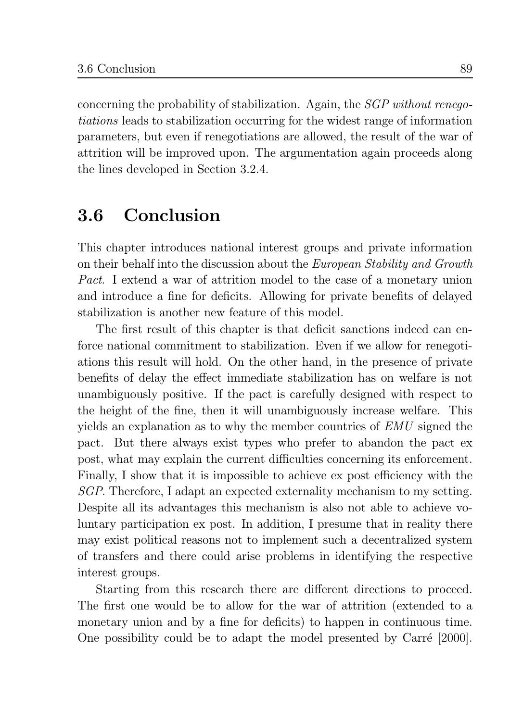concerning the probability of stabilization. Again, the *SGP* without renego*tiations* leads to stabilization occurring for the widest range of information parameters, but even if renegotiations are allowed, the result of the war of attrition will be improved upon. The argumentation again proceeds along the lines developed in Section 3.2.4.

#### Conclusion  $3.6$

This chapter introduces national interest groups and private information on their behalf into the discussion about the *European Stability and Growth Pact.* I extend a war of attrition model to the case of a monetary union and introduce a fine for deficits. Allowing for private benefits of delayed stabilization is another new feature of this model.

The first result of this chapter is that deficit sanctions indeed can enforce national commitment to stabilization. Even if we allow for renegotiations this result will hold. On the other hand, in the presence of private benefits of delay the effect immediate stabilization has on welfare is not unambiguously positive. If the pact is carefully designed with respect to the height of the fine, then it will unambiguously increase welfare. This yields an explanation as to why the member countries of EMU signed the pact. But there always exist types who prefer to abandon the pact ex post, what may explain the current difficulties concerning its enforcement. Finally, I show that it is impossible to achieve ex post efficiency with the *SGP*. Therefore, I adapt an expected externality mechanism to my setting. Despite all its advantages this mechanism is also not able to achieve voluntary participation ex post. In addition, I presume that in reality there may exist political reasons not to implement such a decentralized system of transfers and there could arise problems in identifying the respective interest groups.

Starting from this research there are different directions to proceed. The first one would be to allow for the war of attrition (extended to a monetary union and by a fine for deficits) to happen in continuous time. One possibility could be to adapt the model presented by Carré [2000].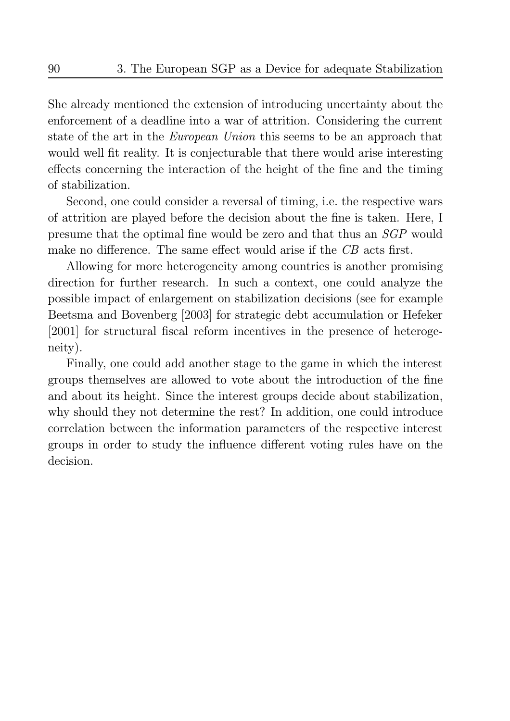She already mentioned the extension of introducing uncertainty about the enforcement of a deadline into a war of attrition. Considering the current state of the art in the *European Union* this seems to be an approach that would well fit reality. It is conjecturable that there would arise interesting effects concerning the interaction of the height of the fine and the timing of stabilization.

Second, one could consider a reversal of timing, i.e. the respective wars of attrition are played before the decision about the fine is taken. Here, I presume that the optimal fine would be zero and that thus an SGP would make no difference. The same effect would arise if the CB acts first.

Allowing for more heterogeneity among countries is another promising direction for further research. In such a context, one could analyze the possible impact of enlargement on stabilization decisions (see for example Beetsma and Bovenberg [2003] for strategic debt accumulation or Hefeker [2001] for structural fiscal reform incentives in the presence of heterogeneity).

Finally, one could add another stage to the game in which the interest groups themselves are allowed to vote about the introduction of the fine and about its height. Since the interest groups decide about stabilization, why should they not determine the rest? In addition, one could introduce correlation between the information parameters of the respective interest groups in order to study the influence different voting rules have on the decision.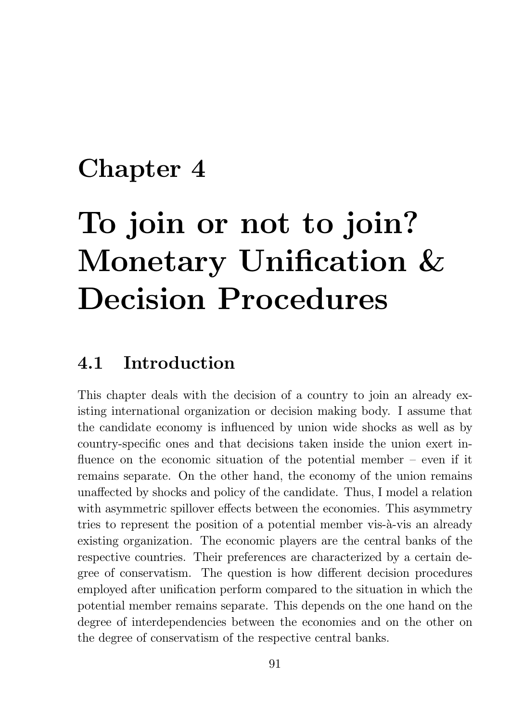## Chapter 4

# To join or not to join? Monetary Unification & **Decision Procedures**

#### Introduction  $4.1$

This chapter deals with the decision of a country to join an already existing international organization or decision making body. I assume that the candidate economy is influenced by union wide shocks as well as by country-specific ones and that decisions taken inside the union exert influence on the economic situation of the potential member  $-$  even if it remains separate. On the other hand, the economy of the union remains unaffected by shocks and policy of the candidate. Thus, I model a relation with asymmetric spillover effects between the economies. This asymmetry tries to represent the position of a potential member vis-à-vis an already existing organization. The economic players are the central banks of the respective countries. Their preferences are characterized by a certain degree of conservatism. The question is how different decision procedures employed after unification perform compared to the situation in which the potential member remains separate. This depends on the one hand on the degree of interdependencies between the economies and on the other on the degree of conservatism of the respective central banks.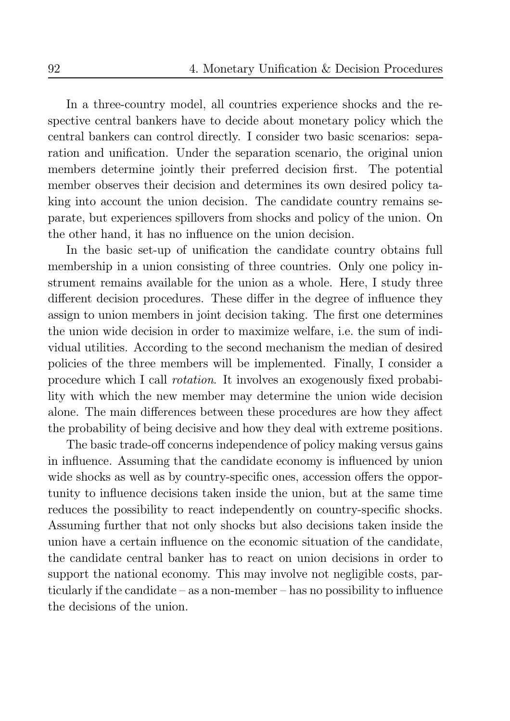In a three-country model, all countries experience shocks and the respective central bankers have to decide about monetary policy which the central bankers can control directly. I consider two basic scenarios: separation and unification. Under the separation scenario, the original union members determine jointly their preferred decision first. The potential member observes their decision and determines its own desired policy taking into account the union decision. The candidate country remains separate, but experiences spillovers from shocks and policy of the union. On the other hand, it has no influence on the union decision.

In the basic set-up of unification the candidate country obtains full membership in a union consisting of three countries. Only one policy instrument remains available for the union as a whole. Here, I study three different decision procedures. These differ in the degree of influence they assign to union members in joint decision taking. The first one determines the union wide decision in order to maximize welfare, i.e. the sum of individual utilities. According to the second mechanism the median of desired policies of the three members will be implemented. Finally, I consider a procedure which I call *rotation*. It involves an exogenously fixed probability with which the new member may determine the union wide decision alone. The main differences between these procedures are how they affect the probability of being decisive and how they deal with extreme positions.

The basic trade-off concerns independence of policy making versus gains in influence. Assuming that the candidate economy is influenced by union wide shocks as well as by country-specific ones, accession offers the opportunity to influence decisions taken inside the union, but at the same time reduces the possibility to react independently on country-specific shocks. Assuming further that not only shocks but also decisions taken inside the union have a certain influence on the economic situation of the candidate, the candidate central banker has to react on union decisions in order to support the national economy. This may involve not negligible costs, particularly if the candidate  $-\text{ as a non-member} - \text{has no possibility to influence}$ the decisions of the union.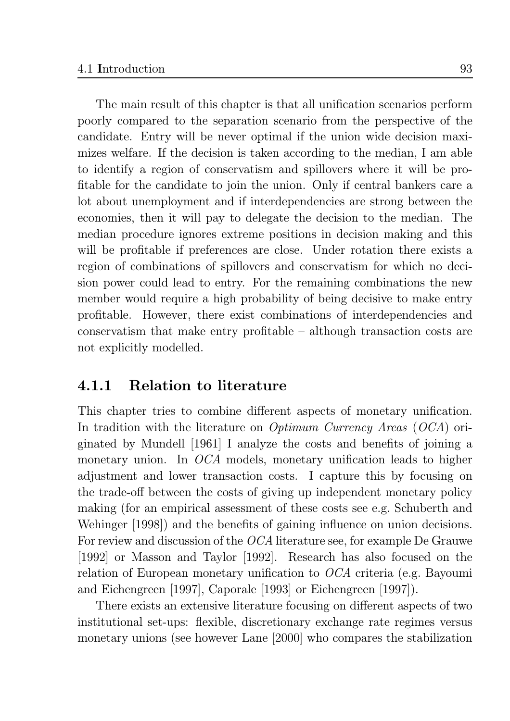The main result of this chapter is that all unification scenarios perform poorly compared to the separation scenario from the perspective of the candidate. Entry will be never optimal if the union wide decision maximizes welfare. If the decision is taken according to the median, I am able to identify a region of conservatism and spillovers where it will be profitable for the candidate to join the union. Only if central bankers care a lot about unemployment and if interdependencies are strong between the economies, then it will pay to delegate the decision to the median. The median procedure ignores extreme positions in decision making and this will be profitable if preferences are close. Under rotation there exists a region of combinations of spillovers and conservatism for which no decision power could lead to entry. For the remaining combinations the new member would require a high probability of being decisive to make entry profitable. However, there exist combinations of interdependencies and conservatism that make entry profitable  $-$  although transaction costs are not explicitly modelled.

#### 4.1.1 **Relation to literature**

This chapter tries to combine different aspects of monetary unification. In tradition with the literature on *Optimum Currency Areas*  $(OCA)$  originated by Mundell [1961] I analyze the costs and benefits of joining a monetary union. In  $OCA$  models, monetary unification leads to higher adjustment and lower transaction costs. I capture this by focusing on the trade-off between the costs of giving up independent monetary policy making (for an empirical assessment of these costs see e.g. Schuberth and Wehinger (1998) and the benefits of gaining influence on union decisions. For review and discussion of the *OCA* literature see, for example De Grauwe [1992] or Masson and Taylor [1992]. Research has also focused on the relation of European monetary unification to  $OCA$  criteria (e.g. Bayoumi and Eichengreen [1997], Caporale [1993] or Eichengreen [1997]).

There exists an extensive literature focusing on different aspects of two institutional set-ups: flexible, discretionary exchange rate regimes versus monetary unions (see however Lane [2000] who compares the stabilization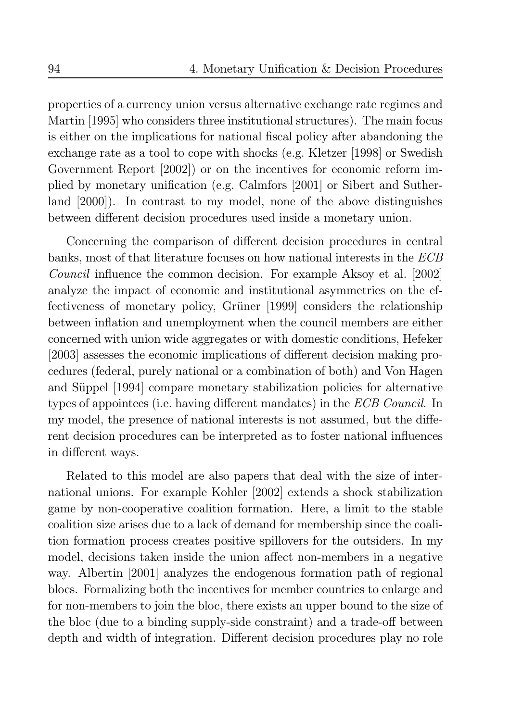properties of a currency union versus alternative exchange rate regimes and Martin [1995] who considers three institutional structures). The main focus is either on the implications for national fiscal policy after abandoning the exchange rate as a tool to cope with shocks (e.g. Kletzer [1998] or Swedish Government Report [2002]) or on the incentives for economic reform implied by monetary unification (e.g. Calmfors [2001] or Sibert and Sutherland [2000]). In contrast to my model, none of the above distinguishes between different decision procedures used inside a monetary union.

Concerning the comparison of different decision procedures in central banks, most of that literature focuses on how national interests in the ECB *Council* influence the common decision. For example Aksoy et al. [2002] analyze the impact of economic and institutional asymmetries on the effectiveness of monetary policy, Grüner [1999] considers the relationship between inflation and unemployment when the council members are either concerned with union wide aggregates or with domestic conditions, Hefeker [2003] assesses the economic implications of different decision making procedures (federal, purely national or a combination of both) and Von Hagen and Süppel [1994] compare monetary stabilization policies for alternative types of appointees (i.e. having different mandates) in the ECB Council. In my model, the presence of national interests is not assumed, but the different decision procedures can be interpreted as to foster national influences in different ways.

Related to this model are also papers that deal with the size of international unions. For example Kohler [2002] extends a shock stabilization game by non-cooperative coalition formation. Here, a limit to the stable coalition size arises due to a lack of demand for membership since the coalition formation process creates positive spillovers for the outsiders. In my model, decisions taken inside the union affect non-members in a negative way. Albertin [2001] analyzes the endogenous formation path of regional blocs. Formalizing both the incentives for member countries to enlarge and for non-members to join the bloc, there exists an upper bound to the size of the bloc (due to a binding supply-side constraint) and a trade-off between depth and width of integration. Different decision procedures play no role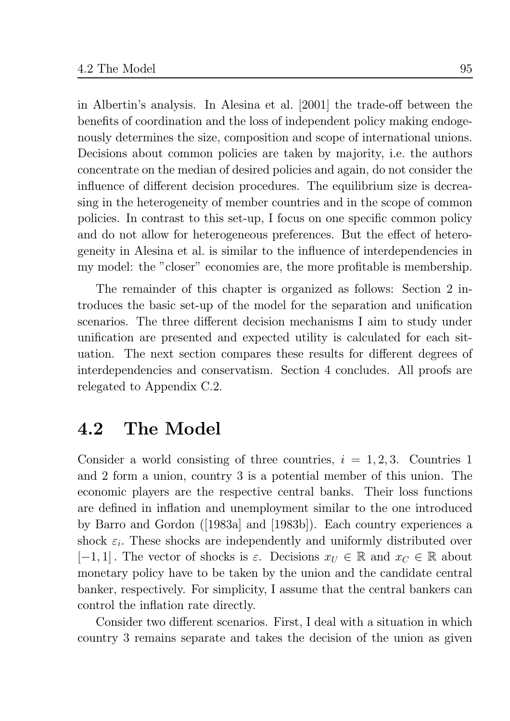in Albertin's analysis. In Alesina et al. [2001] the trade-off between the benefits of coordination and the loss of independent policy making endogenously determines the size, composition and scope of international unions. Decisions about common policies are taken by majority, i.e. the authors concentrate on the median of desired policies and again, do not consider the influence of different decision procedures. The equilibrium size is decreasing in the heterogeneity of member countries and in the scope of common policies. In contrast to this set-up, I focus on one specific common policy and do not allow for heterogeneous preferences. But the effect of heterogeneity in Alesina et al. is similar to the influence of interdependencies in my model: the "closer" economies are, the more profitable is membership.

The remainder of this chapter is organized as follows: Section 2 introduces the basic set-up of the model for the separation and unification scenarios. The three different decision mechanisms I aim to study under unification are presented and expected utility is calculated for each situation. The next section compares these results for different degrees of interdependencies and conservatism. Section 4 concludes. All proofs are relegated to Appendix C.2.

#### The Model  $4.2$

Consider a world consisting of three countries,  $i = 1, 2, 3$ . Countries 1 and 2 form a union, country 3 is a potential member of this union. The economic players are the respective central banks. Their loss functions are defined in inflation and unemployment similar to the one introduced by Barro and Gordon ([1983a] and [1983b]). Each country experiences a shock  $\varepsilon_i$ . These shocks are independently and uniformly distributed over  $[-1,1]$ . The vector of shocks is  $\varepsilon$ . Decisions  $x_U \in \mathbb{R}$  and  $x_C \in \mathbb{R}$  about monetary policy have to be taken by the union and the candidate central banker, respectively. For simplicity, I assume that the central bankers can control the inflation rate directly.

Consider two different scenarios. First, I deal with a situation in which country 3 remains separate and takes the decision of the union as given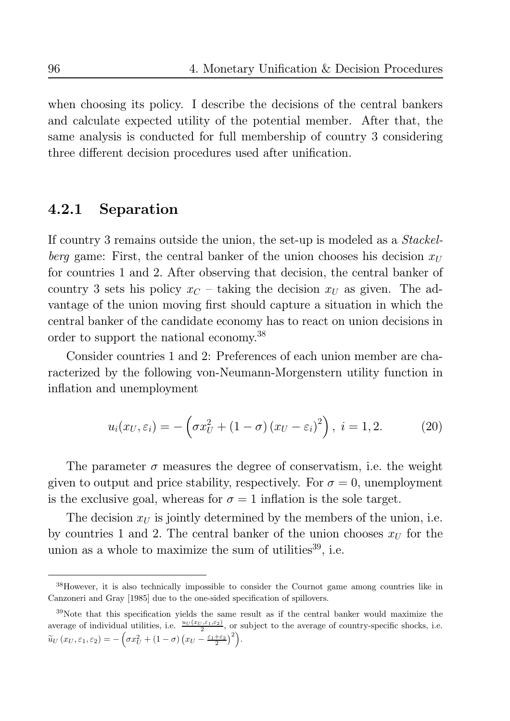when choosing its policy. I describe the decisions of the central bankers and calculate expected utility of the potential member. After that, the same analysis is conducted for full membership of country 3 considering three different decision procedures used after unification.

#### Separation  $4.2.1$

If country 3 remains outside the union, the set-up is modeled as a *Stackelberg* game: First, the central banker of the union chooses his decision  $x_U$ for countries 1 and 2. After observing that decision, the central banker of country 3 sets his policy  $x_C$  – taking the decision  $x_U$  as given. The advantage of the union moving first should capture a situation in which the central banker of the candidate economy has to react on union decisions in order to support the national economy.<sup>38</sup>

Consider countries 1 and 2: Preferences of each union member are characterized by the following von-Neumann-Morgenstern utility function in inflation and unemployment

$$
u_i(x_U, \varepsilon_i) = -\left(\sigma x_U^2 + (1 - \sigma)(x_U - \varepsilon_i)^2\right), \ i = 1, 2. \tag{20}
$$

The parameter  $\sigma$  measures the degree of conservatism, i.e. the weight given to output and price stability, respectively. For  $\sigma = 0$ , unemployment is the exclusive goal, whereas for  $\sigma = 1$  inflation is the sole target.

The decision  $x_U$  is jointly determined by the members of the union, i.e. by countries 1 and 2. The central banker of the union chooses  $x_U$  for the union as a whole to maximize the sum of utilities<sup>39</sup>, i.e.

<sup>&</sup>lt;sup>38</sup>However, it is also technically impossible to consider the Cournot game among countries like in Canzoneri and Gray [1985] due to the one-sided specification of spillovers.

<sup>&</sup>lt;sup>39</sup>Note that this specification yields the same result as if the central banker would maximize the average of individual utilities, i.e.  $\frac{u_U(x_U,\varepsilon_1,\varepsilon_2)}{2}$ , or subject to the average of country-specific shocks, i.e.  $\widetilde{u}_U(x_U, \varepsilon_1, \varepsilon_2) = -\left(\sigma x_U^2 + (1-\sigma)\left(x_U - \frac{\varepsilon_1 + \varepsilon_2}{2}\right)^2\right).$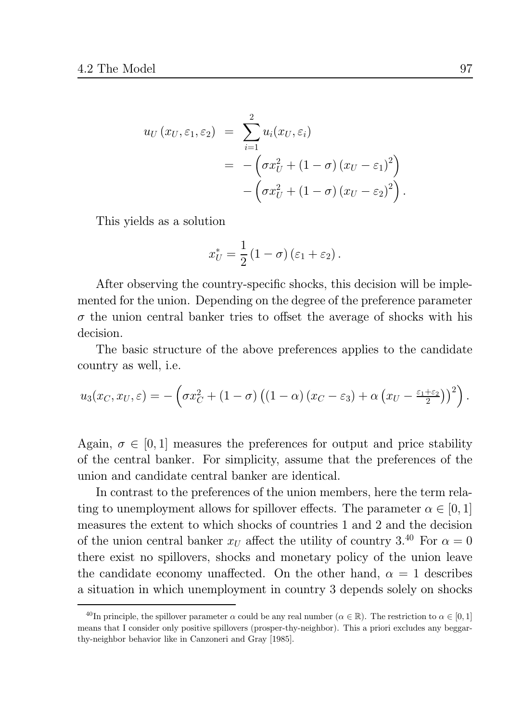$$
u_U(x_U, \varepsilon_1, \varepsilon_2) = \sum_{i=1}^2 u_i(x_U, \varepsilon_i)
$$
  
= 
$$
- \left( \sigma x_U^2 + (1 - \sigma) (x_U - \varepsilon_1)^2 \right)
$$
  

$$
- \left( \sigma x_U^2 + (1 - \sigma) (x_U - \varepsilon_2)^2 \right)
$$

This yields as a solution

$$
x_U^* = \frac{1}{2} (1 - \sigma) (\varepsilon_1 + \varepsilon_2)
$$

After observing the country-specific shocks, this decision will be implemented for the union. Depending on the degree of the preference parameter  $\sigma$  the union central banker tries to offset the average of shocks with his decision.

The basic structure of the above preferences applies to the candidate country as well, *i.e.* 

$$
u_3(x_C, x_U, \varepsilon) = -\left(\sigma x_C^2 + (1-\sigma)\left((1-\alpha)(x_C - \varepsilon_3) + \alpha\left(x_U - \frac{\varepsilon_1 + \varepsilon_2}{2}\right)\right)^2\right).
$$

Again,  $\sigma \in [0, 1]$  measures the preferences for output and price stability of the central banker. For simplicity, assume that the preferences of the union and candidate central banker are identical.

In contrast to the preferences of the union members, here the term relating to unemployment allows for spillover effects. The parameter  $\alpha \in [0,1]$ measures the extent to which shocks of countries 1 and 2 and the decision of the union central banker  $x_U$  affect the utility of country 3.<sup>40</sup> For  $\alpha = 0$ there exist no spillovers, shocks and monetary policy of the union leave the candidate economy unaffected. On the other hand,  $\alpha = 1$  describes a situation in which unemployment in country 3 depends solely on shocks

<sup>&</sup>lt;sup>40</sup>In principle, the spillover parameter  $\alpha$  could be any real number ( $\alpha \in \mathbb{R}$ ). The restriction to  $\alpha \in [0,1]$ means that I consider only positive spillovers (prosper-thy-neighbor). This a priori excludes any beggarthy-neighbor behavior like in Canzoneri and Gray [1985].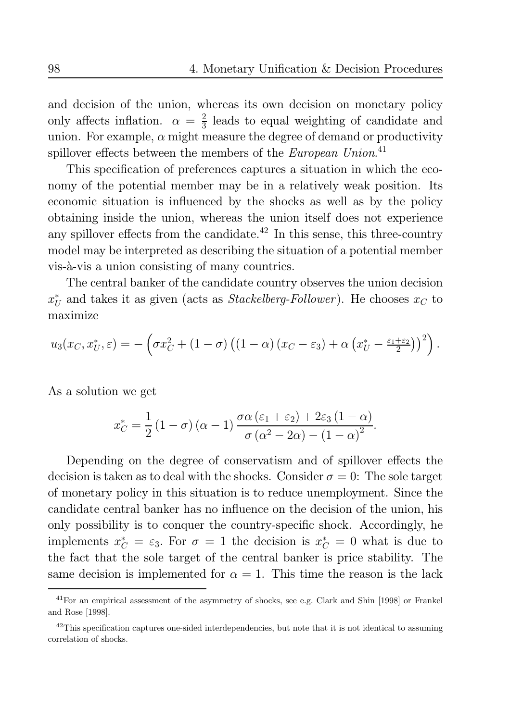and decision of the union, whereas its own decision on monetary policy only affects inflation.  $\alpha = \frac{2}{3}$  leads to equal weighting of candidate and union. For example,  $\alpha$  might measure the degree of demand or productivity spillover effects between the members of the European Union.<sup>41</sup>

This specification of preferences captures a situation in which the economy of the potential member may be in a relatively weak position. Its economic situation is influenced by the shocks as well as by the policy obtaining inside the union, whereas the union itself does not experience any spillover effects from the candidate.<sup>42</sup> In this sense, this three-country model may be interpreted as describing the situation of a potential member vis-à-vis a union consisting of many countries.

The central banker of the candidate country observes the union decision  $x_{II}^*$  and takes it as given (acts as *Stackelberg-Follower*). He chooses  $x_C$  to maximize

$$
u_3(x_C, x_U^*, \varepsilon) = -\left(\sigma x_C^2 + (1-\sigma)\left((1-\alpha)(x_C - \varepsilon_3) + \alpha\left(x_U^* - \frac{\varepsilon_1 + \varepsilon_2}{2}\right)\right)^2\right).
$$

As a solution we get

$$
x_C^* = \frac{1}{2} (1 - \sigma) (\alpha - 1) \frac{\sigma \alpha (\varepsilon_1 + \varepsilon_2) + 2\varepsilon_3 (1 - \alpha)}{\sigma (\alpha^2 - 2\alpha) - (1 - \alpha)^2}.
$$

Depending on the degree of conservatism and of spillover effects the decision is taken as to deal with the shocks. Consider  $\sigma = 0$ : The sole target of monetary policy in this situation is to reduce unemployment. Since the candidate central banker has no influence on the decision of the union, his only possibility is to conquer the country-specific shock. Accordingly, he implements  $x_C^* = \varepsilon_3$ . For  $\sigma = 1$  the decision is  $x_C^* = 0$  what is due to the fact that the sole target of the central banker is price stability. The same decision is implemented for  $\alpha = 1$ . This time the reason is the lack

 $41$  For an empirical assessment of the asymmetry of shocks, see e.g. Clark and Shin [1998] or Frankel and Rose [1998].  $\,$ 

 $^{42}$ This specification captures one-sided interdependencies, but note that it is not identical to assuming correlation of shocks.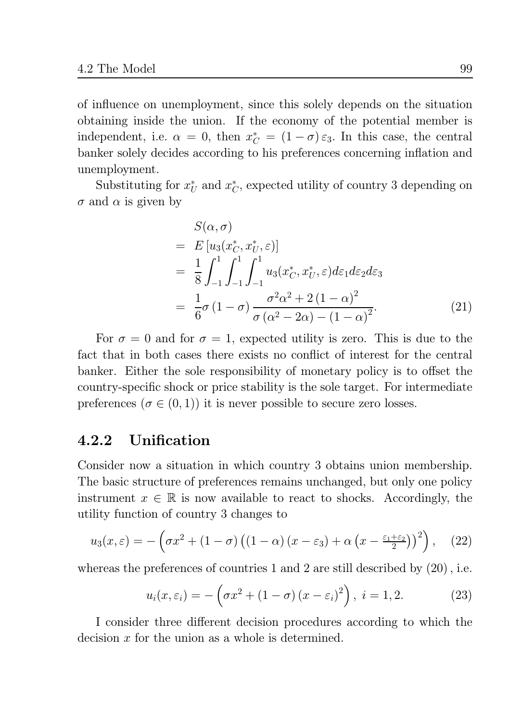of influence on unemployment, since this solely depends on the situation obtaining inside the union. If the economy of the potential member is independent, i.e.  $\alpha = 0$ , then  $x_C^* = (1 - \sigma) \varepsilon_3$ . In this case, the central banker solely decides according to his preferences concerning inflation and unemployment.

Substituting for  $x_U^*$  and  $x_C^*$ , expected utility of country 3 depending on  $\sigma$  and  $\alpha$  is given by

$$
S(\alpha, \sigma)
$$
  
=  $E[u_3(x_C^*, x_U^*, \varepsilon)]$   
=  $\frac{1}{8} \int_{-1}^1 \int_{-1}^1 \int_{-1}^1 u_3(x_C^*, x_U^*, \varepsilon) d\varepsilon_1 d\varepsilon_2 d\varepsilon_3$   
=  $\frac{1}{6} \sigma (1 - \sigma) \frac{\sigma^2 \alpha^2 + 2 (1 - \alpha)^2}{\sigma (\alpha^2 - 2\alpha) - (1 - \alpha)^2}$ . (21)

For  $\sigma = 0$  and for  $\sigma = 1$ , expected utility is zero. This is due to the fact that in both cases there exists no conflict of interest for the central banker. Either the sole responsibility of monetary policy is to offset the country-specific shock or price stability is the sole target. For intermediate preferences ( $\sigma \in (0,1)$ ) it is never possible to secure zero losses.

#### Unification  $4.2.2$

Consider now a situation in which country 3 obtains union membership. The basic structure of preferences remains unchanged, but only one policy instrument  $x \in \mathbb{R}$  is now available to react to shocks. Accordingly, the utility function of country 3 changes to

$$
u_3(x,\varepsilon) = -\left(\sigma x^2 + (1-\sigma)\left((1-\alpha)(x-\varepsilon_3) + \alpha\left(x - \frac{\varepsilon_1 + \varepsilon_2}{2}\right)\right)^2\right), \quad (22)
$$

whereas the preferences of countries 1 and 2 are still described by  $(20)$ , i.e.

$$
u_i(x,\varepsilon_i) = -\left(\sigma x^2 + (1-\sigma)(x-\varepsilon_i)^2\right), \ i = 1, 2. \tag{23}
$$

I consider three different decision procedures according to which the decision  $x$  for the union as a whole is determined.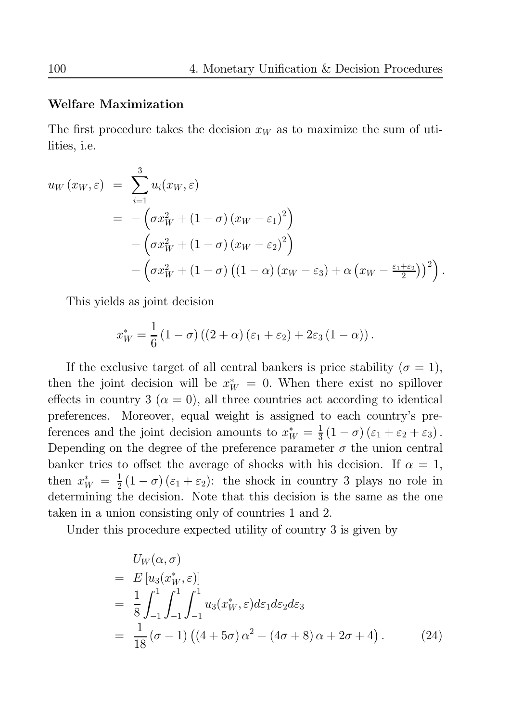## **Welfare Maximization**

The first procedure takes the decision  $x_W$  as to maximize the sum of utilities, *i.e.* 

$$
u_W(x_W, \varepsilon) = \sum_{i=1}^{3} u_i(x_W, \varepsilon)
$$
  
=  $-\left(\sigma x_W^2 + (1 - \sigma) (x_W - \varepsilon_1)^2\right)$   
 $-\left(\sigma x_W^2 + (1 - \sigma) (x_W - \varepsilon_2)^2\right)$   
 $-\left(\sigma x_W^2 + (1 - \sigma) ((1 - \alpha) (x_W - \varepsilon_3) + \alpha (x_W - \frac{\varepsilon_1 + \varepsilon_2}{2}))^2\right).$ 

This yields as joint decision

$$
x_W^* = \frac{1}{6} (1 - \sigma) ((2 + \alpha) (\varepsilon_1 + \varepsilon_2) + 2\varepsilon_3 (1 - \alpha)).
$$

If the exclusive target of all central bankers is price stability ( $\sigma = 1$ ), then the joint decision will be  $x_W^* = 0$ . When there exist no spillover effects in country 3 ( $\alpha = 0$ ), all three countries act according to identical preferences. Moreover, equal weight is assigned to each country's preferences and the joint decision amounts to  $x_W^* = \frac{1}{3}(1 - \sigma)(\epsilon_1 + \epsilon_2 + \epsilon_3)$ . Depending on the degree of the preference parameter  $\sigma$  the union central banker tries to offset the average of shocks with his decision. If  $\alpha = 1$ , then  $x_W^* = \frac{1}{2}(1-\sigma)(\epsilon_1+\epsilon_2)$ : the shock in country 3 plays no role in determining the decision. Note that this decision is the same as the one taken in a union consisting only of countries 1 and 2.

Under this procedure expected utility of country 3 is given by

$$
U_W(\alpha, \sigma)
$$
  
=  $E[u_3(x_W^*, \varepsilon)]$   
=  $\frac{1}{8} \int_{-1}^1 \int_{-1}^1 \int_{-1}^1 u_3(x_W^*, \varepsilon) d\varepsilon_1 d\varepsilon_2 d\varepsilon_3$   
=  $\frac{1}{18} (\sigma - 1) ((4 + 5\sigma) \alpha^2 - (4\sigma + 8) \alpha + 2\sigma + 4).$  (24)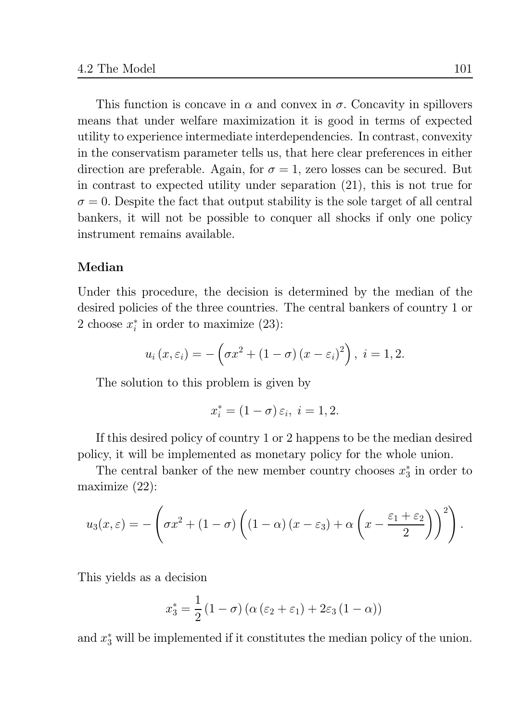This function is concave in  $\alpha$  and convex in  $\sigma$ . Concavity in spillovers means that under welfare maximization it is good in terms of expected utility to experience intermediate interdependencies. In contrast, convexity in the conservatism parameter tells us, that here clear preferences in either direction are preferable. Again, for  $\sigma = 1$ , zero losses can be secured. But in contrast to expected utility under separation  $(21)$ , this is not true for  $\sigma = 0$ . Despite the fact that output stability is the sole target of all central bankers, it will not be possible to conquer all shocks if only one policy instrument remains available.

## Median

Under this procedure, the decision is determined by the median of the desired policies of the three countries. The central bankers of country 1 or 2 choose  $x_i^*$  in order to maximize (23):

$$
u_i(x,\varepsilon_i) = -\left(\sigma x^2 + (1-\sigma)(x-\varepsilon_i)^2\right), \ i = 1,2.
$$

The solution to this problem is given by

$$
x_i^* = (1 - \sigma) \, \varepsilon_i, \; i = 1, 2.
$$

If this desired policy of country 1 or 2 happens to be the median desired policy, it will be implemented as monetary policy for the whole union.

The central banker of the new member country chooses  $x_3^*$  in order to maximize  $(22)$ :

$$
u_3(x,\varepsilon) = -\left(\sigma x^2 + (1-\sigma)\left((1-\alpha)(x-\varepsilon_3) + \alpha\left(x - \frac{\varepsilon_1 + \varepsilon_2}{2}\right)\right)^2\right).
$$

This yields as a decision

$$
x_3^* = \frac{1}{2} (1 - \sigma) (\alpha (\varepsilon_2 + \varepsilon_1) + 2\varepsilon_3 (1 - \alpha))
$$

and  $x_3^*$  will be implemented if it constitutes the median policy of the union.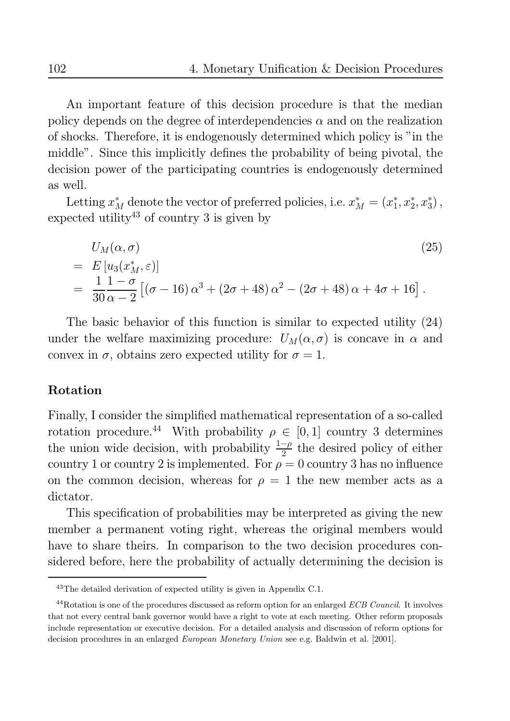An important feature of this decision procedure is that the median policy depends on the degree of interdependencies  $\alpha$  and on the realization of shocks. Therefore, it is endogenously determined which policy is "in the middle". Since this implicitly defines the probability of being pivotal, the decision power of the participating countries is endogenously determined as well.

Letting  $x_M^*$  denote the vector of preferred policies, i.e.  $x_M^* = (x_1^*, x_2^*, x_3^*)$ , expected utility<sup>43</sup> of country 3 is given by

$$
U_M(\alpha, \sigma)
$$
  
=  $E[u_3(x_M^*, \varepsilon)]$   
=  $\frac{1}{30} \frac{1 - \sigma}{\alpha - 2} [(\sigma - 16) \alpha^3 + (2\sigma + 48) \alpha^2 - (2\sigma + 48) \alpha + 4\sigma + 16].$  (25)

The basic behavior of this function is similar to expected utility  $(24)$ under the welfare maximizing procedure:  $U_M(\alpha, \sigma)$  is concave in  $\alpha$  and convex in  $\sigma$ , obtains zero expected utility for  $\sigma = 1$ .

## Rotation

Finally, I consider the simplified mathematical representation of a so-called rotation procedure.<sup>44</sup> With probability  $\rho \in [0,1]$  country 3 determines the union wide decision, with probability  $\frac{1-\rho}{2}$  the desired policy of either country 1 or country 2 is implemented. For  $\rho = 0$  country 3 has no influence on the common decision, whereas for  $\rho = 1$  the new member acts as a dictator.

This specification of probabilities may be interpreted as giving the new member a permanent voting right, whereas the original members would have to share theirs. In comparison to the two decision procedures considered before, here the probability of actually determining the decision is

 $^{43}$  The detailed derivation of expected utility is given in Appendix C.1.

<sup>&</sup>lt;sup>44</sup>Rotation is one of the procedures discussed as reform option for an enlarged ECB Council. It involves that not every central bank governor would have a right to vote at each meeting. Other reform proposals include representation or executive decision. For a detailed analysis and discussion of reform options for decision procedures in an enlarged European Monetary Union see e.g. Baldwin et al. [2001].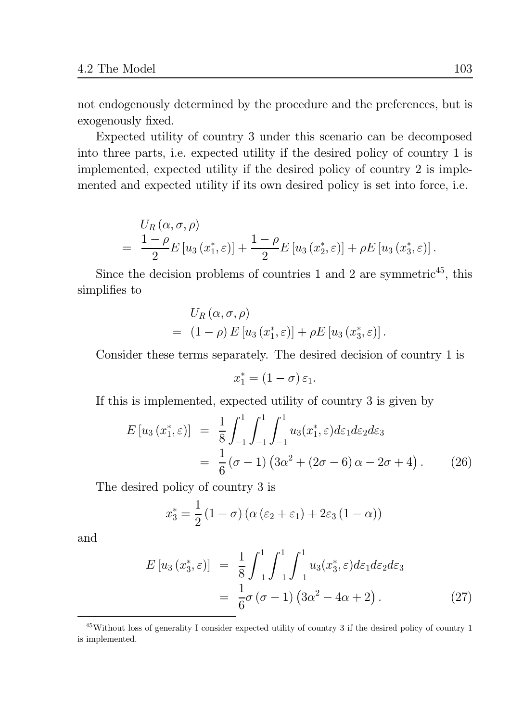not endogenously determined by the procedure and the preferences, but is exogenously fixed.

Expected utility of country 3 under this scenario can be decomposed into three parts, i.e. expected utility if the desired policy of country 1 is implemented, expected utility if the desired policy of country 2 is implemented and expected utility if its own desired policy is set into force, i.e.

$$
U_R(\alpha, \sigma, \rho)
$$
  
=  $\frac{1-\rho}{2}E[u_3(x_1^*, \varepsilon)] + \frac{1-\rho}{2}E[u_3(x_2^*, \varepsilon)] + \rho E[u_3(x_3^*, \varepsilon)]$ 

Since the decision problems of countries 1 and 2 are symmetric<sup>45</sup>, this simplifies to

$$
U_{R}\left(\alpha,\sigma,\rho\right) = (1-\rho) E\left[u_3\left(x_1^*,\varepsilon\right)\right] + \rho E\left[u_3\left(x_3^*,\varepsilon\right)\right].
$$

Consider these terms separately. The desired decision of country 1 is

$$
x_1^* = (1 - \sigma) \, \varepsilon_1.
$$

If this is implemented, expected utility of country 3 is given by

$$
E[u_3(x_1^*, \varepsilon)] = \frac{1}{8} \int_{-1}^{1} \int_{-1}^{1} \int_{-1}^{1} u_3(x_1^*, \varepsilon) d\varepsilon_1 d\varepsilon_2 d\varepsilon_3
$$
  
=  $\frac{1}{6} (\sigma - 1) (3\alpha^2 + (2\sigma - 6) \alpha - 2\sigma + 4).$  (26)

The desired policy of country 3 is

$$
x_3^* = \frac{1}{2} (1 - \sigma) (\alpha (\varepsilon_2 + \varepsilon_1) + 2\varepsilon_3 (1 - \alpha))
$$

and

$$
E[u_3(x_3^*, \varepsilon)] = \frac{1}{8} \int_{-1}^1 \int_{-1}^1 \int_{-1}^1 u_3(x_3^*, \varepsilon) d\varepsilon_1 d\varepsilon_2 d\varepsilon_3
$$
  

$$
= \frac{1}{6} \sigma (\sigma - 1) (3\alpha^2 - 4\alpha + 2).
$$
 (27)

 $45$ Without loss of generality I consider expected utility of country 3 if the desired policy of country 1 is implemented.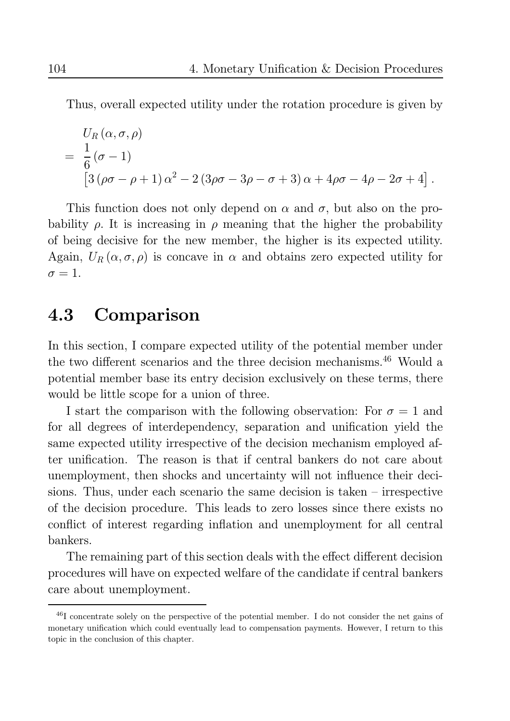Thus, overall expected utility under the rotation procedure is given by

$$
U_R(\alpha, \sigma, \rho)
$$
  
=  $\frac{1}{6}(\sigma - 1)$   

$$
[3(\rho\sigma - \rho + 1)\alpha^2 - 2(3\rho\sigma - 3\rho - \sigma + 3)\alpha + 4\rho\sigma - 4\rho - 2\sigma + 4]
$$

This function does not only depend on  $\alpha$  and  $\sigma$ , but also on the probability  $\rho$ . It is increasing in  $\rho$  meaning that the higher the probability of being decisive for the new member, the higher is its expected utility. Again,  $U_R(\alpha, \sigma, \rho)$  is concave in  $\alpha$  and obtains zero expected utility for  $\sigma = 1$ .

#### Comparison 4.3

In this section, I compare expected utility of the potential member under the two different scenarios and the three decision mechanisms.<sup>46</sup> Would a potential member base its entry decision exclusively on these terms, there would be little scope for a union of three.

I start the comparison with the following observation: For  $\sigma = 1$  and for all degrees of interdependency, separation and unification yield the same expected utility irrespective of the decision mechanism employed after unification. The reason is that if central bankers do not care about unemployment, then shocks and uncertainty will not influence their decisions. Thus, under each scenario the same decision is taken  $-$  irrespective of the decision procedure. This leads to zero losses since there exists no conflict of interest regarding inflation and unemployment for all central bankers.

The remaining part of this section deals with the effect different decision procedures will have on expected welfare of the candidate if central bankers care about unemployment.

 $^{46}$ I concentrate solely on the perspective of the potential member. I do not consider the net gains of monetary unification which could eventually lead to compensation payments. However, I return to this topic in the conclusion of this chapter.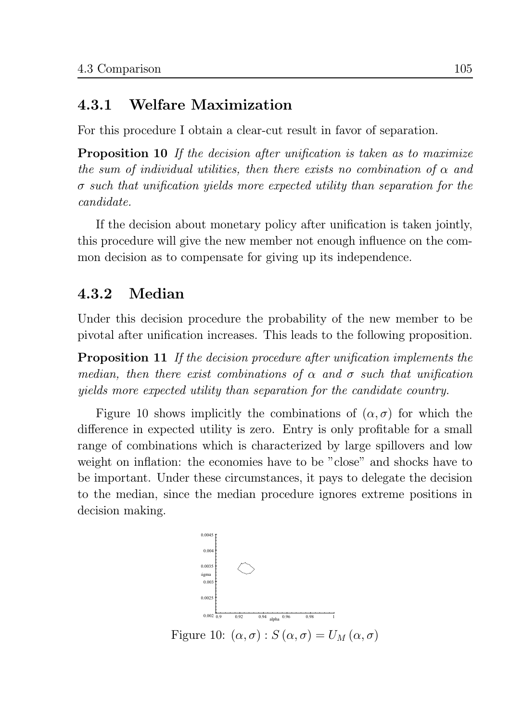#### Welfare Maximization 4.3.1

For this procedure I obtain a clear-cut result in favor of separation.

**Proposition 10** If the decision after unification is taken as to maximize the sum of individual utilities, then there exists no combination of  $\alpha$  and  $\sigma$  such that unification yields more expected utility than separation for the  $candidate.$ 

If the decision about monetary policy after unification is taken jointly, this procedure will give the new member not enough influence on the common decision as to compensate for giving up its independence.

#### Median 4.3.2

Under this decision procedure the probability of the new member to be pivotal after unification increases. This leads to the following proposition.

**Proposition 11** If the decision procedure after unification implements the median, then there exist combinations of  $\alpha$  and  $\sigma$  such that unification yields more expected utility than separation for the candidate country.

Figure 10 shows implicitly the combinations of  $(\alpha, \sigma)$  for which the difference in expected utility is zero. Entry is only profitable for a small range of combinations which is characterized by large spillovers and low weight on inflation: the economies have to be "close" and shocks have to be important. Under these circumstances, it pays to delegate the decision to the median, since the median procedure ignores extreme positions in decision making.



105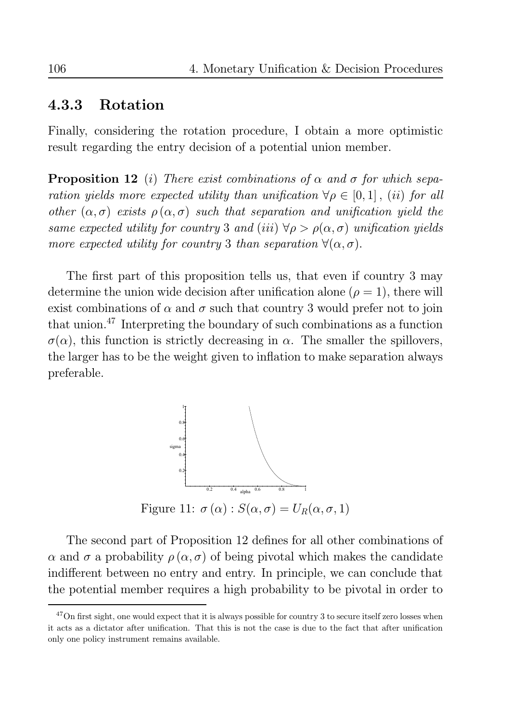#### 4.3.3 Rotation

Finally, considering the rotation procedure, I obtain a more optimistic result regarding the entry decision of a potential union member.

**Proposition 12** (i) There exist combinations of  $\alpha$  and  $\sigma$  for which separation yields more expected utility than unification  $\forall \rho \in [0,1]$ , (ii) for all other  $(\alpha, \sigma)$  exists  $\rho(\alpha, \sigma)$  such that separation and unification yield the same expected utility for country 3 and (iii)  $\forall \rho > \rho(\alpha, \sigma)$  unification yields more expected utility for country 3 than separation  $\forall (\alpha, \sigma)$ .

The first part of this proposition tells us, that even if country 3 may determine the union wide decision after unification alone ( $\rho = 1$ ), there will exist combinations of  $\alpha$  and  $\sigma$  such that country 3 would prefer not to join that union.<sup>47</sup> Interpreting the boundary of such combinations as a function  $\sigma(\alpha)$ , this function is strictly decreasing in  $\alpha$ . The smaller the spillovers, the larger has to be the weight given to inflation to make separation always preferable.



The second part of Proposition 12 defines for all other combinations of  $\alpha$  and  $\sigma$  a probability  $\rho(\alpha, \sigma)$  of being pivotal which makes the candidate indifferent between no entry and entry. In principle, we can conclude that the potential member requires a high probability to be pivotal in order to

 $47$ On first sight, one would expect that it is always possible for country 3 to secure itself zero losses when it acts as a dictator after unification. That this is not the case is due to the fact that after unification only one policy instrument remains available.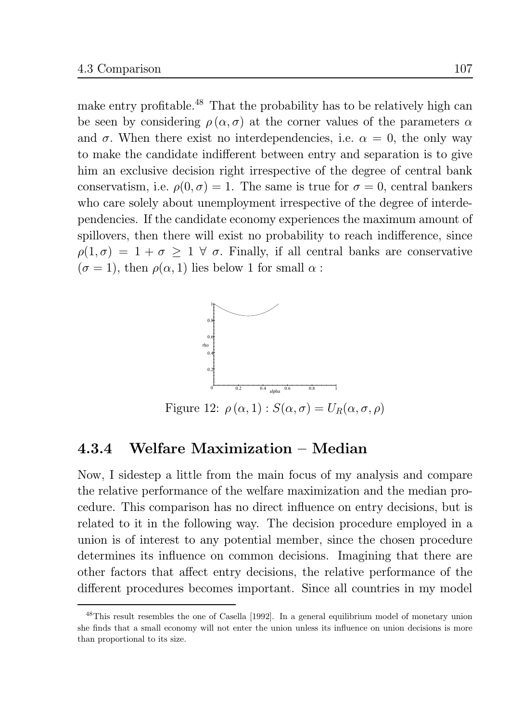make entry profitable.<sup>48</sup> That the probability has to be relatively high can be seen by considering  $\rho(\alpha, \sigma)$  at the corner values of the parameters  $\alpha$ and  $\sigma$ . When there exist no interdependencies, i.e.  $\alpha = 0$ , the only way to make the candidate indifferent between entry and separation is to give him an exclusive decision right irrespective of the degree of central bank conservatism, i.e.  $\rho(0, \sigma) = 1$ . The same is true for  $\sigma = 0$ , central bankers who care solely about unemployment irrespective of the degree of interdependencies. If the candidate economy experiences the maximum amount of spillovers, then there will exist no probability to reach indifference, since  $\rho(1,\sigma) = 1 + \sigma \geq 1 \,\forall \sigma$ . Finally, if all central banks are conservative  $(\sigma = 1)$ , then  $\rho(\alpha, 1)$  lies below 1 for small  $\alpha$ :



Figure 12:  $\rho(\alpha, 1)$ :  $S(\alpha, \sigma) = U_R(\alpha, \sigma, \rho)$ 

#### Welfare Maximization - Median 4.3.4

Now, I sidestep a little from the main focus of my analysis and compare the relative performance of the welfare maximization and the median procedure. This comparison has no direct influence on entry decisions, but is related to it in the following way. The decision procedure employed in a union is of interest to any potential member, since the chosen procedure determines its influence on common decisions. Imagining that there are other factors that affect entry decisions, the relative performance of the different procedures becomes important. Since all countries in my model

<sup>&</sup>lt;sup>48</sup>This result resembles the one of Casella [1992]. In a general equilibrium model of monetary union she finds that a small economy will not enter the union unless its influence on union decisions is more than proportional to its size.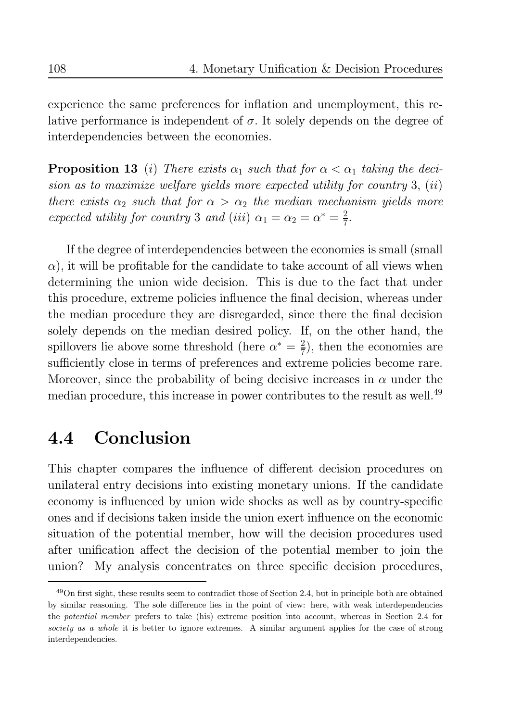experience the same preferences for inflation and unemployment, this relative performance is independent of  $\sigma$ . It solely depends on the degree of interdependencies between the economies.

**Proposition 13** (i) There exists  $\alpha_1$  such that for  $\alpha < \alpha_1$  taking the decision as to maximize welfare yields more expected utility for country 3,  $(ii)$ there exists  $\alpha_2$  such that for  $\alpha > \alpha_2$  the median mechanism yields more expected utility for country 3 and (iii)  $\alpha_1 = \alpha_2 = \alpha^* = \frac{2}{7}$ .

If the degree of interdependencies between the economies is small (small)  $\alpha$ ), it will be profitable for the candidate to take account of all views when determining the union wide decision. This is due to the fact that under this procedure, extreme policies influence the final decision, whereas under the median procedure they are disregarded, since there the final decision solely depends on the median desired policy. If, on the other hand, the spillovers lie above some threshold (here  $\alpha^* = \frac{2}{7}$ ), then the economies are sufficiently close in terms of preferences and extreme policies become rare. Moreover, since the probability of being decisive increases in  $\alpha$  under the median procedure, this increase in power contributes to the result as well.<sup>49</sup>

#### Conclusion  $4.4$

This chapter compares the influence of different decision procedures on unilateral entry decisions into existing monetary unions. If the candidate economy is influenced by union wide shocks as well as by country-specific ones and if decisions taken inside the union exert influence on the economic situation of the potential member, how will the decision procedures used after unification affect the decision of the potential member to join the My analysis concentrates on three specific decision procedures, union?

 $49$ On first sight, these results seem to contradict those of Section 2.4, but in principle both are obtained by similar reasoning. The sole difference lies in the point of view: here, with weak interdependencies the *potential member* prefers to take (his) extreme position into account, whereas in Section 2.4 for society as a whole it is better to ignore extremes. A similar argument applies for the case of strong interdependencies.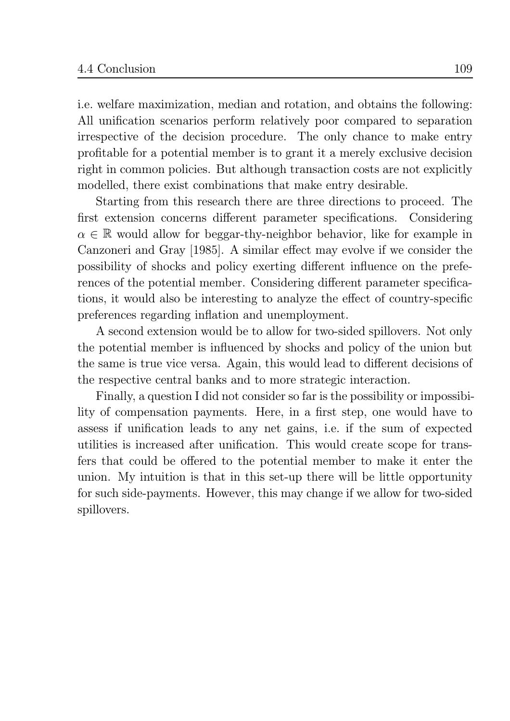i.e. welfare maximization, median and rotation, and obtains the following: All unification scenarios perform relatively poor compared to separation irrespective of the decision procedure. The only chance to make entry profitable for a potential member is to grant it a merely exclusive decision right in common policies. But although transaction costs are not explicitly modelled, there exist combinations that make entry desirable.

Starting from this research there are three directions to proceed. The first extension concerns different parameter specifications. Considering  $\alpha \in \mathbb{R}$  would allow for beggar-thy-neighbor behavior, like for example in Canzoneri and Gray [1985]. A similar effect may evolve if we consider the possibility of shocks and policy exerting different influence on the preferences of the potential member. Considering different parameter specifications, it would also be interesting to analyze the effect of country-specific preferences regarding inflation and unemployment.

A second extension would be to allow for two-sided spillovers. Not only the potential member is influenced by shocks and policy of the union but the same is true vice versa. Again, this would lead to different decisions of the respective central banks and to more strategic interaction.

Finally, a question I did not consider so far is the possibility or impossibility of compensation payments. Here, in a first step, one would have to assess if unification leads to any net gains, i.e. if the sum of expected utilities is increased after unification. This would create scope for transfers that could be offered to the potential member to make it enter the union. My intuition is that in this set-up there will be little opportunity for such side-payments. However, this may change if we allow for two-sided spillovers.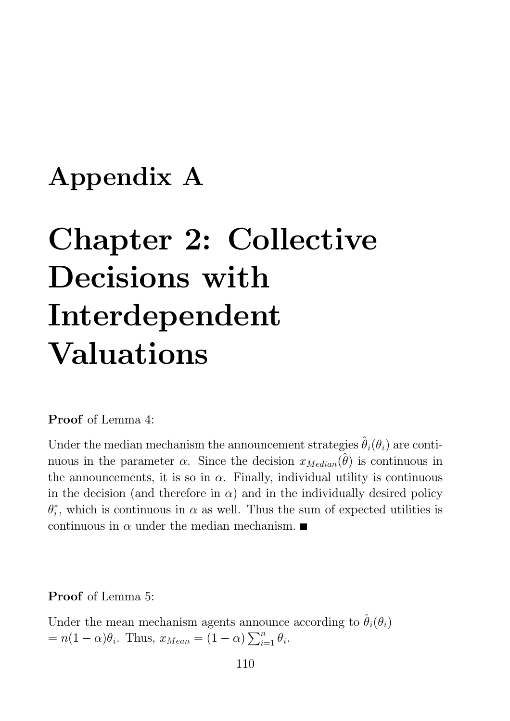## Appendix A

# **Chapter 2: Collective** Decisions with Interdependent **Valuations**

**Proof** of Lemma 4:

Under the median mechanism the announcement strategies  $\hat{\theta}_i(\theta_i)$  are continuous in the parameter  $\alpha$ . Since the decision  $x_{Median}(\hat{\theta})$  is continuous in the announcements, it is so in  $\alpha$ . Finally, individual utility is continuous in the decision (and therefore in  $\alpha$ ) and in the individually desired policy  $\theta_i^*$ , which is continuous in  $\alpha$  as well. Thus the sum of expected utilities is continuous in  $\alpha$  under the median mechanism.

**Proof** of Lemma 5:

Under the mean mechanism agents announce according to  $\hat{\theta}_i(\theta_i)$  $= n(1-\alpha)\theta_i$ . Thus,  $x_{Mean} = (1-\alpha)\sum_{i=1}^n \theta_i$ .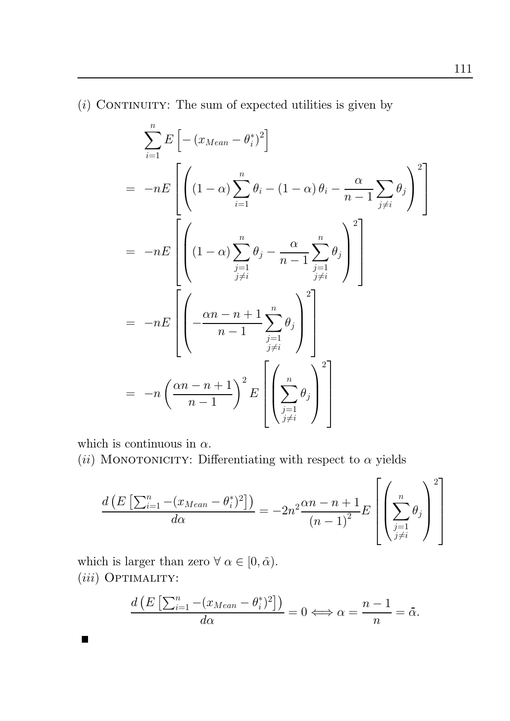$(i)$  CONTINUITY: The sum of expected utilities is given by

$$
\sum_{i=1}^{n} E\left[-\left(x_{Mean} - \theta_{i}^{*}\right)^{2}\right]
$$
\n
$$
= -nE\left[\left(\left(1 - \alpha\right) \sum_{i=1}^{n} \theta_{i} - \left(1 - \alpha\right) \theta_{i} - \frac{\alpha}{n-1} \sum_{j \neq i} \theta_{j}\right)^{2}\right]
$$
\n
$$
= -nE\left[\left(\left(1 - \alpha\right) \sum_{\substack{j=1 \ j \neq i}}^{n} \theta_{j} - \frac{\alpha}{n-1} \sum_{\substack{j=1 \ j \neq i}}^{n} \theta_{j}\right)^{2}\right]
$$
\n
$$
= -nE\left[\left(-\frac{\alpha n - n + 1}{n - 1} \sum_{\substack{j=1 \ j \neq i}}^{n} \theta_{j}\right)^{2}\right]
$$
\n
$$
= -n\left(\frac{\alpha n - n + 1}{n - 1}\right)^{2} E\left[\left(\sum_{\substack{j=1 \ j \neq i}}^{n} \theta_{j}\right)^{2}\right]
$$

which is continuous in  $\alpha$ .

■

(ii) MONOTONICITY: Differentiating with respect to  $\alpha$  yields

$$
\frac{d\left(E\left[\sum_{i=1}^{n} -\left(x_{Mean} - \theta_i^*\right)^2\right]\right)}{d\alpha} = -2n^2 \frac{\alpha n - n + 1}{\left(n - 1\right)^2} E\left[\left(\sum_{\substack{j=1 \ j \neq i}}^{n} \theta_j\right)^2\right]
$$

which is larger than zero  $\forall \alpha \in [0, \bar{\alpha})$ .  $(iii)$  OPTIMALITY:

$$
\frac{d\left(E\left[\sum_{i=1}^{n}-(x_{Mean}-\theta_i^*)^2\right]\right)}{d\alpha}=0 \Longleftrightarrow \alpha=\frac{n-1}{n}=\bar{\alpha}.
$$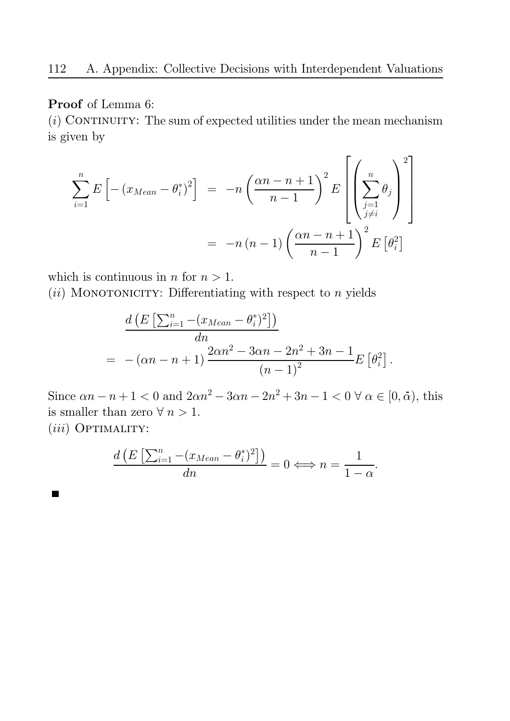## **Proof** of Lemma 6:

 $(i)$  CONTINUITY: The sum of expected utilities under the mean mechanism is given by

$$
\sum_{i=1}^{n} E\left[-\left(x_{Mean} - \theta_i^*\right)^2\right] = -n\left(\frac{\alpha n - n + 1}{n - 1}\right)^2 E\left[\left(\sum_{\substack{j=1 \ j \neq i}}^{n} \theta_j\right)^2\right]
$$

$$
= -n(n - 1)\left(\frac{\alpha n - n + 1}{n - 1}\right)^2 E\left[\theta_i^2\right]
$$

which is continuous in *n* for  $n > 1$ .

 $(ii)$  MONOTONICITY: Differentiating with respect to *n* yields

$$
\frac{d\left(E\left[\sum_{i=1}^{n}-(x_{Mean}-\theta_{i}^{*})^{2}\right]\right)}{dn} = -(\alpha n - n + 1)\frac{2\alpha n^{2} - 3\alpha n - 2n^{2} + 3n - 1}{(n - 1)^{2}}E\left[\theta_{i}^{2}\right].
$$

Since  $\alpha n - n + 1 < 0$  and  $2\alpha n^2 - 3\alpha n - 2n^2 + 3n - 1 < 0 \,\forall \alpha \in [0, \bar{\alpha})$ , this is smaller than zero  $\forall n > 1$ .

 $(iii)$  OPTIMALITY:

 $\blacksquare$ 

$$
\frac{d\left(E\left[\sum_{i=1}^{n}-(x_{Mean}-\theta_{i}^{*})^{2}\right]\right)}{dn}=0 \Longleftrightarrow n=\frac{1}{1-\alpha}.
$$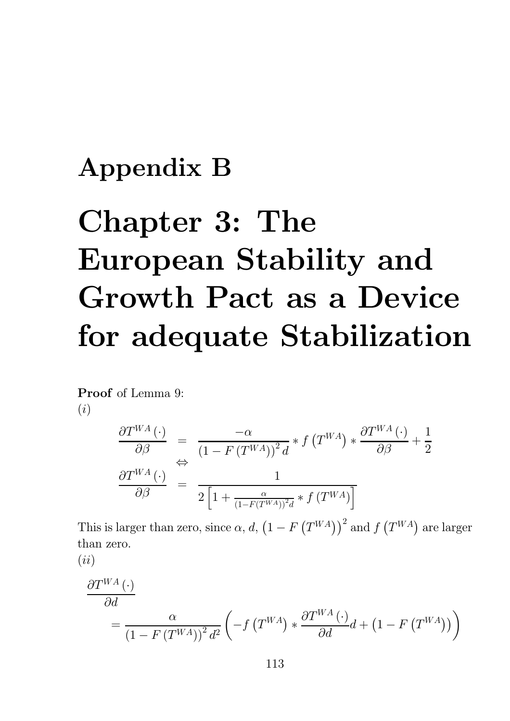# Appendix B

# Chapter 3: The **European Stability and** Growth Pact as a Device for adequate Stabilization

**Proof** of Lemma 9:  $(i)$ 

$$
\frac{\partial T^{WA}(\cdot)}{\partial \beta} = \frac{-\alpha}{\left(1 - F(T^{WA})\right)^2 d} * f(T^{WA}) * \frac{\partial T^{WA}(\cdot)}{\partial \beta} + \frac{1}{2}
$$
\n
$$
\frac{\partial T^{WA}(\cdot)}{\partial \beta} = \frac{1}{2\left[1 + \frac{\alpha}{\left(1 - F(T^{WA})\right)^2 d} * f(T^{WA})\right]}
$$

This is larger than zero, since  $\alpha$ , d,  $(1 - F(T^{WA}))^2$  and  $f(T^{WA})$  are larger than zero.

$$
(ii)\hspace{0.05cm}
$$

$$
\frac{\partial T^{WA}(\cdot)}{\partial d} = \frac{\alpha}{\left(1 - F(T^{WA})\right)^2 d^2} \left( -f(T^{WA}) * \frac{\partial T^{WA}(\cdot)}{\partial d} d + \left(1 - F(T^{WA})\right) \right)
$$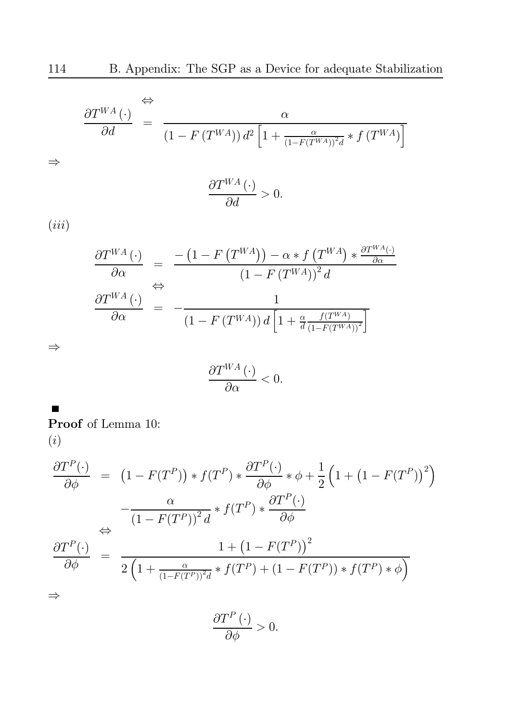$$
\frac{\partial T^{WA}(\cdot)}{\partial d} = \frac{\alpha}{\left(1 - F(T^{WA})\right) d^2 \left[1 + \frac{\alpha}{\left(1 - F(T^{WA})\right)^2 d} * f(T^{WA})\right]}
$$

$$
\frac{\partial T^{WA}\left(\cdot\right)}{\partial d}>0.
$$

 $(iii)$ 

 $\Rightarrow$ 

$$
\frac{\partial T^{WA}(\cdot)}{\partial \alpha} = \frac{-\left(1 - F\left(T^{WA}\right)\right) - \alpha * f\left(T^{WA}\right) * \frac{\partial T^{WA}(\cdot)}{\partial \alpha}}{\left(1 - F\left(T^{WA}\right)\right)^2 d}
$$
\n
$$
\frac{\partial T^{WA}(\cdot)}{\partial \alpha} = -\frac{1}{\left(1 - F\left(T^{WA}\right)\right) d \left[1 + \frac{\alpha}{d} \frac{f(T^{WA})}{\left(1 - F\left(T^{WA}\right)\right)^2}\right]}
$$

 $\Rightarrow$ 

 $\blacksquare$ 

$$
\frac{\partial T^{WA}(\cdot)}{\partial \alpha} < 0.
$$

**Proof** of Lemma 10:  $\left( i\right)$ 

$$
\frac{\partial T^P(\cdot)}{\partial \phi} = (1 - F(T^P)) * f(T^P) * \frac{\partial T^P(\cdot)}{\partial \phi} * \phi + \frac{1}{2} (1 + (1 - F(T^P))^2)
$$

$$
-\frac{\alpha}{(1 - F(T^P))^2 d} * f(T^P) * \frac{\partial T^P(\cdot)}{\partial \phi}
$$

$$
\frac{\partial T^P(\cdot)}{\partial \phi} = \frac{1 + (1 - F(T^P))^2}{2 \left(1 + \frac{\alpha}{(1 - F(T^P))^2 d} * f(T^P) + (1 - F(T^P)) * f(T^P) * \phi\right)}
$$

 $\Rightarrow$ 

$$
\frac{\partial T^{P}(\cdot)}{\partial \phi} > 0.
$$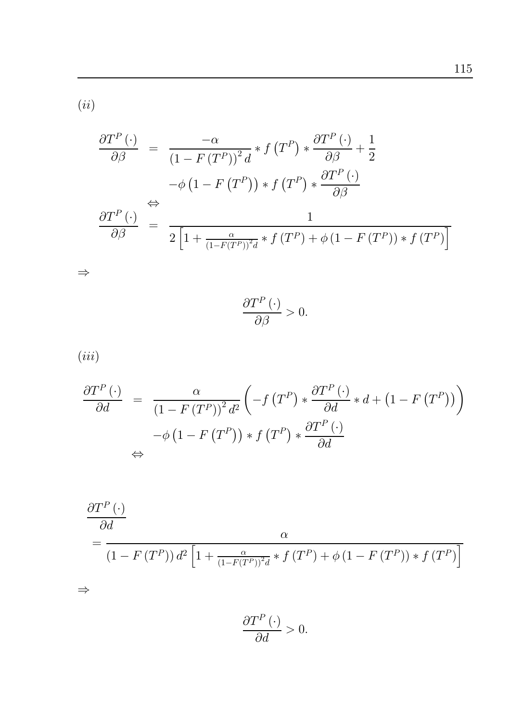$\left( ii\right)$ 

$$
\frac{\partial T^{P}(\cdot)}{\partial \beta} = \frac{-\alpha}{(1 - F(T^{P}))^{2} d} * f(T^{P}) * \frac{\partial T^{P}(\cdot)}{\partial \beta} + \frac{1}{2}
$$

$$
-\phi (1 - F(T^{P})) * f(T^{P}) * \frac{\partial T^{P}(\cdot)}{\partial \beta}
$$

$$
\frac{\partial T^{P}(\cdot)}{\partial \beta} = \frac{1}{2 \left[1 + \frac{\alpha}{(1 - F(T^{P}))^{2} d} * f(T^{P}) + \phi (1 - F(T^{P})) * f(T^{P})\right]}
$$

$$
\frac{\partial T^P(\cdot)}{\partial \beta} > 0.
$$

 $(iii)$ 

 $\Rightarrow$ 

 $\Rightarrow$ 

$$
\frac{\partial T^{P}(\cdot)}{\partial d} = \frac{\alpha}{\left(1 - F(T^{P})\right)^{2} d^{2}} \left( -f(T^{P}) * \frac{\partial T^{P}(\cdot)}{\partial d} * d + \left(1 - F(T^{P})\right) \right) \n- \phi \left(1 - F(T^{P})\right) * f(T^{P}) * \frac{\partial T^{P}(\cdot)}{\partial d} \n\Leftrightarrow
$$

$$
\frac{\partial T^{P}(\cdot)}{\partial d}
$$
\n
$$
= \frac{\alpha}{\left(1 - F(T^{P})\right) d^{2} \left[1 + \frac{\alpha}{\left(1 - F(T^{P})\right)^{2} d} * f(T^{P}) + \phi\left(1 - F(T^{P})\right) * f(T^{P})\right]}
$$

 $\frac{\partial T^P(\cdot)}{\partial d} > 0.$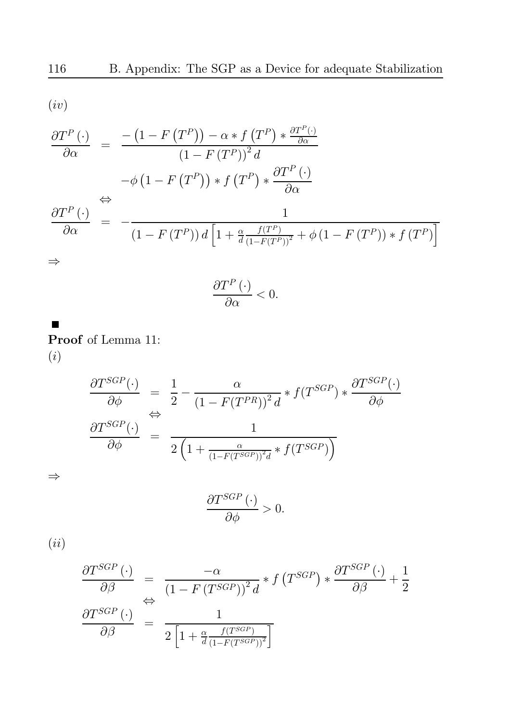$$
(iv)
$$

$$
\frac{\partial T^{P}(\cdot)}{\partial \alpha} = \frac{-\left(1 - F(T^{P})\right) - \alpha * f(T^{P}) * \frac{\partial T^{P}(\cdot)}{\partial \alpha}}{\left(1 - F(T^{P})\right)^{2} d}
$$

$$
-\phi \left(1 - F(T^{P})\right) * f(T^{P}) * \frac{\partial T^{P}(\cdot)}{\partial \alpha}
$$

$$
\stackrel{\Leftrightarrow}{\frac{\partial T^{P}(\cdot)}{\partial \alpha}} = -\frac{1}{\left(1 - F(T^{P})\right) d \left[1 + \frac{\alpha}{d} \frac{f(T^{P})}{\left(1 - F(T^{P})\right)^{2}} + \phi \left(1 - F(T^{P})\right) * f(T^{P})\right]}
$$

$$
\Rightarrow
$$

 $\blacksquare$ 

$$
\frac{\partial T^P(\cdot)}{\partial \alpha} < 0.
$$

**Proof** of Lemma 11:  $\left( i\right)$ 

$$
\frac{\partial T^{SGP}(\cdot)}{\partial \phi} = \frac{1}{2} - \frac{\alpha}{\left(1 - F(T^{PR})\right)^2 d} * f(T^{SGP}) * \frac{\partial T^{SGP}(\cdot)}{\partial \phi}
$$

$$
\frac{\partial T^{SGP}(\cdot)}{\partial \phi} = \frac{1}{2\left(1 + \frac{\alpha}{\left(1 - F(T^{SGP})\right)^2 d} * f(T^{SGP})\right)}
$$

 $\Rightarrow$ 

$$
\frac{\partial T^{SGP}(\cdot)}{\partial \phi} > 0.
$$

 $(ii)$ 

$$
\frac{\partial T^{SGP}(\cdot)}{\partial \beta} = \frac{-\alpha}{\left(1 - F(T^{SGP})\right)^2 d} * f(T^{SGP}) * \frac{\partial T^{SGP}(\cdot)}{\partial \beta} + \frac{1}{2}
$$

$$
\frac{\partial T^{SGP}(\cdot)}{\partial \beta} = \frac{1}{2\left[1 + \frac{\alpha}{d} \frac{f(T^{SGP})}{(1 - F(T^{SGP}))^2}\right]}
$$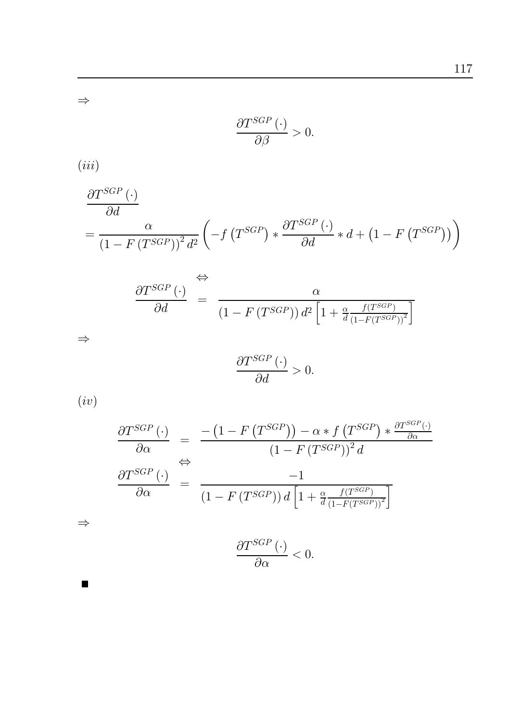$\Rightarrow$ 

$$
\frac{\partial T^{SGP}(\cdot)}{\partial \beta} > 0.
$$

 $(iii)$ 

$$
\frac{\partial T^{SGP}(\cdot)}{\partial d} = \frac{\alpha}{\left(1 - F(T^{SGP})\right)^2 d^2} \left( -f(T^{SGP}) * \frac{\partial T^{SGP}(\cdot)}{\partial d} * d + \left(1 - F(T^{SGP})\right) \right)
$$

$$
\frac{\partial T^{SGP}(\cdot)}{\partial d} = \frac{\alpha}{\left(1 - F(T^{SGP})\right) d^2 \left[1 + \frac{\alpha}{d} \frac{f(T^{SGP})}{\left(1 - F(T^{SGP})\right)^2}\right]}
$$

$$
\quad\Rightarrow\quad
$$

$$
\frac{\partial T^{SGP}(\cdot)}{\partial d} > 0.
$$

 $(iv)$ 

 $\Rightarrow$ 

 $\blacksquare$ 

$$
\frac{\partial T^{SGP}(\cdot)}{\partial \alpha} = \frac{-\left(1 - F\left(T^{SGP}\right)\right) - \alpha * f\left(T^{SGP}\right) * \frac{\partial T^{SGP}(\cdot)}{\partial \alpha}}{\left(1 - F\left(T^{SGP}\right)\right)^2 d}
$$
\n
$$
\frac{\partial T^{SGP}(\cdot)}{\partial \alpha} = \frac{-1}{\left(1 - F\left(T^{SGP}\right)\right) d \left[1 + \frac{\alpha}{d} \frac{f\left(T^{SGP}\right)}{\left(1 - F\left(T^{SGP}\right)\right)^2}\right]}
$$
\n
$$
\frac{\partial T^{SGP}(\cdot)}{\partial T^{SGP}(\cdot)}
$$

$$
\frac{\partial T^{SGP}(\cdot)}{\partial \alpha} < 0.
$$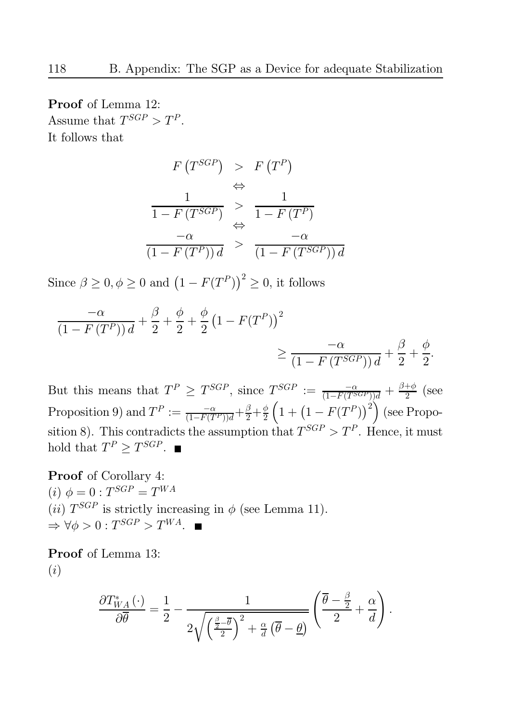**Proof** of Lemma 12: Assume that  $T^{SGP} > T^P$ . It follows that

$$
F(T^{SGP}) > F(T^{P})
$$
  
\n
$$
\Leftrightarrow \frac{1}{1 - F(T^{SGP})} > \frac{1}{1 - F(T^{P})}
$$
  
\n
$$
\Leftrightarrow -\alpha
$$
  
\n
$$
\frac{-\alpha}{(1 - F(T^{P}))d} > \frac{-\alpha}{(1 - F(T^{SGP}))d}
$$

Since  $\beta \geq 0, \phi \geq 0$  and  $(1 - F(T^P))^2 \geq 0$ , it follows

$$
\frac{-\alpha}{\left(1 - F\left(T^P\right)\right)d} + \frac{\beta}{2} + \frac{\phi}{2} + \frac{\phi}{2}\left(1 - F(T^P)\right)^2
$$
\n
$$
\geq \frac{-\alpha}{\left(1 - F\left(T^{SGP}\right)\right)d} + \frac{\beta}{2} + \frac{\phi}{2}.
$$

But this means that  $T^P \geq T^{SGP}$ , since  $T^{SGP} := \frac{-\alpha}{(1 - F(T^{SGP}))d} + \frac{\beta + \phi}{2}$  (see Proposition 9) and  $T^P := \frac{-\alpha}{(1 - F(T^P))d} + \frac{\beta}{2} + \frac{\phi}{2} \left(1 + \left(1 - F(T^P)\right)^2\right)$  (see Proposition 8). This contradicts the assumption that  $T^{SGP} > T^P$ . Hence, it must hold that  $T^P \geq T^{SGP}$ .

**Proof** of Corollary 4: (*i*)  $\phi = 0$  :  $T^{SGP} = T^{WA}$ (*ii*)  $T^{SGP}$  is strictly increasing in  $\phi$  (see Lemma 11).  $\Rightarrow \forall \phi > 0 : T^{SGP} > T^{WA}.$ 

**Proof** of Lemma 13:  $(i)$ 

$$
\frac{\partial T_{WA}^*(\cdot)}{\partial \overline{\theta}} = \frac{1}{2} - \frac{1}{2\sqrt{\left(\frac{\beta}{2} - \overline{\theta}\right)^2 + \frac{\alpha}{d}(\overline{\theta} - \underline{\theta})}} \left(\frac{\overline{\theta} - \frac{\beta}{2}}{2} + \frac{\alpha}{d}\right).
$$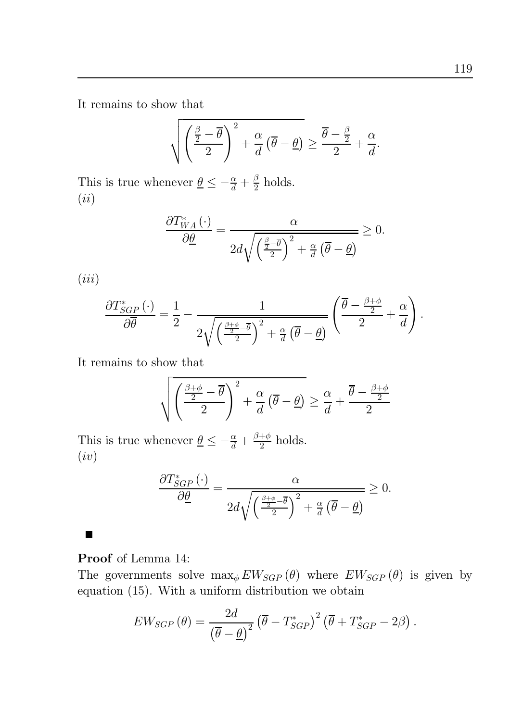It remains to show that

$$
\sqrt{\left(\frac{\frac{\beta}{2}-\overline{\theta}}{2}\right)^2 + \frac{\alpha}{d}\left(\overline{\theta}-\underline{\theta}\right)} \ge \frac{\overline{\theta}-\frac{\beta}{2}}{2} + \frac{\alpha}{d}.
$$

This is true whenever  $\underline{\theta} \le -\frac{\alpha}{d} + \frac{\beta}{2}$  holds.  $(ii)$ 

$$
\frac{\partial T_{WA}^*(\cdot)}{\partial \underline{\theta}} = \frac{\alpha}{2d\sqrt{\left(\frac{\underline{\beta}-\overline{\theta}}{2}\right)^2 + \frac{\alpha}{d}\left(\overline{\theta}-\underline{\theta}\right)}} \ge 0.
$$

 $(iii)$ 

$$
\frac{\partial T_{SGP}^*(\cdot)}{\partial \overline{\theta}} = \frac{1}{2} - \frac{1}{2\sqrt{\left(\frac{\beta+\phi}{2}-\overline{\theta}\right)^2 + \frac{\alpha}{d}\left(\overline{\theta}-\underline{\theta}\right)}} \left(\frac{\overline{\theta}-\frac{\beta+\phi}{2}}{2} + \frac{\alpha}{d}\right).
$$

It remains to show that

$$
\sqrt{\left(\frac{\frac{\beta+\phi}{2}-\overline{\theta}}{2}\right)^2 + \frac{\alpha}{d}\left(\overline{\theta}-\underline{\theta}\right)} \ge \frac{\alpha}{d} + \frac{\overline{\theta}-\frac{\beta+\phi}{2}}{2}
$$

This is true whenever  $\underline{\theta} \leq -\frac{\alpha}{d} + \frac{\beta + \phi}{2}$  holds.  $(iv)$ 

$$
\frac{\partial T_{SGP}^{*}(\cdot)}{\partial \underline{\theta}} = \frac{\alpha}{2d\sqrt{\left(\frac{\beta+\phi}{2}-\overline{\theta}\right)^2 + \frac{\alpha}{d}\left(\overline{\theta}-\underline{\theta}\right)}} \geq 0.
$$

## **Proof** of Lemma 14:

 $\blacksquare$ 

The governments solve  $\max_{\phi} EW_{SGP}(\theta)$  where  $EW_{SGP}(\theta)$  is given by equation  $(15)$ . With a uniform distribution we obtain

$$
EW_{SGP}(\theta) = \frac{2d}{(\overline{\theta} - \underline{\theta})^2} (\overline{\theta} - T_{SGP}^*)^2 (\overline{\theta} + T_{SGP}^* - 2\beta).
$$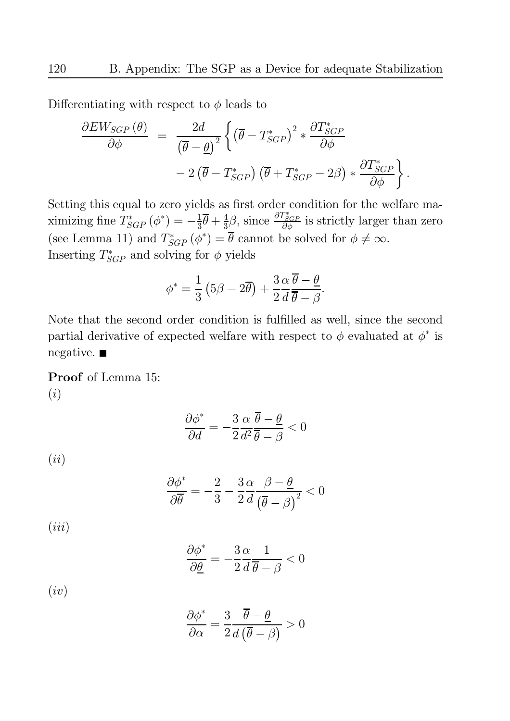Differentiating with respect to  $\phi$  leads to

$$
\frac{\partial EW_{SGP}(\theta)}{\partial \phi} = \frac{2d}{(\overline{\theta} - \underline{\theta})^2} \left\{ (\overline{\theta} - T_{SGP}^*)^2 * \frac{\partial T_{SGP}^*}{\partial \phi} - 2(\overline{\theta} - T_{SGP}^*) (\overline{\theta} + T_{SGP}^* - 2\beta) * \frac{\partial T_{SGP}^*}{\partial \phi} \right\}.
$$

Setting this equal to zero yields as first order condition for the welfare maximizing fine  $T_{SGP}^*(\phi^*) = -\frac{1}{3}\bar{\theta} + \frac{4}{3}\beta$ , since  $\frac{\partial T_{SGP}^*}{\partial \phi}$  is strictly larger than zero (see Lemma 11) and  $T^*_{SGP}(\phi^*) = \overline{\theta}$  cannot be solved for  $\phi \neq \infty$ . Inserting  $T_{SGP}^*$  and solving for  $\phi$  yields

$$
\phi^* = \frac{1}{3} \left( 5\beta - 2\overline{\theta} \right) + \frac{3}{2} \frac{\alpha}{d} \frac{\overline{\theta} - \underline{\theta}}{\overline{\theta} - \beta}.
$$

Note that the second order condition is fulfilled as well, since the second partial derivative of expected welfare with respect to  $\phi$  evaluated at  $\phi^*$  is  $negative.$ 

Proof of Lemma 15:  $(i)$ 

$$
\frac{\partial \phi^*}{\partial d} = -\frac{3}{2}\frac{\alpha}{d^2}\frac{\overline{\theta} - \underline{\theta}}{\overline{\theta} - \beta} < 0
$$

 $(ii)$ 

$$
\frac{\partial \phi^*}{\partial \overline{\theta}} = -\frac{2}{3} - \frac{3}{2} \frac{\alpha}{d} \frac{\beta - \underline{\theta}}{\left(\overline{\theta} - \beta\right)^2} < 0
$$

 $(iii)$ 

$$
\frac{\partial \phi^*}{\partial \underline{\theta}} = -\frac{3}{2} \frac{\alpha}{d} \frac{1}{\overline{\theta} - \beta} < 0
$$

 $(iv)$ 

$$
\frac{\partial \phi^*}{\partial \alpha} = \frac{3}{2} \frac{\overline{\theta} - \underline{\theta}}{d(\overline{\theta} - \beta)} > 0
$$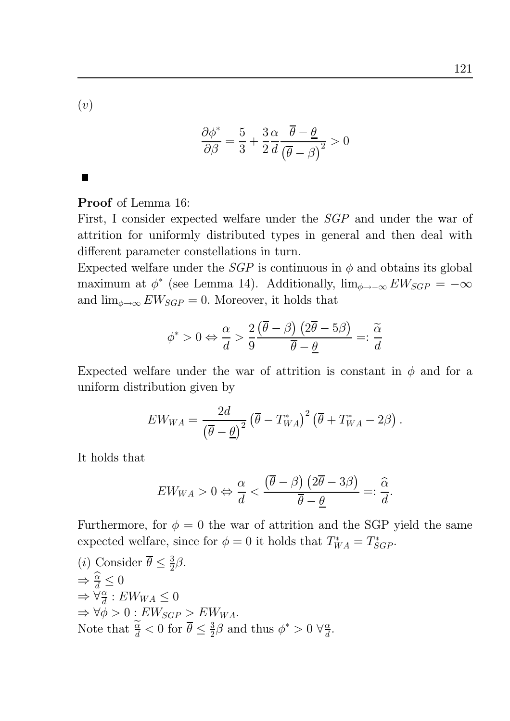$(v)$ 

$$
\frac{\partial \phi^*}{\partial \beta} = \frac{5}{3} + \frac{3 \alpha}{2d} \frac{\overline{\theta} - \underline{\theta}}{\left(\overline{\theta} - \beta\right)^2} > 0
$$

 $\blacksquare$ 

**Proof** of Lemma 16:

First, I consider expected welfare under the SGP and under the war of attrition for uniformly distributed types in general and then deal with different parameter constellations in turn.

Expected welfare under the *SGP* is continuous in  $\phi$  and obtains its global maximum at  $\phi^*$  (see Lemma 14). Additionally,  $\lim_{\phi \to -\infty} EW_{SGP} = -\infty$ and  $\lim_{\phi \to \infty} EW_{SGP} = 0$ . Moreover, it holds that

$$
\phi^* > 0 \Leftrightarrow \frac{\alpha}{d} > \frac{2}{9} \frac{\left(\overline{\theta} - \beta\right)\left(2\overline{\theta} - 5\beta\right)}{\overline{\theta} - \underline{\theta}} =: \frac{\widetilde{\alpha}}{d}
$$

Expected welfare under the war of attrition is constant in  $\phi$  and for a uniform distribution given by

$$
EW_{WA} = \frac{2d}{\left(\overline{\theta} - \underline{\theta}\right)^2} \left(\overline{\theta} - T_{WA}^*\right)^2 \left(\overline{\theta} + T_{WA}^* - 2\beta\right).
$$

It holds that

$$
EW_{WA} > 0 \Leftrightarrow \frac{\alpha}{d} < \frac{\left(\overline{\theta} - \beta\right)\left(2\overline{\theta} - 3\beta\right)}{\overline{\theta} - \underline{\theta}} =: \frac{\widehat{\alpha}}{d}.
$$

Furthermore, for  $\phi = 0$  the war of attrition and the SGP yield the same expected welfare, since for  $\phi = 0$  it holds that  $T_{WA}^* = T_{SGP}^*$ .

\n- (*i*) Consider 
$$
\overline{\theta} \leq \frac{3}{2}\beta
$$
.
\n- $\Rightarrow \frac{\widehat{\alpha}}{d} \leq 0$
\n- $\Rightarrow \forall \frac{\alpha}{d} : EW_{WA} \leq 0$
\n- $\Rightarrow \forall \phi > 0 : EW_{SGP} > EW_{WA}$ .
\n- Note that  $\frac{\widetilde{\alpha}}{d} < 0$  for  $\overline{\theta} \leq \frac{3}{2}\beta$  and thus  $\phi^* > 0 \ \forall \frac{\alpha}{d}$ .
\n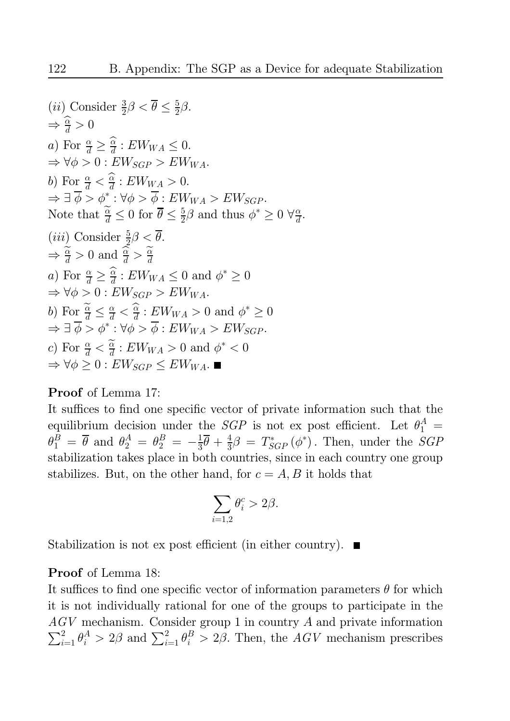(*ii*) Consider 
$$
\frac{3}{2}\beta < \theta \le \frac{5}{2}\beta
$$
.  
\n $\Rightarrow \frac{\widehat{\alpha}}{d} > 0$   
\na) For  $\frac{\alpha}{d} \ge \frac{\widehat{\alpha}}{d}$ :  $EW_{WA} \le 0$ .  
\n $\Rightarrow \forall \phi > 0$ :  $EW_{SGP} > EW_{WA}$ .  
\nb) For  $\frac{\alpha}{d} < \frac{\widehat{\alpha}}{d}$ :  $EW_{WA} > 0$ .  
\n $\Rightarrow \exists \overline{\phi} > \phi^* : \forall \phi > \overline{\phi}$ :  $EW_{WA} > EW_{SGP}$ .  
\nNote that  $\frac{\widetilde{\alpha}}{d} \le 0$  for  $\overline{\theta} \le \frac{5}{2}\beta$  and thus  $\phi^* \ge 0$   $\forall \frac{\alpha}{d}$ .  
\n(*iii*) Consider  $\frac{5}{2}\beta < \overline{\theta}$ .  
\n $\Rightarrow \frac{\widetilde{\alpha}}{d} > 0$  and  $\frac{\widetilde{\alpha}}{d} > \frac{\widetilde{\alpha}}{d}$   
\na) For  $\frac{\alpha}{d} \ge \frac{\widehat{\alpha}}{d}$ :  $EW_{WA} \le 0$  and  $\phi^* \ge 0$   
\n $\Rightarrow \forall \phi > 0$ :  $EW_{SGP} > EW_{WA}$ .  
\nb) For  $\frac{\widetilde{\alpha}}{d} \le \frac{\alpha}{d} < \frac{\widehat{\alpha}}{d}$ :  $EW_{WA} > 0$  and  $\phi^* \ge 0$   
\n $\Rightarrow \exists \overline{\phi} > \phi^* : \forall \phi > \overline{\phi}$ :  $EW_{WA} > EW_{SGP}$ .  
\nc) For  $\frac{\alpha}{d} < \frac{\widetilde{\alpha}}{d}$ :  $EW_{WA} > 0$  and  $\phi^* < 0$   
\n $\Rightarrow \forall \phi \ge 0$ :  $EW_{SGP} \le EW_{WA}$ .

### **Proof** of Lemma 17:

It suffices to find one specific vector of private information such that the equilibrium decision under the *SGP* is not ex post efficient. Let  $\theta_1^A$  =  $\theta_1^B = \overline{\theta}$  and  $\theta_2^A = \theta_2^B = -\frac{1}{3}\overline{\theta} + \frac{4}{3}\beta = T_{SGP}^*(\phi^*)$ . Then, under the *SGP* stabilization takes place in both countries, since in each country one group stabilizes. But, on the other hand, for  $c = A, B$  it holds that

$$
\sum_{i=1,2}\theta_i^c > 2\beta
$$

Stabilization is not ex post efficient (in either country).  $\blacksquare$ 

### **Proof** of Lemma 18:

It suffices to find one specific vector of information parameters  $\theta$  for which it is not individually rational for one of the groups to participate in the  $AGV$  mechanism. Consider group 1 in country A and private information  $\sum_{i=1}^{2} \theta_i^A > 2\beta$  and  $\sum_{i=1}^{2} \theta_i^B > 2\beta$ . Then, the AGV mechanism prescribes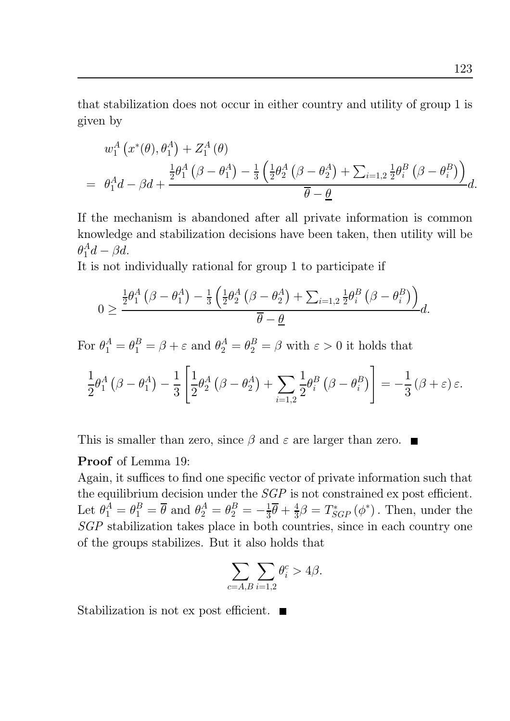that stabilization does not occur in either country and utility of group 1 is given by

$$
w_1^A(x^*(\theta), \theta_1^A) + Z_1^A(\theta)
$$
  
=  $\theta_1^A d - \beta d + \frac{\frac{1}{2}\theta_1^A(\beta - \theta_1^A) - \frac{1}{3}(\frac{1}{2}\theta_2^A(\beta - \theta_2^A) + \sum_{i=1,2} \frac{1}{2}\theta_i^B(\beta - \theta_i^B))}{\overline{\theta} - \underline{\theta}}d.$ 

If the mechanism is abandoned after all private information is common knowledge and stabilization decisions have been taken, then utility will be  $\theta_1^A d - \beta d.$ 

It is not individually rational for group 1 to participate if

$$
0 \geq \frac{\frac{1}{2}\theta_1^A(\beta - \theta_1^A) - \frac{1}{3}\left(\frac{1}{2}\theta_2^A(\beta - \theta_2^A) + \sum_{i=1,2} \frac{1}{2}\theta_i^B(\beta - \theta_i^B)\right)}{\overline{\theta} - \underline{\theta}}d.
$$

For  $\theta_1^A = \theta_1^B = \beta + \varepsilon$  and  $\theta_2^A = \theta_2^B = \beta$  with  $\varepsilon > 0$  it holds that

$$
\frac{1}{2}\theta_1^A(\beta-\theta_1^A)-\frac{1}{3}\left[\frac{1}{2}\theta_2^A(\beta-\theta_2^A)+\sum_{i=1,2}\frac{1}{2}\theta_i^B(\beta-\theta_i^B)\right]=-\frac{1}{3}(\beta+\varepsilon)\varepsilon.
$$

This is smaller than zero, since  $\beta$  and  $\varepsilon$  are larger than zero.

### **Proof** of Lemma 19:

Again, it suffices to find one specific vector of private information such that the equilibrium decision under the  $SGP$  is not constrained ex post efficient. Let  $\theta_1^A = \theta_1^B = \overline{\theta}$  and  $\theta_2^A = \theta_2^B = -\frac{1}{3}\overline{\theta} + \frac{4}{3}\beta = T^*_{SGP}(\phi^*)$ . Then, under the SGP stabilization takes place in both countries, since in each country one of the groups stabilizes. But it also holds that

$$
\sum_{c=A,B}\sum_{i=1,2}\theta_i^c>4\beta.
$$

Stabilization is not ex post efficient.  $\blacksquare$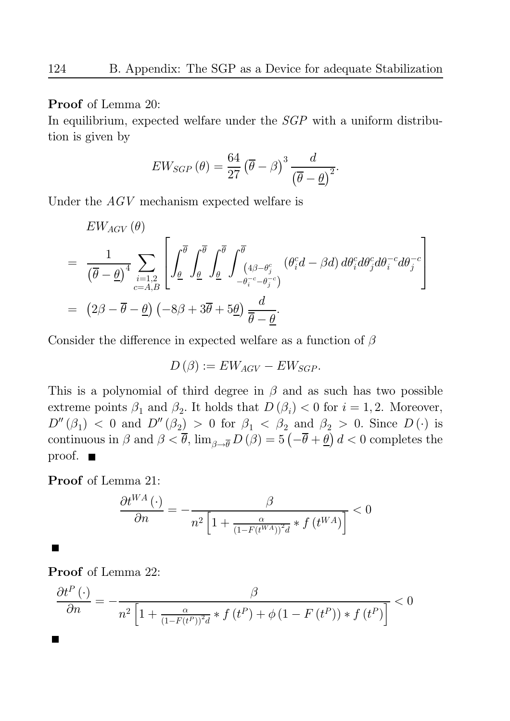**Proof** of Lemma 20:

In equilibrium, expected welfare under the  $SGP$  with a uniform distribution is given by

$$
EW_{SGP}\left(\theta\right) = \frac{64}{27} \left(\overline{\theta} - \beta\right)^3 \frac{d}{\left(\overline{\theta} - \underline{\theta}\right)^2}
$$

Under the  $AGV$  mechanism expected welfare is

$$
EW_{AGV}(\theta)
$$
\n
$$
= \frac{1}{(\overline{\theta} - \underline{\theta})^4} \sum_{i=1,2 \atop c=A,B} \left[ \int_{\underline{\theta}}^{\overline{\theta}} \int_{\underline{\theta}}^{\overline{\theta}} \int_{\underline{\theta}}^{\overline{\theta}} \int_{\underline{\theta}}^{\overline{\theta}} \int_{-\theta_i^{-c} - \theta_j^{-c}}^{\overline{\theta}} (\theta_i^{c} d - \beta d) d\theta_i^{c} d\theta_j^{c} d\theta_i^{-c} d\theta_j^{-c} \right]
$$
\n
$$
= (2\beta - \overline{\theta} - \underline{\theta}) \left( -8\beta + 3\overline{\theta} + 5\underline{\theta} \right) \frac{d}{\overline{\theta} - \underline{\theta}}.
$$

Consider the difference in expected welfare as a function of  $\beta$ 

$$
D(\beta) := EW_{AGV} - EW_{SGP}.
$$

This is a polynomial of third degree in  $\beta$  and as such has two possible extreme points  $\beta_1$  and  $\beta_2$ . It holds that  $D(\beta_i) < 0$  for  $i = 1, 2$ . Moreover,  $D''(\beta_1)$  < 0 and  $D''(\beta_2) > 0$  for  $\beta_1 < \beta_2$  and  $\beta_2 > 0$ . Since  $D(\cdot)$  is continuous in  $\beta$  and  $\beta < \overline{\theta}$ ,  $\lim_{\beta \to \overline{\theta}} D(\beta) = 5(-\overline{\theta} + \underline{\theta}) d < 0$  completes the  $proof. \blacksquare$ 

Proof of Lemma 21:

$$
\frac{\partial t^{WA}(\cdot)}{\partial n} = -\frac{\beta}{n^2 \left[1 + \frac{\alpha}{\left(1 - F(t^{WA})\right)^2 d} * f\left(t^{WA}\right)\right]} < 0
$$

**Proof** of Lemma 22:

 $\blacksquare$ 

$$
\frac{\partial t^P(\cdot)}{\partial n} = -\frac{\beta}{n^2 \left[1 + \frac{\alpha}{(1 - F(t^P))^2 d} * f(t^P) + \phi(1 - F(t^P)) * f(t^P)\right]} < 0
$$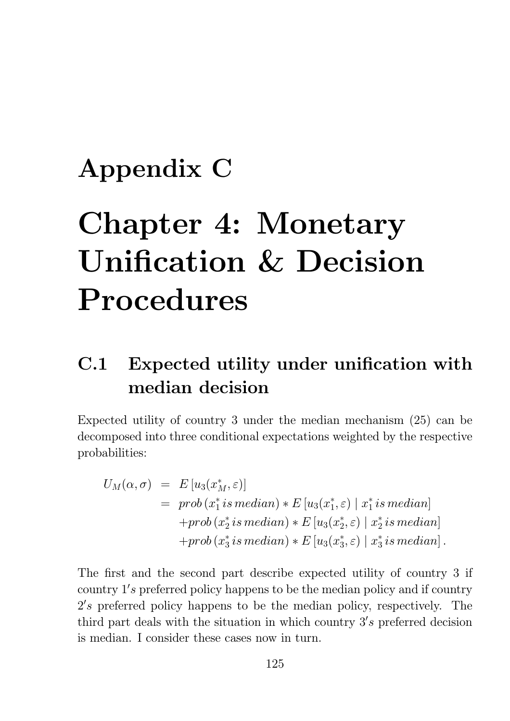# Appendix C

# **Chapter 4: Monetary Unification & Decision** Procedures

## Expected utility under unification with  $C.1$ median decision

Expected utility of country 3 under the median mechanism  $(25)$  can be decomposed into three conditional expectations weighted by the respective probabilities:

$$
U_M(\alpha, \sigma) = E[u_3(x_M^*, \varepsilon)]
$$
  
= prob(x\_1^\* is median) \* E[u\_3(x\_1^\*, \varepsilon) | x\_1^\* is median]  
+prob(x\_2^\* is median) \* E[u\_3(x\_2^\*, \varepsilon) | x\_2^\* is median]  
+prob(x\_3^\* is median) \* E[u\_3(x\_3^\*, \varepsilon) | x\_3^\* is median].

The first and the second part describe expected utility of country 3 if country 1's preferred policy happens to be the median policy and if country  $2's$  preferred policy happens to be the median policy, respectively. The third part deals with the situation in which country 3's preferred decision is median. I consider these cases now in turn.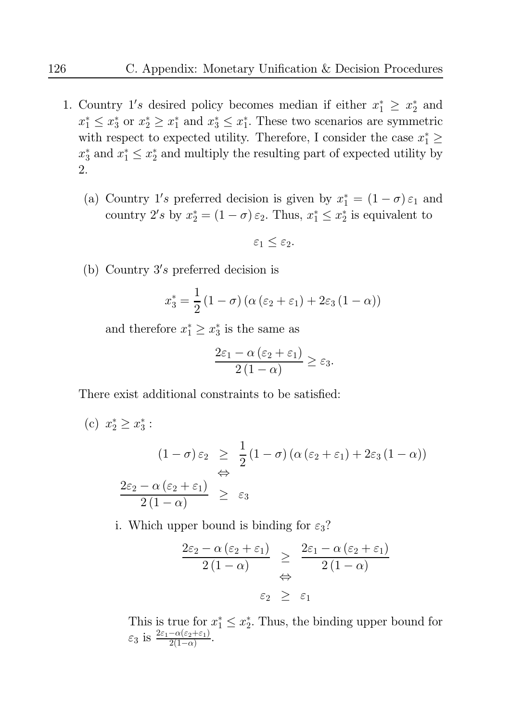- 1. Country 1's desired policy becomes median if either  $x_1^* \geq x_2^*$  and  $x_1^* \leq x_3^*$  or  $x_2^* \geq x_1^*$  and  $x_3^* \leq x_1^*$ . These two scenarios are symmetric with respect to expected utility. Therefore, I consider the case  $x_1^* \geq$  $x_3^*$  and  $x_1^* \leq x_2^*$  and multiply the resulting part of expected utility by 2.
	- (a) Country 1's preferred decision is given by  $x_1^* = (1 \sigma) \varepsilon_1$  and country 2's by  $x_2^* = (1 - \sigma) \varepsilon_2$ . Thus,  $x_1^* \le x_2^*$  is equivalent to

$$
\varepsilon_1 \leq \varepsilon_2.
$$

(b) Country  $3's$  preferred decision is

$$
x_3^* = \frac{1}{2}(1-\sigma)\left(\alpha\left(\varepsilon_2 + \varepsilon_1\right) + 2\varepsilon_3(1-\alpha)\right)
$$

and therefore  $x_1^* \geq x_3^*$  is the same as

$$
\frac{2\varepsilon_1 - \alpha(\varepsilon_2 + \varepsilon_1)}{2(1 - \alpha)} \ge \varepsilon_3.
$$

There exist additional constraints to be satisfied:

c) 
$$
x_2^* \ge x_3^*:
$$
  
\n
$$
(1 - \sigma) \varepsilon_2 \ge \frac{1}{2} (1 - \sigma) (\alpha (\varepsilon_2 + \varepsilon_1) + 2\varepsilon_3 (1 - \alpha))
$$
\n
$$
\Leftrightarrow
$$
\n
$$
\frac{2\varepsilon_2 - \alpha (\varepsilon_2 + \varepsilon_1)}{2(1 - \alpha)} \ge \varepsilon_3
$$

i. Which upper bound is binding for  $\varepsilon_3$ ?

$$
\frac{2\varepsilon_2 - \alpha(\varepsilon_2 + \varepsilon_1)}{2(1-\alpha)} \geq \frac{2\varepsilon_1 - \alpha(\varepsilon_2 + \varepsilon_1)}{2(1-\alpha)}
$$
  

$$
\varepsilon_2 \geq \varepsilon_1
$$

This is true for  $x_1^* \le x_2^*$ . Thus, the binding upper bound for  $\varepsilon_3$  is  $\frac{2\varepsilon_1 - \alpha(\varepsilon_2 + \varepsilon_1)}{2(1-\alpha)}$ .

 $\left($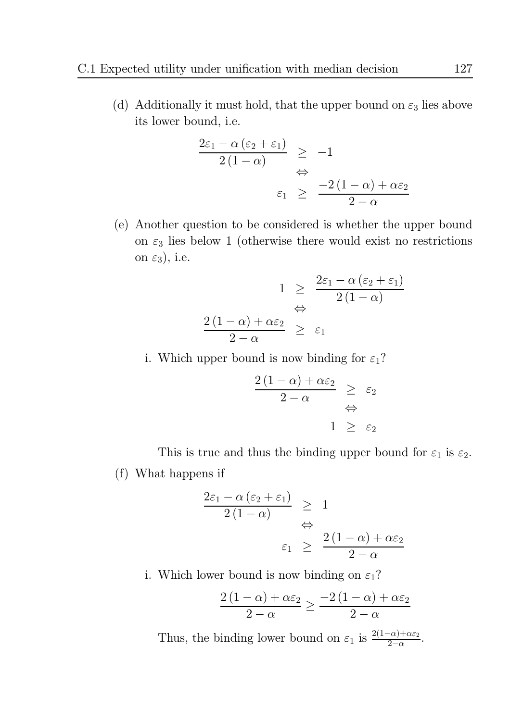(d) Additionally it must hold, that the upper bound on  $\varepsilon_3$  lies above its lower bound, *i.e.* 

$$
\frac{2\varepsilon_1 - \alpha(\varepsilon_2 + \varepsilon_1)}{2(1 - \alpha)} \ge -1
$$
  

$$
\Leftrightarrow
$$
  

$$
\varepsilon_1 \ge \frac{-2(1 - \alpha) + \alpha\varepsilon_2}{2 - \alpha}
$$

(e) Another question to be considered is whether the upper bound on  $\varepsilon_3$  lies below 1 (otherwise there would exist no restrictions on  $\varepsilon_3$ ), i.e.

$$
1 \geq \frac{2\varepsilon_1 - \alpha (\varepsilon_2 + \varepsilon_1)}{2(1 - \alpha)}
$$
  

$$
\Leftrightarrow \frac{(1 - \alpha) + \alpha \varepsilon_2}{2 - \alpha} \geq \varepsilon_1
$$

i. Which upper bound is now binding for  $\varepsilon_1$ ?

 $\frac{2}{\sqrt{2}}$ 

$$
\frac{2(1-\alpha)+\alpha\varepsilon_2}{2-\alpha} \geq \varepsilon_2
$$
  

$$
\Leftrightarrow
$$
  

$$
1 \geq \varepsilon_2
$$

This is true and thus the binding upper bound for  $\varepsilon_1$  is  $\varepsilon_2$ .

(f) What happens if

$$
\frac{2\varepsilon_1 - \alpha (\varepsilon_2 + \varepsilon_1)}{2(1 - \alpha)} \geq 1
$$
  

$$
\Leftrightarrow \qquad \varepsilon_1 \geq \frac{2(1 - \alpha) + \alpha \varepsilon_2}{2 - \alpha}
$$

i. Which lower bound is now binding on  $\varepsilon_1$ ?

$$
\frac{2(1-\alpha)+\alpha\varepsilon_2}{2-\alpha} \ge \frac{-2(1-\alpha)+\alpha\varepsilon_2}{2-\alpha}
$$

Thus, the binding lower bound on  $\varepsilon_1$  is  $\frac{2(1-\alpha)+\alpha\varepsilon_2}{2-\alpha}$ .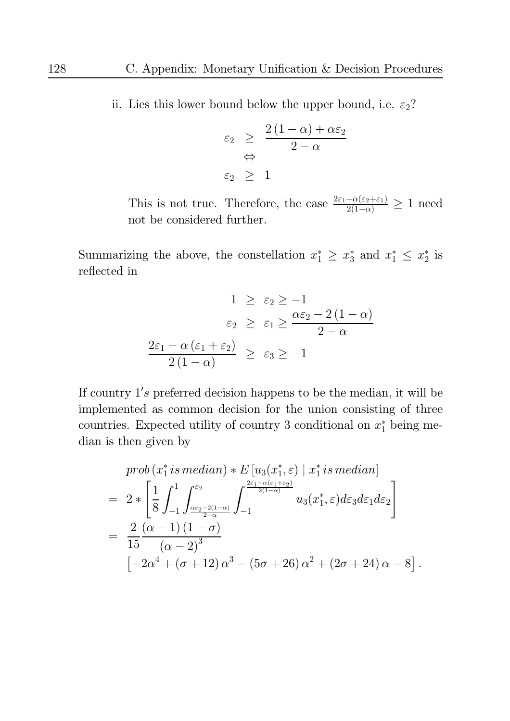ii. Lies this lower bound below the upper bound, i.e.  $\varepsilon_2$ ?

$$
\varepsilon_2 \geq \frac{2(1-\alpha) + \alpha \varepsilon_2}{2-\alpha}
$$
  

$$
\varepsilon_2 \geq 1
$$

This is not true. Therefore, the case  $\frac{2\varepsilon_1 - \alpha(\varepsilon_2 + \varepsilon_1)}{2(1-\alpha)} \geq 1$  need not be considered further.

Summarizing the above, the constellation  $x_1^* \ge x_3^*$  and  $x_1^* \le x_2^*$  is reflected in

$$
1 \ge \varepsilon_2 \ge -1
$$
  

$$
\varepsilon_2 \ge \varepsilon_1 \ge \frac{\alpha \varepsilon_2 - 2(1 - \alpha)}{2 - \alpha}
$$
  

$$
\frac{2\varepsilon_1 - \alpha(\varepsilon_1 + \varepsilon_2)}{2(1 - \alpha)} \ge \varepsilon_3 \ge -1
$$

If country  $1's$  preferred decision happens to be the median, it will be implemented as common decision for the union consisting of three countries. Expected utility of country 3 conditional on  $x_1^*$  being median is then given by

$$
prob(x_1^* is median) * E[u_3(x_1^*, \varepsilon) | x_1^* is median]
$$
  
= 
$$
2 * \left[ \frac{1}{8} \int_{-1}^1 \int_{\frac{\alpha \varepsilon_2 - 2(1-\alpha)}{2-\alpha}}^{\varepsilon_2} \int_{-1}^{\frac{2\varepsilon_1 - \alpha(\varepsilon_1 + \varepsilon_2)}{2(1-\alpha)}} u_3(x_1^*, \varepsilon) d\varepsilon_3 d\varepsilon_1 d\varepsilon_2 \right]
$$
  
= 
$$
\frac{2}{15} \frac{(\alpha - 1) (1 - \sigma)}{(\alpha - 2)^3}
$$
  

$$
[-2\alpha^4 + (\sigma + 12) \alpha^3 - (5\sigma + 26) \alpha^2 + (2\sigma + 24) \alpha - 8].
$$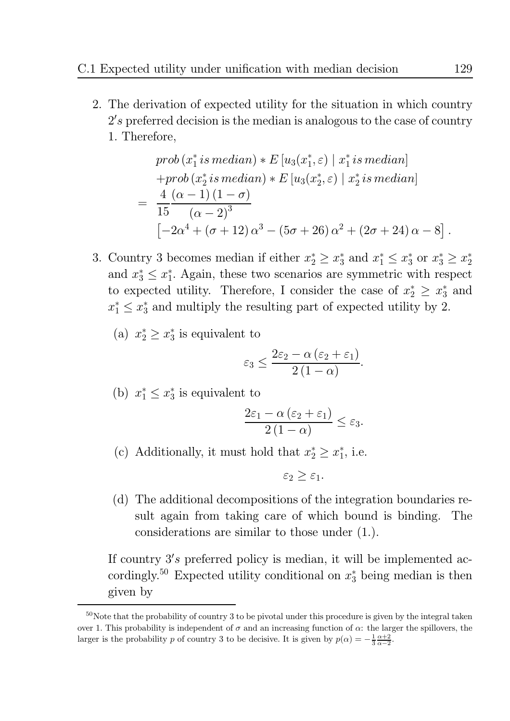2. The derivation of expected utility for the situation in which country  $2's$  preferred decision is the median is analogous to the case of country 1. Therefore,

$$
prob(x_1^* is median) * E[u_3(x_1^*, \varepsilon) | x_1^* is median] + prob(x_2^* is median) * E[u_3(x_2^*, \varepsilon) | x_2^* is median] = \frac{4}{15} \frac{(\alpha - 1) (1 - \sigma)}{(\alpha - 2)^3} [-2\alpha^4 + (\sigma + 12) \alpha^3 - (5\sigma + 26) \alpha^2 + (2\sigma + 24) \alpha - 8 ].
$$

3. Country 3 becomes median if either  $x_2^* \ge x_3^*$  and  $x_1^* \le x_3^*$  or  $x_3^* \ge x_2^*$ and  $x_3^* \leq x_1^*$ . Again, these two scenarios are symmetric with respect to expected utility. Therefore, I consider the case of  $x_2^* \geq x_3^*$  and  $x_1^* \leq x_3^*$  and multiply the resulting part of expected utility by 2.

(a) 
$$
x_2^* \geq x_3^*
$$
 is equivalent to

$$
\varepsilon_3 \le \frac{2\varepsilon_2 - \alpha(\varepsilon_2 + \varepsilon_1)}{2(1 - \alpha)}
$$

(b)  $x_1^* \leq x_3^*$  is equivalent to

$$
\frac{2\varepsilon_1 - \alpha(\varepsilon_2 + \varepsilon_1)}{2(1 - \alpha)} \le \varepsilon_3.
$$

(c) Additionally, it must hold that  $x_2^* \geq x_1^*$ , i.e.

$$
\varepsilon_2 \geq \varepsilon_1.
$$

(d) The additional decompositions of the integration boundaries result again from taking care of which bound is binding. The considerations are similar to those under  $(1)$ .

If country 3's preferred policy is median, it will be implemented accordingly.<sup>50</sup> Expected utility conditional on  $x_3^*$  being median is then given by

 $50$ Note that the probability of country 3 to be pivotal under this procedure is given by the integral taken over 1. This probability is independent of  $\sigma$  and an increasing function of  $\alpha$ : the larger the spillovers, the larger is the probability p of country 3 to be decisive. It is given by  $p(\alpha) = -\frac{1}{3} \frac{\alpha+2}{\alpha-2}$ .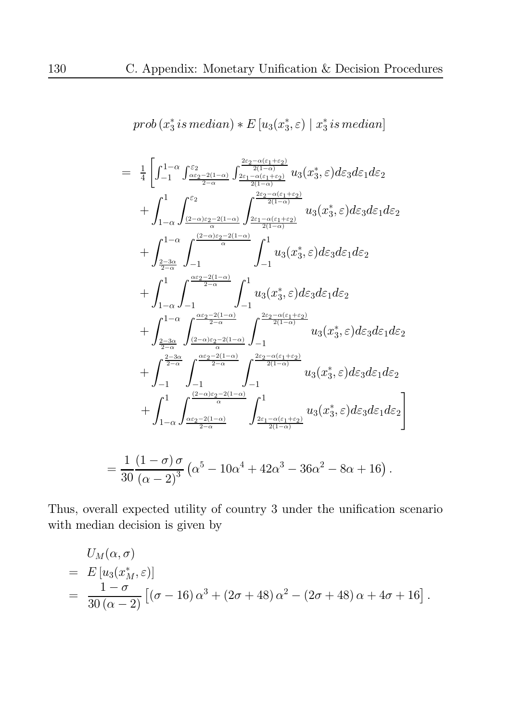$$
prob(x_3^* \, is \, median) * E[u_3(x_3^*, \varepsilon) \mid x_3^* \, is \, median]
$$

$$
=\frac{1}{4}\left[\int_{-1}^{1-\alpha}\int_{\frac{\alpha\varepsilon_2-2(1-\alpha)}{2-\alpha}}^{\frac{\varepsilon_2}{2-\alpha}}\int_{\frac{2\varepsilon_1-\alpha(\varepsilon_1+\varepsilon_2)}{2(1-\alpha)}}^{\frac{2\varepsilon_2-\alpha(\varepsilon_1+\varepsilon_2)}{2(1-\alpha)}}u_3(x_3^*,\varepsilon)dz_3dz_1dz_2\right.+\int_{1-\alpha}^{1}\int_{\frac{(2-\alpha)\varepsilon_2-2(1-\alpha)}{2}}^{\frac{\varepsilon_2-\alpha(\varepsilon_1+\varepsilon_2)}{2(1-\alpha)}}u_3(x_3^*,\varepsilon)dz_3dz_1dz_2+\int_{\frac{2-3\alpha}{2-\alpha}}^{1-\alpha}\int_{-1}^{1-u}\int_{-1}^{1}u_3(x_3^*,\varepsilon)dz_3dz_1dz_2+\int_{1-\alpha}^{1}\int_{-1}^{1-\alpha}\int_{-1}^{\frac{\alpha\varepsilon_2-2(1-\alpha)}{2-\alpha}}\int_{-1}^{1}u_3(x_3^*,\varepsilon)dz_3dz_1dz_2+\int_{\frac{2-3\alpha}{2-\alpha}}^{1-\alpha}\int_{\frac{\alpha\varepsilon_2-2(1-\alpha)}{2-\alpha}}^{\frac{\alpha\varepsilon_2-2(1-\alpha)}{2-\alpha}}\int_{-1}^{2\varepsilon_2-\alpha(\varepsilon_1+\varepsilon_2)}u_3(x_3^*,\varepsilon)dz_3dz_1dz_2+\int_{\frac{2-3\alpha}{2-\alpha}}^{1-\alpha}\int_{\frac{2-3\alpha}{2-\alpha}}^{\frac{\alpha\varepsilon_2-2(1-\alpha)}{2-\alpha}}\int_{-1}^{2\varepsilon_2-\alpha(\varepsilon_1+\varepsilon_2)}u_3(x_3^*,\varepsilon)dz_3dz_1dz_2+\int_{-1}^{1}\int_{-\alpha}^{1}\int_{\frac{\alpha\varepsilon_2-2(1-\alpha)}{2-\alpha}}^{\frac{\alpha\varepsilon_2-2(1-\alpha)}{2-\alpha}}\int_{\frac{2\varepsilon_1-\alpha(\varepsilon_1+\varepsilon_2)}{2(1-\alpha)}}^1u_3(x_3^*,\varepsilon)dz_3dz_1dz_2=\frac{1}{30}\frac{(1-\sigma)\sigma}{(\alpha-2)^3}(\alpha^5-1
$$

Thus, overall expected utility of country 3 under the unification scenario with median decision is given by

$$
U_M(\alpha, \sigma)
$$
  
=  $E[u_3(x_M^*, \varepsilon)]$   
=  $\frac{1-\sigma}{30(\alpha-2)} [(\sigma - 16) \alpha^3 + (2\sigma + 48) \alpha^2 - (2\sigma + 48) \alpha + 4\sigma + 16].$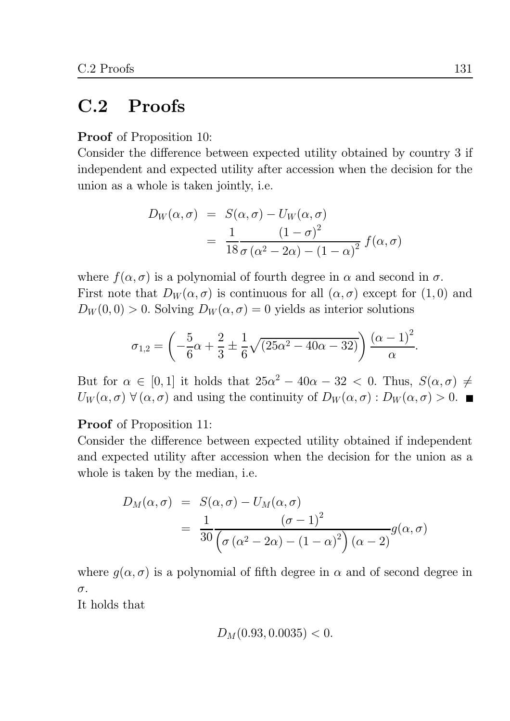#### $C.2$ Proofs

**Proof** of Proposition 10:

Consider the difference between expected utility obtained by country 3 if independent and expected utility after accession when the decision for the union as a whole is taken jointly, *i.e.* 

$$
D_W(\alpha, \sigma) = S(\alpha, \sigma) - U_W(\alpha, \sigma)
$$
  
= 
$$
\frac{1}{18} \frac{(1 - \sigma)^2}{\sigma (\alpha^2 - 2\alpha) - (1 - \alpha)^2} f(\alpha, \sigma)
$$

where  $f(\alpha, \sigma)$  is a polynomial of fourth degree in  $\alpha$  and second in  $\sigma$ . First note that  $D_W(\alpha, \sigma)$  is continuous for all  $(\alpha, \sigma)$  except for  $(1,0)$  and  $D_W(0,0) > 0$ . Solving  $D_W(\alpha, \sigma) = 0$  yields as interior solutions

$$
\sigma_{1,2} = \left(-\frac{5}{6}\alpha + \frac{2}{3} \pm \frac{1}{6}\sqrt{(25\alpha^2 - 40\alpha - 32)}\right) \frac{(\alpha - 1)^2}{\alpha}
$$

But for  $\alpha \in [0,1]$  it holds that  $25\alpha^2 - 40\alpha - 32 < 0$ . Thus,  $S(\alpha, \sigma) \neq$  $U_W(\alpha, \sigma)$   $\forall (\alpha, \sigma)$  and using the continuity of  $D_W(\alpha, \sigma) : D_W(\alpha, \sigma) > 0$ .

**Proof** of Proposition 11:

Consider the difference between expected utility obtained if independent and expected utility after accession when the decision for the union as a whole is taken by the median, i.e.

$$
D_M(\alpha, \sigma) = S(\alpha, \sigma) - U_M(\alpha, \sigma)
$$
  
= 
$$
\frac{1}{30} \frac{(\sigma - 1)^2}{(\sigma (\alpha^2 - 2\alpha) - (1 - \alpha)^2)(\alpha - 2)} g(\alpha, \sigma)
$$

where  $g(\alpha, \sigma)$  is a polynomial of fifth degree in  $\alpha$  and of second degree in  $\sigma$ .

It holds that

$$
D_M(0.93, 0.0035) < 0.
$$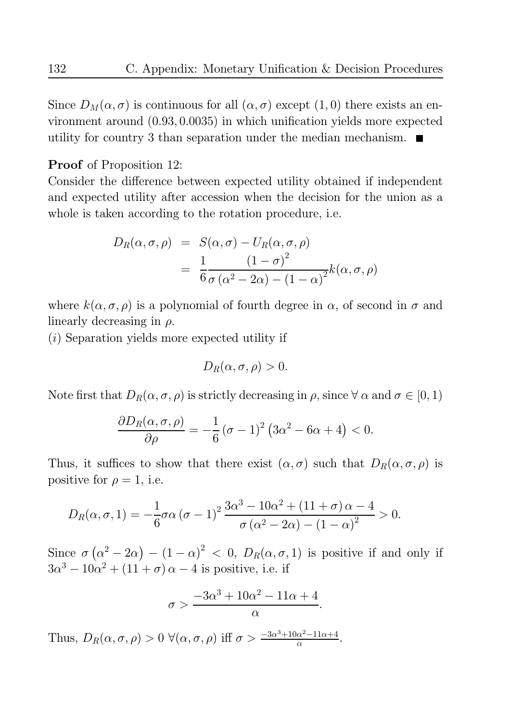Since  $D_M(\alpha, \sigma)$  is continuous for all  $(\alpha, \sigma)$  except  $(1, 0)$  there exists an environment around  $(0.93, 0.0035)$  in which unification yields more expected utility for country 3 than separation under the median mechanism.  $\blacksquare$ 

### **Proof** of Proposition 12:

Consider the difference between expected utility obtained if independent and expected utility after accession when the decision for the union as a whole is taken according to the rotation procedure, i.e.

$$
D_R(\alpha, \sigma, \rho) = S(\alpha, \sigma) - U_R(\alpha, \sigma, \rho)
$$
  
= 
$$
\frac{1}{6} \frac{(1 - \sigma)^2}{\sigma (\alpha^2 - 2\alpha) - (1 - \alpha)^2} k(\alpha, \sigma, \rho)
$$

where  $k(\alpha, \sigma, \rho)$  is a polynomial of fourth degree in  $\alpha$ , of second in  $\sigma$  and linearly decreasing in  $\rho$ .

 $(i)$  Separation yields more expected utility if

$$
D_R(\alpha, \sigma, \rho) > 0.
$$

Note first that  $D_R(\alpha, \sigma, \rho)$  is strictly decreasing in  $\rho$ , since  $\forall \alpha$  and  $\sigma \in [0, 1)$ 

$$
\frac{\partial D_R(\alpha, \sigma, \rho)}{\partial \rho} = -\frac{1}{6} (\sigma - 1)^2 (3\alpha^2 - 6\alpha + 4) < 0.
$$

Thus, it suffices to show that there exist  $(\alpha, \sigma)$  such that  $D_R(\alpha, \sigma, \rho)$  is positive for  $\rho = 1$ , i.e.

$$
D_R(\alpha, \sigma, 1) = -\frac{1}{6}\sigma \alpha (\sigma - 1)^2 \frac{3\alpha^3 - 10\alpha^2 + (11 + \sigma)\alpha - 4}{\sigma (\alpha^2 - 2\alpha) - (1 - \alpha)^2} > 0.
$$

Since  $\sigma(\alpha^2 - 2\alpha) - (1 - \alpha)^2 < 0$ ,  $D_R(\alpha, \sigma, 1)$  is positive if and only if  $3\alpha^3 - 10\alpha^2 + (11 + \sigma)\alpha - 4$  is positive, i.e. if

$$
\sigma > \frac{-3\alpha^3 + 10\alpha^2 - 11\alpha + 4}{\alpha}.
$$

Thus,  $D_R(\alpha, \sigma, \rho) > 0 \ \forall (\alpha, \sigma, \rho) \text{ iff } \sigma > \frac{-3\alpha^3 + 10\alpha^2 - 11\alpha + 4}{\alpha}.$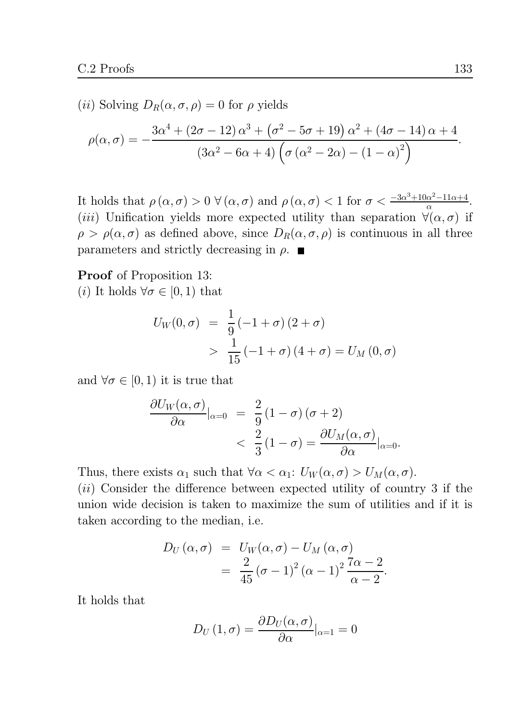(*ii*) Solving  $D_R(\alpha, \sigma, \rho) = 0$  for  $\rho$  yields

$$
\rho(\alpha,\sigma) = -\frac{3\alpha^4 + (2\sigma - 12)\alpha^3 + (\sigma^2 - 5\sigma + 19)\alpha^2 + (4\sigma - 14)\alpha + 4}{(3\alpha^2 - 6\alpha + 4)\left(\sigma(\alpha^2 - 2\alpha) - (1 - \alpha)^2\right)}.
$$

It holds that  $\rho(\alpha, \sigma) > 0 \ \forall (\alpha, \sigma)$  and  $\rho(\alpha, \sigma) < 1$  for  $\sigma < \frac{-3\alpha^3 + 10\alpha^2 - 11\alpha + 4}{\alpha}$ . (*iii*) Unification yields more expected utility than separation  $\forall (\alpha, \sigma)$  if  $\rho > \rho(\alpha, \sigma)$  as defined above, since  $D_R(\alpha, \sigma, \rho)$  is continuous in all three parameters and strictly decreasing in  $\rho$ .

**Proof** of Proposition 13:

(*i*) It holds  $\forall \sigma \in [0,1)$  that

$$
U_W(0, \sigma) = \frac{1}{9} (-1 + \sigma) (2 + \sigma)
$$
  
> 
$$
\frac{1}{15} (-1 + \sigma) (4 + \sigma) = U_M(0, \sigma)
$$

and  $\forall \sigma \in [0,1)$  it is true that

$$
\frac{\partial U_W(\alpha, \sigma)}{\partial \alpha}|_{\alpha=0} = \frac{2}{9} (1 - \sigma) (\sigma + 2)
$$
  

$$
< \frac{2}{3} (1 - \sigma) = \frac{\partial U_M(\alpha, \sigma)}{\partial \alpha}|_{\alpha=0}.
$$

Thus, there exists  $\alpha_1$  such that  $\forall \alpha < \alpha_1: U_W(\alpha, \sigma) > U_M(\alpha, \sigma)$ .  $(ii)$  Consider the difference between expected utility of country 3 if the union wide decision is taken to maximize the sum of utilities and if it is taken according to the median, *i.e.* 

$$
D_U(\alpha, \sigma) = U_W(\alpha, \sigma) - U_M(\alpha, \sigma)
$$
  
= 
$$
\frac{2}{45} (\sigma - 1)^2 (\alpha - 1)^2 \frac{7\alpha - 2}{\alpha - 2}
$$

It holds that

$$
D_U(1,\sigma) = \frac{\partial D_U(\alpha,\sigma)}{\partial \alpha}|_{\alpha=1} = 0
$$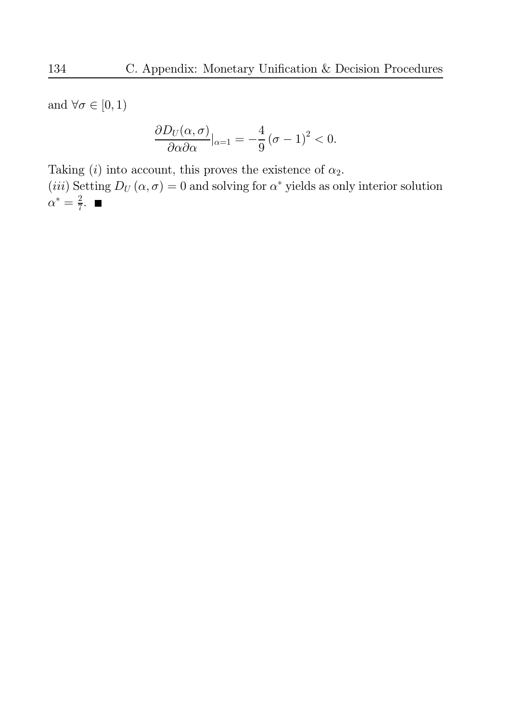and  $\forall \sigma \in [0,1)$ 

$$
\frac{\partial D_U(\alpha, \sigma)}{\partial \alpha \partial \alpha}|_{\alpha=1} = -\frac{4}{9} (\sigma - 1)^2 < 0.
$$

Taking (*i*) into account, this proves the existence of  $\alpha_2$ . (*iii*) Setting  $D_U(\alpha, \sigma) = 0$  and solving for  $\alpha^*$  yields as only interior solution  $\alpha^* = \frac{2}{7}$ .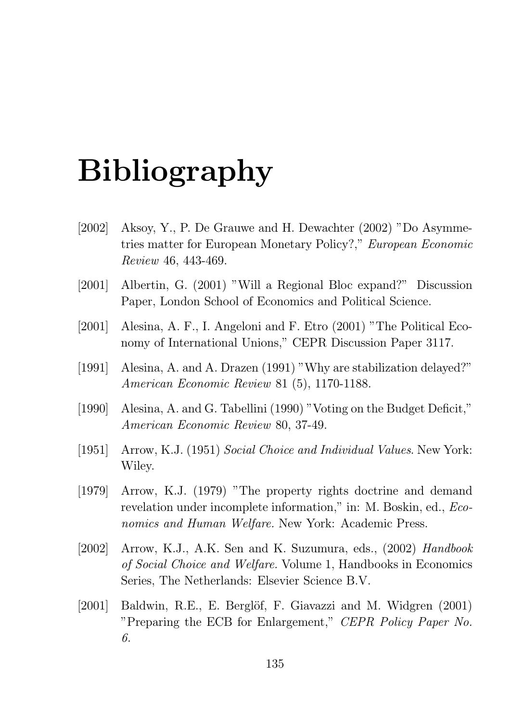# **Bibliography**

- $[2002]$ Aksoy, Y., P. De Grauwe and H. Dewachter (2002) "Do Asymmetries matter for European Monetary Policy?," European Economic Review 46, 443-469.
- $[2001]$ Albertin, G. (2001) "Will a Regional Bloc expand?" Discussion Paper, London School of Economics and Political Science.
- $[2001]$ Alesina, A. F., I. Angeloni and F. Etro (2001) "The Political Economy of International Unions," CEPR Discussion Paper 3117.
- $\left[1991\right]$ Alesina, A. and A. Drazen (1991) "Why are stabilization delayed?" American Economic Review 81 (5), 1170-1188.
- Alesina, A. and G. Tabellini (1990) "Voting on the Budget Deficit,"  $[1990]$ American Economic Review 80, 37-49.
- $\left[1951\right]$ Arrow, K.J. (1951) Social Choice and Individual Values. New York: Wiley.
- $[1979]$ Arrow, K.J. (1979) "The property rights doctrine and demand revelation under incomplete information," in: M. Boskin, ed., *Eco*nomics and Human Welfare. New York: Academic Press.
- $[2002]$ Arrow, K.J., A.K. Sen and K. Suzumura, eds., (2002) Handbook *of Social Choice and Welfare.* Volume 1, Handbooks in Economics Series, The Netherlands: Elsevier Science B.V.
- $[2001]$ Baldwin, R.E., E. Berglöf, F. Giavazzi and M. Widgren (2001) "Preparing the ECB for Enlargement," CEPR Policy Paper No. 6.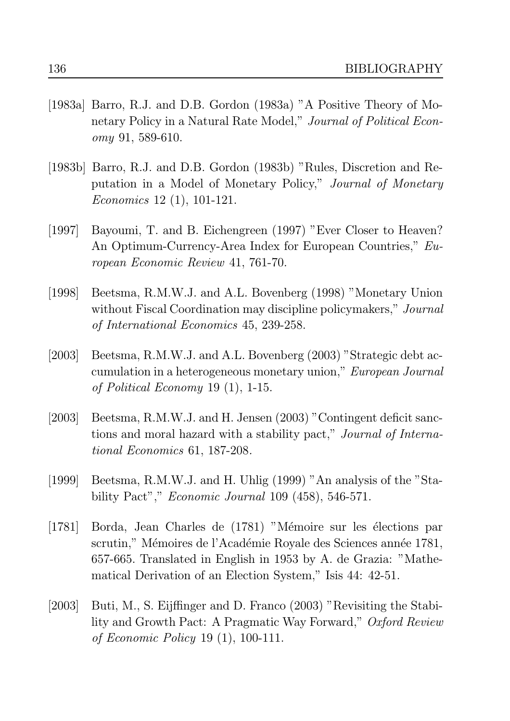- [1983a] Barro, R.J. and D.B. Gordon (1983a) "A Positive Theory of Monetary Policy in a Natural Rate Model," Journal of Political Econ $omy$  91, 589-610.
- [1983b] Barro, R.J. and D.B. Gordon (1983b) "Rules, Discretion and Reputation in a Model of Monetary Policy," Journal of Monetary *Economics* 12 $(1)$ , 101-121.
- Bayoumi, T. and B. Eichengreen (1997) "Ever Closer to Heaven?  $[1997]$ An Optimum-Currency-Area Index for European Countries," European Economic Review 41, 761-70.
- $[1998]$ Beetsma, R.M.W.J. and A.L. Bovenberg (1998) "Monetary Union without Fiscal Coordination may discipline policymakers," Journal of International Economics 45, 239-258.
- $[2003]$ Beetsma, R.M.W.J. and A.L. Bovenberg (2003) "Strategic debt accumulation in a heterogeneous monetary union," European Journal of Political Economy 19  $(1)$ , 1-15.
- $[2003]$ Beetsma, R.M.W.J. and H. Jensen (2003) "Contingent deficit sanctions and moral hazard with a stability pact," Journal of International Economics 61, 187-208.
- Beetsma, R.M.W.J. and H. Uhlig (1999) "An analysis of the "Sta- $[1999]$ bility Pact"," *Economic Journal* 109 (458), 546-571.
- $[1781]$ Borda, Jean Charles de (1781) "Mémoire sur les élections par scrutin," Mémoires de l'Académie Royale des Sciences année 1781, 657-665. Translated in English in 1953 by A. de Grazia: "Mathematical Derivation of an Election System," Isis 44: 42-51.
- $[2003]$ Buti, M., S. Eijffinger and D. Franco (2003) "Revisiting the Stability and Growth Pact: A Pragmatic Way Forward," Oxford Review of Economic Policy 19  $(1)$ , 100-111.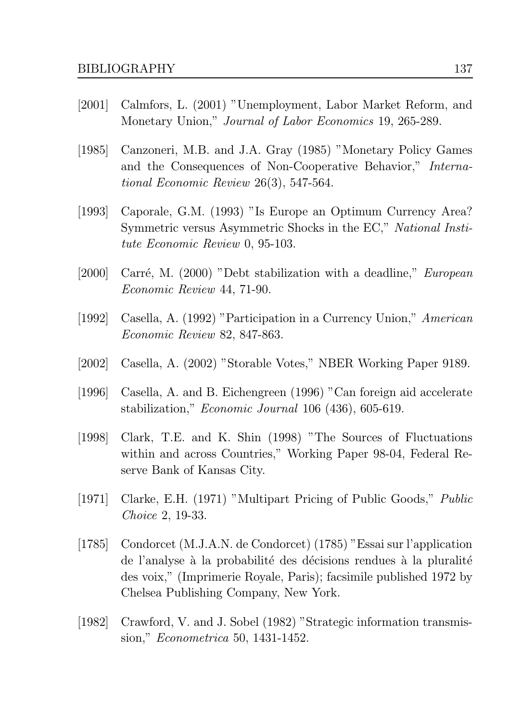- Calmfors, L. (2001) "Unemployment, Labor Market Reform, and  $|2001|$ Monetary Union," Journal of Labor Economics 19, 265-289.
- Canzoneri, M.B. and J.A. Gray (1985) "Monetary Policy Games  $\left[1985\right]$ and the Consequences of Non-Cooperative Behavior," International Economic Review  $26(3)$ , 547-564.
- $[1993]$ Caporale, G.M. (1993) "Is Europe an Optimum Currency Area? Symmetric versus Asymmetric Shocks in the EC," National Institute Economic Review 0, 95-103.
- $[2000]$ Carré, M. (2000) "Debt stabilization with a deadline," *European Economic Review 44, 71-90.*
- $\vert 1992 \vert$ Casella, A. (1992) "Participation in a Currency Union," American Economic Review 82, 847-863.
- $[2002]$ Casella, A. (2002) "Storable Votes," NBER Working Paper 9189.
- $[1996]$ Casella, A. and B. Eichengreen (1996) "Can foreign aid accelerate stabilization," *Economic Journal* 106 (436), 605-619.
- Clark, T.E. and K. Shin (1998) "The Sources of Fluctuations  $\vert 1998 \vert$ within and across Countries," Working Paper 98-04, Federal Reserve Bank of Kansas City.
- $\left[1971\right]$ Clarke, E.H. (1971) "Multipart Pricing of Public Goods," Public *Choice 2, 19-33.*
- Condorcet (M.J.A.N. de Condorcet) (1785) "Essai sur l'application  $[1785]$ de l'analyse à la probabilité des décisions rendues à la pluralité des voix," (Imprimerie Royale, Paris); facsimile published 1972 by Chelsea Publishing Company, New York.
- $[1982]$ Crawford, V. and J. Sobel (1982) "Strategic information transmission," *Econometrica* 50, 1431-1452.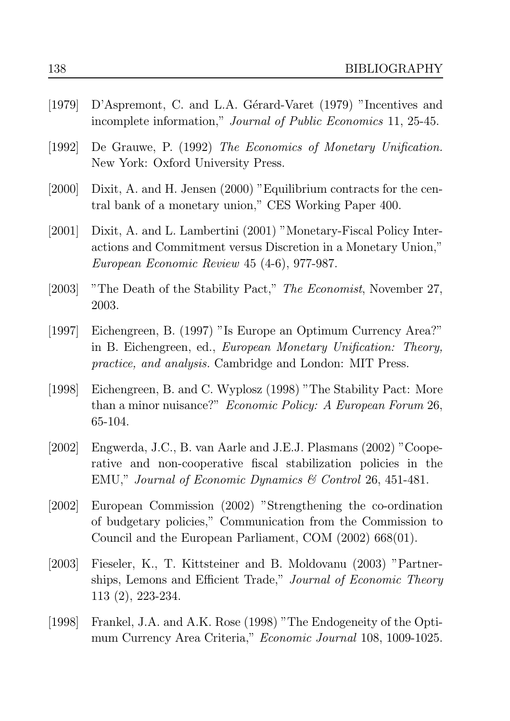| $[1979]$ | D'Aspremont, C. and L.A. Gérard-Varet (1979) "Incentives and<br>incomplete information," <i>Journal of Public Economics</i> 11, 25-45.                                                                     |
|----------|------------------------------------------------------------------------------------------------------------------------------------------------------------------------------------------------------------|
| [1992]   | De Grauwe, P. (1992) The Economics of Monetary Unification.<br>New York: Oxford University Press.                                                                                                          |
| $[2000]$ | Dixit, A. and H. Jensen (2000) "Equilibrium contracts for the cen-<br>tral bank of a monetary union," CES Working Paper 400.                                                                               |
| [2001]   | Dixit, A. and L. Lambertini (2001) "Monetary-Fiscal Policy Inter-<br>actions and Commitment versus Discretion in a Monetary Union,"<br>European Economic Review 45 (4-6), 977-987.                         |
| $[2003]$ | "The Death of the Stability Pact," The Economist, November 27,<br>2003.                                                                                                                                    |
| $[1997]$ | Eichengreen, B. (1997) "Is Europe an Optimum Currency Area?"<br>in B. Eichengreen, ed., European Monetary Unification: Theory,<br><i>practice, and analysis.</i> Cambridge and London: MIT Press.          |
| $[1998]$ | Eichengreen, B. and C. Wyplosz (1998) "The Stability Pact: More<br>than a minor nuisance?" <i>Economic Policy: A European Forum</i> 26,<br>65-104.                                                         |
| [2002]   | Engwerda, J.C., B. van Aarle and J.E.J. Plasmans (2002) "Coope-<br>rative and non-cooperative fiscal stabilization policies in the<br>EMU," Journal of Economic Dynamics $\mathcal C$ Control 26, 451-481. |
| [2002]   | European Commission (2002) "Strengthening the co-ordination<br>of budgetary policies," Communication from the Commission to<br>Council and the European Parliament, COM $(2002)$ 668 $(01)$ .              |
| [2003]   | Fieseler, K., T. Kittsteiner and B. Moldovanu (2003) "Partner-<br>ships, Lemons and Efficient Trade," Journal of Economic Theory<br>$113(2), 223-234.$                                                     |
| [1998]   | Frankel, J.A. and A.K. Rose (1998) "The Endogeneity of the Opti-<br>mum Currency Area Criteria," <i>Economic Journal</i> 108, 1009-1025.                                                                   |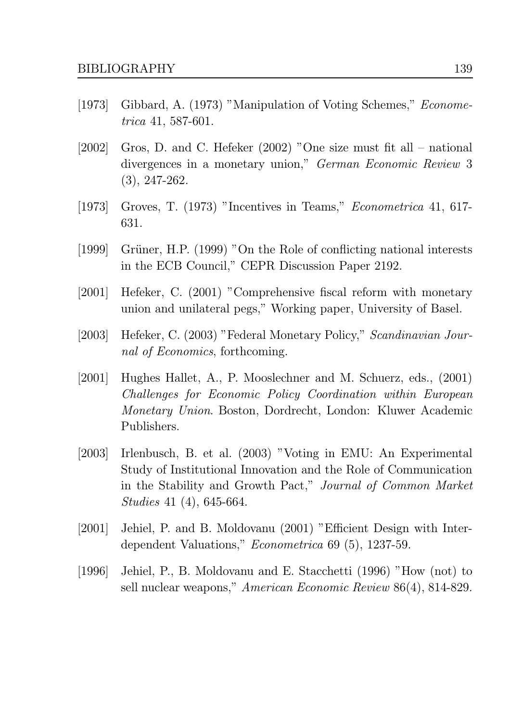- Gibbard, A. (1973) "Manipulation of Voting Schemes," *Econome*- $|1973|$  $trica$  41, 587-601.
- Gros, D. and C. Hefeker  $(2002)$  "One size must fit all national  $[2002]$ divergences in a monetary union," German Economic Review 3  $(3), 247-262.$
- Groves, T. (1973) "Incentives in Teams," *Econometrica* 41, 617- $\left[1973\right]$ 631.
- $[1999]$ Grüner, H.P. (1999) "On the Role of conflicting national interests in the ECB Council," CEPR Discussion Paper 2192.
- $[2001]$ Hefeker, C. (2001) "Comprehensive fiscal reform with monetary union and unilateral pegs," Working paper, University of Basel.
- $[2003]$ Hefeker, C. (2003) "Federal Monetary Policy," Scandinavian Jour*nal of Economics*, forthcoming.
- $[2001]$ Hughes Hallet, A., P. Mooslechner and M. Schuerz, eds., (2001) Challenges for Economic Policy Coordination within European *Monetary Union.* Boston, Dordrecht, London: Kluwer Academic Publishers.
- Irlenbusch, B. et al. (2003) "Voting in EMU: An Experimental  $[2003]$ Study of Institutional Innovation and the Role of Communication in the Stability and Growth Pact," Journal of Common Market *Studies* 41 (4), 645-664.
- $[2001]$ Jehiel, P. and B. Moldovanu (2001) "Efficient Design with Interdependent Valuations," *Econometrica* 69 (5), 1237-59.
- Jehiel, P., B. Moldovanu and E. Stacchetti (1996) "How (not) to  $[1996]$ sell nuclear weapons," American Economic Review 86(4), 814-829.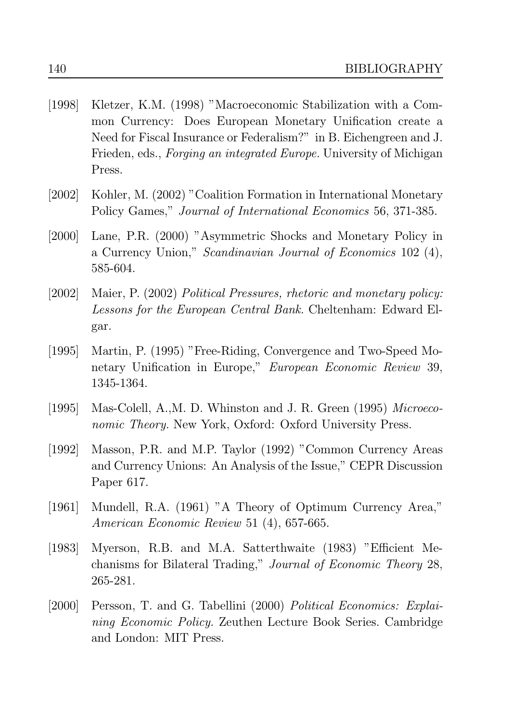- $[1998]$ Kletzer, K.M. (1998) "Macroeconomic Stabilization with a Common Currency: Does European Monetary Unification create a Need for Fiscal Insurance or Federalism?" in B. Eichengreen and J. Frieden, eds., *Forging an integrated Europe*. University of Michigan Press.
- $[2002]$ Kohler, M. (2002) "Coalition Formation in International Monetary Policy Games," Journal of International Economics 56, 371-385.
- Lane, P.R. (2000) "Asymmetric Shocks and Monetary Policy in  $[2000]$ a Currency Union," Scandinavian Journal of Economics 102 (4), 585-604.
- $[2002]$ Maier, P. (2002) Political Pressures, rhetoric and monetary policy: Lessons for the European Central Bank. Cheltenham: Edward Elgar.
- $[1995]$ Martin, P. (1995) "Free-Riding, Convergence and Two-Speed Monetary Unification in Europe," European Economic Review 39, 1345-1364.
- Mas-Colell, A., M. D. Whinston and J. R. Green (1995) Microeco- $[1995]$ *nomic Theory.* New York, Oxford: Oxford University Press.
- Masson, P.R. and M.P. Taylor (1992) "Common Currency Areas  $[1992]$ and Currency Unions: An Analysis of the Issue," CEPR Discussion Paper 617.
- Mundell, R.A. (1961) "A Theory of Optimum Currency Area,"  $[1961]$ American Economic Review 51 (4), 657-665.
- Myerson, R.B. and M.A. Satterthwaite (1983) "Efficient Me- $[1983]$ chanisms for Bilateral Trading," Journal of Economic Theory 28, 265-281.
- $[2000]$ Persson, T. and G. Tabellini (2000) Political Economics: Explai*ning Economic Policy.* Zeuthen Lecture Book Series. Cambridge and London: MIT Press.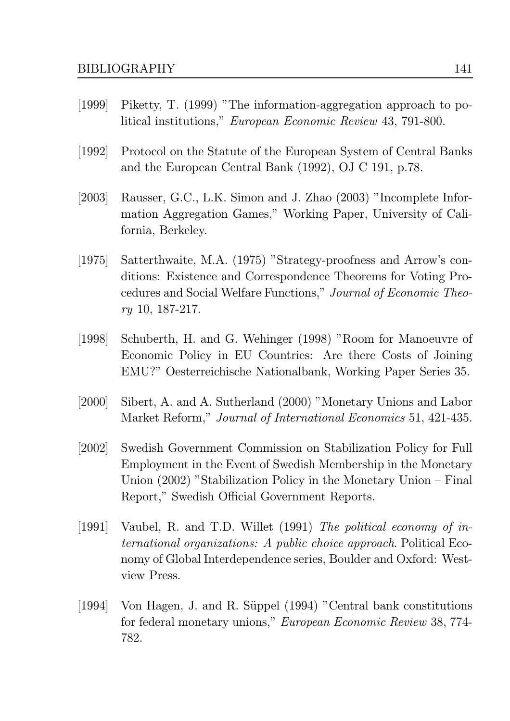- Piketty, T. (1999) "The information-aggregation approach to po- $|1999|$ litical institutions," *European Economic Review* 43, 791-800.
- $[1992]$ Protocol on the Statute of the European System of Central Banks and the European Central Bank (1992), OJ C 191, p.78.
- Rausser, G.C., L.K. Simon and J. Zhao (2003) "Incomplete Infor- $[2003]$ mation Aggregation Games," Working Paper, University of California, Berkeley.
- $[1975]$ Satterthwaite, M.A. (1975) "Strategy-proofness and Arrow's conditions: Existence and Correspondence Theorems for Voting Procedures and Social Welfare Functions," Journal of Economic Theo $ry$  10, 187-217.
- $[1998]$ Schuberth, H. and G. Wehinger (1998) "Room for Manoeuvre of Economic Policy in EU Countries: Are there Costs of Joining EMU?" Oesterreichische Nationalbank, Working Paper Series 35.
- $[2000]$ Sibert, A. and A. Sutherland (2000) "Monetary Unions and Labor Market Reform," Journal of International Economics 51, 421-435.
- Swedish Government Commission on Stabilization Policy for Full  $[2002]$ Employment in the Event of Swedish Membership in the Monetary Union  $(2002)$  "Stabilization Policy in the Monetary Union – Final Report," Swedish Official Government Reports.
- $\vert 1991 \vert$ Vaubel, R. and T.D. Willet (1991) The political economy of in*ternational organizations: A public choice approach.* Political Economy of Global Interdependence series, Boulder and Oxford: Westview Press.
- $[1994]$ Von Hagen, J. and R. Süppel (1994) "Central bank constitutions for federal monetary unions," *European Economic Review* 38, 774-782.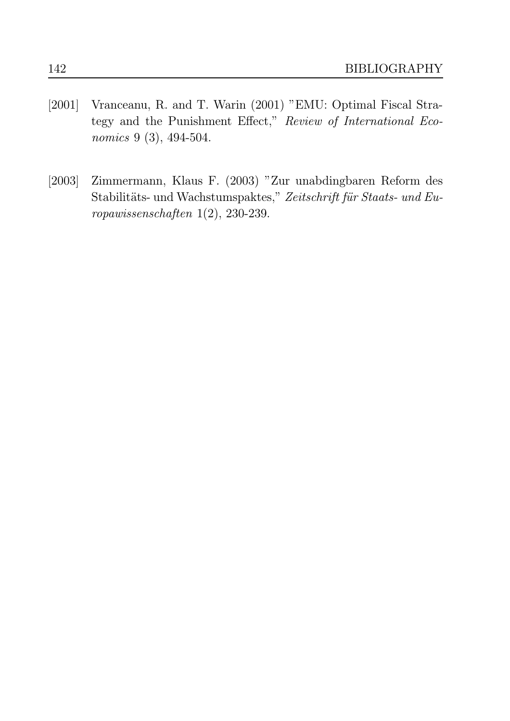- $[2001]$ Vranceanu, R. and T. Warin (2001) "EMU: Optimal Fiscal Strategy and the Punishment Effect," Review of International Economics 9 (3), 494-504.
- $[2003]$ Zimmermann, Klaus F. (2003) "Zur unabdingbaren Reform des Stabilitäts- und Wachstumspaktes," Zeitschrift für Staats- und Europawissenschaften  $1(2)$ , 230-239.